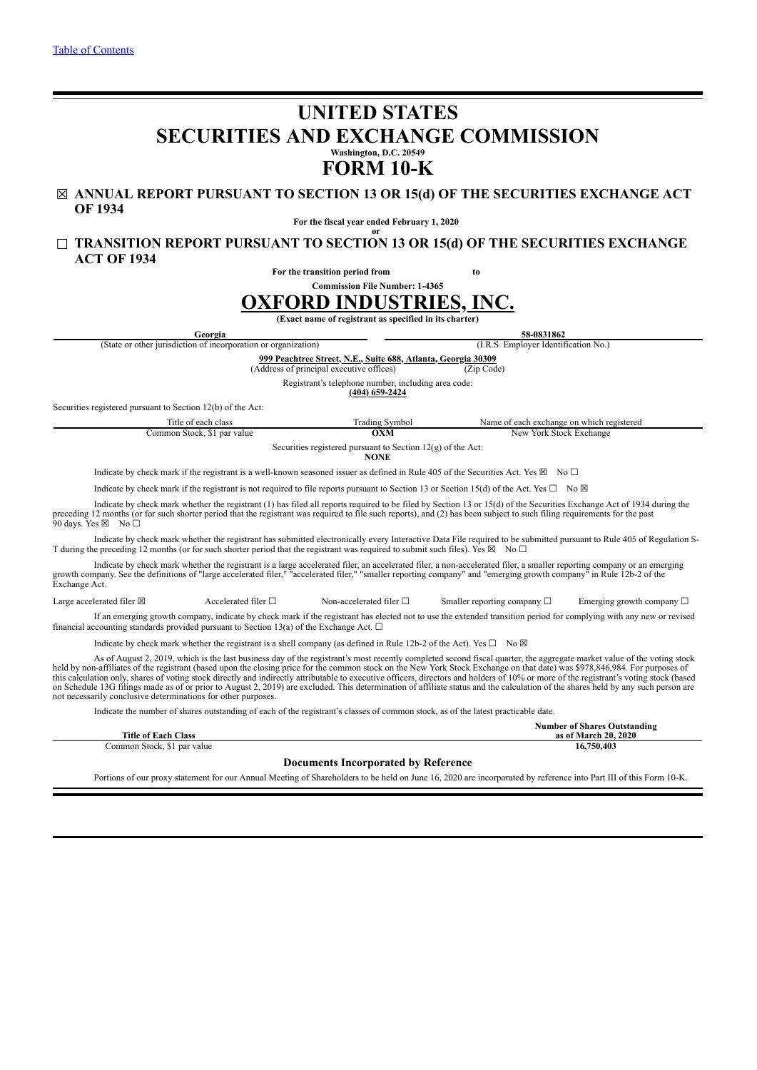# **UNITED STATES SECURITIES AND EXCHANGE COMMISSION Washington, D.C. 20549 FORM 10-K**

# ☒ **ANNUAL REPORT PURSUANT TO SECTION 13 OR 15(d) OF THE SECURITIES EXCHANGE ACT OF 1934**

**For the fiscal year ended February 1, 2020 or**

# ☐ **TRANSITION REPORT PURSUANT TO SECTION 13 OR 15(d) OF THE SECURITIES EXCHANGE ACT OF 1934**

**For the transition period from to**



Indicate by check mark if the registrant is not required to file reports pursuant to Section 13 or Section 15(d) of the Act. Yes  $\square$  No  $\boxtimes$ 

Indicate by check mark whether the registrant (1) has filed all reports required to be filed by Section 13 or 15(d) of the Securities Exchange Act of 1934 during the preceding 12 months (or for such shorter period that the registrant was required to file such reports), and (2) has been subject to such filing requirements for the past  $90$  days. Yes  $\boxtimes$  No  $\square$ 

Indicate by check mark whether the registrant has submitted electronically every Interactive Data File required to be submitted pursuant to Rule 405 of Regulation S-T during the preceding 12 months (or for such shorter period that the registrant was required to submit such files). Yes  $\boxtimes$  No  $\square$ 

Indicate by check mark whether the registrant is a large accelerated filer, an accelerated filer, a non-accelerated filer, a asmaller reporting company or an emerging growth company. See the definitions of "large accelerat Exchange Act.

Large accelerated filer ⊠ Accelerated filer □ Non-accelerated filer □ Smaller reporting company □ Emerging growth company □ If an emerging growth company, indicate by check mark if the registrant has elected not to use the extended transition period for complying with any new or revised financial accounting standards provided pursuant to Section 13(a) of the Exchange Act.  $\Box$ 

Indicate by check mark whether the registrant is a shell company (as defined in Rule 12b-2 of the Act). Yes  $\Box$  No  $\boxtimes$ 

As of August 2, 2019, which is the last business day of the registrant's most recently completed second fiscal quarter, the aggregate market value of the voting stock<br>held by non-affiliates of the registrant (based upon th on Schedule 13G filings made as of or prior to August 2, 2019) are excluded. This determination of affiliate status and the calculation of the shares held by any such person are not necessarily conclusive determinations for other purposes.

Indicate the number of shares outstanding of each of the registrant's classes of common stock, as of the latest practicable date.

|                             |                          |   | <b>Number of Shares Outstanding</b> |
|-----------------------------|--------------------------|---|-------------------------------------|
| <b>Title of Each Class</b>  |                          |   | as of March 20, 2020                |
| Common Stock, \$1 par value |                          |   | 16,750,403                          |
|                             | $\overline{\phantom{a}}$ | . |                                     |

### **Documents Incorporated by Reference**

Portions of our proxy statement for our Annual Meeting of Shareholders to be held on June 16, 2020 are incorporated by reference into Part III of this Form 10-K.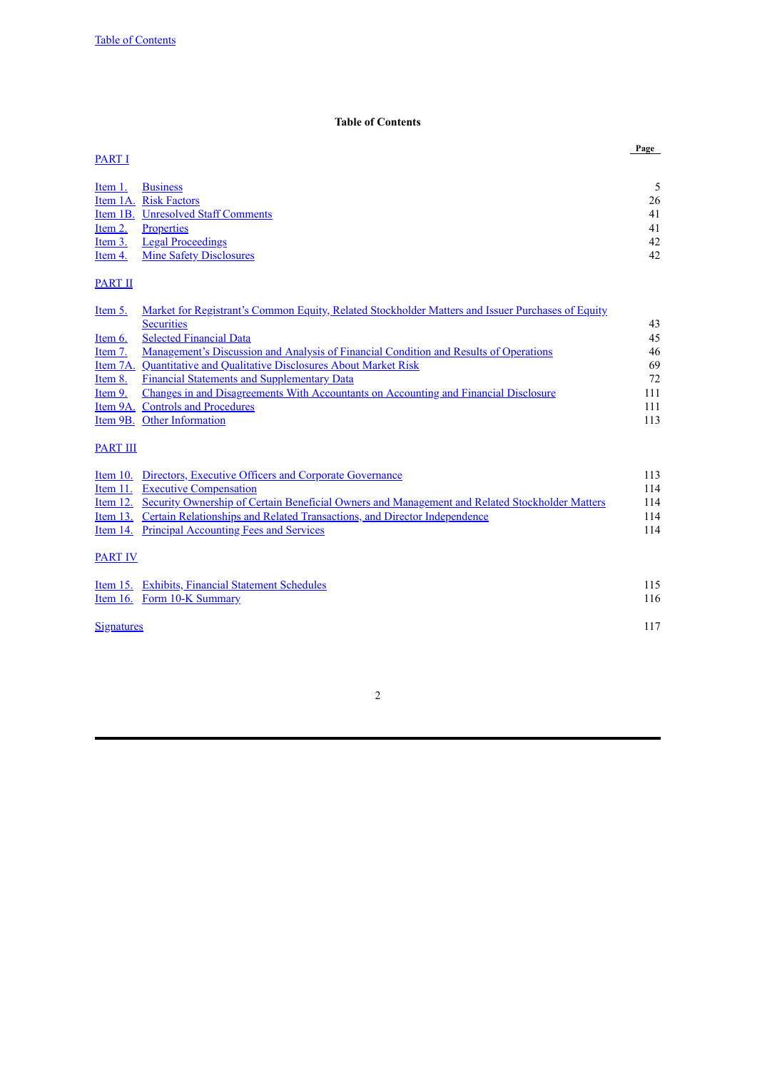## **Table of Contents**

<span id="page-1-0"></span>

| <b>PART I</b>  |                                                                                                          | Page |
|----------------|----------------------------------------------------------------------------------------------------------|------|
| Item 1.        | <b>Business</b>                                                                                          | 5    |
| Item 1A.       | <b>Risk Factors</b>                                                                                      | 26   |
| Item 1B.       | <b>Unresolved Staff Comments</b>                                                                         | 41   |
| Item 2.        | <b>Properties</b>                                                                                        | 41   |
| Item $3$ .     | <b>Legal Proceedings</b>                                                                                 | 42   |
| Item 4.        | <b>Mine Safety Disclosures</b>                                                                           | 42   |
| <b>PART II</b> |                                                                                                          |      |
| <u>Item 5.</u> | <u>Market for Registrant's Common Equity, Related Stockholder Matters and Issuer Purchases of Equity</u> |      |
|                | <b>Securities</b>                                                                                        | 43   |
| Item 6.        | <b>Selected Financial Data</b>                                                                           | 45   |
| Item 7.        | <u>Management's Discussion and Analysis of Financial Condition and Results of Operations</u>             | 46   |
| Item 7A.       | <b>Quantitative and Qualitative Disclosures About Market Risk</b>                                        | 69   |
| Item 8.        | <b>Financial Statements and Supplementary Data</b>                                                       | 72   |
| Item 9.        | Changes in and Disagreements With Accountants on Accounting and Financial Disclosure                     | 111  |

| Item 9A. Controls and Procedures |  |
|----------------------------------|--|
| Item 9B. Other Information       |  |

# **[PART](#page-112-1) III**

| Item $10$ .       | Directors, Executive Officers and Corporate Governance                                         | 113 |
|-------------------|------------------------------------------------------------------------------------------------|-----|
| Item $11$ .       | <b>Executive Compensation</b>                                                                  | 114 |
| Item $12$ .       | Security Ownership of Certain Beneficial Owners and Management and Related Stockholder Matters | 114 |
| Item $13.$        | Certain Relationships and Related Transactions, and Director Independence                      | 114 |
| Item $14$ .       | <b>Principal Accounting Fees and Services</b>                                                  | 114 |
| <b>PART IV</b>    |                                                                                                |     |
| Item $15.$        | <b>Exhibits, Financial Statement Schedules</b>                                                 | 115 |
|                   | Item 16. Form 10-K Summary                                                                     | 116 |
| <b>Signatures</b> |                                                                                                | 117 |
|                   |                                                                                                |     |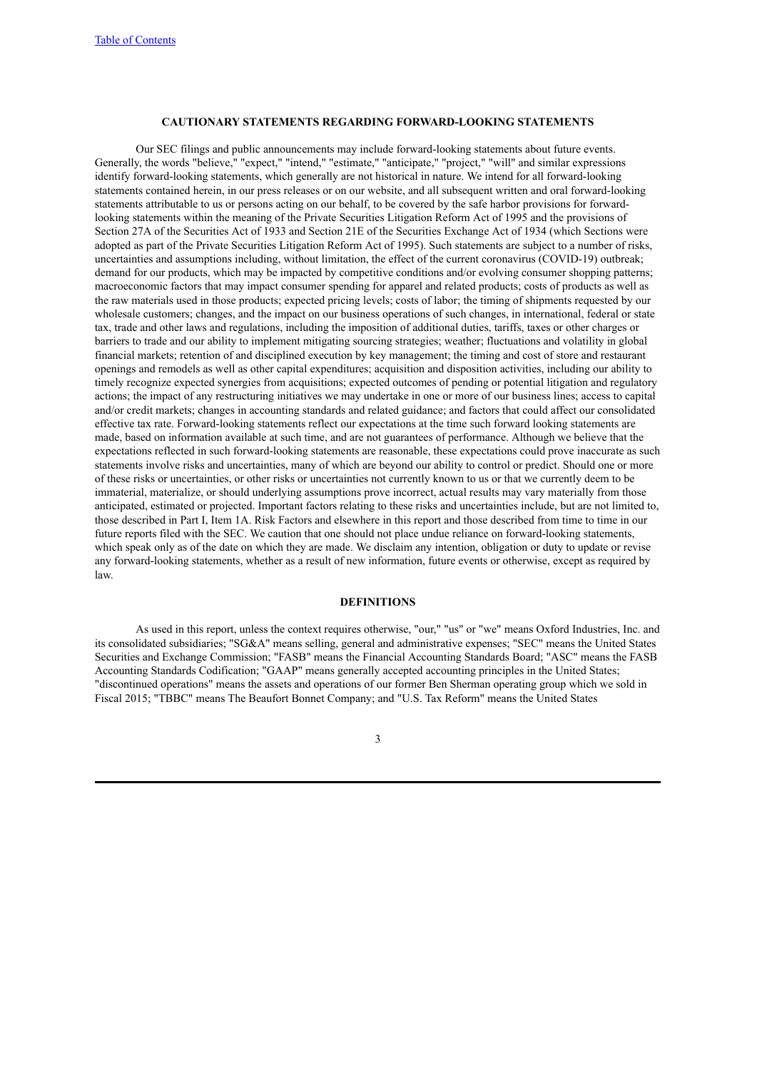### **CAUTIONARY STATEMENTS REGARDING FORWARD-LOOKING STATEMENTS**

Our SEC filings and public announcements may include forward-looking statements about future events. Generally, the words "believe," "expect," "intend," "estimate," "anticipate," "project," "will" and similar expressions identify forward-looking statements, which generally are not historical in nature. We intend for all forward-looking statements contained herein, in our press releases or on our website, and all subsequent written and oral forward-looking statements attributable to us or persons acting on our behalf, to be covered by the safe harbor provisions for forwardlooking statements within the meaning of the Private Securities Litigation Reform Act of 1995 and the provisions of Section 27A of the Securities Act of 1933 and Section 21E of the Securities Exchange Act of 1934 (which Sections were adopted as part of the Private Securities Litigation Reform Act of 1995). Such statements are subject to a number of risks, uncertainties and assumptions including, without limitation, the effect of the current coronavirus (COVID-19) outbreak; demand for our products, which may be impacted by competitive conditions and/or evolving consumer shopping patterns; macroeconomic factors that may impact consumer spending for apparel and related products; costs of products as well as the raw materials used in those products; expected pricing levels; costs of labor; the timing of shipments requested by our wholesale customers; changes, and the impact on our business operations of such changes, in international, federal or state tax, trade and other laws and regulations, including the imposition of additional duties, tariffs, taxes or other charges or barriers to trade and our ability to implement mitigating sourcing strategies; weather; fluctuations and volatility in global financial markets; retention of and disciplined execution by key management; the timing and cost of store and restaurant openings and remodels as well as other capital expenditures; acquisition and disposition activities, including our ability to timely recognize expected synergies from acquisitions; expected outcomes of pending or potential litigation and regulatory actions; the impact of any restructuring initiatives we may undertake in one or more of our business lines; access to capital and/or credit markets; changes in accounting standards and related guidance; and factors that could affect our consolidated effective tax rate. Forward-looking statements reflect our expectations at the time such forward looking statements are made, based on information available at such time, and are not guarantees of performance. Although we believe that the expectations reflected in such forward-looking statements are reasonable, these expectations could prove inaccurate as such statements involve risks and uncertainties, many of which are beyond our ability to control or predict. Should one or more of these risks or uncertainties, or other risks or uncertainties not currently known to us or that we currently deem to be immaterial, materialize, or should underlying assumptions prove incorrect, actual results may vary materially from those anticipated, estimated or projected. Important factors relating to these risks and uncertainties include, but are not limited to, those described in Part I, Item 1A. Risk Factors and elsewhere in this report and those described from time to time in our future reports filed with the SEC. We caution that one should not place undue reliance on forward-looking statements, which speak only as of the date on which they are made. We disclaim any intention, obligation or duty to update or revise any forward-looking statements, whether as a result of new information, future events or otherwise, except as required by law.

#### **DEFINITIONS**

As used in this report, unless the context requires otherwise, "our," "us" or "we" means Oxford Industries, Inc. and its consolidated subsidiaries; "SG&A" means selling, general and administrative expenses; "SEC" means the United States Securities and Exchange Commission; "FASB" means the Financial Accounting Standards Board; "ASC" means the FASB Accounting Standards Codification; "GAAP" means generally accepted accounting principles in the United States; "discontinued operations" means the assets and operations of our former Ben Sherman operating group which we sold in Fiscal 2015; "TBBC" means The Beaufort Bonnet Company; and "U.S. Tax Reform" means the United States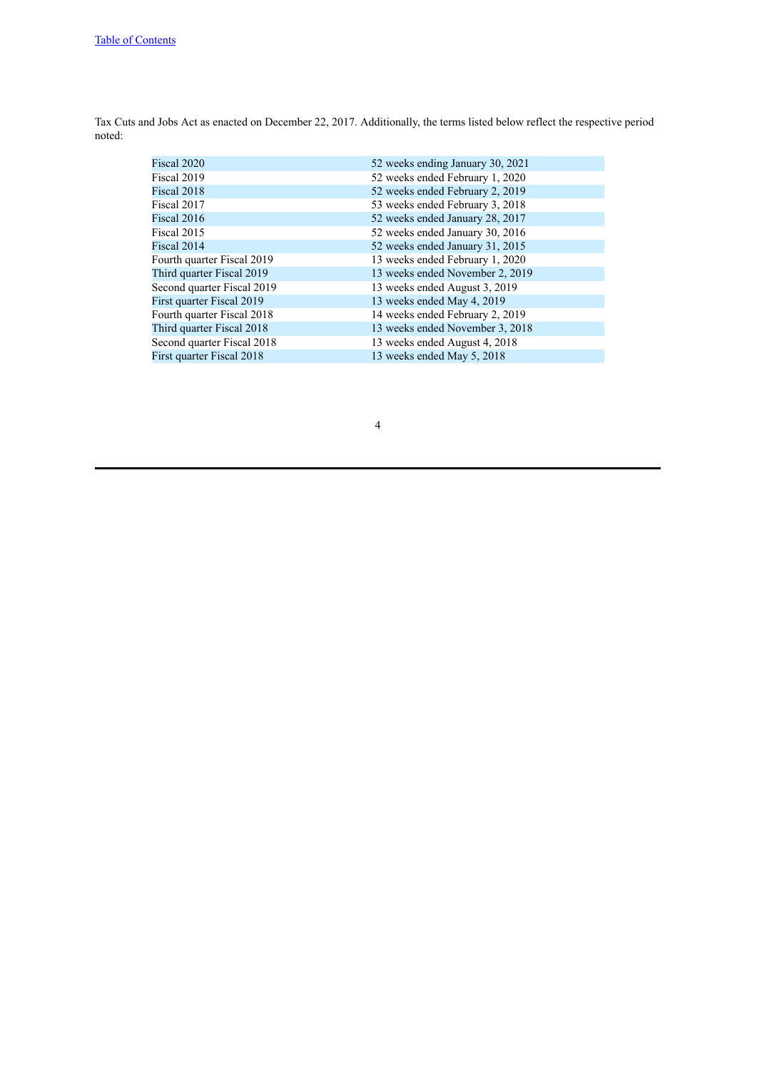Tax Cuts and Jobs Act as enacted on December 22, 2017. Additionally, the terms listed below reflect the respective period noted:

| Fiscal 2020                | 52 weeks ending January 30, 2021 |
|----------------------------|----------------------------------|
| Fiscal 2019                | 52 weeks ended February 1, 2020  |
| Fiscal 2018                | 52 weeks ended February 2, 2019  |
| Fiscal 2017                | 53 weeks ended February 3, 2018  |
| Fiscal 2016                | 52 weeks ended January 28, 2017  |
| Fiscal 2015                | 52 weeks ended January 30, 2016  |
| Fiscal 2014                | 52 weeks ended January 31, 2015  |
| Fourth quarter Fiscal 2019 | 13 weeks ended February 1, 2020  |
| Third quarter Fiscal 2019  | 13 weeks ended November 2, 2019  |
| Second quarter Fiscal 2019 | 13 weeks ended August 3, 2019    |
| First quarter Fiscal 2019  | 13 weeks ended May 4, 2019       |
| Fourth quarter Fiscal 2018 | 14 weeks ended February 2, 2019  |
| Third quarter Fiscal 2018  | 13 weeks ended November 3, 2018  |
| Second quarter Fiscal 2018 | 13 weeks ended August 4, 2018    |
| First quarter Fiscal 2018  | 13 weeks ended May 5, 2018       |
|                            |                                  |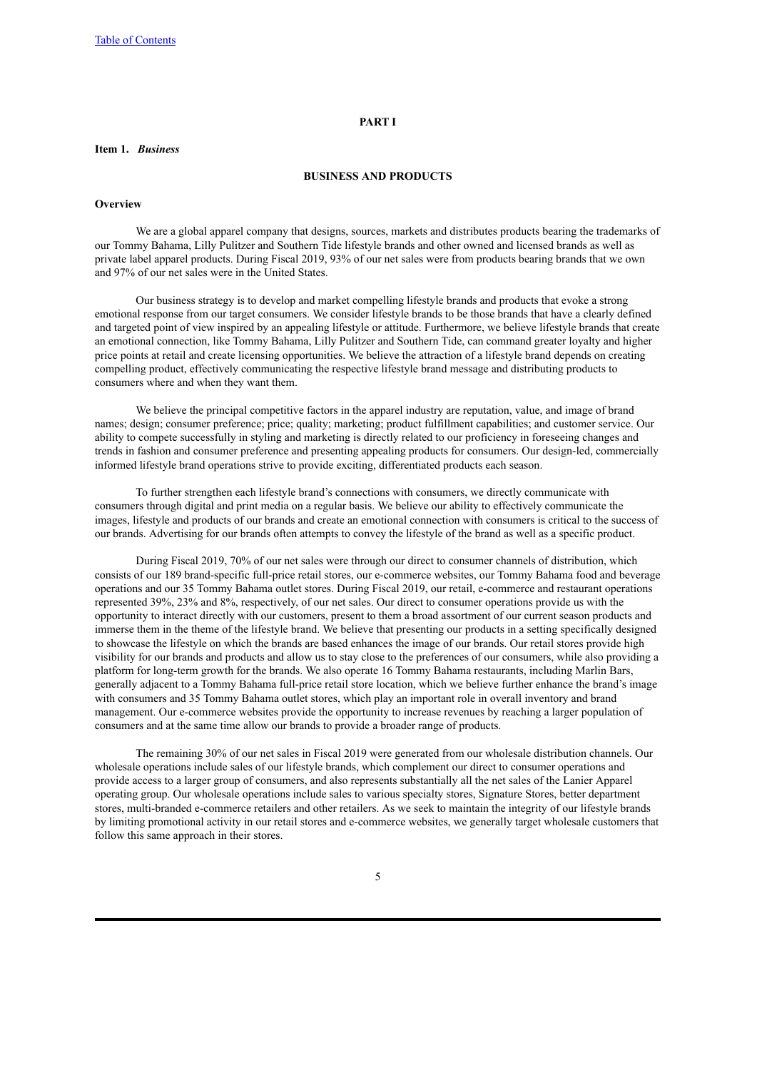### **PART I**

### <span id="page-4-1"></span><span id="page-4-0"></span>**Item 1.** *Business*

### **BUSINESS AND PRODUCTS**

#### **Overview**

We are a global apparel company that designs, sources, markets and distributes products bearing the trademarks of our Tommy Bahama, Lilly Pulitzer and Southern Tide lifestyle brands and other owned and licensed brands as well as private label apparel products. During Fiscal 2019, 93% of our net sales were from products bearing brands that we own and 97% of our net sales were in the United States.

Our business strategy is to develop and market compelling lifestyle brands and products that evoke a strong emotional response from our target consumers. We consider lifestyle brands to be those brands that have a clearly defined and targeted point of view inspired by an appealing lifestyle or attitude. Furthermore, we believe lifestyle brands that create an emotional connection, like Tommy Bahama, Lilly Pulitzer and Southern Tide, can command greater loyalty and higher price points at retail and create licensing opportunities. We believe the attraction of a lifestyle brand depends on creating compelling product, effectively communicating the respective lifestyle brand message and distributing products to consumers where and when they want them.

We believe the principal competitive factors in the apparel industry are reputation, value, and image of brand names; design; consumer preference; price; quality; marketing; product fulfillment capabilities; and customer service. Our ability to compete successfully in styling and marketing is directly related to our proficiency in foreseeing changes and trends in fashion and consumer preference and presenting appealing products for consumers. Our design-led, commercially informed lifestyle brand operations strive to provide exciting, differentiated products each season.

To further strengthen each lifestyle brand's connections with consumers, we directly communicate with consumers through digital and print media on a regular basis. We believe our ability to effectively communicate the images, lifestyle and products of our brands and create an emotional connection with consumers is critical to the success of our brands. Advertising for our brands often attempts to convey the lifestyle of the brand as well as a specific product.

During Fiscal 2019, 70% of our net sales were through our direct to consumer channels of distribution, which consists of our 189 brand-specific full-price retail stores, our e-commerce websites, our Tommy Bahama food and beverage operations and our 35 Tommy Bahama outlet stores. During Fiscal 2019, our retail, e-commerce and restaurant operations represented 39%, 23% and 8%, respectively, of our net sales. Our direct to consumer operations provide us with the opportunity to interact directly with our customers, present to them a broad assortment of our current season products and immerse them in the theme of the lifestyle brand. We believe that presenting our products in a setting specifically designed to showcase the lifestyle on which the brands are based enhances the image of our brands. Our retail stores provide high visibility for our brands and products and allow us to stay close to the preferences of our consumers, while also providing a platform for long-term growth for the brands. We also operate 16 Tommy Bahama restaurants, including Marlin Bars, generally adjacent to a Tommy Bahama full-price retail store location, which we believe further enhance the brand's image with consumers and 35 Tommy Bahama outlet stores, which play an important role in overall inventory and brand management. Our e-commerce websites provide the opportunity to increase revenues by reaching a larger population of consumers and at the same time allow our brands to provide a broader range of products.

The remaining 30% of our net sales in Fiscal 2019 were generated from our wholesale distribution channels. Our wholesale operations include sales of our lifestyle brands, which complement our direct to consumer operations and provide access to a larger group of consumers, and also represents substantially all the net sales of the Lanier Apparel operating group. Our wholesale operations include sales to various specialty stores, Signature Stores, better department stores, multi-branded e-commerce retailers and other retailers. As we seek to maintain the integrity of our lifestyle brands by limiting promotional activity in our retail stores and e-commerce websites, we generally target wholesale customers that follow this same approach in their stores.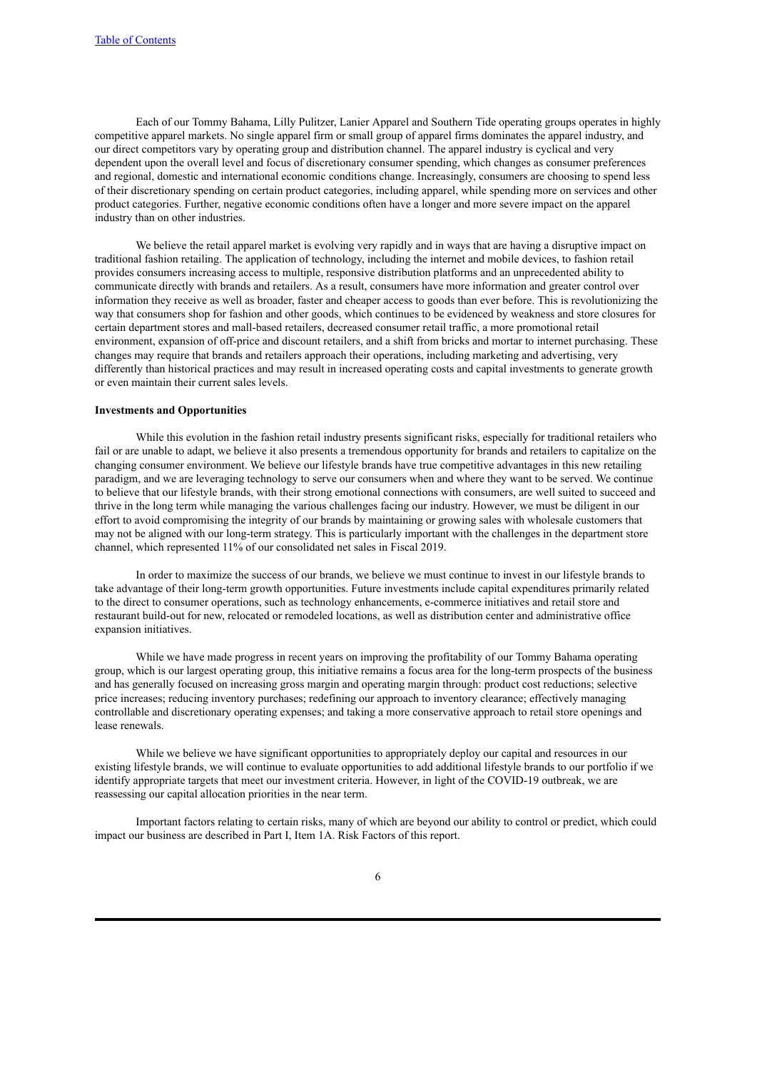Each of our Tommy Bahama, Lilly Pulitzer, Lanier Apparel and Southern Tide operating groups operates in highly competitive apparel markets. No single apparel firm or small group of apparel firms dominates the apparel industry, and our direct competitors vary by operating group and distribution channel. The apparel industry is cyclical and very dependent upon the overall level and focus of discretionary consumer spending, which changes as consumer preferences and regional, domestic and international economic conditions change. Increasingly, consumers are choosing to spend less of their discretionary spending on certain product categories, including apparel, while spending more on services and other product categories. Further, negative economic conditions often have a longer and more severe impact on the apparel industry than on other industries.

We believe the retail apparel market is evolving very rapidly and in ways that are having a disruptive impact on traditional fashion retailing. The application of technology, including the internet and mobile devices, to fashion retail provides consumers increasing access to multiple, responsive distribution platforms and an unprecedented ability to communicate directly with brands and retailers. As a result, consumers have more information and greater control over information they receive as well as broader, faster and cheaper access to goods than ever before. This is revolutionizing the way that consumers shop for fashion and other goods, which continues to be evidenced by weakness and store closures for certain department stores and mall-based retailers, decreased consumer retail traffic, a more promotional retail environment, expansion of off-price and discount retailers, and a shift from bricks and mortar to internet purchasing. These changes may require that brands and retailers approach their operations, including marketing and advertising, very differently than historical practices and may result in increased operating costs and capital investments to generate growth or even maintain their current sales levels.

### **Investments and Opportunities**

While this evolution in the fashion retail industry presents significant risks, especially for traditional retailers who fail or are unable to adapt, we believe it also presents a tremendous opportunity for brands and retailers to capitalize on the changing consumer environment. We believe our lifestyle brands have true competitive advantages in this new retailing paradigm, and we are leveraging technology to serve our consumers when and where they want to be served. We continue to believe that our lifestyle brands, with their strong emotional connections with consumers, are well suited to succeed and thrive in the long term while managing the various challenges facing our industry. However, we must be diligent in our effort to avoid compromising the integrity of our brands by maintaining or growing sales with wholesale customers that may not be aligned with our long-term strategy. This is particularly important with the challenges in the department store channel, which represented 11% of our consolidated net sales in Fiscal 2019.

In order to maximize the success of our brands, we believe we must continue to invest in our lifestyle brands to take advantage of their long-term growth opportunities. Future investments include capital expenditures primarily related to the direct to consumer operations, such as technology enhancements, e-commerce initiatives and retail store and restaurant build-out for new, relocated or remodeled locations, as well as distribution center and administrative office expansion initiatives.

While we have made progress in recent years on improving the profitability of our Tommy Bahama operating group, which is our largest operating group, this initiative remains a focus area for the long-term prospects of the business and has generally focused on increasing gross margin and operating margin through: product cost reductions; selective price increases; reducing inventory purchases; redefining our approach to inventory clearance; effectively managing controllable and discretionary operating expenses; and taking a more conservative approach to retail store openings and lease renewals.

While we believe we have significant opportunities to appropriately deploy our capital and resources in our existing lifestyle brands, we will continue to evaluate opportunities to add additional lifestyle brands to our portfolio if we identify appropriate targets that meet our investment criteria. However, in light of the COVID-19 outbreak, we are reassessing our capital allocation priorities in the near term.

Important factors relating to certain risks, many of which are beyond our ability to control or predict, which could impact our business are described in Part I, Item 1A. Risk Factors of this report.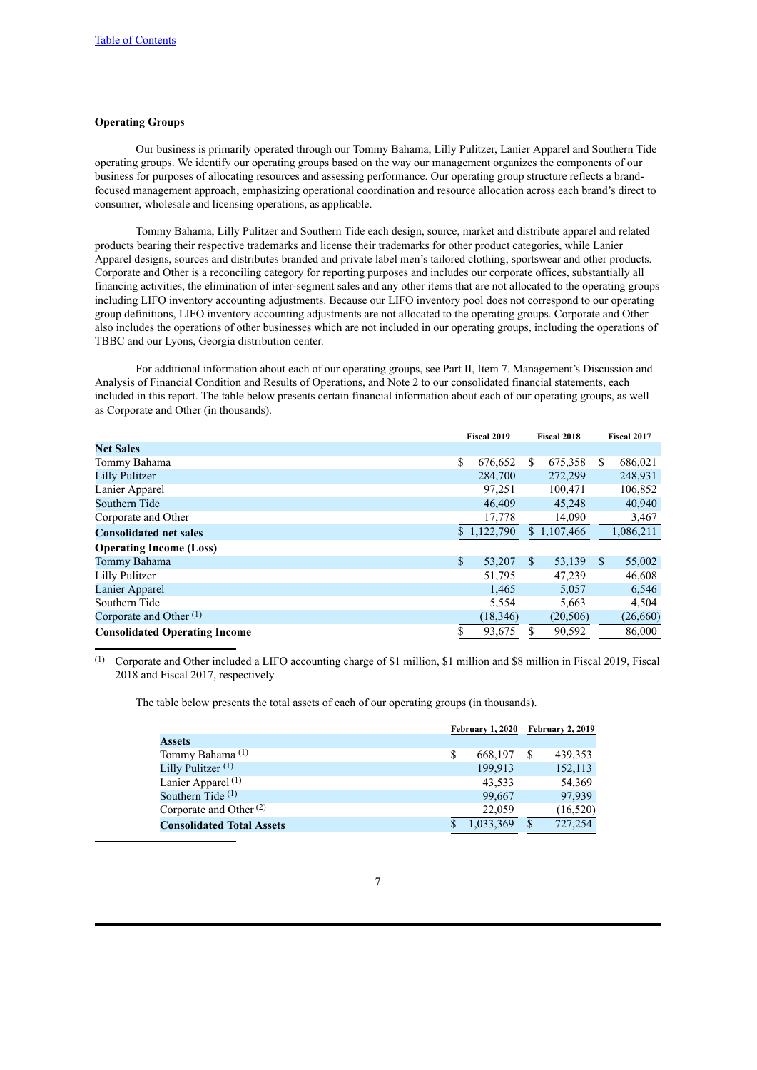### **Operating Groups**

Our business is primarily operated through our Tommy Bahama, Lilly Pulitzer, Lanier Apparel and Southern Tide operating groups. We identify our operating groups based on the way our management organizes the components of our business for purposes of allocating resources and assessing performance. Our operating group structure reflects a brandfocused management approach, emphasizing operational coordination and resource allocation across each brand's direct to consumer, wholesale and licensing operations, as applicable.

Tommy Bahama, Lilly Pulitzer and Southern Tide each design, source, market and distribute apparel and related products bearing their respective trademarks and license their trademarks for other product categories, while Lanier Apparel designs, sources and distributes branded and private label men's tailored clothing, sportswear and other products. Corporate and Other is a reconciling category for reporting purposes and includes our corporate offices, substantially all financing activities, the elimination of inter-segment sales and any other items that are not allocated to the operating groups including LIFO inventory accounting adjustments. Because our LIFO inventory pool does not correspond to our operating group definitions, LIFO inventory accounting adjustments are not allocated to the operating groups. Corporate and Other also includes the operations of other businesses which are not included in our operating groups, including the operations of TBBC and our Lyons, Georgia distribution center.

For additional information about each of our operating groups, see Part II, Item 7. Management's Discussion and Analysis of Financial Condition and Results of Operations, and Note 2 to our consolidated financial statements, each included in this report. The table below presents certain financial information about each of our operating groups, as well as Corporate and Other (in thousands).

|                                      | Fiscal 2019   |               | <b>Fiscal 2018</b> |               | <b>Fiscal 2017</b> |
|--------------------------------------|---------------|---------------|--------------------|---------------|--------------------|
| <b>Net Sales</b>                     |               |               |                    |               |                    |
| Tommy Bahama                         | \$<br>676,652 | S             | 675,358            | S             | 686,021            |
| <b>Lilly Pulitzer</b>                | 284,700       |               | 272,299            |               | 248,931            |
| Lanier Apparel                       | 97.251        |               | 100.471            |               | 106,852            |
| Southern Tide                        | 46,409        |               | 45,248             |               | 40,940             |
| Corporate and Other                  | 17,778        |               | 14,090             |               | 3,467              |
| <b>Consolidated net sales</b>        | \$1,122,790   |               | \$1,107,466        |               | 1,086,211          |
| <b>Operating Income (Loss)</b>       |               |               |                    |               |                    |
| Tommy Bahama                         | \$<br>53,207  | <sup>\$</sup> | 53,139             | <sup>\$</sup> | 55,002             |
| Lilly Pulitzer                       | 51,795        |               | 47,239             |               | 46,608             |
| Lanier Apparel                       | 1,465         |               | 5,057              |               | 6,546              |
| Southern Tide                        | 5,554         |               | 5,663              |               | 4,504              |
| Corporate and Other <sup>(1)</sup>   | (18, 346)     |               | (20, 506)          |               | (26, 660)          |
| <b>Consolidated Operating Income</b> | \$<br>93,675  | \$            | 90,592             |               | 86,000             |

(1) Corporate and Other included a LIFO accounting charge of \$1 million, \$1 million and \$8 million in Fiscal 2019, Fiscal 2018 and Fiscal 2017, respectively.

The table below presents the total assets of each of our operating groups (in thousands).

|                                  | <b>February 1, 2020</b> |           | February 2, 2019 |           |
|----------------------------------|-------------------------|-----------|------------------|-----------|
| <b>Assets</b>                    |                         |           |                  |           |
| Tommy Bahama <sup>(1)</sup>      | S                       | 668.197   | \$.              | 439,353   |
| Lilly Pulitzer <sup>(1)</sup>    |                         | 199,913   |                  | 152,113   |
| Lanier Apparel $(1)$             |                         | 43,533    |                  | 54,369    |
| Southern Tide <sup>(1)</sup>     |                         | 99,667    |                  | 97,939    |
| Corporate and Other $(2)$        |                         | 22,059    |                  | (16, 520) |
| <b>Consolidated Total Assets</b> |                         | 1,033,369 |                  | 727,254   |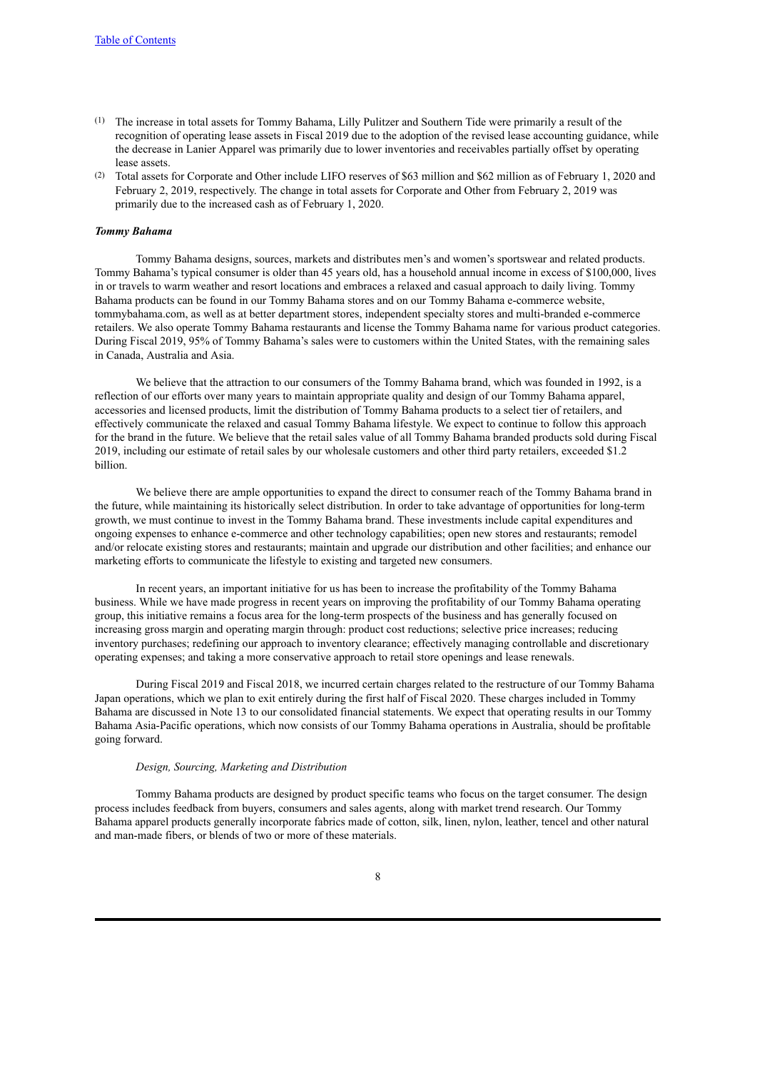- (1) The increase in total assets for Tommy Bahama, Lilly Pulitzer and Southern Tide were primarily a result of the recognition of operating lease assets in Fiscal 2019 due to the adoption of the revised lease accounting guidance, while the decrease in Lanier Apparel was primarily due to lower inventories and receivables partially offset by operating lease assets.
- (2) Total assets for Corporate and Other include LIFO reserves of \$63 million and \$62 million as of February 1, 2020 and February 2, 2019, respectively. The change in total assets for Corporate and Other from February 2, 2019 was primarily due to the increased cash as of February 1, 2020.

#### *Tommy Bahama*

Tommy Bahama designs, sources, markets and distributes men's and women's sportswear and related products. Tommy Bahama's typical consumer is older than 45 years old, has a household annual income in excess of \$100,000, lives in or travels to warm weather and resort locations and embraces a relaxed and casual approach to daily living. Tommy Bahama products can be found in our Tommy Bahama stores and on our Tommy Bahama e-commerce website, tommybahama.com, as well as at better department stores, independent specialty stores and multi-branded e-commerce retailers. We also operate Tommy Bahama restaurants and license the Tommy Bahama name for various product categories. During Fiscal 2019, 95% of Tommy Bahama's sales were to customers within the United States, with the remaining sales in Canada, Australia and Asia.

We believe that the attraction to our consumers of the Tommy Bahama brand, which was founded in 1992, is a reflection of our efforts over many years to maintain appropriate quality and design of our Tommy Bahama apparel, accessories and licensed products, limit the distribution of Tommy Bahama products to a select tier of retailers, and effectively communicate the relaxed and casual Tommy Bahama lifestyle. We expect to continue to follow this approach for the brand in the future. We believe that the retail sales value of all Tommy Bahama branded products sold during Fiscal 2019, including our estimate of retail sales by our wholesale customers and other third party retailers, exceeded \$1.2 billion.

We believe there are ample opportunities to expand the direct to consumer reach of the Tommy Bahama brand in the future, while maintaining its historically select distribution. In order to take advantage of opportunities for long-term growth, we must continue to invest in the Tommy Bahama brand. These investments include capital expenditures and ongoing expenses to enhance e-commerce and other technology capabilities; open new stores and restaurants; remodel and/or relocate existing stores and restaurants; maintain and upgrade our distribution and other facilities; and enhance our marketing efforts to communicate the lifestyle to existing and targeted new consumers.

In recent years, an important initiative for us has been to increase the profitability of the Tommy Bahama business. While we have made progress in recent years on improving the profitability of our Tommy Bahama operating group, this initiative remains a focus area for the long-term prospects of the business and has generally focused on increasing gross margin and operating margin through: product cost reductions; selective price increases; reducing inventory purchases; redefining our approach to inventory clearance; effectively managing controllable and discretionary operating expenses; and taking a more conservative approach to retail store openings and lease renewals.

During Fiscal 2019 and Fiscal 2018, we incurred certain charges related to the restructure of our Tommy Bahama Japan operations, which we plan to exit entirely during the first half of Fiscal 2020. These charges included in Tommy Bahama are discussed in Note 13 to our consolidated financial statements. We expect that operating results in our Tommy Bahama Asia-Pacific operations, which now consists of our Tommy Bahama operations in Australia, should be profitable going forward.

#### *Design, Sourcing, Marketing and Distribution*

Tommy Bahama products are designed by product specific teams who focus on the target consumer. The design process includes feedback from buyers, consumers and sales agents, along with market trend research. Our Tommy Bahama apparel products generally incorporate fabrics made of cotton, silk, linen, nylon, leather, tencel and other natural and man-made fibers, or blends of two or more of these materials.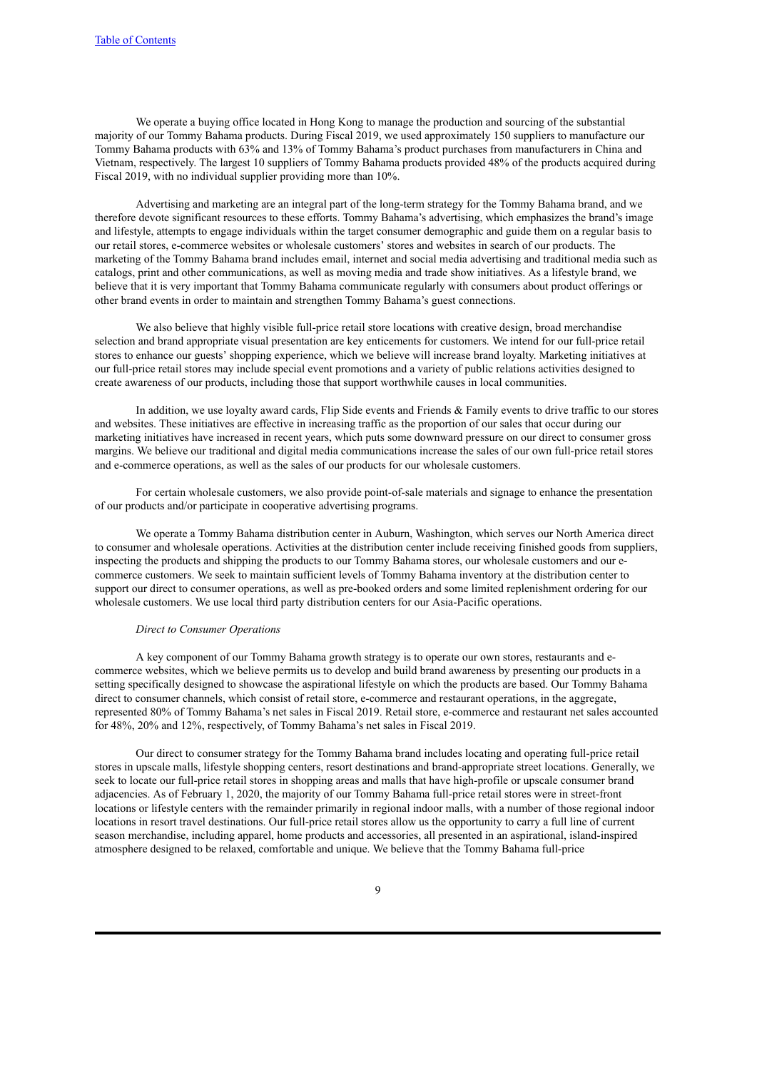We operate a buying office located in Hong Kong to manage the production and sourcing of the substantial majority of our Tommy Bahama products. During Fiscal 2019, we used approximately 150 suppliers to manufacture our Tommy Bahama products with 63% and 13% of Tommy Bahama's product purchases from manufacturers in China and Vietnam, respectively. The largest 10 suppliers of Tommy Bahama products provided 48% of the products acquired during Fiscal 2019, with no individual supplier providing more than 10%.

Advertising and marketing are an integral part of the long-term strategy for the Tommy Bahama brand, and we therefore devote significant resources to these efforts. Tommy Bahama's advertising, which emphasizes the brand's image and lifestyle, attempts to engage individuals within the target consumer demographic and guide them on a regular basis to our retail stores, e-commerce websites or wholesale customers' stores and websites in search of our products. The marketing of the Tommy Bahama brand includes email, internet and social media advertising and traditional media such as catalogs, print and other communications, as well as moving media and trade show initiatives. As a lifestyle brand, we believe that it is very important that Tommy Bahama communicate regularly with consumers about product offerings or other brand events in order to maintain and strengthen Tommy Bahama's guest connections.

We also believe that highly visible full-price retail store locations with creative design, broad merchandise selection and brand appropriate visual presentation are key enticements for customers. We intend for our full-price retail stores to enhance our guests' shopping experience, which we believe will increase brand loyalty. Marketing initiatives at our full-price retail stores may include special event promotions and a variety of public relations activities designed to create awareness of our products, including those that support worthwhile causes in local communities.

In addition, we use loyalty award cards, Flip Side events and Friends & Family events to drive traffic to our stores and websites. These initiatives are effective in increasing traffic as the proportion of our sales that occur during our marketing initiatives have increased in recent years, which puts some downward pressure on our direct to consumer gross margins. We believe our traditional and digital media communications increase the sales of our own full-price retail stores and e-commerce operations, as well as the sales of our products for our wholesale customers.

For certain wholesale customers, we also provide point-of-sale materials and signage to enhance the presentation of our products and/or participate in cooperative advertising programs.

We operate a Tommy Bahama distribution center in Auburn, Washington, which serves our North America direct to consumer and wholesale operations. Activities at the distribution center include receiving finished goods from suppliers, inspecting the products and shipping the products to our Tommy Bahama stores, our wholesale customers and our ecommerce customers. We seek to maintain sufficient levels of Tommy Bahama inventory at the distribution center to support our direct to consumer operations, as well as pre-booked orders and some limited replenishment ordering for our wholesale customers. We use local third party distribution centers for our Asia-Pacific operations.

#### *Direct to Consumer Operations*

A key component of our Tommy Bahama growth strategy is to operate our own stores, restaurants and ecommerce websites, which we believe permits us to develop and build brand awareness by presenting our products in a setting specifically designed to showcase the aspirational lifestyle on which the products are based. Our Tommy Bahama direct to consumer channels, which consist of retail store, e-commerce and restaurant operations, in the aggregate, represented 80% of Tommy Bahama's net sales in Fiscal 2019. Retail store, e-commerce and restaurant net sales accounted for 48%, 20% and 12%, respectively, of Tommy Bahama's net sales in Fiscal 2019.

Our direct to consumer strategy for the Tommy Bahama brand includes locating and operating full-price retail stores in upscale malls, lifestyle shopping centers, resort destinations and brand-appropriate street locations. Generally, we seek to locate our full-price retail stores in shopping areas and malls that have high-profile or upscale consumer brand adjacencies. As of February 1, 2020, the majority of our Tommy Bahama full-price retail stores were in street-front locations or lifestyle centers with the remainder primarily in regional indoor malls, with a number of those regional indoor locations in resort travel destinations. Our full-price retail stores allow us the opportunity to carry a full line of current season merchandise, including apparel, home products and accessories, all presented in an aspirational, island-inspired atmosphere designed to be relaxed, comfortable and unique. We believe that the Tommy Bahama full-price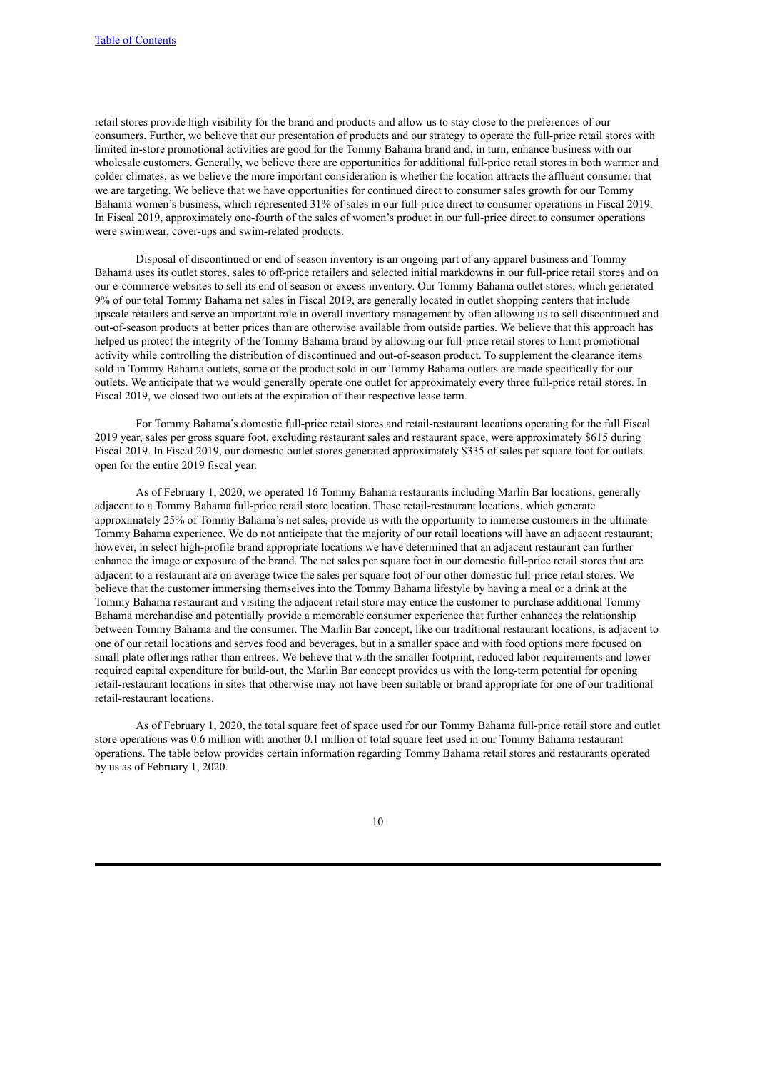retail stores provide high visibility for the brand and products and allow us to stay close to the preferences of our consumers. Further, we believe that our presentation of products and our strategy to operate the full-price retail stores with limited in-store promotional activities are good for the Tommy Bahama brand and, in turn, enhance business with our wholesale customers. Generally, we believe there are opportunities for additional full-price retail stores in both warmer and colder climates, as we believe the more important consideration is whether the location attracts the affluent consumer that we are targeting. We believe that we have opportunities for continued direct to consumer sales growth for our Tommy Bahama women's business, which represented 31% of sales in our full-price direct to consumer operations in Fiscal 2019. In Fiscal 2019, approximately one-fourth of the sales of women's product in our full-price direct to consumer operations were swimwear, cover-ups and swim-related products.

Disposal of discontinued or end of season inventory is an ongoing part of any apparel business and Tommy Bahama uses its outlet stores, sales to off-price retailers and selected initial markdowns in our full-price retail stores and on our e-commerce websites to sell its end of season or excess inventory. Our Tommy Bahama outlet stores, which generated 9% of our total Tommy Bahama net sales in Fiscal 2019, are generally located in outlet shopping centers that include upscale retailers and serve an important role in overall inventory management by often allowing us to sell discontinued and out-of-season products at better prices than are otherwise available from outside parties. We believe that this approach has helped us protect the integrity of the Tommy Bahama brand by allowing our full-price retail stores to limit promotional activity while controlling the distribution of discontinued and out-of-season product. To supplement the clearance items sold in Tommy Bahama outlets, some of the product sold in our Tommy Bahama outlets are made specifically for our outlets. We anticipate that we would generally operate one outlet for approximately every three full-price retail stores. In Fiscal 2019, we closed two outlets at the expiration of their respective lease term.

For Tommy Bahama's domestic full-price retail stores and retail-restaurant locations operating for the full Fiscal 2019 year, sales per gross square foot, excluding restaurant sales and restaurant space, were approximately \$615 during Fiscal 2019. In Fiscal 2019, our domestic outlet stores generated approximately \$335 of sales per square foot for outlets open for the entire 2019 fiscal year.

As of February 1, 2020, we operated 16 Tommy Bahama restaurants including Marlin Bar locations, generally adjacent to a Tommy Bahama full-price retail store location. These retail-restaurant locations, which generate approximately 25% of Tommy Bahama's net sales, provide us with the opportunity to immerse customers in the ultimate Tommy Bahama experience. We do not anticipate that the majority of our retail locations will have an adjacent restaurant; however, in select high-profile brand appropriate locations we have determined that an adjacent restaurant can further enhance the image or exposure of the brand. The net sales per square foot in our domestic full-price retail stores that are adjacent to a restaurant are on average twice the sales per square foot of our other domestic full-price retail stores. We believe that the customer immersing themselves into the Tommy Bahama lifestyle by having a meal or a drink at the Tommy Bahama restaurant and visiting the adjacent retail store may entice the customer to purchase additional Tommy Bahama merchandise and potentially provide a memorable consumer experience that further enhances the relationship between Tommy Bahama and the consumer. The Marlin Bar concept, like our traditional restaurant locations, is adjacent to one of our retail locations and serves food and beverages, but in a smaller space and with food options more focused on small plate offerings rather than entrees. We believe that with the smaller footprint, reduced labor requirements and lower required capital expenditure for build-out, the Marlin Bar concept provides us with the long-term potential for opening retail-restaurant locations in sites that otherwise may not have been suitable or brand appropriate for one of our traditional retail-restaurant locations.

As of February 1, 2020, the total square feet of space used for our Tommy Bahama full-price retail store and outlet store operations was 0.6 million with another 0.1 million of total square feet used in our Tommy Bahama restaurant operations. The table below provides certain information regarding Tommy Bahama retail stores and restaurants operated by us as of February 1, 2020.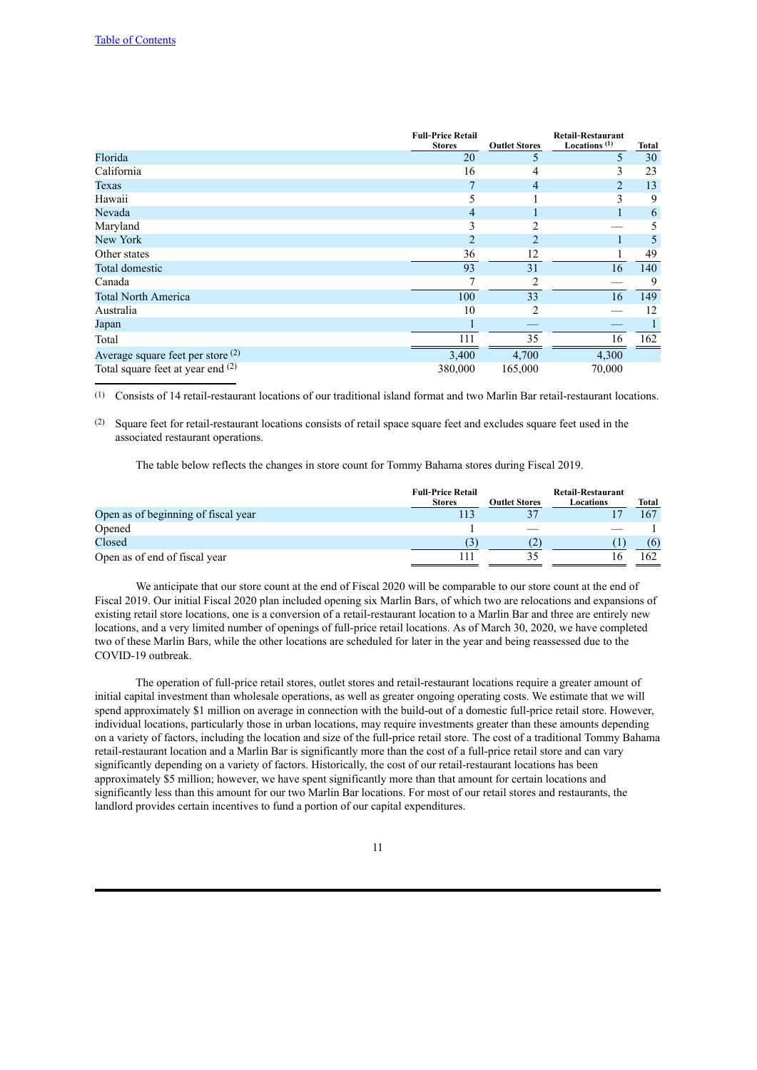|                                     | <b>Full Price Retail</b><br><b>Stores</b> | <b>Outlet Stores</b> | <b>Retail-Restaurant</b><br>Locations $(1)$ | Total |
|-------------------------------------|-------------------------------------------|----------------------|---------------------------------------------|-------|
| Florida                             | 20                                        | 5                    | 5                                           | 30    |
| California                          | 16                                        | 4                    | 3                                           | 23    |
| Texas                               | 7                                         | $\overline{4}$       | 2                                           | 13    |
| Hawaii                              | 5                                         |                      | 3                                           | 9     |
| Nevada                              | 4                                         |                      |                                             | 6     |
| Maryland                            | 3                                         | $\overline{c}$       |                                             | 5     |
| New York                            | 2                                         | 2                    |                                             | 5     |
| Other states                        | 36                                        | 12                   |                                             | 49    |
| <b>Total domestic</b>               | 93                                        | 31                   | 16                                          | 140   |
| Canada                              | 7                                         | 2                    |                                             | 9     |
| <b>Total North America</b>          | 100                                       | 33                   | 16                                          | 149   |
| Australia                           | 10                                        | $\overline{c}$       |                                             | 12    |
| Japan                               |                                           |                      |                                             |       |
| Total                               | 111                                       | 35                   | 16                                          | 162   |
| Average square feet per store $(2)$ | 3,400                                     | 4,700                | 4,300                                       |       |
| Total square feet at year end (2)   | 380,000                                   | 165,000              | 70,000                                      |       |

(1) Consists of 14 retail-restaurant locations of our traditional island format and two Marlin Bar retail-restaurant locations.

(2) Square feet for retail-restaurant locations consists of retail space square feet and excludes square feet used in the associated restaurant operations.

The table below reflects the changes in store count for Tommy Bahama stores during Fiscal 2019.

|                                     | <b>Full Price Retail</b><br><b>Stores</b> | <b>Outlet Stores</b> | <b>Retail Restaurant</b><br>Locations | Total |
|-------------------------------------|-------------------------------------------|----------------------|---------------------------------------|-------|
| Open as of beginning of fiscal year |                                           |                      |                                       | 167   |
| Opened                              |                                           |                      |                                       |       |
| Closed                              |                                           | (2)                  |                                       | (6)   |
| Open as of end of fiscal year       |                                           |                      |                                       | 162   |

We anticipate that our store count at the end of Fiscal 2020 will be comparable to our store count at the end of Fiscal 2019. Our initial Fiscal 2020 plan included opening six Marlin Bars, of which two are relocations and expansions of existing retail store locations, one is a conversion of a retail-restaurant location to a Marlin Bar and three are entirely new locations, and a very limited number of openings of full-price retail locations. As of March 30, 2020, we have completed two of these Marlin Bars, while the other locations are scheduled for later in the year and being reassessed due to the COVID-19 outbreak.

The operation of full-price retail stores, outlet stores and retail-restaurant locations require a greater amount of initial capital investment than wholesale operations, as well as greater ongoing operating costs. We estimate that we will spend approximately \$1 million on average in connection with the build-out of a domestic full-price retail store. However, individual locations, particularly those in urban locations, may require investments greater than these amounts depending on a variety of factors, including the location and size of the full-price retail store. The cost of a traditional Tommy Bahama retail-restaurant location and a Marlin Bar is significantly more than the cost of a full-price retail store and can vary significantly depending on a variety of factors. Historically, the cost of our retail-restaurant locations has been approximately \$5 million; however, we have spent significantly more than that amount for certain locations and significantly less than this amount for our two Marlin Bar locations. For most of our retail stores and restaurants, the landlord provides certain incentives to fund a portion of our capital expenditures.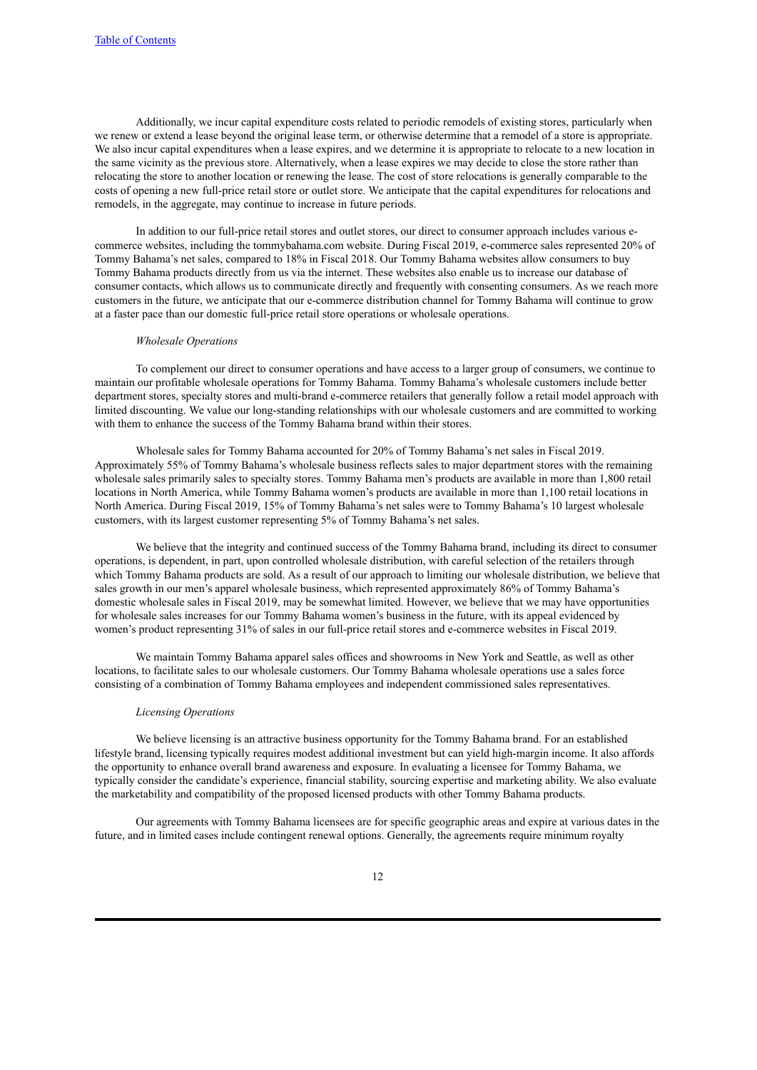Additionally, we incur capital expenditure costs related to periodic remodels of existing stores, particularly when we renew or extend a lease beyond the original lease term, or otherwise determine that a remodel of a store is appropriate. We also incur capital expenditures when a lease expires, and we determine it is appropriate to relocate to a new location in the same vicinity as the previous store. Alternatively, when a lease expires we may decide to close the store rather than relocating the store to another location or renewing the lease. The cost of store relocations is generally comparable to the costs of opening a new full-price retail store or outlet store. We anticipate that the capital expenditures for relocations and remodels, in the aggregate, may continue to increase in future periods.

In addition to our full-price retail stores and outlet stores, our direct to consumer approach includes various ecommerce websites, including the tommybahama.com website. During Fiscal 2019, e-commerce sales represented 20% of Tommy Bahama's net sales, compared to 18% in Fiscal 2018. Our Tommy Bahama websites allow consumers to buy Tommy Bahama products directly from us via the internet. These websites also enable us to increase our database of consumer contacts, which allows us to communicate directly and frequently with consenting consumers. As we reach more customers in the future, we anticipate that our e-commerce distribution channel for Tommy Bahama will continue to grow at a faster pace than our domestic full-price retail store operations or wholesale operations.

#### *Wholesale Operations*

To complement our direct to consumer operations and have access to a larger group of consumers, we continue to maintain our profitable wholesale operations for Tommy Bahama. Tommy Bahama's wholesale customers include better department stores, specialty stores and multi-brand e-commerce retailers that generally follow a retail model approach with limited discounting. We value our long-standing relationships with our wholesale customers and are committed to working with them to enhance the success of the Tommy Bahama brand within their stores.

Wholesale sales for Tommy Bahama accounted for 20% of Tommy Bahama's net sales in Fiscal 2019. Approximately 55% of Tommy Bahama's wholesale business reflects sales to major department stores with the remaining wholesale sales primarily sales to specialty stores. Tommy Bahama men's products are available in more than 1,800 retail locations in North America, while Tommy Bahama women's products are available in more than 1,100 retail locations in North America. During Fiscal 2019, 15% of Tommy Bahama's net sales were to Tommy Bahama's 10 largest wholesale customers, with its largest customer representing 5% of Tommy Bahama's net sales.

We believe that the integrity and continued success of the Tommy Bahama brand, including its direct to consumer operations, is dependent, in part, upon controlled wholesale distribution, with careful selection of the retailers through which Tommy Bahama products are sold. As a result of our approach to limiting our wholesale distribution, we believe that sales growth in our men's apparel wholesale business, which represented approximately 86% of Tommy Bahama's domestic wholesale sales in Fiscal 2019, may be somewhat limited. However, we believe that we may have opportunities for wholesale sales increases for our Tommy Bahama women's business in the future, with its appeal evidenced by women's product representing 31% of sales in our full-price retail stores and e-commerce websites in Fiscal 2019.

We maintain Tommy Bahama apparel sales offices and showrooms in New York and Seattle, as well as other locations, to facilitate sales to our wholesale customers. Our Tommy Bahama wholesale operations use a sales force consisting of a combination of Tommy Bahama employees and independent commissioned sales representatives.

#### *Licensing Operations*

We believe licensing is an attractive business opportunity for the Tommy Bahama brand. For an established lifestyle brand, licensing typically requires modest additional investment but can yield high-margin income. It also affords the opportunity to enhance overall brand awareness and exposure. In evaluating a licensee for Tommy Bahama, we typically consider the candidate's experience, financial stability, sourcing expertise and marketing ability. We also evaluate the marketability and compatibility of the proposed licensed products with other Tommy Bahama products.

Our agreements with Tommy Bahama licensees are for specific geographic areas and expire at various dates in the future, and in limited cases include contingent renewal options. Generally, the agreements require minimum royalty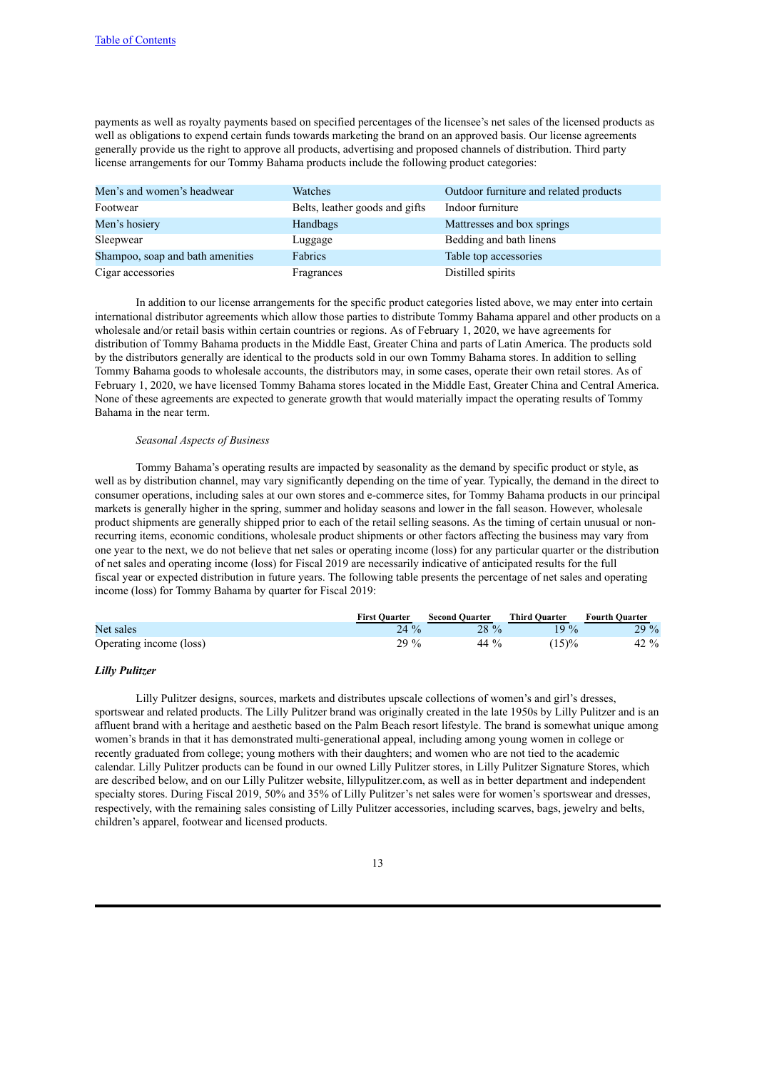payments as well as royalty payments based on specified percentages of the licensee's net sales of the licensed products as well as obligations to expend certain funds towards marketing the brand on an approved basis. Our license agreements generally provide us the right to approve all products, advertising and proposed channels of distribution. Third party license arrangements for our Tommy Bahama products include the following product categories:

| Men's and women's headwear       | <b>Watches</b>                 | Outdoor furniture and related products |
|----------------------------------|--------------------------------|----------------------------------------|
| Footwear                         | Belts, leather goods and gifts | Indoor furniture                       |
| Men's hosiery                    | Handbags                       | Mattresses and box springs             |
| Sleepwear                        | Luggage                        | Bedding and bath linens                |
| Shampoo, soap and bath amenities | Fabrics                        | Table top accessories                  |
| Cigar accessories                | Fragrances                     | Distilled spirits                      |

In addition to our license arrangements for the specific product categories listed above, we may enter into certain international distributor agreements which allow those parties to distribute Tommy Bahama apparel and other products on a wholesale and/or retail basis within certain countries or regions. As of February 1, 2020, we have agreements for distribution of Tommy Bahama products in the Middle East, Greater China and parts of Latin America. The products sold by the distributors generally are identical to the products sold in our own Tommy Bahama stores. In addition to selling Tommy Bahama goods to wholesale accounts, the distributors may, in some cases, operate their own retail stores. As of February 1, 2020, we have licensed Tommy Bahama stores located in the Middle East, Greater China and Central America. None of these agreements are expected to generate growth that would materially impact the operating results of Tommy Bahama in the near term.

### *Seasonal Aspects of Business*

Tommy Bahama's operating results are impacted by seasonality as the demand by specific product or style, as well as by distribution channel, may vary significantly depending on the time of year. Typically, the demand in the direct to consumer operations, including sales at our own stores and e-commerce sites, for Tommy Bahama products in our principal markets is generally higher in the spring, summer and holiday seasons and lower in the fall season. However, wholesale product shipments are generally shipped prior to each of the retail selling seasons. As the timing of certain unusual or nonrecurring items, economic conditions, wholesale product shipments or other factors affecting the business may vary from one year to the next, we do not believe that net sales or operating income (loss) for any particular quarter or the distribution of net sales and operating income (loss) for Fiscal 2019 are necessarily indicative of anticipated results for the full fiscal year or expected distribution in future years. The following table presents the percentage of net sales and operating income (loss) for Tommy Bahama by quarter for Fiscal 2019:

|                         | <b>First Ouarter</b> | <b>Second Quarter</b> | <b>Third Ouarter</b> | <b>Fourth Quarter</b> |
|-------------------------|----------------------|-----------------------|----------------------|-----------------------|
| Net sales               | $24\%$               | $28 \%$               | $19\%$               | $29\%$                |
| Operating income (loss) | 29 %                 | 44 $\%$               | (15)%                | 42 %                  |

#### *Lilly Pulitzer*

Lilly Pulitzer designs, sources, markets and distributes upscale collections of women's and girl's dresses, sportswear and related products. The Lilly Pulitzer brand was originally created in the late 1950s by Lilly Pulitzer and is an affluent brand with a heritage and aesthetic based on the Palm Beach resort lifestyle. The brand is somewhat unique among women's brands in that it has demonstrated multi-generational appeal, including among young women in college or recently graduated from college; young mothers with their daughters; and women who are not tied to the academic calendar. Lilly Pulitzer products can be found in our owned Lilly Pulitzer stores, in Lilly Pulitzer Signature Stores, which are described below, and on our Lilly Pulitzer website, lillypulitzer.com, as well as in better department and independent specialty stores. During Fiscal 2019, 50% and 35% of Lilly Pulitzer's net sales were for women's sportswear and dresses, respectively, with the remaining sales consisting of Lilly Pulitzer accessories, including scarves, bags, jewelry and belts, children's apparel, footwear and licensed products.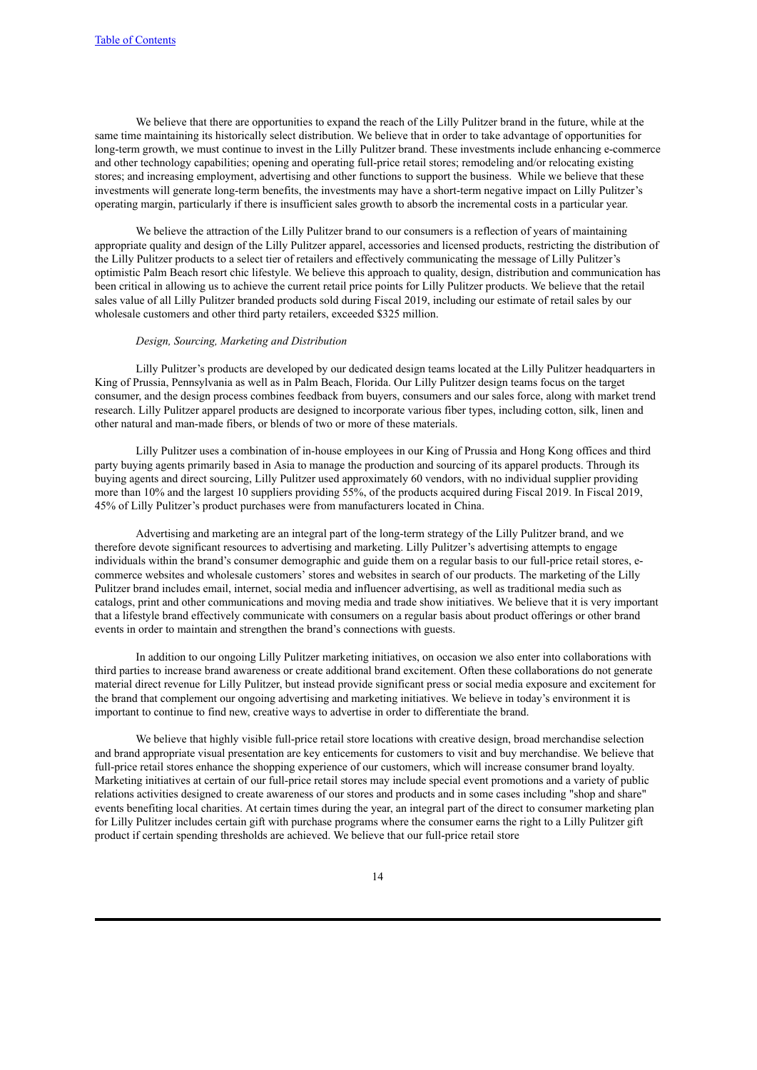We believe that there are opportunities to expand the reach of the Lilly Pulitzer brand in the future, while at the same time maintaining its historically select distribution. We believe that in order to take advantage of opportunities for long-term growth, we must continue to invest in the Lilly Pulitzer brand. These investments include enhancing e-commerce and other technology capabilities; opening and operating full-price retail stores; remodeling and/or relocating existing stores; and increasing employment, advertising and other functions to support the business. While we believe that these investments will generate long-term benefits, the investments may have a short-term negative impact on Lilly Pulitzer's operating margin, particularly if there is insufficient sales growth to absorb the incremental costs in a particular year.

We believe the attraction of the Lilly Pulitzer brand to our consumers is a reflection of years of maintaining appropriate quality and design of the Lilly Pulitzer apparel, accessories and licensed products, restricting the distribution of the Lilly Pulitzer products to a select tier of retailers and effectively communicating the message of Lilly Pulitzer's optimistic Palm Beach resort chic lifestyle. We believe this approach to quality, design, distribution and communication has been critical in allowing us to achieve the current retail price points for Lilly Pulitzer products. We believe that the retail sales value of all Lilly Pulitzer branded products sold during Fiscal 2019, including our estimate of retail sales by our wholesale customers and other third party retailers, exceeded \$325 million.

#### *Design, Sourcing, Marketing and Distribution*

Lilly Pulitzer's products are developed by our dedicated design teams located at the Lilly Pulitzer headquarters in King of Prussia, Pennsylvania as well as in Palm Beach, Florida. Our Lilly Pulitzer design teams focus on the target consumer, and the design process combines feedback from buyers, consumers and our sales force, along with market trend research. Lilly Pulitzer apparel products are designed to incorporate various fiber types, including cotton, silk, linen and other natural and man-made fibers, or blends of two or more of these materials.

Lilly Pulitzer uses a combination of in-house employees in our King of Prussia and Hong Kong offices and third party buying agents primarily based in Asia to manage the production and sourcing of its apparel products. Through its buying agents and direct sourcing, Lilly Pulitzer used approximately 60 vendors, with no individual supplier providing more than 10% and the largest 10 suppliers providing 55%, of the products acquired during Fiscal 2019. In Fiscal 2019, 45% of Lilly Pulitzer's product purchases were from manufacturers located in China.

Advertising and marketing are an integral part of the long-term strategy of the Lilly Pulitzer brand, and we therefore devote significant resources to advertising and marketing. Lilly Pulitzer's advertising attempts to engage individuals within the brand's consumer demographic and guide them on a regular basis to our full-price retail stores, ecommerce websites and wholesale customers' stores and websites in search of our products. The marketing of the Lilly Pulitzer brand includes email, internet, social media and influencer advertising, as well as traditional media such as catalogs, print and other communications and moving media and trade show initiatives. We believe that it is very important that a lifestyle brand effectively communicate with consumers on a regular basis about product offerings or other brand events in order to maintain and strengthen the brand's connections with guests.

In addition to our ongoing Lilly Pulitzer marketing initiatives, on occasion we also enter into collaborations with third parties to increase brand awareness or create additional brand excitement. Often these collaborations do not generate material direct revenue for Lilly Pulitzer, but instead provide significant press or social media exposure and excitement for the brand that complement our ongoing advertising and marketing initiatives. We believe in today's environment it is important to continue to find new, creative ways to advertise in order to differentiate the brand.

We believe that highly visible full-price retail store locations with creative design, broad merchandise selection and brand appropriate visual presentation are key enticements for customers to visit and buy merchandise. We believe that full-price retail stores enhance the shopping experience of our customers, which will increase consumer brand loyalty. Marketing initiatives at certain of our full-price retail stores may include special event promotions and a variety of public relations activities designed to create awareness of our stores and products and in some cases including "shop and share" events benefiting local charities. At certain times during the year, an integral part of the direct to consumer marketing plan for Lilly Pulitzer includes certain gift with purchase programs where the consumer earns the right to a Lilly Pulitzer gift product if certain spending thresholds are achieved. We believe that our full-price retail store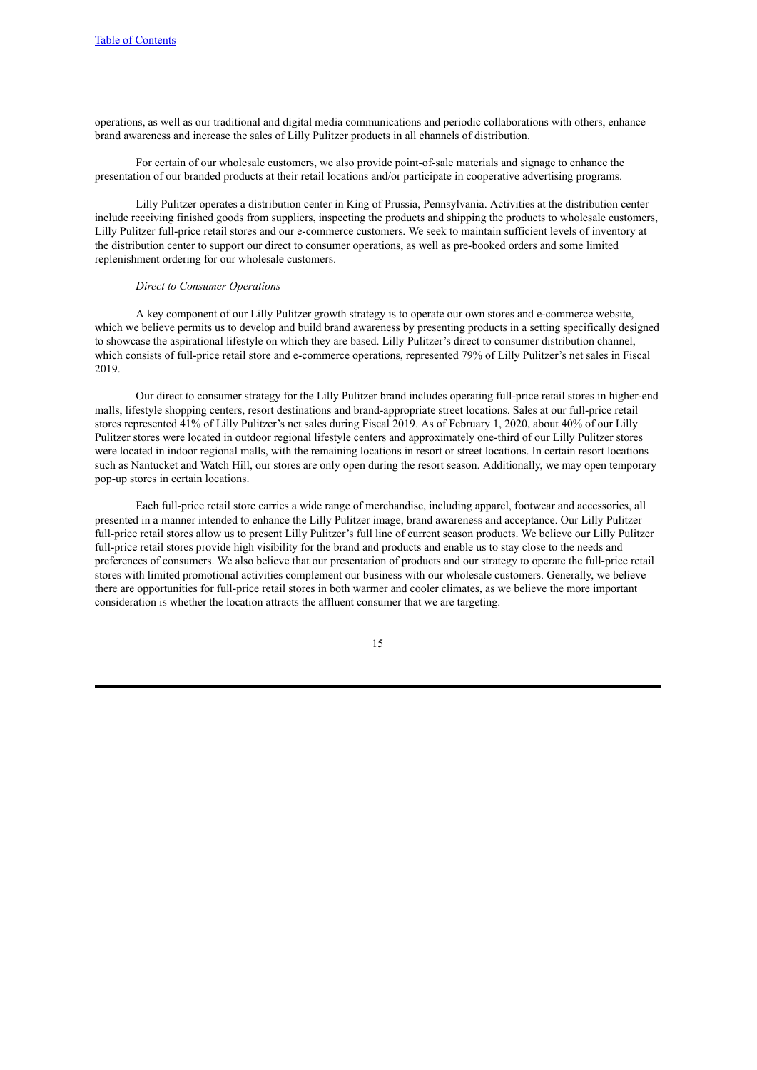operations, as well as our traditional and digital media communications and periodic collaborations with others, enhance brand awareness and increase the sales of Lilly Pulitzer products in all channels of distribution.

For certain of our wholesale customers, we also provide point-of-sale materials and signage to enhance the presentation of our branded products at their retail locations and/or participate in cooperative advertising programs.

Lilly Pulitzer operates a distribution center in King of Prussia, Pennsylvania. Activities at the distribution center include receiving finished goods from suppliers, inspecting the products and shipping the products to wholesale customers, Lilly Pulitzer full-price retail stores and our e-commerce customers. We seek to maintain sufficient levels of inventory at the distribution center to support our direct to consumer operations, as well as pre-booked orders and some limited replenishment ordering for our wholesale customers.

### *Direct to Consumer Operations*

A key component of our Lilly Pulitzer growth strategy is to operate our own stores and e-commerce website, which we believe permits us to develop and build brand awareness by presenting products in a setting specifically designed to showcase the aspirational lifestyle on which they are based. Lilly Pulitzer's direct to consumer distribution channel, which consists of full-price retail store and e-commerce operations, represented 79% of Lilly Pulitzer's net sales in Fiscal 2019.

Our direct to consumer strategy for the Lilly Pulitzer brand includes operating full-price retail stores in higher-end malls, lifestyle shopping centers, resort destinations and brand-appropriate street locations. Sales at our full-price retail stores represented 41% of Lilly Pulitzer's net sales during Fiscal 2019. As of February 1, 2020, about 40% of our Lilly Pulitzer stores were located in outdoor regional lifestyle centers and approximately one-third of our Lilly Pulitzer stores were located in indoor regional malls, with the remaining locations in resort or street locations. In certain resort locations such as Nantucket and Watch Hill, our stores are only open during the resort season. Additionally, we may open temporary pop-up stores in certain locations.

Each full-price retail store carries a wide range of merchandise, including apparel, footwear and accessories, all presented in a manner intended to enhance the Lilly Pulitzer image, brand awareness and acceptance. Our Lilly Pulitzer full-price retail stores allow us to present Lilly Pulitzer's full line of current season products. We believe our Lilly Pulitzer full-price retail stores provide high visibility for the brand and products and enable us to stay close to the needs and preferences of consumers. We also believe that our presentation of products and our strategy to operate the full-price retail stores with limited promotional activities complement our business with our wholesale customers. Generally, we believe there are opportunities for full-price retail stores in both warmer and cooler climates, as we believe the more important consideration is whether the location attracts the affluent consumer that we are targeting.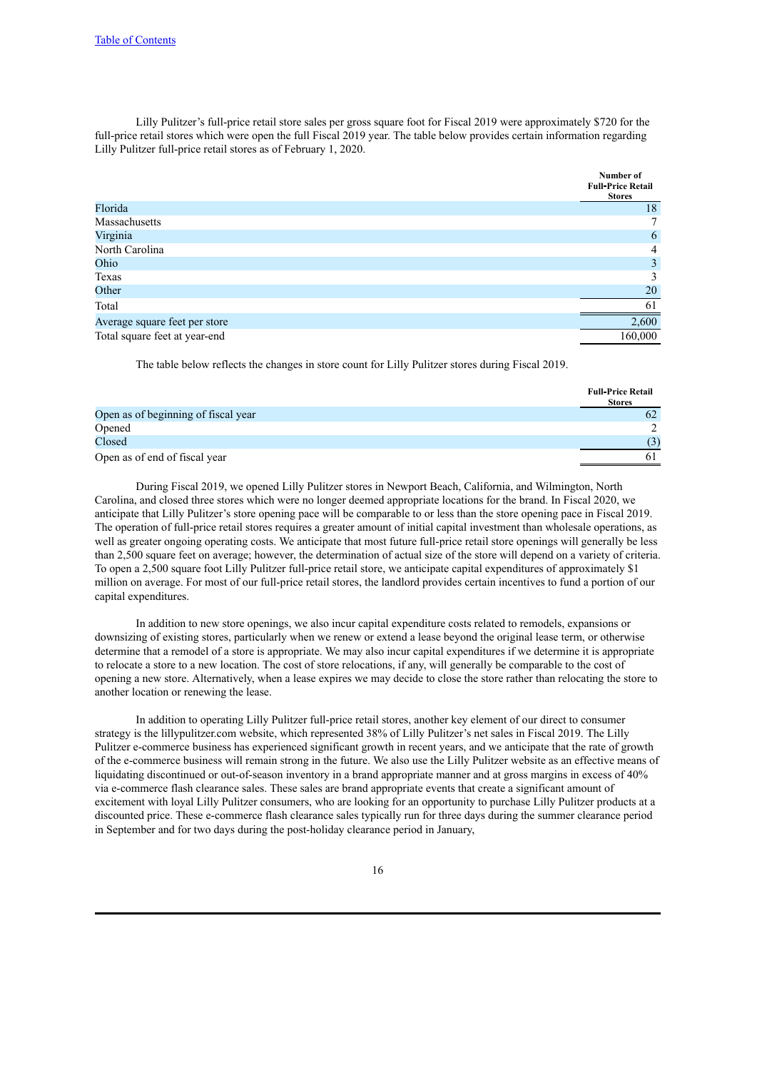Lilly Pulitzer's full-price retail store sales per gross square foot for Fiscal 2019 were approximately \$720 for the full-price retail stores which were open the full Fiscal 2019 year. The table below provides certain information regarding Lilly Pulitzer full-price retail stores as of February 1, 2020.

|                               | Number of<br><b>Full Price Retail</b><br><b>Stores</b> |
|-------------------------------|--------------------------------------------------------|
| Florida                       | 18                                                     |
| Massachusetts                 |                                                        |
| Virginia                      | 6                                                      |
| North Carolina                | 4                                                      |
| Ohio                          | 3                                                      |
| Texas                         | 3                                                      |
| Other                         | 20                                                     |
| Total                         | 61                                                     |
| Average square feet per store | 2,600                                                  |
| Total square feet at year-end | 160,000                                                |

The table below reflects the changes in store count for Lilly Pulitzer stores during Fiscal 2019.

|                                     | <b>Full Price Retail</b><br><b>Stores</b> |
|-------------------------------------|-------------------------------------------|
| Open as of beginning of fiscal year | 62                                        |
| Opened                              | ◠                                         |
| Closed                              | (3)                                       |
| Open as of end of fiscal year       |                                           |

During Fiscal 2019, we opened Lilly Pulitzer stores in Newport Beach, California, and Wilmington, North Carolina, and closed three stores which were no longer deemed appropriate locations for the brand. In Fiscal 2020, we anticipate that Lilly Pulitzer's store opening pace will be comparable to or less than the store opening pace in Fiscal 2019. The operation of full-price retail stores requires a greater amount of initial capital investment than wholesale operations, as well as greater ongoing operating costs. We anticipate that most future full-price retail store openings will generally be less than 2,500 square feet on average; however, the determination of actual size of the store will depend on a variety of criteria. To open a 2,500 square foot Lilly Pulitzer full-price retail store, we anticipate capital expenditures of approximately \$1 million on average. For most of our full-price retail stores, the landlord provides certain incentives to fund a portion of our capital expenditures.

In addition to new store openings, we also incur capital expenditure costs related to remodels, expansions or downsizing of existing stores, particularly when we renew or extend a lease beyond the original lease term, or otherwise determine that a remodel of a store is appropriate. We may also incur capital expenditures if we determine it is appropriate to relocate a store to a new location. The cost of store relocations, if any, will generally be comparable to the cost of opening a new store. Alternatively, when a lease expires we may decide to close the store rather than relocating the store to another location or renewing the lease.

In addition to operating Lilly Pulitzer full-price retail stores, another key element of our direct to consumer strategy is the lillypulitzer.com website, which represented 38% of Lilly Pulitzer's net sales in Fiscal 2019. The Lilly Pulitzer e-commerce business has experienced significant growth in recent years, and we anticipate that the rate of growth of the e-commerce business will remain strong in the future. We also use the Lilly Pulitzer website as an effective means of liquidating discontinued or out-of-season inventory in a brand appropriate manner and at gross margins in excess of 40% via e-commerce flash clearance sales. These sales are brand appropriate events that create a significant amount of excitement with loyal Lilly Pulitzer consumers, who are looking for an opportunity to purchase Lilly Pulitzer products at a discounted price. These e-commerce flash clearance sales typically run for three days during the summer clearance period in September and for two days during the post-holiday clearance period in January,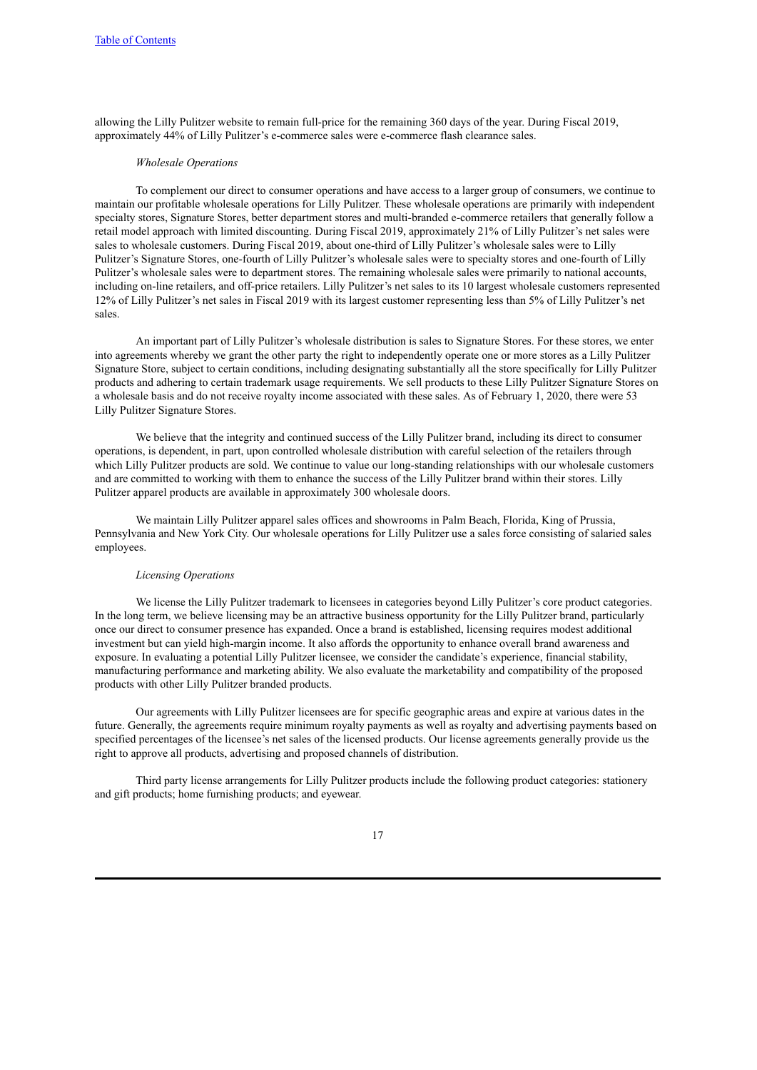allowing the Lilly Pulitzer website to remain full-price for the remaining 360 days of the year. During Fiscal 2019, approximately 44% of Lilly Pulitzer's e-commerce sales were e-commerce flash clearance sales.

#### *Wholesale Operations*

To complement our direct to consumer operations and have access to a larger group of consumers, we continue to maintain our profitable wholesale operations for Lilly Pulitzer. These wholesale operations are primarily with independent specialty stores, Signature Stores, better department stores and multi-branded e-commerce retailers that generally follow a retail model approach with limited discounting. During Fiscal 2019, approximately 21% of Lilly Pulitzer's net sales were sales to wholesale customers. During Fiscal 2019, about one-third of Lilly Pulitzer's wholesale sales were to Lilly Pulitzer's Signature Stores, one-fourth of Lilly Pulitzer's wholesale sales were to specialty stores and one-fourth of Lilly Pulitzer's wholesale sales were to department stores. The remaining wholesale sales were primarily to national accounts, including on-line retailers, and off-price retailers. Lilly Pulitzer's net sales to its 10 largest wholesale customers represented 12% of Lilly Pulitzer's net sales in Fiscal 2019 with its largest customer representing less than 5% of Lilly Pulitzer's net sales.

An important part of Lilly Pulitzer's wholesale distribution is sales to Signature Stores. For these stores, we enter into agreements whereby we grant the other party the right to independently operate one or more stores as a Lilly Pulitzer Signature Store, subject to certain conditions, including designating substantially all the store specifically for Lilly Pulitzer products and adhering to certain trademark usage requirements. We sell products to these Lilly Pulitzer Signature Stores on a wholesale basis and do not receive royalty income associated with these sales. As of February 1, 2020, there were 53 Lilly Pulitzer Signature Stores.

We believe that the integrity and continued success of the Lilly Pulitzer brand, including its direct to consumer operations, is dependent, in part, upon controlled wholesale distribution with careful selection of the retailers through which Lilly Pulitzer products are sold. We continue to value our long-standing relationships with our wholesale customers and are committed to working with them to enhance the success of the Lilly Pulitzer brand within their stores. Lilly Pulitzer apparel products are available in approximately 300 wholesale doors.

We maintain Lilly Pulitzer apparel sales offices and showrooms in Palm Beach, Florida, King of Prussia, Pennsylvania and New York City. Our wholesale operations for Lilly Pulitzer use a sales force consisting of salaried sales employees.

#### *Licensing Operations*

We license the Lilly Pulitzer trademark to licensees in categories beyond Lilly Pulitzer's core product categories. In the long term, we believe licensing may be an attractive business opportunity for the Lilly Pulitzer brand, particularly once our direct to consumer presence has expanded. Once a brand is established, licensing requires modest additional investment but can yield high-margin income. It also affords the opportunity to enhance overall brand awareness and exposure. In evaluating a potential Lilly Pulitzer licensee, we consider the candidate's experience, financial stability, manufacturing performance and marketing ability. We also evaluate the marketability and compatibility of the proposed products with other Lilly Pulitzer branded products.

Our agreements with Lilly Pulitzer licensees are for specific geographic areas and expire at various dates in the future. Generally, the agreements require minimum royalty payments as well as royalty and advertising payments based on specified percentages of the licensee's net sales of the licensed products. Our license agreements generally provide us the right to approve all products, advertising and proposed channels of distribution.

Third party license arrangements for Lilly Pulitzer products include the following product categories: stationery and gift products; home furnishing products; and eyewear.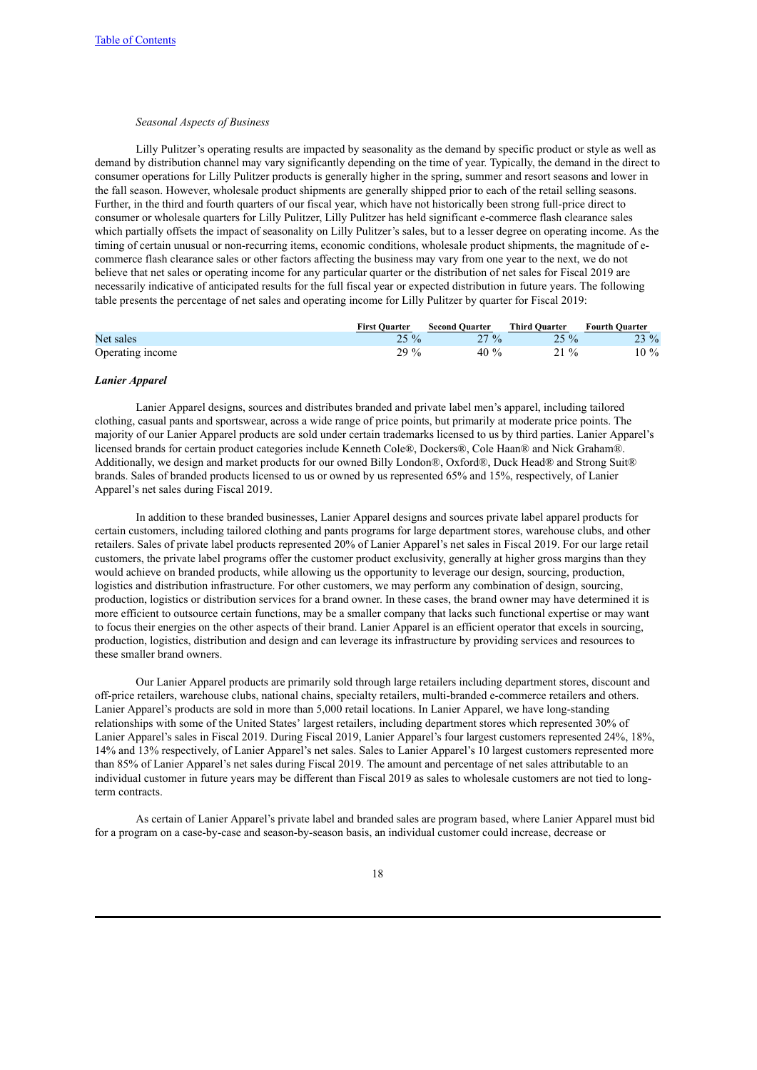### *Seasonal Aspects of Business*

Lilly Pulitzer's operating results are impacted by seasonality as the demand by specific product or style as well as demand by distribution channel may vary significantly depending on the time of year. Typically, the demand in the direct to consumer operations for Lilly Pulitzer products is generally higher in the spring, summer and resort seasons and lower in the fall season. However, wholesale product shipments are generally shipped prior to each of the retail selling seasons. Further, in the third and fourth quarters of our fiscal year, which have not historically been strong full-price direct to consumer or wholesale quarters for Lilly Pulitzer, Lilly Pulitzer has held significant e-commerce flash clearance sales which partially offsets the impact of seasonality on Lilly Pulitzer's sales, but to a lesser degree on operating income. As the timing of certain unusual or non-recurring items, economic conditions, wholesale product shipments, the magnitude of ecommerce flash clearance sales or other factors affecting the business may vary from one year to the next, we do not believe that net sales or operating income for any particular quarter or the distribution of net sales for Fiscal 2019 are necessarily indicative of anticipated results for the full fiscal year or expected distribution in future years. The following table presents the percentage of net sales and operating income for Lilly Pulitzer by quarter for Fiscal 2019:

|                  | <b>First Ouarter</b> | <b>Second Quarter</b> | <b>Third Quarter</b> | <b>Fourth Quarter</b> |
|------------------|----------------------|-----------------------|----------------------|-----------------------|
| Net sales        | $25 \%$              | $27\%$                | $25\%$               | $23\%$                |
| Operating income | $29\%$               | 40 $\%$               | $21\%$               | $10\%$                |

#### *Lanier Apparel*

Lanier Apparel designs, sources and distributes branded and private label men's apparel, including tailored clothing, casual pants and sportswear, across a wide range of price points, but primarily at moderate price points. The majority of our Lanier Apparel products are sold under certain trademarks licensed to us by third parties. Lanier Apparel's licensed brands for certain product categories include Kenneth Cole®, Dockers®, Cole Haan® and Nick Graham®. Additionally, we design and market products for our owned Billy London®, Oxford®, Duck Head® and Strong Suit® brands. Sales of branded products licensed to us or owned by us represented 65% and 15%, respectively, of Lanier Apparel's net sales during Fiscal 2019.

In addition to these branded businesses, Lanier Apparel designs and sources private label apparel products for certain customers, including tailored clothing and pants programs for large department stores, warehouse clubs, and other retailers. Sales of private label products represented 20% of Lanier Apparel's net sales in Fiscal 2019. For our large retail customers, the private label programs offer the customer product exclusivity, generally at higher gross margins than they would achieve on branded products, while allowing us the opportunity to leverage our design, sourcing, production, logistics and distribution infrastructure. For other customers, we may perform any combination of design, sourcing, production, logistics or distribution services for a brand owner. In these cases, the brand owner may have determined it is more efficient to outsource certain functions, may be a smaller company that lacks such functional expertise or may want to focus their energies on the other aspects of their brand. Lanier Apparel is an efficient operator that excels in sourcing, production, logistics, distribution and design and can leverage its infrastructure by providing services and resources to these smaller brand owners.

Our Lanier Apparel products are primarily sold through large retailers including department stores, discount and off-price retailers, warehouse clubs, national chains, specialty retailers, multi-branded e-commerce retailers and others. Lanier Apparel's products are sold in more than 5,000 retail locations. In Lanier Apparel, we have long-standing relationships with some of the United States' largest retailers, including department stores which represented 30% of Lanier Apparel's sales in Fiscal 2019. During Fiscal 2019, Lanier Apparel's four largest customers represented 24%, 18%, 14% and 13% respectively, of Lanier Apparel's net sales. Sales to Lanier Apparel's 10 largest customers represented more than 85% of Lanier Apparel's net sales during Fiscal 2019. The amount and percentage of net sales attributable to an individual customer in future years may be different than Fiscal 2019 as sales to wholesale customers are not tied to longterm contracts.

As certain of Lanier Apparel's private label and branded sales are program based, where Lanier Apparel must bid for a program on a case-by-case and season-by-season basis, an individual customer could increase, decrease or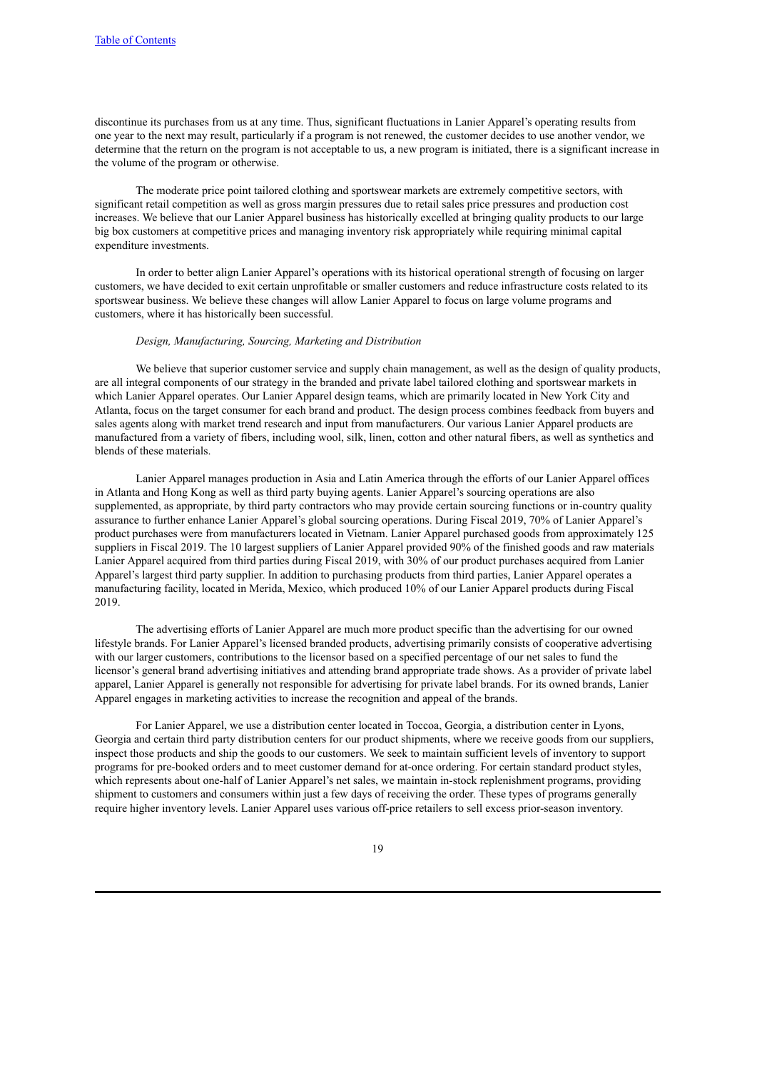discontinue its purchases from us at any time. Thus, significant fluctuations in Lanier Apparel's operating results from one year to the next may result, particularly if a program is not renewed, the customer decides to use another vendor, we determine that the return on the program is not acceptable to us, a new program is initiated, there is a significant increase in the volume of the program or otherwise.

The moderate price point tailored clothing and sportswear markets are extremely competitive sectors, with significant retail competition as well as gross margin pressures due to retail sales price pressures and production cost increases. We believe that our Lanier Apparel business has historically excelled at bringing quality products to our large big box customers at competitive prices and managing inventory risk appropriately while requiring minimal capital expenditure investments.

In order to better align Lanier Apparel's operations with its historical operational strength of focusing on larger customers, we have decided to exit certain unprofitable or smaller customers and reduce infrastructure costs related to its sportswear business. We believe these changes will allow Lanier Apparel to focus on large volume programs and customers, where it has historically been successful.

### *Design, Manufacturing, Sourcing, Marketing and Distribution*

We believe that superior customer service and supply chain management, as well as the design of quality products, are all integral components of our strategy in the branded and private label tailored clothing and sportswear markets in which Lanier Apparel operates. Our Lanier Apparel design teams, which are primarily located in New York City and Atlanta, focus on the target consumer for each brand and product. The design process combines feedback from buyers and sales agents along with market trend research and input from manufacturers. Our various Lanier Apparel products are manufactured from a variety of fibers, including wool, silk, linen, cotton and other natural fibers, as well as synthetics and blends of these materials.

Lanier Apparel manages production in Asia and Latin America through the efforts of our Lanier Apparel offices in Atlanta and Hong Kong as well as third party buying agents. Lanier Apparel's sourcing operations are also supplemented, as appropriate, by third party contractors who may provide certain sourcing functions or in-country quality assurance to further enhance Lanier Apparel's global sourcing operations. During Fiscal 2019, 70% of Lanier Apparel's product purchases were from manufacturers located in Vietnam. Lanier Apparel purchased goods from approximately 125 suppliers in Fiscal 2019. The 10 largest suppliers of Lanier Apparel provided 90% of the finished goods and raw materials Lanier Apparel acquired from third parties during Fiscal 2019, with 30% of our product purchases acquired from Lanier Apparel's largest third party supplier. In addition to purchasing products from third parties, Lanier Apparel operates a manufacturing facility, located in Merida, Mexico, which produced 10% of our Lanier Apparel products during Fiscal 2019.

The advertising efforts of Lanier Apparel are much more product specific than the advertising for our owned lifestyle brands. For Lanier Apparel's licensed branded products, advertising primarily consists of cooperative advertising with our larger customers, contributions to the licensor based on a specified percentage of our net sales to fund the licensor's general brand advertising initiatives and attending brand appropriate trade shows. As a provider of private label apparel, Lanier Apparel is generally not responsible for advertising for private label brands. For its owned brands, Lanier Apparel engages in marketing activities to increase the recognition and appeal of the brands.

For Lanier Apparel, we use a distribution center located in Toccoa, Georgia, a distribution center in Lyons, Georgia and certain third party distribution centers for our product shipments, where we receive goods from our suppliers, inspect those products and ship the goods to our customers. We seek to maintain sufficient levels of inventory to support programs for pre-booked orders and to meet customer demand for at-once ordering. For certain standard product styles, which represents about one-half of Lanier Apparel's net sales, we maintain in-stock replenishment programs, providing shipment to customers and consumers within just a few days of receiving the order. These types of programs generally require higher inventory levels. Lanier Apparel uses various off-price retailers to sell excess prior-season inventory.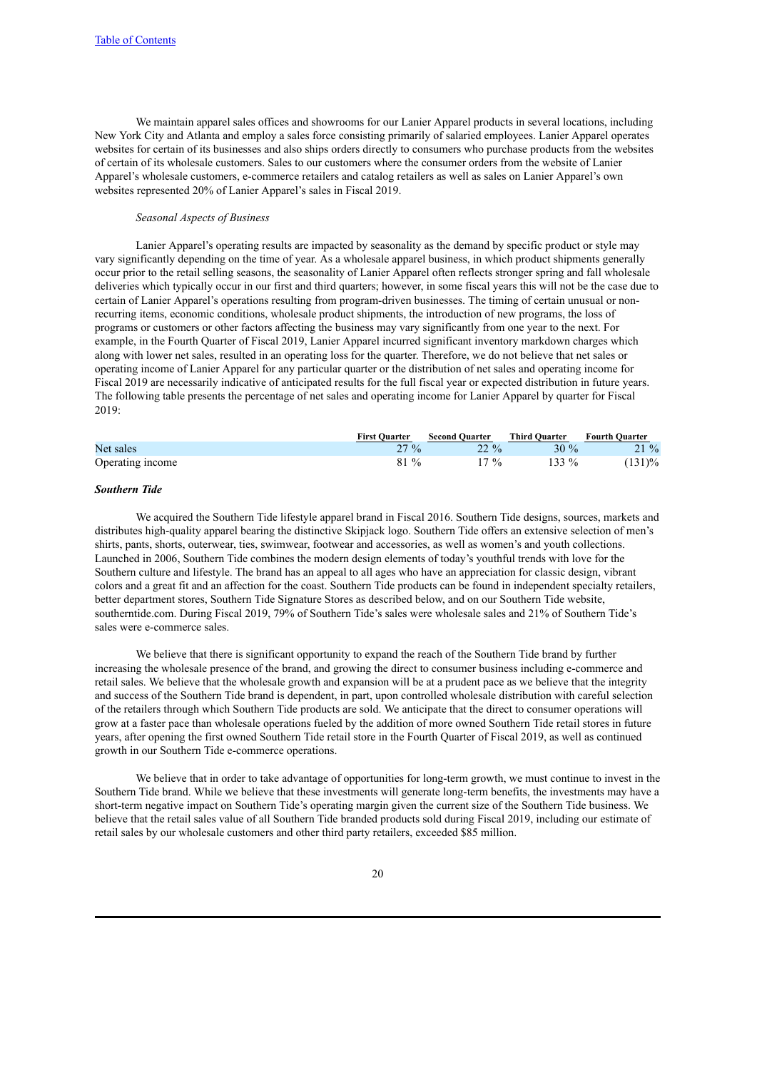We maintain apparel sales offices and showrooms for our Lanier Apparel products in several locations, including New York City and Atlanta and employ a sales force consisting primarily of salaried employees. Lanier Apparel operates websites for certain of its businesses and also ships orders directly to consumers who purchase products from the websites of certain of its wholesale customers. Sales to our customers where the consumer orders from the website of Lanier Apparel's wholesale customers, e-commerce retailers and catalog retailers as well as sales on Lanier Apparel's own websites represented 20% of Lanier Apparel's sales in Fiscal 2019.

### *Seasonal Aspects of Business*

Lanier Apparel's operating results are impacted by seasonality as the demand by specific product or style may vary significantly depending on the time of year. As a wholesale apparel business, in which product shipments generally occur prior to the retail selling seasons, the seasonality of Lanier Apparel often reflects stronger spring and fall wholesale deliveries which typically occur in our first and third quarters; however, in some fiscal years this will not be the case due to certain of Lanier Apparel's operations resulting from program-driven businesses. The timing of certain unusual or nonrecurring items, economic conditions, wholesale product shipments, the introduction of new programs, the loss of programs or customers or other factors affecting the business may vary significantly from one year to the next. For example, in the Fourth Quarter of Fiscal 2019, Lanier Apparel incurred significant inventory markdown charges which along with lower net sales, resulted in an operating loss for the quarter. Therefore, we do not believe that net sales or operating income of Lanier Apparel for any particular quarter or the distribution of net sales and operating income for Fiscal 2019 are necessarily indicative of anticipated results for the full fiscal year or expected distribution in future years. The following table presents the percentage of net sales and operating income for Lanier Apparel by quarter for Fiscal 2019:

|                  | <b>First Ouarter</b> | <b>Second Quarter</b> | <b>Third Ouarter</b> | <b>Fourth Quarter</b> |
|------------------|----------------------|-----------------------|----------------------|-----------------------|
| Net sales        | $27\%$               | $22\%$                | $30 \%$              | $21\%$                |
| Operating income | $81\%$               | $17\%$                | 133 $%$              | $(131)\%$             |

### *Southern Tide*

We acquired the Southern Tide lifestyle apparel brand in Fiscal 2016. Southern Tide designs, sources, markets and distributes high-quality apparel bearing the distinctive Skipjack logo. Southern Tide offers an extensive selection of men's shirts, pants, shorts, outerwear, ties, swimwear, footwear and accessories, as well as women's and youth collections. Launched in 2006, Southern Tide combines the modern design elements of today's youthful trends with love for the Southern culture and lifestyle. The brand has an appeal to all ages who have an appreciation for classic design, vibrant colors and a great fit and an affection for the coast. Southern Tide products can be found in independent specialty retailers, better department stores, Southern Tide Signature Stores as described below, and on our Southern Tide website, southerntide.com. During Fiscal 2019, 79% of Southern Tide's sales were wholesale sales and 21% of Southern Tide's sales were e-commerce sales.

We believe that there is significant opportunity to expand the reach of the Southern Tide brand by further increasing the wholesale presence of the brand, and growing the direct to consumer business including e-commerce and retail sales. We believe that the wholesale growth and expansion will be at a prudent pace as we believe that the integrity and success of the Southern Tide brand is dependent, in part, upon controlled wholesale distribution with careful selection of the retailers through which Southern Tide products are sold. We anticipate that the direct to consumer operations will grow at a faster pace than wholesale operations fueled by the addition of more owned Southern Tide retail stores in future years, after opening the first owned Southern Tide retail store in the Fourth Quarter of Fiscal 2019, as well as continued growth in our Southern Tide e-commerce operations.

We believe that in order to take advantage of opportunities for long-term growth, we must continue to invest in the Southern Tide brand. While we believe that these investments will generate long-term benefits, the investments may have a short-term negative impact on Southern Tide's operating margin given the current size of the Southern Tide business. We believe that the retail sales value of all Southern Tide branded products sold during Fiscal 2019, including our estimate of retail sales by our wholesale customers and other third party retailers, exceeded \$85 million.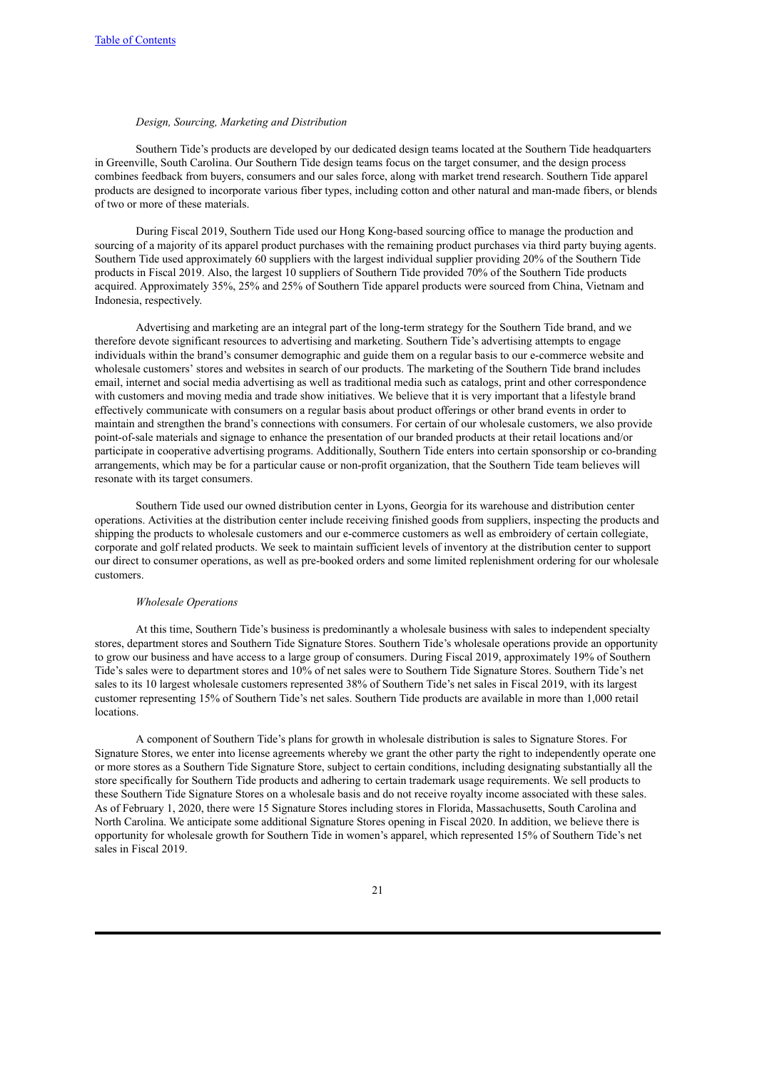### *Design, Sourcing, Marketing and Distribution*

Southern Tide's products are developed by our dedicated design teams located at the Southern Tide headquarters in Greenville, South Carolina. Our Southern Tide design teams focus on the target consumer, and the design process combines feedback from buyers, consumers and our sales force, along with market trend research. Southern Tide apparel products are designed to incorporate various fiber types, including cotton and other natural and man-made fibers, or blends of two or more of these materials.

During Fiscal 2019, Southern Tide used our Hong Kong-based sourcing office to manage the production and sourcing of a majority of its apparel product purchases with the remaining product purchases via third party buying agents. Southern Tide used approximately 60 suppliers with the largest individual supplier providing 20% of the Southern Tide products in Fiscal 2019. Also, the largest 10 suppliers of Southern Tide provided 70% of the Southern Tide products acquired. Approximately 35%, 25% and 25% of Southern Tide apparel products were sourced from China, Vietnam and Indonesia, respectively.

Advertising and marketing are an integral part of the long-term strategy for the Southern Tide brand, and we therefore devote significant resources to advertising and marketing. Southern Tide's advertising attempts to engage individuals within the brand's consumer demographic and guide them on a regular basis to our e-commerce website and wholesale customers' stores and websites in search of our products. The marketing of the Southern Tide brand includes email, internet and social media advertising as well as traditional media such as catalogs, print and other correspondence with customers and moving media and trade show initiatives. We believe that it is very important that a lifestyle brand effectively communicate with consumers on a regular basis about product offerings or other brand events in order to maintain and strengthen the brand's connections with consumers. For certain of our wholesale customers, we also provide point-of-sale materials and signage to enhance the presentation of our branded products at their retail locations and/or participate in cooperative advertising programs. Additionally, Southern Tide enters into certain sponsorship or co-branding arrangements, which may be for a particular cause or non-profit organization, that the Southern Tide team believes will resonate with its target consumers.

Southern Tide used our owned distribution center in Lyons, Georgia for its warehouse and distribution center operations. Activities at the distribution center include receiving finished goods from suppliers, inspecting the products and shipping the products to wholesale customers and our e-commerce customers as well as embroidery of certain collegiate, corporate and golf related products. We seek to maintain sufficient levels of inventory at the distribution center to support our direct to consumer operations, as well as pre-booked orders and some limited replenishment ordering for our wholesale customers.

#### *Wholesale Operations*

At this time, Southern Tide's business is predominantly a wholesale business with sales to independent specialty stores, department stores and Southern Tide Signature Stores. Southern Tide's wholesale operations provide an opportunity to grow our business and have access to a large group of consumers. During Fiscal 2019, approximately 19% of Southern Tide's sales were to department stores and 10% of net sales were to Southern Tide Signature Stores. Southern Tide's net sales to its 10 largest wholesale customers represented 38% of Southern Tide's net sales in Fiscal 2019, with its largest customer representing 15% of Southern Tide's net sales. Southern Tide products are available in more than 1,000 retail locations.

A component of Southern Tide's plans for growth in wholesale distribution is sales to Signature Stores. For Signature Stores, we enter into license agreements whereby we grant the other party the right to independently operate one or more stores as a Southern Tide Signature Store, subject to certain conditions, including designating substantially all the store specifically for Southern Tide products and adhering to certain trademark usage requirements. We sell products to these Southern Tide Signature Stores on a wholesale basis and do not receive royalty income associated with these sales. As of February 1, 2020, there were 15 Signature Stores including stores in Florida, Massachusetts, South Carolina and North Carolina. We anticipate some additional Signature Stores opening in Fiscal 2020. In addition, we believe there is opportunity for wholesale growth for Southern Tide in women's apparel, which represented 15% of Southern Tide's net sales in Fiscal 2019.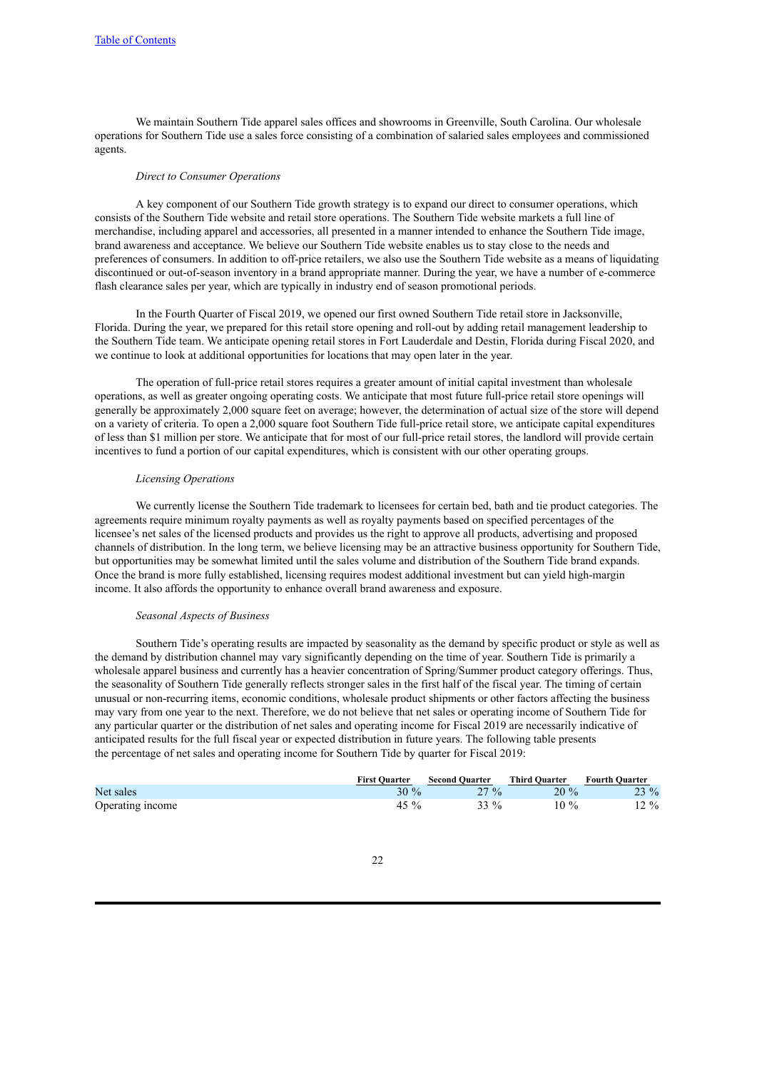We maintain Southern Tide apparel sales offices and showrooms in Greenville, South Carolina. Our wholesale operations for Southern Tide use a sales force consisting of a combination of salaried sales employees and commissioned agents.

#### *Direct to Consumer Operations*

A key component of our Southern Tide growth strategy is to expand our direct to consumer operations, which consists of the Southern Tide website and retail store operations. The Southern Tide website markets a full line of merchandise, including apparel and accessories, all presented in a manner intended to enhance the Southern Tide image, brand awareness and acceptance. We believe our Southern Tide website enables us to stay close to the needs and preferences of consumers. In addition to off-price retailers, we also use the Southern Tide website as a means of liquidating discontinued or out-of-season inventory in a brand appropriate manner. During the year, we have a number of e-commerce flash clearance sales per year, which are typically in industry end of season promotional periods.

In the Fourth Quarter of Fiscal 2019, we opened our first owned Southern Tide retail store in Jacksonville, Florida. During the year, we prepared for this retail store opening and roll-out by adding retail management leadership to the Southern Tide team. We anticipate opening retail stores in Fort Lauderdale and Destin, Florida during Fiscal 2020, and we continue to look at additional opportunities for locations that may open later in the year.

The operation of full-price retail stores requires a greater amount of initial capital investment than wholesale operations, as well as greater ongoing operating costs. We anticipate that most future full-price retail store openings will generally be approximately 2,000 square feet on average; however, the determination of actual size of the store will depend on a variety of criteria. To open a 2,000 square foot Southern Tide full-price retail store, we anticipate capital expenditures of less than \$1 million per store. We anticipate that for most of our full-price retail stores, the landlord will provide certain incentives to fund a portion of our capital expenditures, which is consistent with our other operating groups.

#### *Licensing Operations*

We currently license the Southern Tide trademark to licensees for certain bed, bath and tie product categories. The agreements require minimum royalty payments as well as royalty payments based on specified percentages of the licensee's net sales of the licensed products and provides us the right to approve all products, advertising and proposed channels of distribution. In the long term, we believe licensing may be an attractive business opportunity for Southern Tide, but opportunities may be somewhat limited until the sales volume and distribution of the Southern Tide brand expands. Once the brand is more fully established, licensing requires modest additional investment but can yield high-margin income. It also affords the opportunity to enhance overall brand awareness and exposure.

#### *Seasonal Aspects of Business*

Southern Tide's operating results are impacted by seasonality as the demand by specific product or style as well as the demand by distribution channel may vary significantly depending on the time of year. Southern Tide is primarily a wholesale apparel business and currently has a heavier concentration of Spring/Summer product category offerings. Thus, the seasonality of Southern Tide generally reflects stronger sales in the first half of the fiscal year. The timing of certain unusual or non-recurring items, economic conditions, wholesale product shipments or other factors affecting the business may vary from one year to the next. Therefore, we do not believe that net sales or operating income of Southern Tide for any particular quarter or the distribution of net sales and operating income for Fiscal 2019 are necessarily indicative of anticipated results for the full fiscal year or expected distribution in future years. The following table presents the percentage of net sales and operating income for Southern Tide by quarter for Fiscal 2019:

|                  | <b>First Quarter</b> | <b>Second Quarter</b> | <b>Third Ouarter</b> | <b>Fourth Quarter</b> |
|------------------|----------------------|-----------------------|----------------------|-----------------------|
| Net sales        | $30\%$               | $27\%$                | $20\%$               | $23\%$                |
| Operating income | 45 %                 | 33 %                  | $10\%$               | $12 \%$               |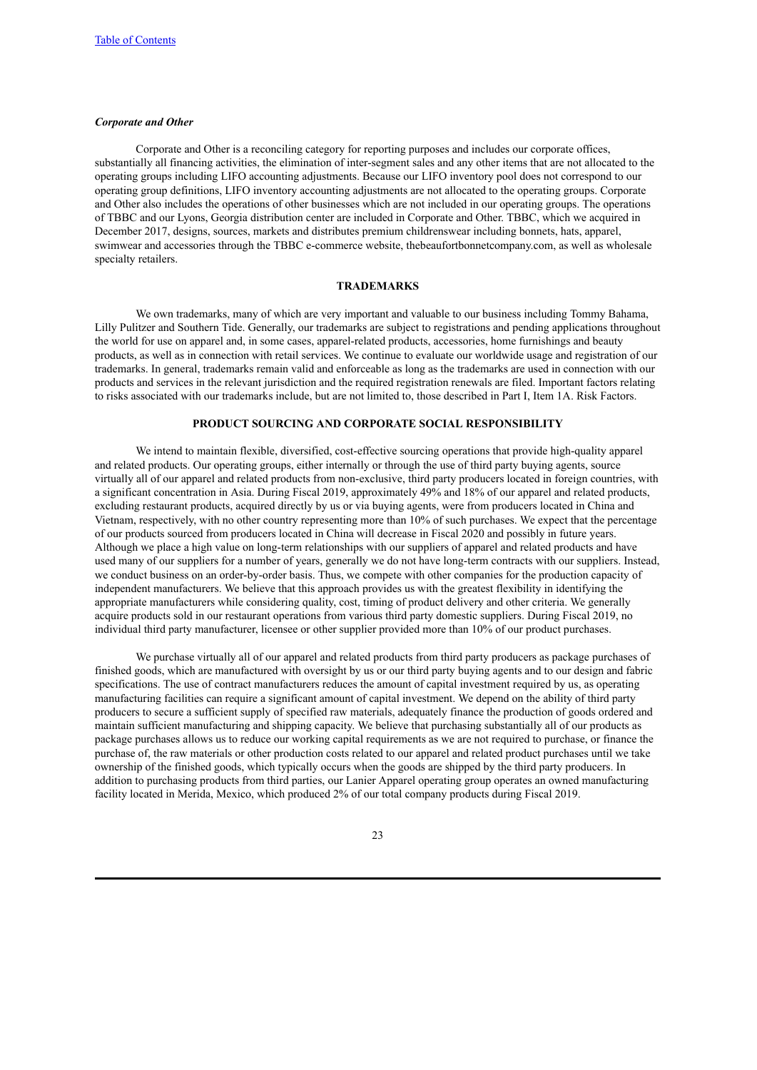### *Corporate and Other*

Corporate and Other is a reconciling category for reporting purposes and includes our corporate offices, substantially all financing activities, the elimination of inter-segment sales and any other items that are not allocated to the operating groups including LIFO accounting adjustments. Because our LIFO inventory pool does not correspond to our operating group definitions, LIFO inventory accounting adjustments are not allocated to the operating groups. Corporate and Other also includes the operations of other businesses which are not included in our operating groups. The operations of TBBC and our Lyons, Georgia distribution center are included in Corporate and Other. TBBC, which we acquired in December 2017, designs, sources, markets and distributes premium childrenswear including bonnets, hats, apparel, swimwear and accessories through the TBBC e-commerce website, thebeaufortbonnetcompany.com, as well as wholesale specialty retailers.

### **TRADEMARKS**

We own trademarks, many of which are very important and valuable to our business including Tommy Bahama, Lilly Pulitzer and Southern Tide. Generally, our trademarks are subject to registrations and pending applications throughout the world for use on apparel and, in some cases, apparel-related products, accessories, home furnishings and beauty products, as well as in connection with retail services. We continue to evaluate our worldwide usage and registration of our trademarks. In general, trademarks remain valid and enforceable as long as the trademarks are used in connection with our products and services in the relevant jurisdiction and the required registration renewals are filed. Important factors relating to risks associated with our trademarks include, but are not limited to, those described in Part I, Item 1A. Risk Factors.

### **PRODUCT SOURCING AND CORPORATE SOCIAL RESPONSIBILITY**

We intend to maintain flexible, diversified, cost-effective sourcing operations that provide high-quality apparel and related products. Our operating groups, either internally or through the use of third party buying agents, source virtually all of our apparel and related products from non-exclusive, third party producers located in foreign countries, with a significant concentration in Asia. During Fiscal 2019, approximately 49% and 18% of our apparel and related products, excluding restaurant products, acquired directly by us or via buying agents, were from producers located in China and Vietnam, respectively, with no other country representing more than 10% of such purchases. We expect that the percentage of our products sourced from producers located in China will decrease in Fiscal 2020 and possibly in future years. Although we place a high value on long-term relationships with our suppliers of apparel and related products and have used many of our suppliers for a number of years, generally we do not have long-term contracts with our suppliers. Instead, we conduct business on an order-by-order basis. Thus, we compete with other companies for the production capacity of independent manufacturers. We believe that this approach provides us with the greatest flexibility in identifying the appropriate manufacturers while considering quality, cost, timing of product delivery and other criteria. We generally acquire products sold in our restaurant operations from various third party domestic suppliers. During Fiscal 2019, no individual third party manufacturer, licensee or other supplier provided more than 10% of our product purchases.

We purchase virtually all of our apparel and related products from third party producers as package purchases of finished goods, which are manufactured with oversight by us or our third party buying agents and to our design and fabric specifications. The use of contract manufacturers reduces the amount of capital investment required by us, as operating manufacturing facilities can require a significant amount of capital investment. We depend on the ability of third party producers to secure a sufficient supply of specified raw materials, adequately finance the production of goods ordered and maintain sufficient manufacturing and shipping capacity. We believe that purchasing substantially all of our products as package purchases allows us to reduce our working capital requirements as we are not required to purchase, or finance the purchase of, the raw materials or other production costs related to our apparel and related product purchases until we take ownership of the finished goods, which typically occurs when the goods are shipped by the third party producers. In addition to purchasing products from third parties, our Lanier Apparel operating group operates an owned manufacturing facility located in Merida, Mexico, which produced 2% of our total company products during Fiscal 2019.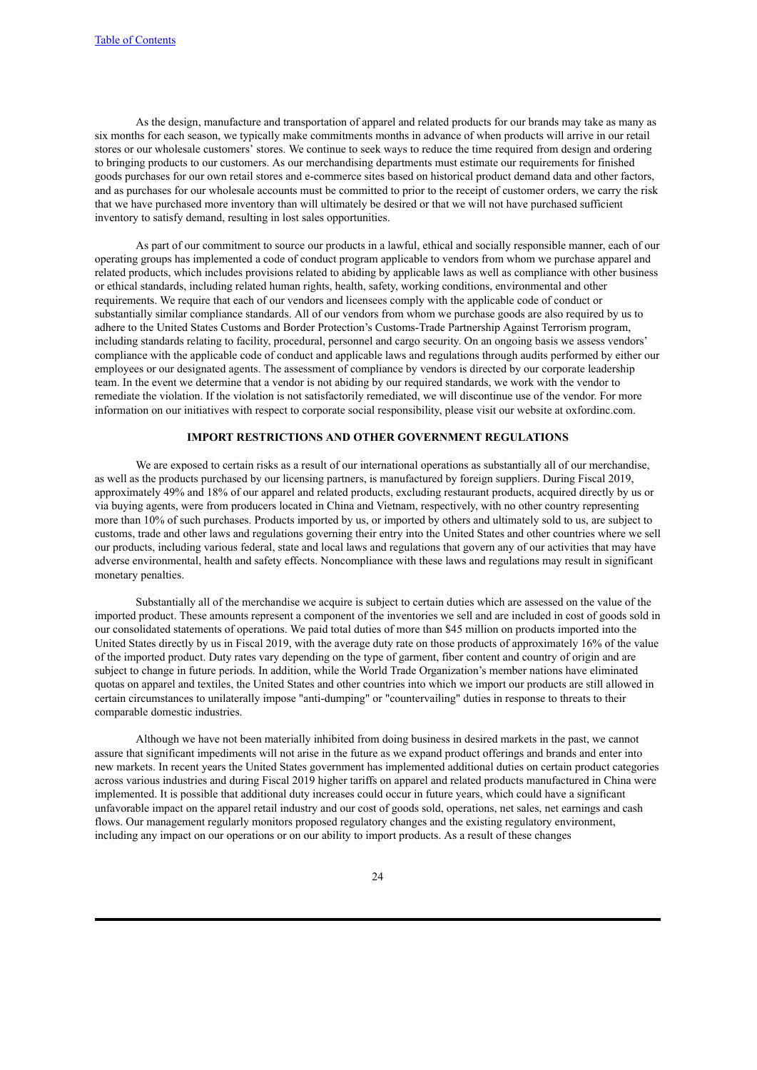As the design, manufacture and transportation of apparel and related products for our brands may take as many as six months for each season, we typically make commitments months in advance of when products will arrive in our retail stores or our wholesale customers' stores. We continue to seek ways to reduce the time required from design and ordering to bringing products to our customers. As our merchandising departments must estimate our requirements for finished goods purchases for our own retail stores and e-commerce sites based on historical product demand data and other factors, and as purchases for our wholesale accounts must be committed to prior to the receipt of customer orders, we carry the risk that we have purchased more inventory than will ultimately be desired or that we will not have purchased sufficient inventory to satisfy demand, resulting in lost sales opportunities.

As part of our commitment to source our products in a lawful, ethical and socially responsible manner, each of our operating groups has implemented a code of conduct program applicable to vendors from whom we purchase apparel and related products, which includes provisions related to abiding by applicable laws as well as compliance with other business or ethical standards, including related human rights, health, safety, working conditions, environmental and other requirements. We require that each of our vendors and licensees comply with the applicable code of conduct or substantially similar compliance standards. All of our vendors from whom we purchase goods are also required by us to adhere to the United States Customs and Border Protection's Customs-Trade Partnership Against Terrorism program, including standards relating to facility, procedural, personnel and cargo security. On an ongoing basis we assess vendors' compliance with the applicable code of conduct and applicable laws and regulations through audits performed by either our employees or our designated agents. The assessment of compliance by vendors is directed by our corporate leadership team. In the event we determine that a vendor is not abiding by our required standards, we work with the vendor to remediate the violation. If the violation is not satisfactorily remediated, we will discontinue use of the vendor. For more information on our initiatives with respect to corporate social responsibility, please visit our website at oxfordinc.com.

### **IMPORT RESTRICTIONS AND OTHER GOVERNMENT REGULATIONS**

We are exposed to certain risks as a result of our international operations as substantially all of our merchandise, as well as the products purchased by our licensing partners, is manufactured by foreign suppliers. During Fiscal 2019, approximately 49% and 18% of our apparel and related products, excluding restaurant products, acquired directly by us or via buying agents, were from producers located in China and Vietnam, respectively, with no other country representing more than 10% of such purchases. Products imported by us, or imported by others and ultimately sold to us, are subject to customs, trade and other laws and regulations governing their entry into the United States and other countries where we sell our products, including various federal, state and local laws and regulations that govern any of our activities that may have adverse environmental, health and safety effects. Noncompliance with these laws and regulations may result in significant monetary penalties.

Substantially all of the merchandise we acquire is subject to certain duties which are assessed on the value of the imported product. These amounts represent a component of the inventories we sell and are included in cost of goods sold in our consolidated statements of operations. We paid total duties of more than \$45 million on products imported into the United States directly by us in Fiscal 2019, with the average duty rate on those products of approximately 16% of the value of the imported product. Duty rates vary depending on the type of garment, fiber content and country of origin and are subject to change in future periods. In addition, while the World Trade Organization's member nations have eliminated quotas on apparel and textiles, the United States and other countries into which we import our products are still allowed in certain circumstances to unilaterally impose "anti-dumping" or "countervailing" duties in response to threats to their comparable domestic industries.

Although we have not been materially inhibited from doing business in desired markets in the past, we cannot assure that significant impediments will not arise in the future as we expand product offerings and brands and enter into new markets. In recent years the United States government has implemented additional duties on certain product categories across various industries and during Fiscal 2019 higher tariffs on apparel and related products manufactured in China were implemented. It is possible that additional duty increases could occur in future years, which could have a significant unfavorable impact on the apparel retail industry and our cost of goods sold, operations, net sales, net earnings and cash flows. Our management regularly monitors proposed regulatory changes and the existing regulatory environment, including any impact on our operations or on our ability to import products. As a result of these changes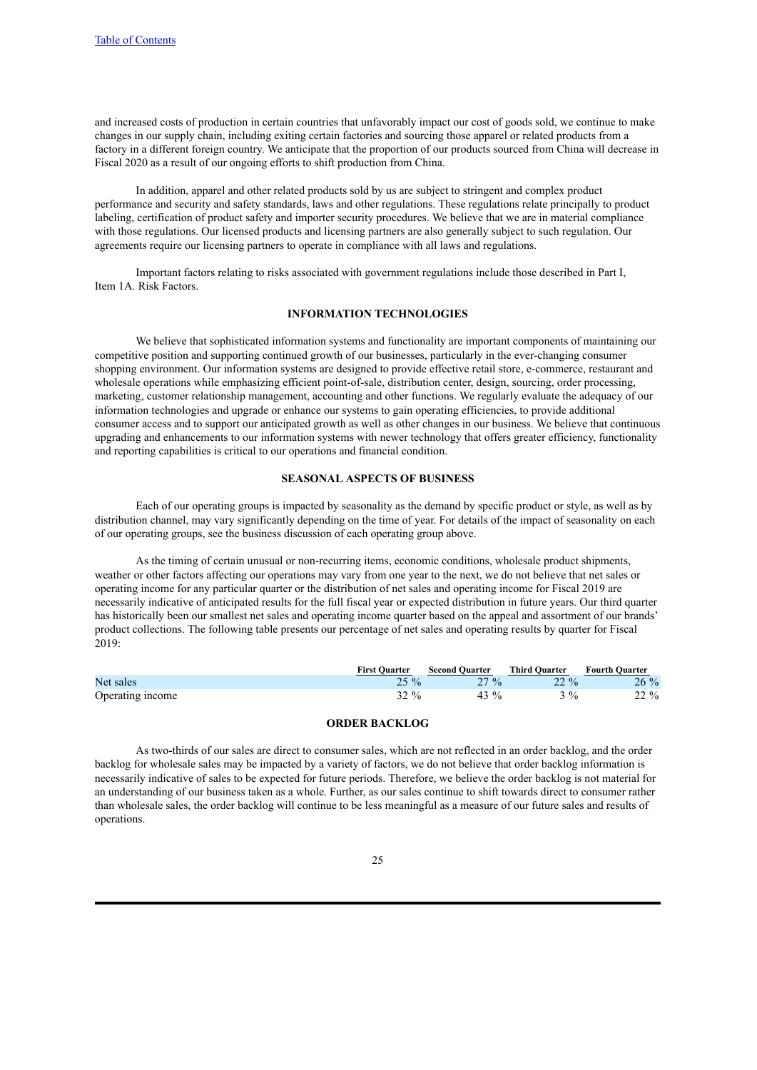and increased costs of production in certain countries that unfavorably impact our cost of goods sold, we continue to make changes in our supply chain, including exiting certain factories and sourcing those apparel or related products from a factory in a different foreign country. We anticipate that the proportion of our products sourced from China will decrease in Fiscal 2020 as a result of our ongoing efforts to shift production from China.

In addition, apparel and other related products sold by us are subject to stringent and complex product performance and security and safety standards, laws and other regulations. These regulations relate principally to product labeling, certification of product safety and importer security procedures. We believe that we are in material compliance with those regulations. Our licensed products and licensing partners are also generally subject to such regulation. Our agreements require our licensing partners to operate in compliance with all laws and regulations.

Important factors relating to risks associated with government regulations include those described in Part I, Item 1A. Risk Factors.

### **INFORMATION TECHNOLOGIES**

We believe that sophisticated information systems and functionality are important components of maintaining our competitive position and supporting continued growth of our businesses, particularly in the ever-changing consumer shopping environment. Our information systems are designed to provide effective retail store, e-commerce, restaurant and wholesale operations while emphasizing efficient point-of-sale, distribution center, design, sourcing, order processing, marketing, customer relationship management, accounting and other functions. We regularly evaluate the adequacy of our information technologies and upgrade or enhance our systems to gain operating efficiencies, to provide additional consumer access and to support our anticipated growth as well as other changes in our business. We believe that continuous upgrading and enhancements to our information systems with newer technology that offers greater efficiency, functionality and reporting capabilities is critical to our operations and financial condition.

### **SEASONAL ASPECTS OF BUSINESS**

Each of our operating groups is impacted by seasonality as the demand by specific product or style, as well as by distribution channel, may vary significantly depending on the time of year. For details of the impact of seasonality on each of our operating groups, see the business discussion of each operating group above.

As the timing of certain unusual or non-recurring items, economic conditions, wholesale product shipments, weather or other factors affecting our operations may vary from one year to the next, we do not believe that net sales or operating income for any particular quarter or the distribution of net sales and operating income for Fiscal 2019 are necessarily indicative of anticipated results for the full fiscal year or expected distribution in future years. Our third quarter has historically been our smallest net sales and operating income quarter based on the appeal and assortment of our brands' product collections. The following table presents our percentage of net sales and operating results by quarter for Fiscal 2019:

|                  | <b>First Ouarter</b> | <b>Second Ouarter</b> | <b>Third Ouarter</b> | <b>Fourth Quarter</b> |
|------------------|----------------------|-----------------------|----------------------|-----------------------|
| Net sales        | $25 \%$              | $27 \%$               | $22\%$               | $26\%$                |
| Operating income | $32 \%$              | $43\%$                | $3\%$                | $22\%$                |

### **ORDER BACKLOG**

As two-thirds of our sales are direct to consumer sales, which are not reflected in an order backlog, and the order backlog for wholesale sales may be impacted by a variety of factors, we do not believe that order backlog information is necessarily indicative of sales to be expected for future periods. Therefore, we believe the order backlog is not material for an understanding of our business taken as a whole. Further, as our sales continue to shift towards direct to consumer rather than wholesale sales, the order backlog will continue to be less meaningful as a measure of our future sales and results of operations.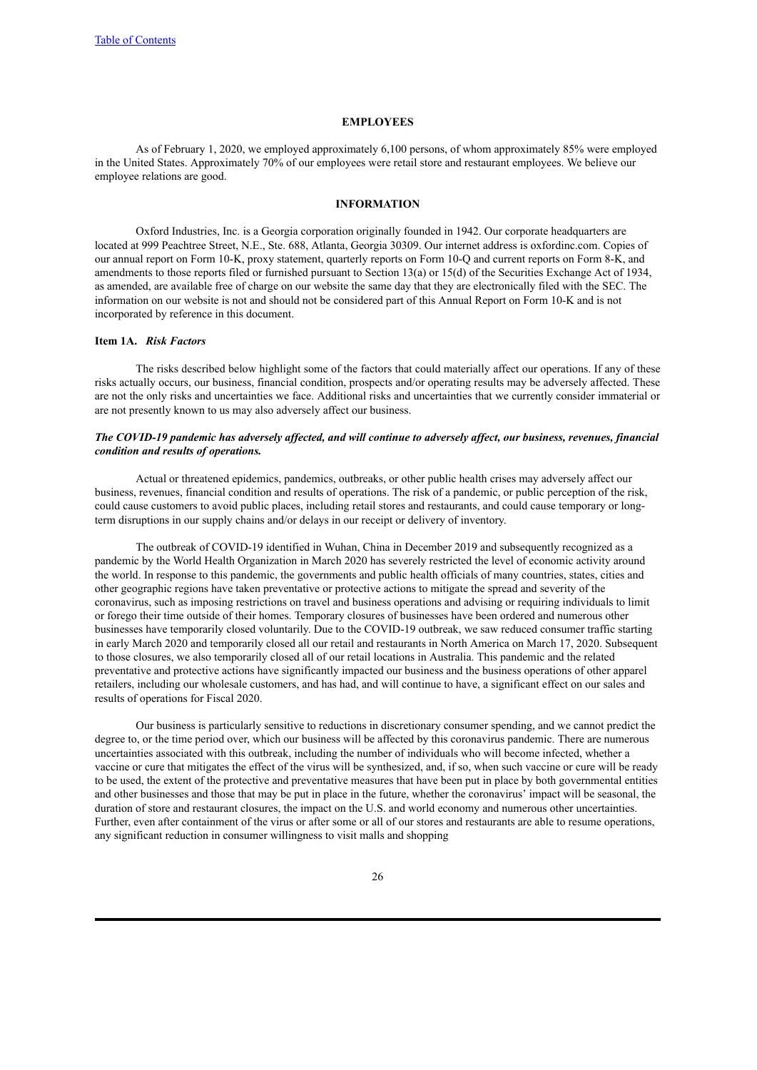### **EMPLOYEES**

As of February 1, 2020, we employed approximately 6,100 persons, of whom approximately 85% were employed in the United States. Approximately 70% of our employees were retail store and restaurant employees. We believe our employee relations are good.

### **INFORMATION**

Oxford Industries, Inc. is a Georgia corporation originally founded in 1942. Our corporate headquarters are located at 999 Peachtree Street, N.E., Ste. 688, Atlanta, Georgia 30309. Our internet address is oxfordinc.com. Copies of our annual report on Form 10-K, proxy statement, quarterly reports on Form 10-Q and current reports on Form 8-K, and amendments to those reports filed or furnished pursuant to Section 13(a) or 15(d) of the Securities Exchange Act of 1934, as amended, are available free of charge on our website the same day that they are electronically filed with the SEC. The information on our website is not and should not be considered part of this Annual Report on Form 10-K and is not incorporated by reference in this document.

#### <span id="page-25-0"></span>**Item 1A.** *Risk Factors*

The risks described below highlight some of the factors that could materially affect our operations. If any of these risks actually occurs, our business, financial condition, prospects and/or operating results may be adversely affected. These are not the only risks and uncertainties we face. Additional risks and uncertainties that we currently consider immaterial or are not presently known to us may also adversely affect our business.

### The COVID-19 pandemic has adversely affected, and will continue to adversely affect, our business, revenues, financial *condition and results of operations.*

Actual or threatened epidemics, pandemics, outbreaks, or other public health crises may adversely affect our business, revenues, financial condition and results of operations. The risk of a pandemic, or public perception of the risk, could cause customers to avoid public places, including retail stores and restaurants, and could cause temporary or longterm disruptions in our supply chains and/or delays in our receipt or delivery of inventory.

The outbreak of COVID-19 identified in Wuhan, China in December 2019 and subsequently recognized as a pandemic by the World Health Organization in March 2020 has severely restricted the level of economic activity around the world. In response to this pandemic, the governments and public health officials of many countries, states, cities and other geographic regions have taken preventative or protective actions to mitigate the spread and severity of the coronavirus, such as imposing restrictions on travel and business operations and advising or requiring individuals to limit or forego their time outside of their homes. Temporary closures of businesses have been ordered and numerous other businesses have temporarily closed voluntarily. Due to the COVID-19 outbreak, we saw reduced consumer traffic starting in early March 2020 and temporarily closed all our retail and restaurants in North America on March 17, 2020. Subsequent to those closures, we also temporarily closed all of our retail locations in Australia. This pandemic and the related preventative and protective actions have significantly impacted our business and the business operations of other apparel retailers, including our wholesale customers, and has had, and will continue to have, a significant effect on our sales and results of operations for Fiscal 2020.

Our business is particularly sensitive to reductions in discretionary consumer spending, and we cannot predict the degree to, or the time period over, which our business will be affected by this coronavirus pandemic. There are numerous uncertainties associated with this outbreak, including the number of individuals who will become infected, whether a vaccine or cure that mitigates the effect of the virus will be synthesized, and, if so, when such vaccine or cure will be ready to be used, the extent of the protective and preventative measures that have been put in place by both governmental entities and other businesses and those that may be put in place in the future, whether the coronavirus' impact will be seasonal, the duration of store and restaurant closures, the impact on the U.S. and world economy and numerous other uncertainties. Further, even after containment of the virus or after some or all of our stores and restaurants are able to resume operations, any significant reduction in consumer willingness to visit malls and shopping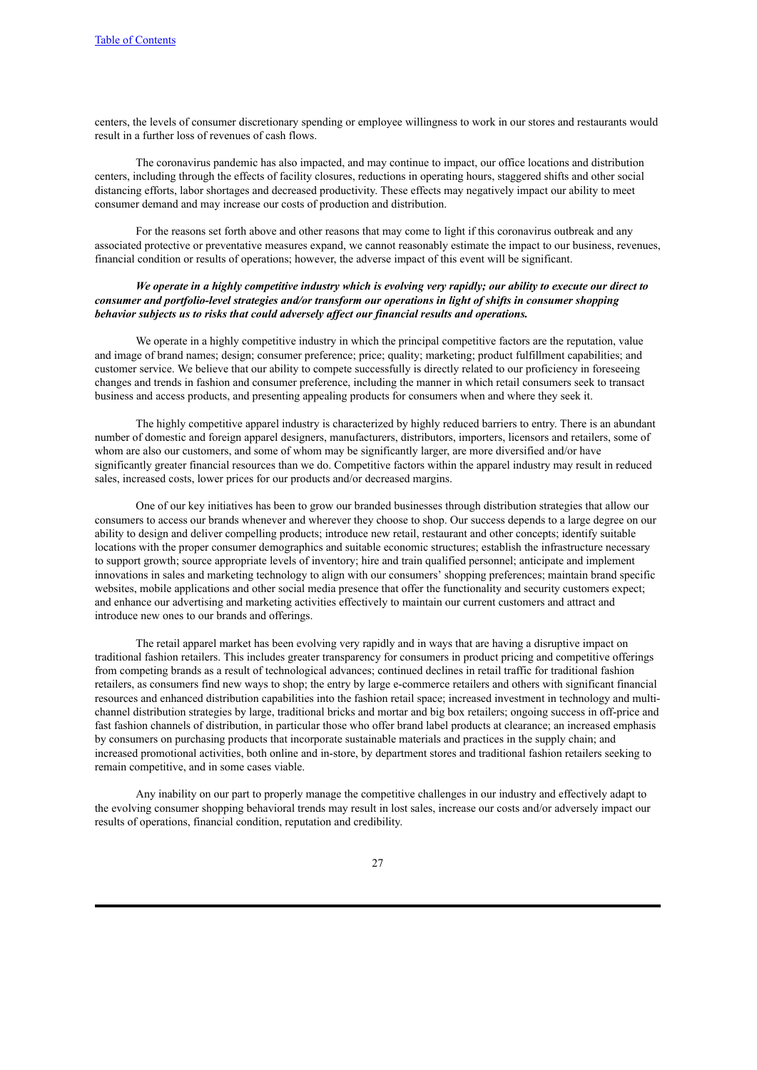centers, the levels of consumer discretionary spending or employee willingness to work in our stores and restaurants would result in a further loss of revenues of cash flows.

The coronavirus pandemic has also impacted, and may continue to impact, our office locations and distribution centers, including through the effects of facility closures, reductions in operating hours, staggered shifts and other social distancing efforts, labor shortages and decreased productivity. These effects may negatively impact our ability to meet consumer demand and may increase our costs of production and distribution.

For the reasons set forth above and other reasons that may come to light if this coronavirus outbreak and any associated protective or preventative measures expand, we cannot reasonably estimate the impact to our business, revenues, financial condition or results of operations; however, the adverse impact of this event will be significant.

### We operate in a highly competitive industry which is evolving very rapidly; our ability to execute our direct to *consumer and portfolio-level strategies and/or transform our operations in light of shifts in consumer shopping behavior subjects us to risks that could adversely af ect our financial results and operations.*

We operate in a highly competitive industry in which the principal competitive factors are the reputation, value and image of brand names; design; consumer preference; price; quality; marketing; product fulfillment capabilities; and customer service. We believe that our ability to compete successfully is directly related to our proficiency in foreseeing changes and trends in fashion and consumer preference, including the manner in which retail consumers seek to transact business and access products, and presenting appealing products for consumers when and where they seek it.

The highly competitive apparel industry is characterized by highly reduced barriers to entry. There is an abundant number of domestic and foreign apparel designers, manufacturers, distributors, importers, licensors and retailers, some of whom are also our customers, and some of whom may be significantly larger, are more diversified and/or have significantly greater financial resources than we do. Competitive factors within the apparel industry may result in reduced sales, increased costs, lower prices for our products and/or decreased margins.

One of our key initiatives has been to grow our branded businesses through distribution strategies that allow our consumers to access our brands whenever and wherever they choose to shop. Our success depends to a large degree on our ability to design and deliver compelling products; introduce new retail, restaurant and other concepts; identify suitable locations with the proper consumer demographics and suitable economic structures; establish the infrastructure necessary to support growth; source appropriate levels of inventory; hire and train qualified personnel; anticipate and implement innovations in sales and marketing technology to align with our consumers' shopping preferences; maintain brand specific websites, mobile applications and other social media presence that offer the functionality and security customers expect; and enhance our advertising and marketing activities effectively to maintain our current customers and attract and introduce new ones to our brands and offerings.

The retail apparel market has been evolving very rapidly and in ways that are having a disruptive impact on traditional fashion retailers. This includes greater transparency for consumers in product pricing and competitive offerings from competing brands as a result of technological advances; continued declines in retail traffic for traditional fashion retailers, as consumers find new ways to shop; the entry by large e-commerce retailers and others with significant financial resources and enhanced distribution capabilities into the fashion retail space; increased investment in technology and multichannel distribution strategies by large, traditional bricks and mortar and big box retailers; ongoing success in off-price and fast fashion channels of distribution, in particular those who offer brand label products at clearance; an increased emphasis by consumers on purchasing products that incorporate sustainable materials and practices in the supply chain; and increased promotional activities, both online and in-store, by department stores and traditional fashion retailers seeking to remain competitive, and in some cases viable.

Any inability on our part to properly manage the competitive challenges in our industry and effectively adapt to the evolving consumer shopping behavioral trends may result in lost sales, increase our costs and/or adversely impact our results of operations, financial condition, reputation and credibility.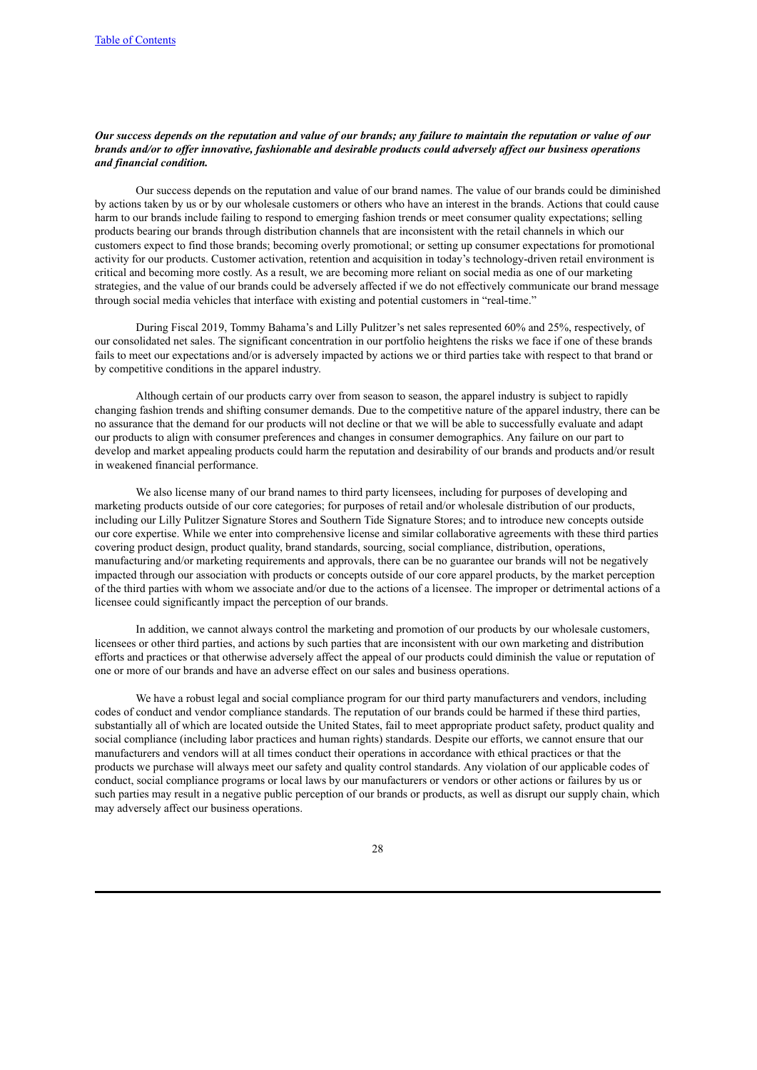### Our success depends on the reputation and value of our brands; any failure to maintain the reputation or value of our brands and/or to offer innovative, fashionable and desirable products could adversely affect our business operations *and financial condition.*

Our success depends on the reputation and value of our brand names. The value of our brands could be diminished by actions taken by us or by our wholesale customers or others who have an interest in the brands. Actions that could cause harm to our brands include failing to respond to emerging fashion trends or meet consumer quality expectations; selling products bearing our brands through distribution channels that are inconsistent with the retail channels in which our customers expect to find those brands; becoming overly promotional; or setting up consumer expectations for promotional activity for our products. Customer activation, retention and acquisition in today's technology-driven retail environment is critical and becoming more costly. As a result, we are becoming more reliant on social media as one of our marketing strategies, and the value of our brands could be adversely affected if we do not effectively communicate our brand message through social media vehicles that interface with existing and potential customers in "real-time."

During Fiscal 2019, Tommy Bahama's and Lilly Pulitzer's net sales represented 60% and 25%, respectively, of our consolidated net sales. The significant concentration in our portfolio heightens the risks we face if one of these brands fails to meet our expectations and/or is adversely impacted by actions we or third parties take with respect to that brand or by competitive conditions in the apparel industry.

Although certain of our products carry over from season to season, the apparel industry is subject to rapidly changing fashion trends and shifting consumer demands. Due to the competitive nature of the apparel industry, there can be no assurance that the demand for our products will not decline or that we will be able to successfully evaluate and adapt our products to align with consumer preferences and changes in consumer demographics. Any failure on our part to develop and market appealing products could harm the reputation and desirability of our brands and products and/or result in weakened financial performance.

We also license many of our brand names to third party licensees, including for purposes of developing and marketing products outside of our core categories; for purposes of retail and/or wholesale distribution of our products, including our Lilly Pulitzer Signature Stores and Southern Tide Signature Stores; and to introduce new concepts outside our core expertise. While we enter into comprehensive license and similar collaborative agreements with these third parties covering product design, product quality, brand standards, sourcing, social compliance, distribution, operations, manufacturing and/or marketing requirements and approvals, there can be no guarantee our brands will not be negatively impacted through our association with products or concepts outside of our core apparel products, by the market perception of the third parties with whom we associate and/or due to the actions of a licensee. The improper or detrimental actions of a licensee could significantly impact the perception of our brands.

In addition, we cannot always control the marketing and promotion of our products by our wholesale customers, licensees or other third parties, and actions by such parties that are inconsistent with our own marketing and distribution efforts and practices or that otherwise adversely affect the appeal of our products could diminish the value or reputation of one or more of our brands and have an adverse effect on our sales and business operations.

We have a robust legal and social compliance program for our third party manufacturers and vendors, including codes of conduct and vendor compliance standards. The reputation of our brands could be harmed if these third parties, substantially all of which are located outside the United States, fail to meet appropriate product safety, product quality and social compliance (including labor practices and human rights) standards. Despite our efforts, we cannot ensure that our manufacturers and vendors will at all times conduct their operations in accordance with ethical practices or that the products we purchase will always meet our safety and quality control standards. Any violation of our applicable codes of conduct, social compliance programs or local laws by our manufacturers or vendors or other actions or failures by us or such parties may result in a negative public perception of our brands or products, as well as disrupt our supply chain, which may adversely affect our business operations.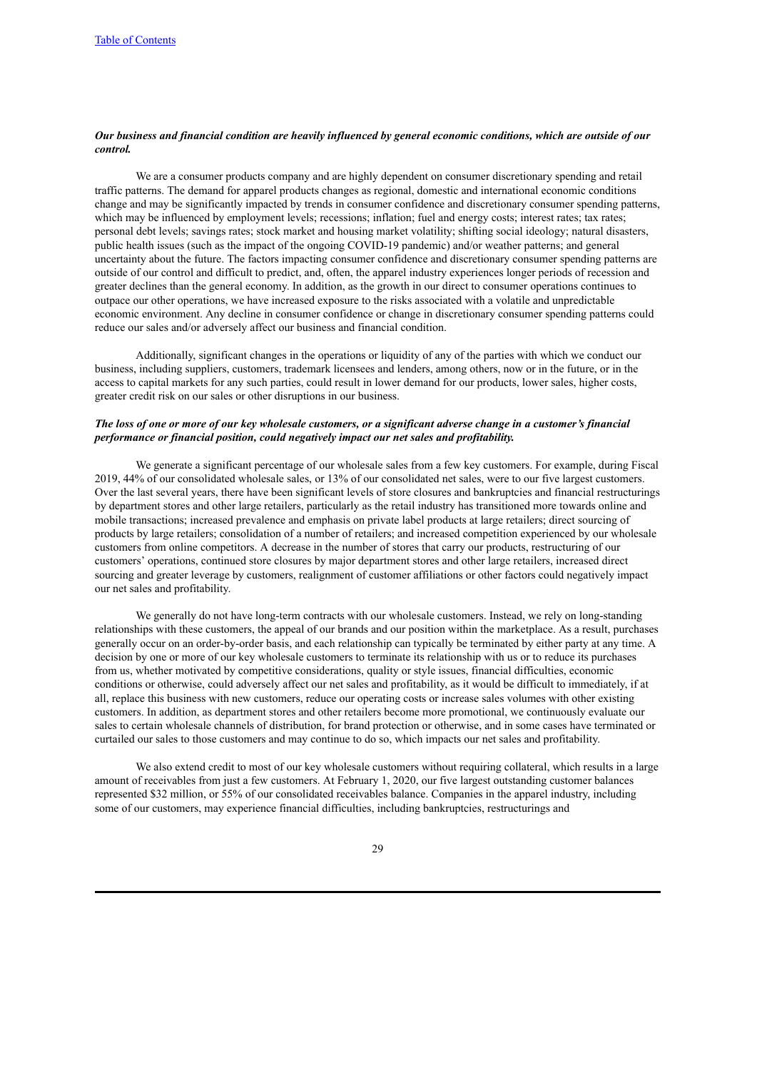### Our business and financial condition are heavily influenced by general economic conditions, which are outside of our *control.*

We are a consumer products company and are highly dependent on consumer discretionary spending and retail traffic patterns. The demand for apparel products changes as regional, domestic and international economic conditions change and may be significantly impacted by trends in consumer confidence and discretionary consumer spending patterns, which may be influenced by employment levels; recessions; inflation; fuel and energy costs; interest rates; tax rates; personal debt levels; savings rates; stock market and housing market volatility; shifting social ideology; natural disasters, public health issues (such as the impact of the ongoing COVID-19 pandemic) and/or weather patterns; and general uncertainty about the future. The factors impacting consumer confidence and discretionary consumer spending patterns are outside of our control and difficult to predict, and, often, the apparel industry experiences longer periods of recession and greater declines than the general economy. In addition, as the growth in our direct to consumer operations continues to outpace our other operations, we have increased exposure to the risks associated with a volatile and unpredictable economic environment. Any decline in consumer confidence or change in discretionary consumer spending patterns could reduce our sales and/or adversely affect our business and financial condition.

Additionally, significant changes in the operations or liquidity of any of the parties with which we conduct our business, including suppliers, customers, trademark licensees and lenders, among others, now or in the future, or in the access to capital markets for any such parties, could result in lower demand for our products, lower sales, higher costs, greater credit risk on our sales or other disruptions in our business.

### The loss of one or more of our key wholesale customers, or a significant adverse change in a customer's financial *performance or financial position, could negatively impact our net sales and profitability.*

We generate a significant percentage of our wholesale sales from a few key customers. For example, during Fiscal 2019, 44% of our consolidated wholesale sales, or 13% of our consolidated net sales, were to our five largest customers. Over the last several years, there have been significant levels of store closures and bankruptcies and financial restructurings by department stores and other large retailers, particularly as the retail industry has transitioned more towards online and mobile transactions; increased prevalence and emphasis on private label products at large retailers; direct sourcing of products by large retailers; consolidation of a number of retailers; and increased competition experienced by our wholesale customers from online competitors. A decrease in the number of stores that carry our products, restructuring of our customers' operations, continued store closures by major department stores and other large retailers, increased direct sourcing and greater leverage by customers, realignment of customer affiliations or other factors could negatively impact our net sales and profitability.

We generally do not have long-term contracts with our wholesale customers. Instead, we rely on long-standing relationships with these customers, the appeal of our brands and our position within the marketplace. As a result, purchases generally occur on an order-by-order basis, and each relationship can typically be terminated by either party at any time. A decision by one or more of our key wholesale customers to terminate its relationship with us or to reduce its purchases from us, whether motivated by competitive considerations, quality or style issues, financial difficulties, economic conditions or otherwise, could adversely affect our net sales and profitability, as it would be difficult to immediately, if at all, replace this business with new customers, reduce our operating costs or increase sales volumes with other existing customers. In addition, as department stores and other retailers become more promotional, we continuously evaluate our sales to certain wholesale channels of distribution, for brand protection or otherwise, and in some cases have terminated or curtailed our sales to those customers and may continue to do so, which impacts our net sales and profitability.

We also extend credit to most of our key wholesale customers without requiring collateral, which results in a large amount of receivables from just a few customers. At February 1, 2020, our five largest outstanding customer balances represented \$32 million, or 55% of our consolidated receivables balance. Companies in the apparel industry, including some of our customers, may experience financial difficulties, including bankruptcies, restructurings and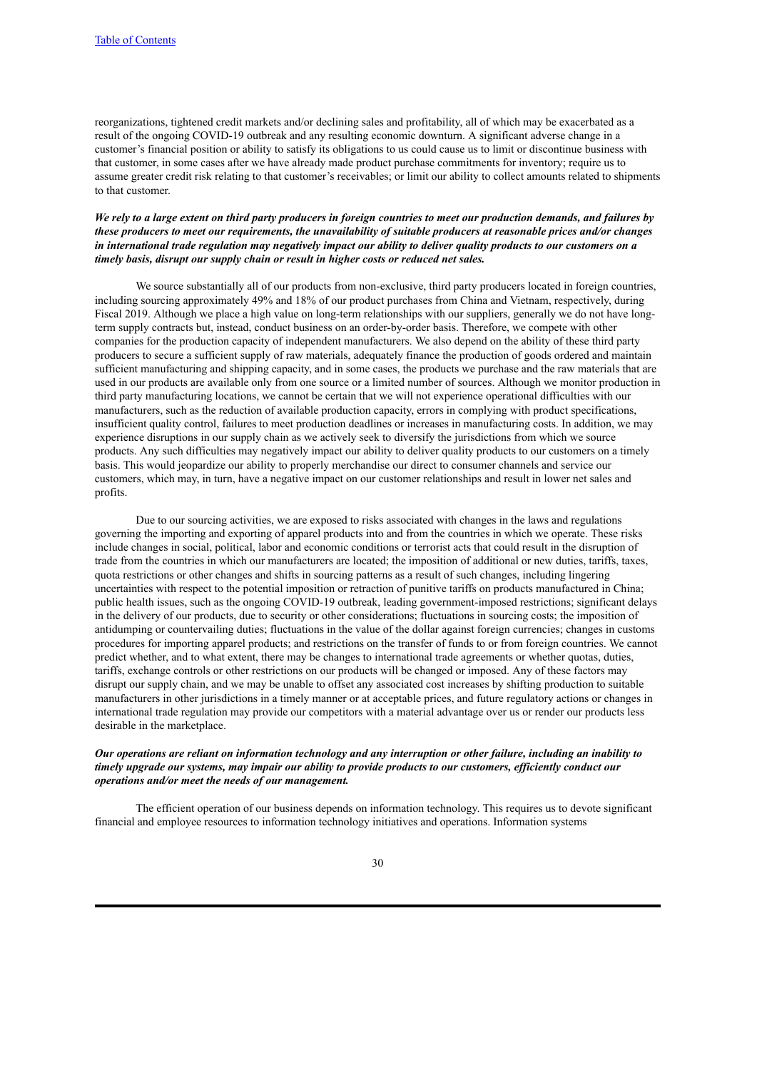reorganizations, tightened credit markets and/or declining sales and profitability, all of which may be exacerbated as a result of the ongoing COVID-19 outbreak and any resulting economic downturn. A significant adverse change in a customer's financial position or ability to satisfy its obligations to us could cause us to limit or discontinue business with that customer, in some cases after we have already made product purchase commitments for inventory; require us to assume greater credit risk relating to that customer's receivables; or limit our ability to collect amounts related to shipments to that customer.

### We rely to a large extent on third party producers in foreign countries to meet our production demands, and failures by these producers to meet our requirements, the unavailability of suitable producers at reasonable prices and/or changes in international trade regulation may negatively impact our ability to deliver quality products to our customers on  $\overline{a}$ *timely basis, disrupt our supply chain or result in higher costs or reduced net sales.*

We source substantially all of our products from non-exclusive, third party producers located in foreign countries, including sourcing approximately 49% and 18% of our product purchases from China and Vietnam, respectively, during Fiscal 2019. Although we place a high value on long-term relationships with our suppliers, generally we do not have longterm supply contracts but, instead, conduct business on an order-by-order basis. Therefore, we compete with other companies for the production capacity of independent manufacturers. We also depend on the ability of these third party producers to secure a sufficient supply of raw materials, adequately finance the production of goods ordered and maintain sufficient manufacturing and shipping capacity, and in some cases, the products we purchase and the raw materials that are used in our products are available only from one source or a limited number of sources. Although we monitor production in third party manufacturing locations, we cannot be certain that we will not experience operational difficulties with our manufacturers, such as the reduction of available production capacity, errors in complying with product specifications, insufficient quality control, failures to meet production deadlines or increases in manufacturing costs. In addition, we may experience disruptions in our supply chain as we actively seek to diversify the jurisdictions from which we source products. Any such difficulties may negatively impact our ability to deliver quality products to our customers on a timely basis. This would jeopardize our ability to properly merchandise our direct to consumer channels and service our customers, which may, in turn, have a negative impact on our customer relationships and result in lower net sales and profits.

Due to our sourcing activities, we are exposed to risks associated with changes in the laws and regulations governing the importing and exporting of apparel products into and from the countries in which we operate. These risks include changes in social, political, labor and economic conditions or terrorist acts that could result in the disruption of trade from the countries in which our manufacturers are located; the imposition of additional or new duties, tariffs, taxes, quota restrictions or other changes and shifts in sourcing patterns as a result of such changes, including lingering uncertainties with respect to the potential imposition or retraction of punitive tariffs on products manufactured in China; public health issues, such as the ongoing COVID-19 outbreak, leading government-imposed restrictions; significant delays in the delivery of our products, due to security or other considerations; fluctuations in sourcing costs; the imposition of antidumping or countervailing duties; fluctuations in the value of the dollar against foreign currencies; changes in customs procedures for importing apparel products; and restrictions on the transfer of funds to or from foreign countries. We cannot predict whether, and to what extent, there may be changes to international trade agreements or whether quotas, duties, tariffs, exchange controls or other restrictions on our products will be changed or imposed. Any of these factors may disrupt our supply chain, and we may be unable to offset any associated cost increases by shifting production to suitable manufacturers in other jurisdictions in a timely manner or at acceptable prices, and future regulatory actions or changes in international trade regulation may provide our competitors with a material advantage over us or render our products less desirable in the marketplace.

### Our operations are reliant on information technology and any interruption or other failure, including an inability to timely upgrade our systems, may impair our ability to provide products to our customers, efficiently conduct our *operations and/or meet the needs of our management.*

The efficient operation of our business depends on information technology. This requires us to devote significant financial and employee resources to information technology initiatives and operations. Information systems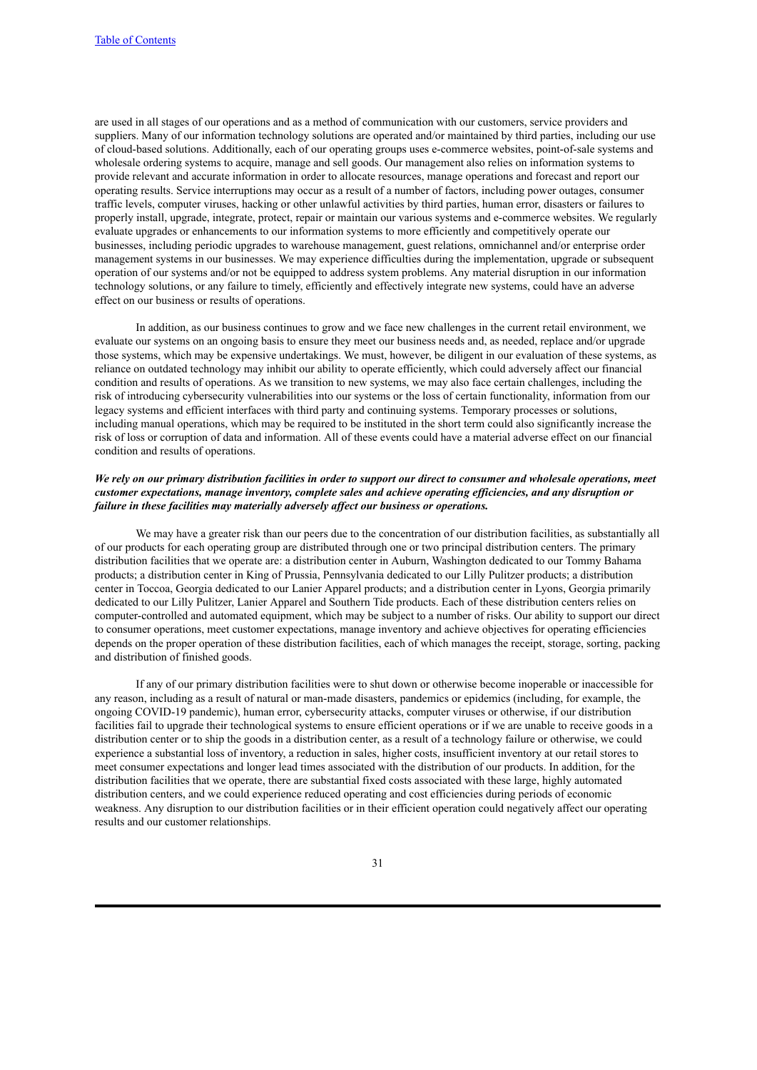are used in all stages of our operations and as a method of communication with our customers, service providers and suppliers. Many of our information technology solutions are operated and/or maintained by third parties, including our use of cloud-based solutions. Additionally, each of our operating groups uses e-commerce websites, point-of-sale systems and wholesale ordering systems to acquire, manage and sell goods. Our management also relies on information systems to provide relevant and accurate information in order to allocate resources, manage operations and forecast and report our operating results. Service interruptions may occur as a result of a number of factors, including power outages, consumer traffic levels, computer viruses, hacking or other unlawful activities by third parties, human error, disasters or failures to properly install, upgrade, integrate, protect, repair or maintain our various systems and e-commerce websites. We regularly evaluate upgrades or enhancements to our information systems to more efficiently and competitively operate our businesses, including periodic upgrades to warehouse management, guest relations, omnichannel and/or enterprise order management systems in our businesses. We may experience difficulties during the implementation, upgrade or subsequent operation of our systems and/or not be equipped to address system problems. Any material disruption in our information technology solutions, or any failure to timely, efficiently and effectively integrate new systems, could have an adverse effect on our business or results of operations.

In addition, as our business continues to grow and we face new challenges in the current retail environment, we evaluate our systems on an ongoing basis to ensure they meet our business needs and, as needed, replace and/or upgrade those systems, which may be expensive undertakings. We must, however, be diligent in our evaluation of these systems, as reliance on outdated technology may inhibit our ability to operate efficiently, which could adversely affect our financial condition and results of operations. As we transition to new systems, we may also face certain challenges, including the risk of introducing cybersecurity vulnerabilities into our systems or the loss of certain functionality, information from our legacy systems and efficient interfaces with third party and continuing systems. Temporary processes or solutions, including manual operations, which may be required to be instituted in the short term could also significantly increase the risk of loss or corruption of data and information. All of these events could have a material adverse effect on our financial condition and results of operations.

### We rely on our primary distribution facilities in order to support our direct to consumer and wholesale operations, meet *customer expectations, manage inventory, complete sales and achieve operating ef iciencies, and any disruption or failure in these facilities may materially adversely af ect our business or operations.*

We may have a greater risk than our peers due to the concentration of our distribution facilities, as substantially all of our products for each operating group are distributed through one or two principal distribution centers. The primary distribution facilities that we operate are: a distribution center in Auburn, Washington dedicated to our Tommy Bahama products; a distribution center in King of Prussia, Pennsylvania dedicated to our Lilly Pulitzer products; a distribution center in Toccoa, Georgia dedicated to our Lanier Apparel products; and a distribution center in Lyons, Georgia primarily dedicated to our Lilly Pulitzer, Lanier Apparel and Southern Tide products. Each of these distribution centers relies on computer-controlled and automated equipment, which may be subject to a number of risks. Our ability to support our direct to consumer operations, meet customer expectations, manage inventory and achieve objectives for operating efficiencies depends on the proper operation of these distribution facilities, each of which manages the receipt, storage, sorting, packing and distribution of finished goods.

If any of our primary distribution facilities were to shut down or otherwise become inoperable or inaccessible for any reason, including as a result of natural or man-made disasters, pandemics or epidemics (including, for example, the ongoing COVID-19 pandemic), human error, cybersecurity attacks, computer viruses or otherwise, if our distribution facilities fail to upgrade their technological systems to ensure efficient operations or if we are unable to receive goods in a distribution center or to ship the goods in a distribution center, as a result of a technology failure or otherwise, we could experience a substantial loss of inventory, a reduction in sales, higher costs, insufficient inventory at our retail stores to meet consumer expectations and longer lead times associated with the distribution of our products. In addition, for the distribution facilities that we operate, there are substantial fixed costs associated with these large, highly automated distribution centers, and we could experience reduced operating and cost efficiencies during periods of economic weakness. Any disruption to our distribution facilities or in their efficient operation could negatively affect our operating results and our customer relationships.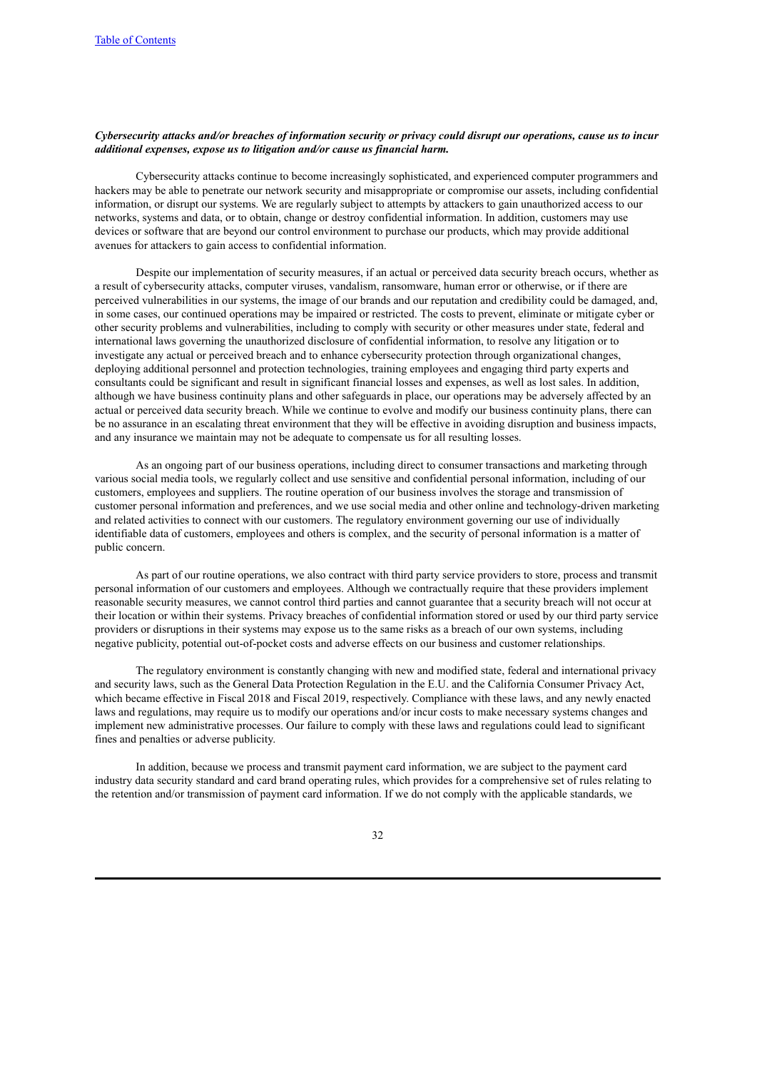### Cybersecurity attacks and/or breaches of information security or privacy could disrupt our operations, cause us to incur *additional expenses, expose us to litigation and/or cause us financial harm.*

Cybersecurity attacks continue to become increasingly sophisticated, and experienced computer programmers and hackers may be able to penetrate our network security and misappropriate or compromise our assets, including confidential information, or disrupt our systems. We are regularly subject to attempts by attackers to gain unauthorized access to our networks, systems and data, or to obtain, change or destroy confidential information. In addition, customers may use devices or software that are beyond our control environment to purchase our products, which may provide additional avenues for attackers to gain access to confidential information.

Despite our implementation of security measures, if an actual or perceived data security breach occurs, whether as a result of cybersecurity attacks, computer viruses, vandalism, ransomware, human error or otherwise, or if there are perceived vulnerabilities in our systems, the image of our brands and our reputation and credibility could be damaged, and, in some cases, our continued operations may be impaired or restricted. The costs to prevent, eliminate or mitigate cyber or other security problems and vulnerabilities, including to comply with security or other measures under state, federal and international laws governing the unauthorized disclosure of confidential information, to resolve any litigation or to investigate any actual or perceived breach and to enhance cybersecurity protection through organizational changes, deploying additional personnel and protection technologies, training employees and engaging third party experts and consultants could be significant and result in significant financial losses and expenses, as well as lost sales. In addition, although we have business continuity plans and other safeguards in place, our operations may be adversely affected by an actual or perceived data security breach. While we continue to evolve and modify our business continuity plans, there can be no assurance in an escalating threat environment that they will be effective in avoiding disruption and business impacts, and any insurance we maintain may not be adequate to compensate us for all resulting losses.

As an ongoing part of our business operations, including direct to consumer transactions and marketing through various social media tools, we regularly collect and use sensitive and confidential personal information, including of our customers, employees and suppliers. The routine operation of our business involves the storage and transmission of customer personal information and preferences, and we use social media and other online and technology-driven marketing and related activities to connect with our customers. The regulatory environment governing our use of individually identifiable data of customers, employees and others is complex, and the security of personal information is a matter of public concern.

As part of our routine operations, we also contract with third party service providers to store, process and transmit personal information of our customers and employees. Although we contractually require that these providers implement reasonable security measures, we cannot control third parties and cannot guarantee that a security breach will not occur at their location or within their systems. Privacy breaches of confidential information stored or used by our third party service providers or disruptions in their systems may expose us to the same risks as a breach of our own systems, including negative publicity, potential out-of-pocket costs and adverse effects on our business and customer relationships.

The regulatory environment is constantly changing with new and modified state, federal and international privacy and security laws, such as the General Data Protection Regulation in the E.U. and the California Consumer Privacy Act, which became effective in Fiscal 2018 and Fiscal 2019, respectively. Compliance with these laws, and any newly enacted laws and regulations, may require us to modify our operations and/or incur costs to make necessary systems changes and implement new administrative processes. Our failure to comply with these laws and regulations could lead to significant fines and penalties or adverse publicity.

In addition, because we process and transmit payment card information, we are subject to the payment card industry data security standard and card brand operating rules, which provides for a comprehensive set of rules relating to the retention and/or transmission of payment card information. If we do not comply with the applicable standards, we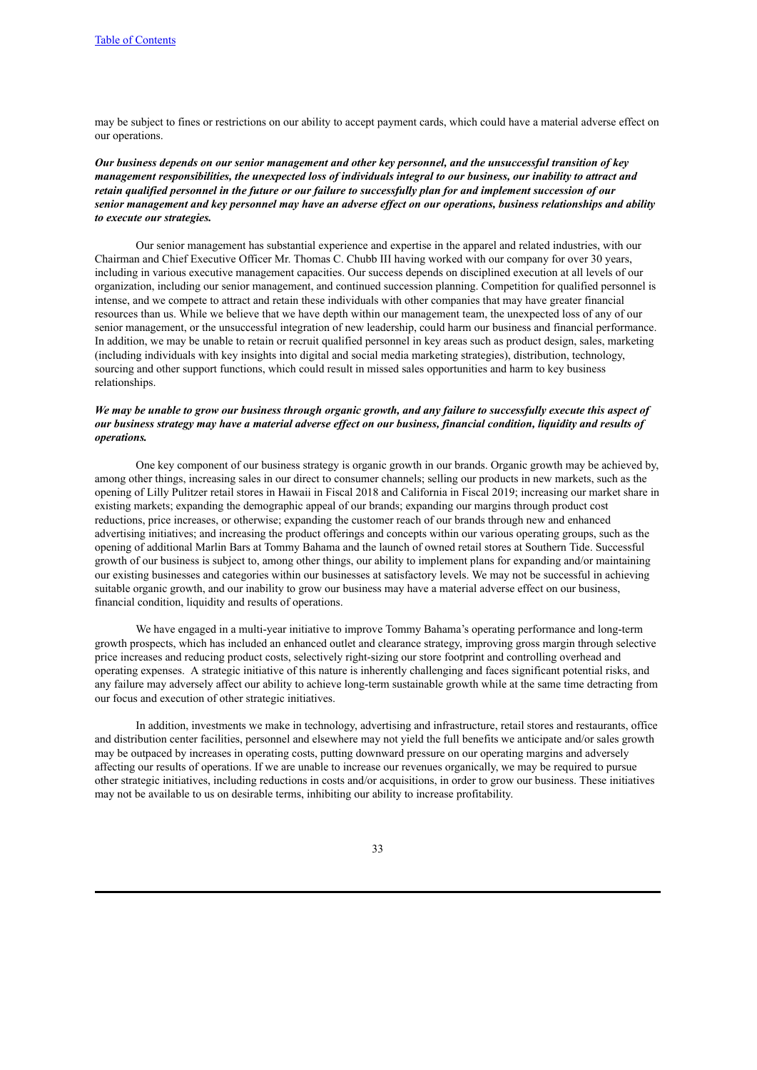may be subject to fines or restrictions on our ability to accept payment cards, which could have a material adverse effect on our operations.

### Our business depends on our senior management and other key personnel, and the unsuccessful transition of key management responsibilities, the unexpected loss of individuals integral to our business, our inability to attract and retain qualified personnel in the future or our failure to successfully plan for and implement succession of our senior management and key personnel may have an adverse effect on our operations, business relationships and ability *to execute our strategies.*

Our senior management has substantial experience and expertise in the apparel and related industries, with our Chairman and Chief Executive Officer Mr. Thomas C. Chubb III having worked with our company for over 30 years, including in various executive management capacities. Our success depends on disciplined execution at all levels of our organization, including our senior management, and continued succession planning. Competition for qualified personnel is intense, and we compete to attract and retain these individuals with other companies that may have greater financial resources than us. While we believe that we have depth within our management team, the unexpected loss of any of our senior management, or the unsuccessful integration of new leadership, could harm our business and financial performance. In addition, we may be unable to retain or recruit qualified personnel in key areas such as product design, sales, marketing (including individuals with key insights into digital and social media marketing strategies), distribution, technology, sourcing and other support functions, which could result in missed sales opportunities and harm to key business relationships.

### We may be unable to grow our business through organic growth, and any failure to successfully execute this aspect of our business strategy may have a material adverse effect on our business, financial condition, liquidity and results of *operations.*

One key component of our business strategy is organic growth in our brands. Organic growth may be achieved by, among other things, increasing sales in our direct to consumer channels; selling our products in new markets, such as the opening of Lilly Pulitzer retail stores in Hawaii in Fiscal 2018 and California in Fiscal 2019; increasing our market share in existing markets; expanding the demographic appeal of our brands; expanding our margins through product cost reductions, price increases, or otherwise; expanding the customer reach of our brands through new and enhanced advertising initiatives; and increasing the product offerings and concepts within our various operating groups, such as the opening of additional Marlin Bars at Tommy Bahama and the launch of owned retail stores at Southern Tide. Successful growth of our business is subject to, among other things, our ability to implement plans for expanding and/or maintaining our existing businesses and categories within our businesses at satisfactory levels. We may not be successful in achieving suitable organic growth, and our inability to grow our business may have a material adverse effect on our business, financial condition, liquidity and results of operations.

We have engaged in a multi-year initiative to improve Tommy Bahama's operating performance and long-term growth prospects, which has included an enhanced outlet and clearance strategy, improving gross margin through selective price increases and reducing product costs, selectively right-sizing our store footprint and controlling overhead and operating expenses. A strategic initiative of this nature is inherently challenging and faces significant potential risks, and any failure may adversely affect our ability to achieve long-term sustainable growth while at the same time detracting from our focus and execution of other strategic initiatives.

In addition, investments we make in technology, advertising and infrastructure, retail stores and restaurants, office and distribution center facilities, personnel and elsewhere may not yield the full benefits we anticipate and/or sales growth may be outpaced by increases in operating costs, putting downward pressure on our operating margins and adversely affecting our results of operations. If we are unable to increase our revenues organically, we may be required to pursue other strategic initiatives, including reductions in costs and/or acquisitions, in order to grow our business. These initiatives may not be available to us on desirable terms, inhibiting our ability to increase profitability.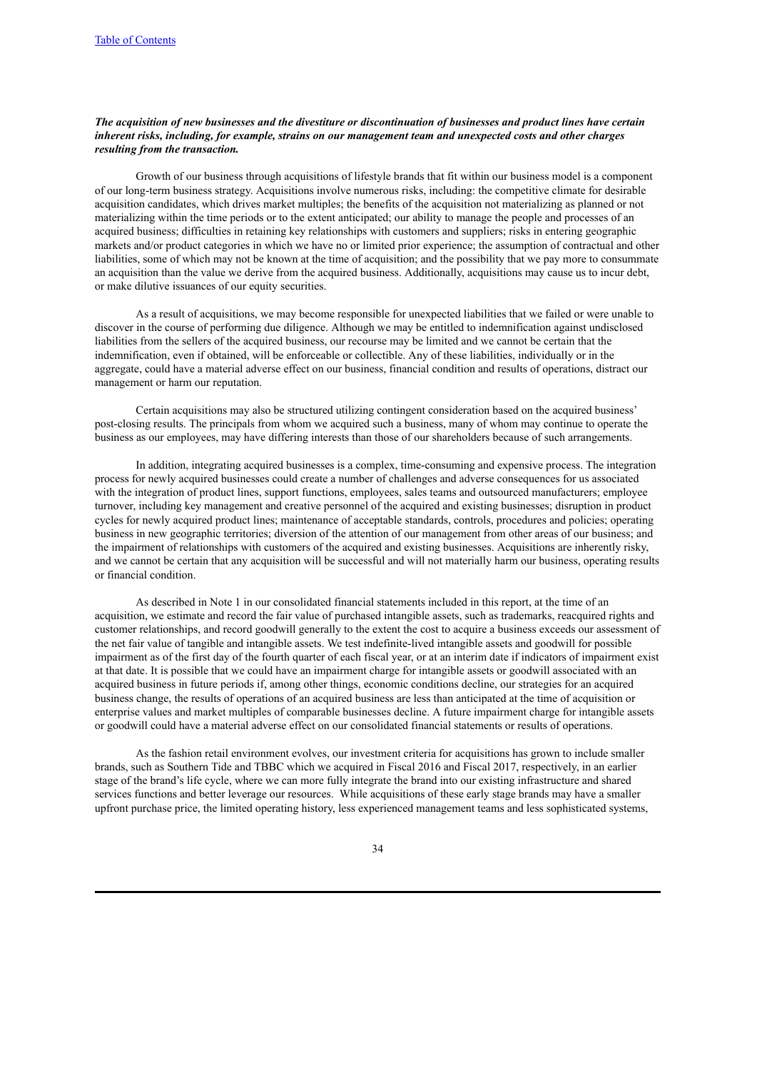### The acquisition of new businesses and the divestiture or discontinuation of businesses and product lines have certain *inherent risks, including, for example, strains on our management team and unexpected costs and other charges resulting from the transaction.*

Growth of our business through acquisitions of lifestyle brands that fit within our business model is a component of our long-term business strategy. Acquisitions involve numerous risks, including: the competitive climate for desirable acquisition candidates, which drives market multiples; the benefits of the acquisition not materializing as planned or not materializing within the time periods or to the extent anticipated; our ability to manage the people and processes of an acquired business; difficulties in retaining key relationships with customers and suppliers; risks in entering geographic markets and/or product categories in which we have no or limited prior experience; the assumption of contractual and other liabilities, some of which may not be known at the time of acquisition; and the possibility that we pay more to consummate an acquisition than the value we derive from the acquired business. Additionally, acquisitions may cause us to incur debt, or make dilutive issuances of our equity securities.

As a result of acquisitions, we may become responsible for unexpected liabilities that we failed or were unable to discover in the course of performing due diligence. Although we may be entitled to indemnification against undisclosed liabilities from the sellers of the acquired business, our recourse may be limited and we cannot be certain that the indemnification, even if obtained, will be enforceable or collectible. Any of these liabilities, individually or in the aggregate, could have a material adverse effect on our business, financial condition and results of operations, distract our management or harm our reputation.

Certain acquisitions may also be structured utilizing contingent consideration based on the acquired business' post-closing results. The principals from whom we acquired such a business, many of whom may continue to operate the business as our employees, may have differing interests than those of our shareholders because of such arrangements.

In addition, integrating acquired businesses is a complex, time-consuming and expensive process. The integration process for newly acquired businesses could create a number of challenges and adverse consequences for us associated with the integration of product lines, support functions, employees, sales teams and outsourced manufacturers; employee turnover, including key management and creative personnel of the acquired and existing businesses; disruption in product cycles for newly acquired product lines; maintenance of acceptable standards, controls, procedures and policies; operating business in new geographic territories; diversion of the attention of our management from other areas of our business; and the impairment of relationships with customers of the acquired and existing businesses. Acquisitions are inherently risky, and we cannot be certain that any acquisition will be successful and will not materially harm our business, operating results or financial condition.

As described in Note 1 in our consolidated financial statements included in this report, at the time of an acquisition, we estimate and record the fair value of purchased intangible assets, such as trademarks, reacquired rights and customer relationships, and record goodwill generally to the extent the cost to acquire a business exceeds our assessment of the net fair value of tangible and intangible assets. We test indefinite-lived intangible assets and goodwill for possible impairment as of the first day of the fourth quarter of each fiscal year, or at an interim date if indicators of impairment exist at that date. It is possible that we could have an impairment charge for intangible assets or goodwill associated with an acquired business in future periods if, among other things, economic conditions decline, our strategies for an acquired business change, the results of operations of an acquired business are less than anticipated at the time of acquisition or enterprise values and market multiples of comparable businesses decline. A future impairment charge for intangible assets or goodwill could have a material adverse effect on our consolidated financial statements or results of operations.

As the fashion retail environment evolves, our investment criteria for acquisitions has grown to include smaller brands, such as Southern Tide and TBBC which we acquired in Fiscal 2016 and Fiscal 2017, respectively, in an earlier stage of the brand's life cycle, where we can more fully integrate the brand into our existing infrastructure and shared services functions and better leverage our resources. While acquisitions of these early stage brands may have a smaller upfront purchase price, the limited operating history, less experienced management teams and less sophisticated systems,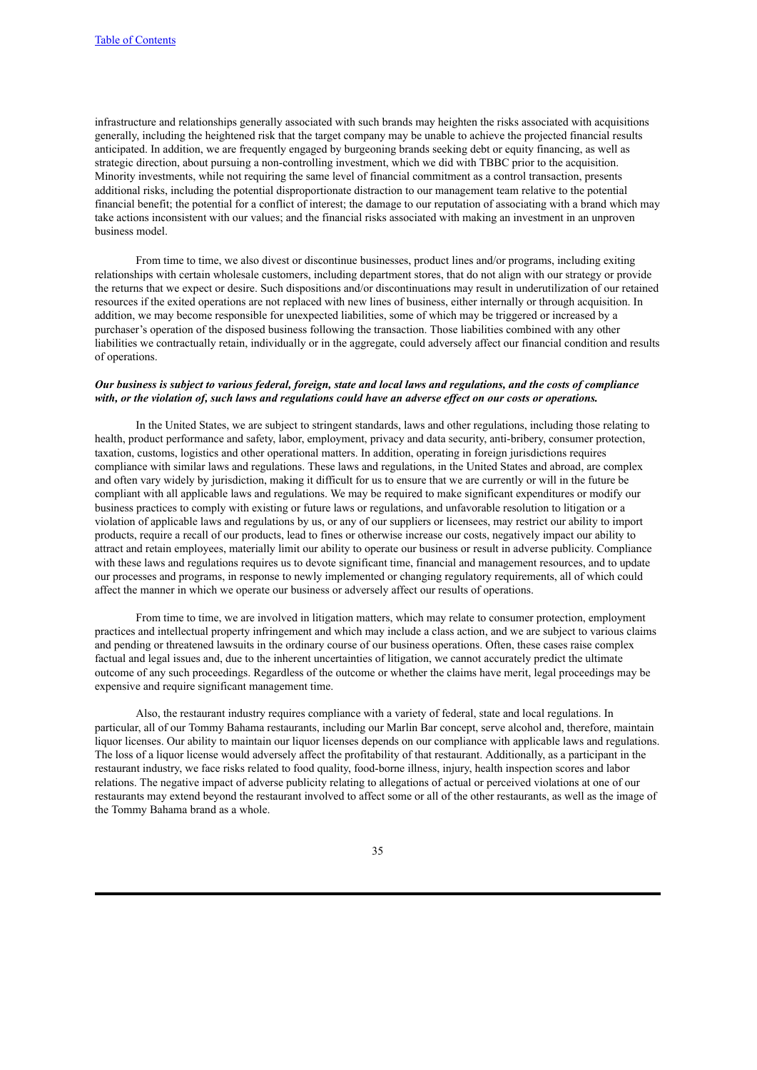infrastructure and relationships generally associated with such brands may heighten the risks associated with acquisitions generally, including the heightened risk that the target company may be unable to achieve the projected financial results anticipated. In addition, we are frequently engaged by burgeoning brands seeking debt or equity financing, as well as strategic direction, about pursuing a non-controlling investment, which we did with TBBC prior to the acquisition. Minority investments, while not requiring the same level of financial commitment as a control transaction, presents additional risks, including the potential disproportionate distraction to our management team relative to the potential financial benefit; the potential for a conflict of interest; the damage to our reputation of associating with a brand which may take actions inconsistent with our values; and the financial risks associated with making an investment in an unproven business model.

From time to time, we also divest or discontinue businesses, product lines and/or programs, including exiting relationships with certain wholesale customers, including department stores, that do not align with our strategy or provide the returns that we expect or desire. Such dispositions and/or discontinuations may result in underutilization of our retained resources if the exited operations are not replaced with new lines of business, either internally or through acquisition. In addition, we may become responsible for unexpected liabilities, some of which may be triggered or increased by a purchaser's operation of the disposed business following the transaction. Those liabilities combined with any other liabilities we contractually retain, individually or in the aggregate, could adversely affect our financial condition and results of operations.

### Our business is subject to various federal, foreign, state and local laws and regulations, and the costs of compliance with, or the violation of, such laws and regulations could have an adverse effect on our costs or operations.

In the United States, we are subject to stringent standards, laws and other regulations, including those relating to health, product performance and safety, labor, employment, privacy and data security, anti-bribery, consumer protection, taxation, customs, logistics and other operational matters. In addition, operating in foreign jurisdictions requires compliance with similar laws and regulations. These laws and regulations, in the United States and abroad, are complex and often vary widely by jurisdiction, making it difficult for us to ensure that we are currently or will in the future be compliant with all applicable laws and regulations. We may be required to make significant expenditures or modify our business practices to comply with existing or future laws or regulations, and unfavorable resolution to litigation or a violation of applicable laws and regulations by us, or any of our suppliers or licensees, may restrict our ability to import products, require a recall of our products, lead to fines or otherwise increase our costs, negatively impact our ability to attract and retain employees, materially limit our ability to operate our business or result in adverse publicity. Compliance with these laws and regulations requires us to devote significant time, financial and management resources, and to update our processes and programs, in response to newly implemented or changing regulatory requirements, all of which could affect the manner in which we operate our business or adversely affect our results of operations.

From time to time, we are involved in litigation matters, which may relate to consumer protection, employment practices and intellectual property infringement and which may include a class action, and we are subject to various claims and pending or threatened lawsuits in the ordinary course of our business operations. Often, these cases raise complex factual and legal issues and, due to the inherent uncertainties of litigation, we cannot accurately predict the ultimate outcome of any such proceedings. Regardless of the outcome or whether the claims have merit, legal proceedings may be expensive and require significant management time.

Also, the restaurant industry requires compliance with a variety of federal, state and local regulations. In particular, all of our Tommy Bahama restaurants, including our Marlin Bar concept, serve alcohol and, therefore, maintain liquor licenses. Our ability to maintain our liquor licenses depends on our compliance with applicable laws and regulations. The loss of a liquor license would adversely affect the profitability of that restaurant. Additionally, as a participant in the restaurant industry, we face risks related to food quality, food-borne illness, injury, health inspection scores and labor relations. The negative impact of adverse publicity relating to allegations of actual or perceived violations at one of our restaurants may extend beyond the restaurant involved to affect some or all of the other restaurants, as well as the image of the Tommy Bahama brand as a whole.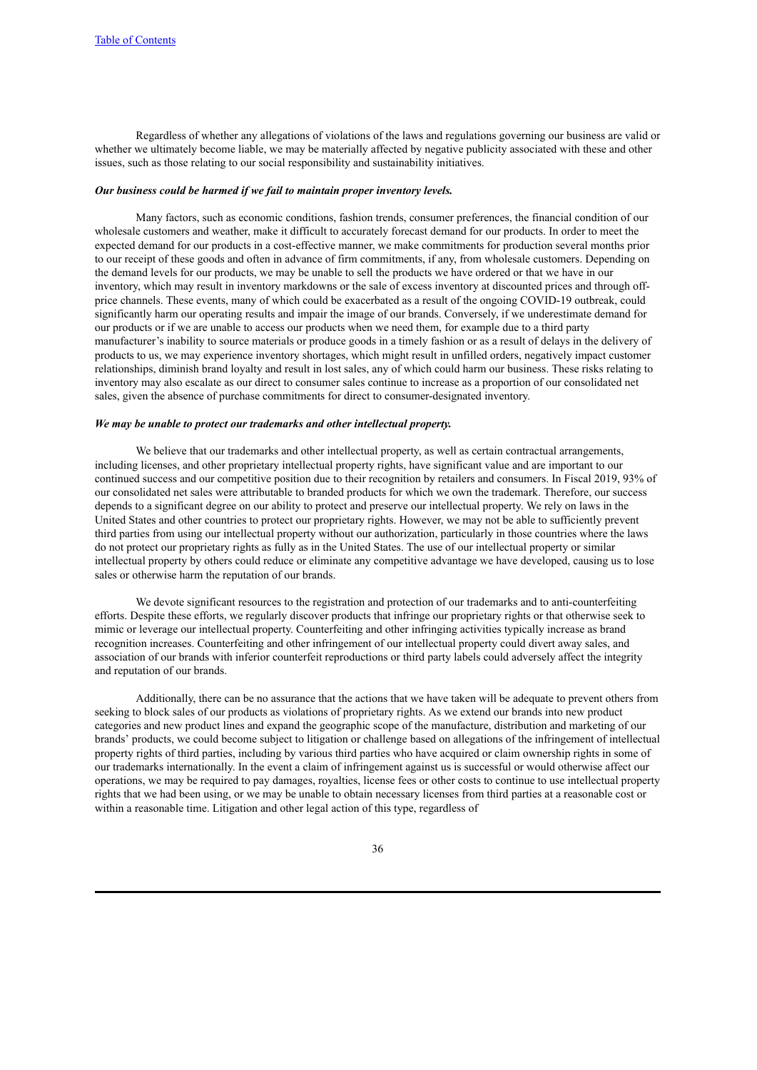Regardless of whether any allegations of violations of the laws and regulations governing our business are valid or whether we ultimately become liable, we may be materially affected by negative publicity associated with these and other issues, such as those relating to our social responsibility and sustainability initiatives.

#### *Our business could be harmed if we fail to maintain proper inventory levels.*

Many factors, such as economic conditions, fashion trends, consumer preferences, the financial condition of our wholesale customers and weather, make it difficult to accurately forecast demand for our products. In order to meet the expected demand for our products in a cost-effective manner, we make commitments for production several months prior to our receipt of these goods and often in advance of firm commitments, if any, from wholesale customers. Depending on the demand levels for our products, we may be unable to sell the products we have ordered or that we have in our inventory, which may result in inventory markdowns or the sale of excess inventory at discounted prices and through offprice channels. These events, many of which could be exacerbated as a result of the ongoing COVID-19 outbreak, could significantly harm our operating results and impair the image of our brands. Conversely, if we underestimate demand for our products or if we are unable to access our products when we need them, for example due to a third party manufacturer's inability to source materials or produce goods in a timely fashion or as a result of delays in the delivery of products to us, we may experience inventory shortages, which might result in unfilled orders, negatively impact customer relationships, diminish brand loyalty and result in lost sales, any of which could harm our business. These risks relating to inventory may also escalate as our direct to consumer sales continue to increase as a proportion of our consolidated net sales, given the absence of purchase commitments for direct to consumer-designated inventory.

### *We may be unable to protect our trademarks and other intellectual property.*

We believe that our trademarks and other intellectual property, as well as certain contractual arrangements, including licenses, and other proprietary intellectual property rights, have significant value and are important to our continued success and our competitive position due to their recognition by retailers and consumers. In Fiscal 2019, 93% of our consolidated net sales were attributable to branded products for which we own the trademark. Therefore, our success depends to a significant degree on our ability to protect and preserve our intellectual property. We rely on laws in the United States and other countries to protect our proprietary rights. However, we may not be able to sufficiently prevent third parties from using our intellectual property without our authorization, particularly in those countries where the laws do not protect our proprietary rights as fully as in the United States. The use of our intellectual property or similar intellectual property by others could reduce or eliminate any competitive advantage we have developed, causing us to lose sales or otherwise harm the reputation of our brands.

We devote significant resources to the registration and protection of our trademarks and to anti-counterfeiting efforts. Despite these efforts, we regularly discover products that infringe our proprietary rights or that otherwise seek to mimic or leverage our intellectual property. Counterfeiting and other infringing activities typically increase as brand recognition increases. Counterfeiting and other infringement of our intellectual property could divert away sales, and association of our brands with inferior counterfeit reproductions or third party labels could adversely affect the integrity and reputation of our brands.

Additionally, there can be no assurance that the actions that we have taken will be adequate to prevent others from seeking to block sales of our products as violations of proprietary rights. As we extend our brands into new product categories and new product lines and expand the geographic scope of the manufacture, distribution and marketing of our brands' products, we could become subject to litigation or challenge based on allegations of the infringement of intellectual property rights of third parties, including by various third parties who have acquired or claim ownership rights in some of our trademarks internationally. In the event a claim of infringement against us is successful or would otherwise affect our operations, we may be required to pay damages, royalties, license fees or other costs to continue to use intellectual property rights that we had been using, or we may be unable to obtain necessary licenses from third parties at a reasonable cost or within a reasonable time. Litigation and other legal action of this type, regardless of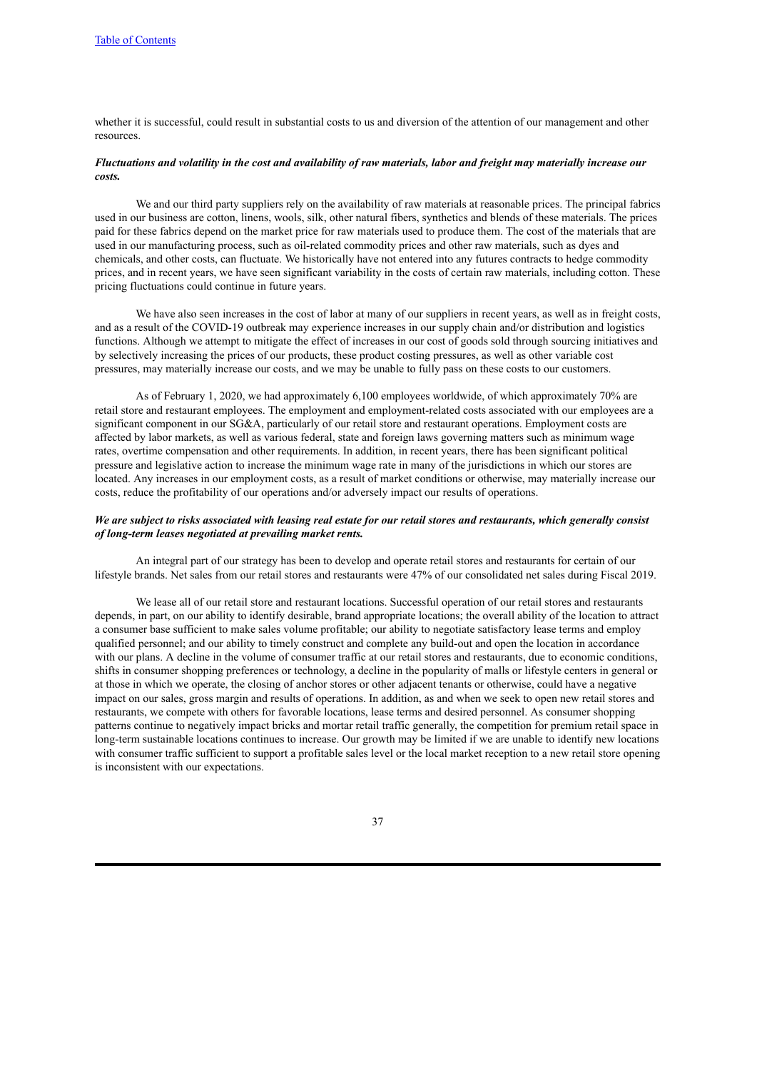whether it is successful, could result in substantial costs to us and diversion of the attention of our management and other resources.

### Fluctuations and volatility in the cost and availability of raw materials, labor and freight may materially increase our *costs.*

We and our third party suppliers rely on the availability of raw materials at reasonable prices. The principal fabrics used in our business are cotton, linens, wools, silk, other natural fibers, synthetics and blends of these materials. The prices paid for these fabrics depend on the market price for raw materials used to produce them. The cost of the materials that are used in our manufacturing process, such as oil-related commodity prices and other raw materials, such as dyes and chemicals, and other costs, can fluctuate. We historically have not entered into any futures contracts to hedge commodity prices, and in recent years, we have seen significant variability in the costs of certain raw materials, including cotton. These pricing fluctuations could continue in future years.

We have also seen increases in the cost of labor at many of our suppliers in recent years, as well as in freight costs, and as a result of the COVID-19 outbreak may experience increases in our supply chain and/or distribution and logistics functions. Although we attempt to mitigate the effect of increases in our cost of goods sold through sourcing initiatives and by selectively increasing the prices of our products, these product costing pressures, as well as other variable cost pressures, may materially increase our costs, and we may be unable to fully pass on these costs to our customers.

As of February 1, 2020, we had approximately 6,100 employees worldwide, of which approximately 70% are retail store and restaurant employees. The employment and employment-related costs associated with our employees are a significant component in our SG&A, particularly of our retail store and restaurant operations. Employment costs are affected by labor markets, as well as various federal, state and foreign laws governing matters such as minimum wage rates, overtime compensation and other requirements. In addition, in recent years, there has been significant political pressure and legislative action to increase the minimum wage rate in many of the jurisdictions in which our stores are located. Any increases in our employment costs, as a result of market conditions or otherwise, may materially increase our costs, reduce the profitability of our operations and/or adversely impact our results of operations.

## We are subject to risks associated with leasing real estate for our retail stores and restaurants, which generally consist *of long-term leases negotiated at prevailing market rents.*

An integral part of our strategy has been to develop and operate retail stores and restaurants for certain of our lifestyle brands. Net sales from our retail stores and restaurants were 47% of our consolidated net sales during Fiscal 2019.

We lease all of our retail store and restaurant locations. Successful operation of our retail stores and restaurants depends, in part, on our ability to identify desirable, brand appropriate locations; the overall ability of the location to attract a consumer base sufficient to make sales volume profitable; our ability to negotiate satisfactory lease terms and employ qualified personnel; and our ability to timely construct and complete any build-out and open the location in accordance with our plans. A decline in the volume of consumer traffic at our retail stores and restaurants, due to economic conditions, shifts in consumer shopping preferences or technology, a decline in the popularity of malls or lifestyle centers in general or at those in which we operate, the closing of anchor stores or other adjacent tenants or otherwise, could have a negative impact on our sales, gross margin and results of operations. In addition, as and when we seek to open new retail stores and restaurants, we compete with others for favorable locations, lease terms and desired personnel. As consumer shopping patterns continue to negatively impact bricks and mortar retail traffic generally, the competition for premium retail space in long-term sustainable locations continues to increase. Our growth may be limited if we are unable to identify new locations with consumer traffic sufficient to support a profitable sales level or the local market reception to a new retail store opening is inconsistent with our expectations.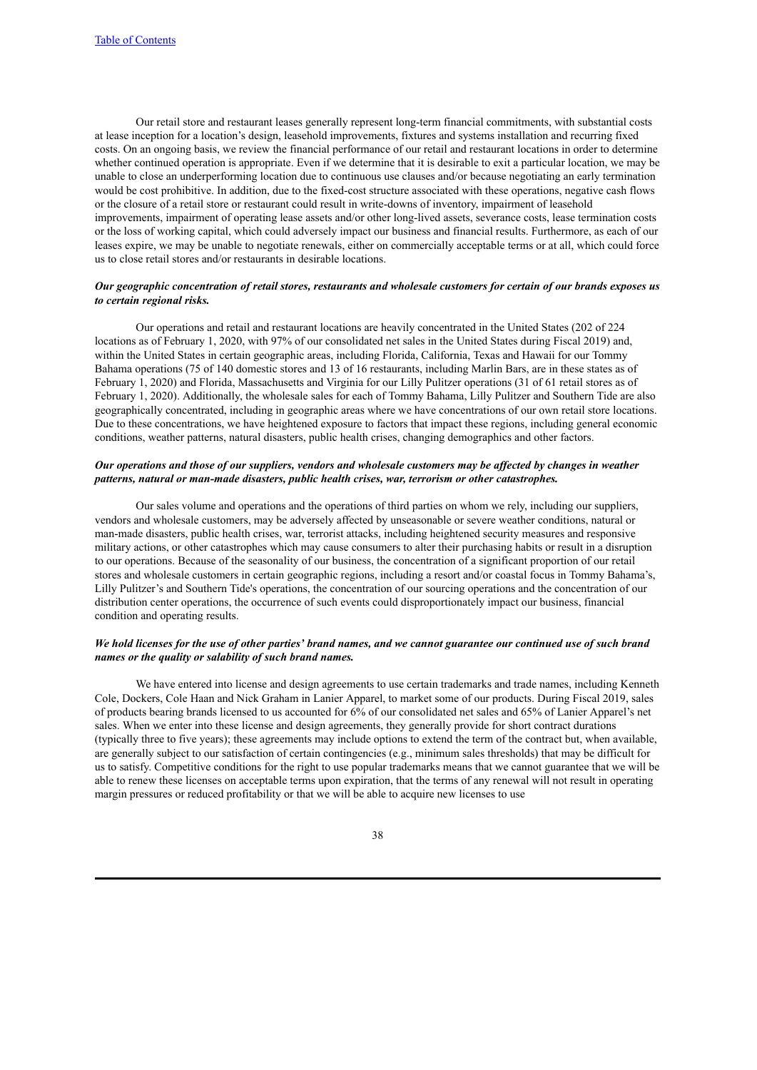Our retail store and restaurant leases generally represent long-term financial commitments, with substantial costs at lease inception for a location's design, leasehold improvements, fixtures and systems installation and recurring fixed costs. On an ongoing basis, we review the financial performance of our retail and restaurant locations in order to determine whether continued operation is appropriate. Even if we determine that it is desirable to exit a particular location, we may be unable to close an underperforming location due to continuous use clauses and/or because negotiating an early termination would be cost prohibitive. In addition, due to the fixed-cost structure associated with these operations, negative cash flows or the closure of a retail store or restaurant could result in write-downs of inventory, impairment of leasehold improvements, impairment of operating lease assets and/or other long-lived assets, severance costs, lease termination costs or the loss of working capital, which could adversely impact our business and financial results. Furthermore, as each of our leases expire, we may be unable to negotiate renewals, either on commercially acceptable terms or at all, which could force us to close retail stores and/or restaurants in desirable locations.

## Our geographic concentration of retail stores, restaurants and wholesale customers for certain of our brands exposes us *to certain regional risks.*

Our operations and retail and restaurant locations are heavily concentrated in the United States (202 of 224 locations as of February 1, 2020, with 97% of our consolidated net sales in the United States during Fiscal 2019) and, within the United States in certain geographic areas, including Florida, California, Texas and Hawaii for our Tommy Bahama operations (75 of 140 domestic stores and 13 of 16 restaurants, including Marlin Bars, are in these states as of February 1, 2020) and Florida, Massachusetts and Virginia for our Lilly Pulitzer operations (31 of 61 retail stores as of February 1, 2020). Additionally, the wholesale sales for each of Tommy Bahama, Lilly Pulitzer and Southern Tide are also geographically concentrated, including in geographic areas where we have concentrations of our own retail store locations. Due to these concentrations, we have heightened exposure to factors that impact these regions, including general economic conditions, weather patterns, natural disasters, public health crises, changing demographics and other factors.

## Our operations and those of our suppliers, vendors and wholesale customers may be affected by changes in weather *patterns, natural or man-made disasters, public health crises, war, terrorism or other catastrophes.*

Our sales volume and operations and the operations of third parties on whom we rely, including our suppliers, vendors and wholesale customers, may be adversely affected by unseasonable or severe weather conditions, natural or man-made disasters, public health crises, war, terrorist attacks, including heightened security measures and responsive military actions, or other catastrophes which may cause consumers to alter their purchasing habits or result in a disruption to our operations. Because of the seasonality of our business, the concentration of a significant proportion of our retail stores and wholesale customers in certain geographic regions, including a resort and/or coastal focus in Tommy Bahama's, Lilly Pulitzer's and Southern Tide's operations, the concentration of our sourcing operations and the concentration of our distribution center operations, the occurrence of such events could disproportionately impact our business, financial condition and operating results.

## We hold licenses for the use of other parties' brand names, and we cannot guarantee our continued use of such brand *names or the quality or salability of such brand names.*

We have entered into license and design agreements to use certain trademarks and trade names, including Kenneth Cole, Dockers, Cole Haan and Nick Graham in Lanier Apparel, to market some of our products. During Fiscal 2019, sales of products bearing brands licensed to us accounted for 6% of our consolidated net sales and 65% of Lanier Apparel's net sales. When we enter into these license and design agreements, they generally provide for short contract durations (typically three to five years); these agreements may include options to extend the term of the contract but, when available, are generally subject to our satisfaction of certain contingencies (e.g., minimum sales thresholds) that may be difficult for us to satisfy. Competitive conditions for the right to use popular trademarks means that we cannot guarantee that we will be able to renew these licenses on acceptable terms upon expiration, that the terms of any renewal will not result in operating margin pressures or reduced profitability or that we will be able to acquire new licenses to use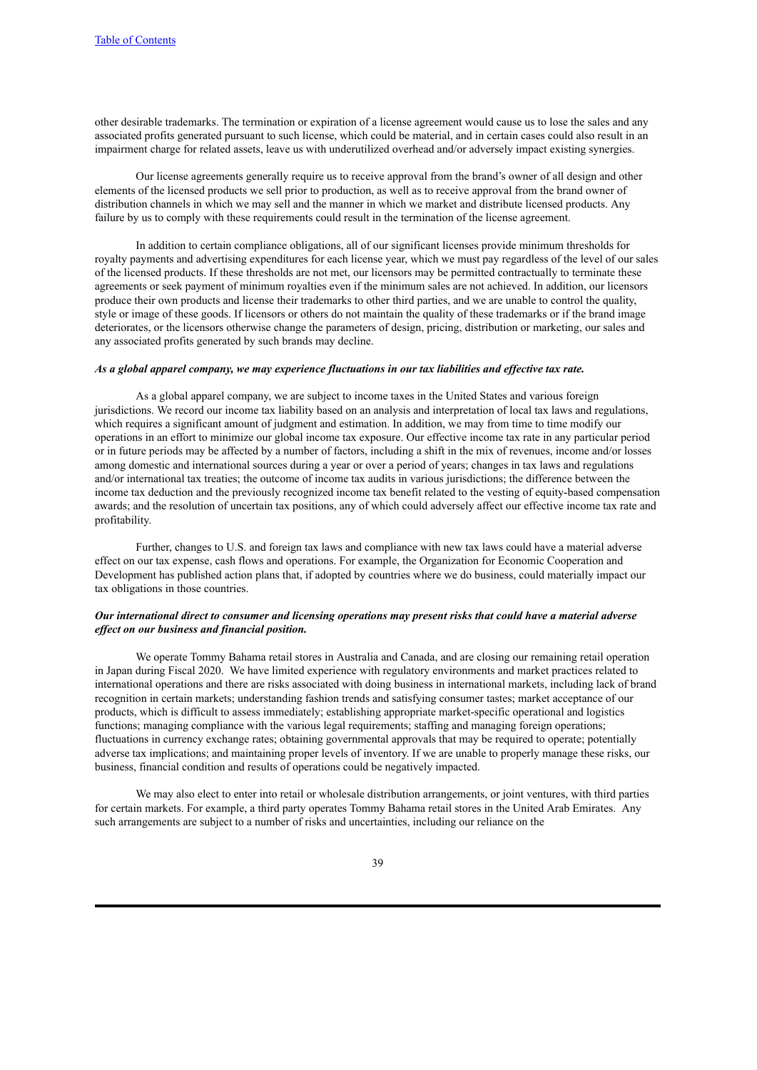other desirable trademarks. The termination or expiration of a license agreement would cause us to lose the sales and any associated profits generated pursuant to such license, which could be material, and in certain cases could also result in an impairment charge for related assets, leave us with underutilized overhead and/or adversely impact existing synergies.

Our license agreements generally require us to receive approval from the brand's owner of all design and other elements of the licensed products we sell prior to production, as well as to receive approval from the brand owner of distribution channels in which we may sell and the manner in which we market and distribute licensed products. Any failure by us to comply with these requirements could result in the termination of the license agreement.

In addition to certain compliance obligations, all of our significant licenses provide minimum thresholds for royalty payments and advertising expenditures for each license year, which we must pay regardless of the level of our sales of the licensed products. If these thresholds are not met, our licensors may be permitted contractually to terminate these agreements or seek payment of minimum royalties even if the minimum sales are not achieved. In addition, our licensors produce their own products and license their trademarks to other third parties, and we are unable to control the quality, style or image of these goods. If licensors or others do not maintain the quality of these trademarks or if the brand image deteriorates, or the licensors otherwise change the parameters of design, pricing, distribution or marketing, our sales and any associated profits generated by such brands may decline.

# As a global apparel company, we may experience fluctuations in our tax liabilities and effective tax rate.

As a global apparel company, we are subject to income taxes in the United States and various foreign jurisdictions. We record our income tax liability based on an analysis and interpretation of local tax laws and regulations, which requires a significant amount of judgment and estimation. In addition, we may from time to time modify our operations in an effort to minimize our global income tax exposure. Our effective income tax rate in any particular period or in future periods may be affected by a number of factors, including a shift in the mix of revenues, income and/or losses among domestic and international sources during a year or over a period of years; changes in tax laws and regulations and/or international tax treaties; the outcome of income tax audits in various jurisdictions; the difference between the income tax deduction and the previously recognized income tax benefit related to the vesting of equity-based compensation awards; and the resolution of uncertain tax positions, any of which could adversely affect our effective income tax rate and profitability.

Further, changes to U.S. and foreign tax laws and compliance with new tax laws could have a material adverse effect on our tax expense, cash flows and operations. For example, the Organization for Economic Cooperation and Development has published action plans that, if adopted by countries where we do business, could materially impact our tax obligations in those countries.

## Our international direct to consumer and licensing operations may present risks that could have a material adverse *ef ect on our business and financial position.*

We operate Tommy Bahama retail stores in Australia and Canada, and are closing our remaining retail operation in Japan during Fiscal 2020. We have limited experience with regulatory environments and market practices related to international operations and there are risks associated with doing business in international markets, including lack of brand recognition in certain markets; understanding fashion trends and satisfying consumer tastes; market acceptance of our products, which is difficult to assess immediately; establishing appropriate market-specific operational and logistics functions; managing compliance with the various legal requirements; staffing and managing foreign operations; fluctuations in currency exchange rates; obtaining governmental approvals that may be required to operate; potentially adverse tax implications; and maintaining proper levels of inventory. If we are unable to properly manage these risks, our business, financial condition and results of operations could be negatively impacted.

We may also elect to enter into retail or wholesale distribution arrangements, or joint ventures, with third parties for certain markets. For example, a third party operates Tommy Bahama retail stores in the United Arab Emirates. Any such arrangements are subject to a number of risks and uncertainties, including our reliance on the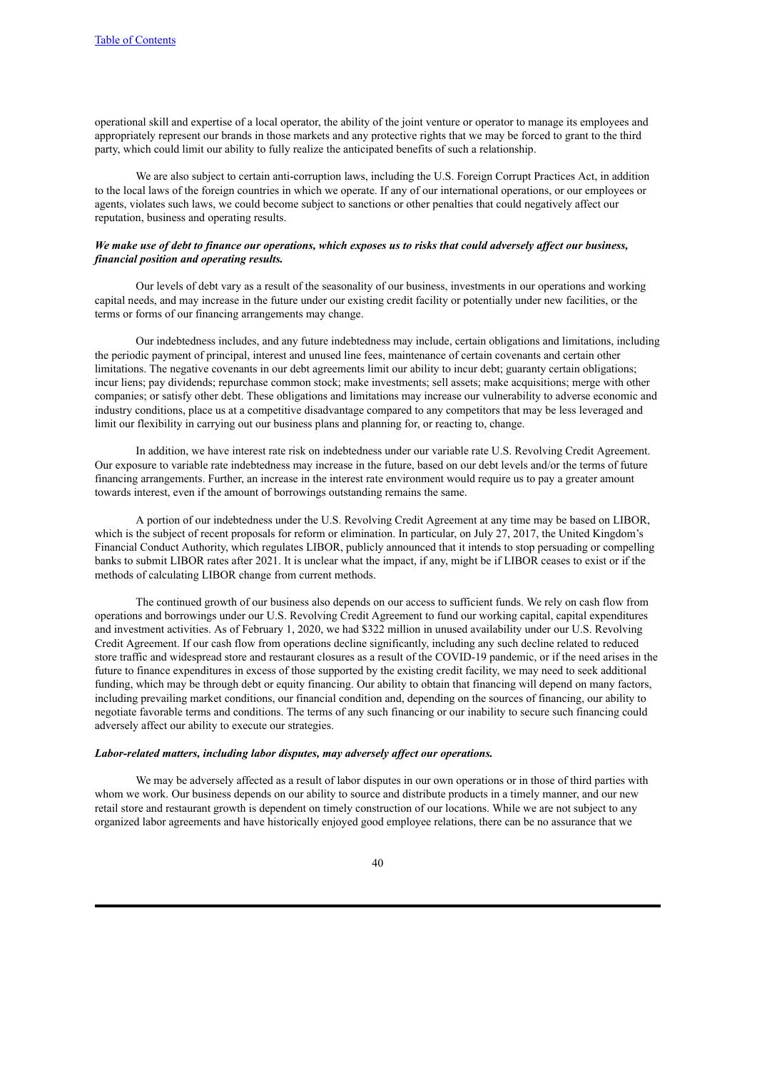operational skill and expertise of a local operator, the ability of the joint venture or operator to manage its employees and appropriately represent our brands in those markets and any protective rights that we may be forced to grant to the third party, which could limit our ability to fully realize the anticipated benefits of such a relationship.

We are also subject to certain anti-corruption laws, including the U.S. Foreign Corrupt Practices Act, in addition to the local laws of the foreign countries in which we operate. If any of our international operations, or our employees or agents, violates such laws, we could become subject to sanctions or other penalties that could negatively affect our reputation, business and operating results.

### We make use of debt to finance our operations, which exposes us to risks that could adversely affect our business, *financial position and operating results.*

Our levels of debt vary as a result of the seasonality of our business, investments in our operations and working capital needs, and may increase in the future under our existing credit facility or potentially under new facilities, or the terms or forms of our financing arrangements may change.

Our indebtedness includes, and any future indebtedness may include, certain obligations and limitations, including the periodic payment of principal, interest and unused line fees, maintenance of certain covenants and certain other limitations. The negative covenants in our debt agreements limit our ability to incur debt; guaranty certain obligations; incur liens; pay dividends; repurchase common stock; make investments; sell assets; make acquisitions; merge with other companies; or satisfy other debt. These obligations and limitations may increase our vulnerability to adverse economic and industry conditions, place us at a competitive disadvantage compared to any competitors that may be less leveraged and limit our flexibility in carrying out our business plans and planning for, or reacting to, change.

In addition, we have interest rate risk on indebtedness under our variable rate U.S. Revolving Credit Agreement. Our exposure to variable rate indebtedness may increase in the future, based on our debt levels and/or the terms of future financing arrangements. Further, an increase in the interest rate environment would require us to pay a greater amount towards interest, even if the amount of borrowings outstanding remains the same.

A portion of our indebtedness under the U.S. Revolving Credit Agreement at any time may be based on LIBOR, which is the subject of recent proposals for reform or elimination. In particular, on July 27, 2017, the United Kingdom's Financial Conduct Authority, which regulates LIBOR, publicly announced that it intends to stop persuading or compelling banks to submit LIBOR rates after 2021. It is unclear what the impact, if any, might be if LIBOR ceases to exist or if the methods of calculating LIBOR change from current methods.

The continued growth of our business also depends on our access to sufficient funds. We rely on cash flow from operations and borrowings under our U.S. Revolving Credit Agreement to fund our working capital, capital expenditures and investment activities. As of February 1, 2020, we had \$322 million in unused availability under our U.S. Revolving Credit Agreement. If our cash flow from operations decline significantly, including any such decline related to reduced store traffic and widespread store and restaurant closures as a result of the COVID-19 pandemic, or if the need arises in the future to finance expenditures in excess of those supported by the existing credit facility, we may need to seek additional funding, which may be through debt or equity financing. Our ability to obtain that financing will depend on many factors, including prevailing market conditions, our financial condition and, depending on the sources of financing, our ability to negotiate favorable terms and conditions. The terms of any such financing or our inability to secure such financing could adversely affect our ability to execute our strategies.

#### *Labor-related matters, including labor disputes, may adversely af ect our operations.*

We may be adversely affected as a result of labor disputes in our own operations or in those of third parties with whom we work. Our business depends on our ability to source and distribute products in a timely manner, and our new retail store and restaurant growth is dependent on timely construction of our locations. While we are not subject to any organized labor agreements and have historically enjoyed good employee relations, there can be no assurance that we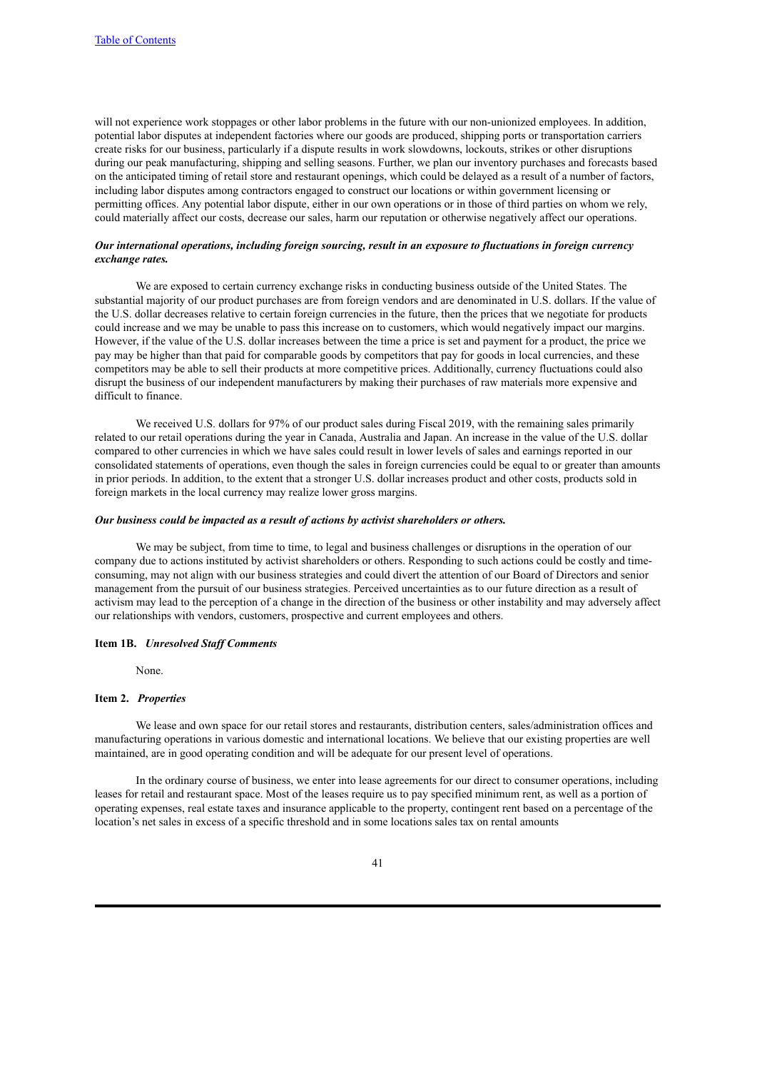will not experience work stoppages or other labor problems in the future with our non-unionized employees. In addition, potential labor disputes at independent factories where our goods are produced, shipping ports or transportation carriers create risks for our business, particularly if a dispute results in work slowdowns, lockouts, strikes or other disruptions during our peak manufacturing, shipping and selling seasons. Further, we plan our inventory purchases and forecasts based on the anticipated timing of retail store and restaurant openings, which could be delayed as a result of a number of factors, including labor disputes among contractors engaged to construct our locations or within government licensing or permitting offices. Any potential labor dispute, either in our own operations or in those of third parties on whom we rely, could materially affect our costs, decrease our sales, harm our reputation or otherwise negatively affect our operations.

### *Our international operations, including foreign sourcing, result in an exposure to fluctuations in foreign currency exchange rates.*

We are exposed to certain currency exchange risks in conducting business outside of the United States. The substantial majority of our product purchases are from foreign vendors and are denominated in U.S. dollars. If the value of the U.S. dollar decreases relative to certain foreign currencies in the future, then the prices that we negotiate for products could increase and we may be unable to pass this increase on to customers, which would negatively impact our margins. However, if the value of the U.S. dollar increases between the time a price is set and payment for a product, the price we pay may be higher than that paid for comparable goods by competitors that pay for goods in local currencies, and these competitors may be able to sell their products at more competitive prices. Additionally, currency fluctuations could also disrupt the business of our independent manufacturers by making their purchases of raw materials more expensive and difficult to finance.

We received U.S. dollars for 97% of our product sales during Fiscal 2019, with the remaining sales primarily related to our retail operations during the year in Canada, Australia and Japan. An increase in the value of the U.S. dollar compared to other currencies in which we have sales could result in lower levels of sales and earnings reported in our consolidated statements of operations, even though the sales in foreign currencies could be equal to or greater than amounts in prior periods. In addition, to the extent that a stronger U.S. dollar increases product and other costs, products sold in foreign markets in the local currency may realize lower gross margins.

### *Our business could be impacted as a result of actions by activist shareholders or others.*

We may be subject, from time to time, to legal and business challenges or disruptions in the operation of our company due to actions instituted by activist shareholders or others. Responding to such actions could be costly and timeconsuming, may not align with our business strategies and could divert the attention of our Board of Directors and senior management from the pursuit of our business strategies. Perceived uncertainties as to our future direction as a result of activism may lead to the perception of a change in the direction of the business or other instability and may adversely affect our relationships with vendors, customers, prospective and current employees and others.

#### **Item 1B.** *Unresolved Staf Comments*

None.

### **Item 2.** *Properties*

We lease and own space for our retail stores and restaurants, distribution centers, sales/administration offices and manufacturing operations in various domestic and international locations. We believe that our existing properties are well maintained, are in good operating condition and will be adequate for our present level of operations.

In the ordinary course of business, we enter into lease agreements for our direct to consumer operations, including leases for retail and restaurant space. Most of the leases require us to pay specified minimum rent, as well as a portion of operating expenses, real estate taxes and insurance applicable to the property, contingent rent based on a percentage of the location's net sales in excess of a specific threshold and in some locations sales tax on rental amounts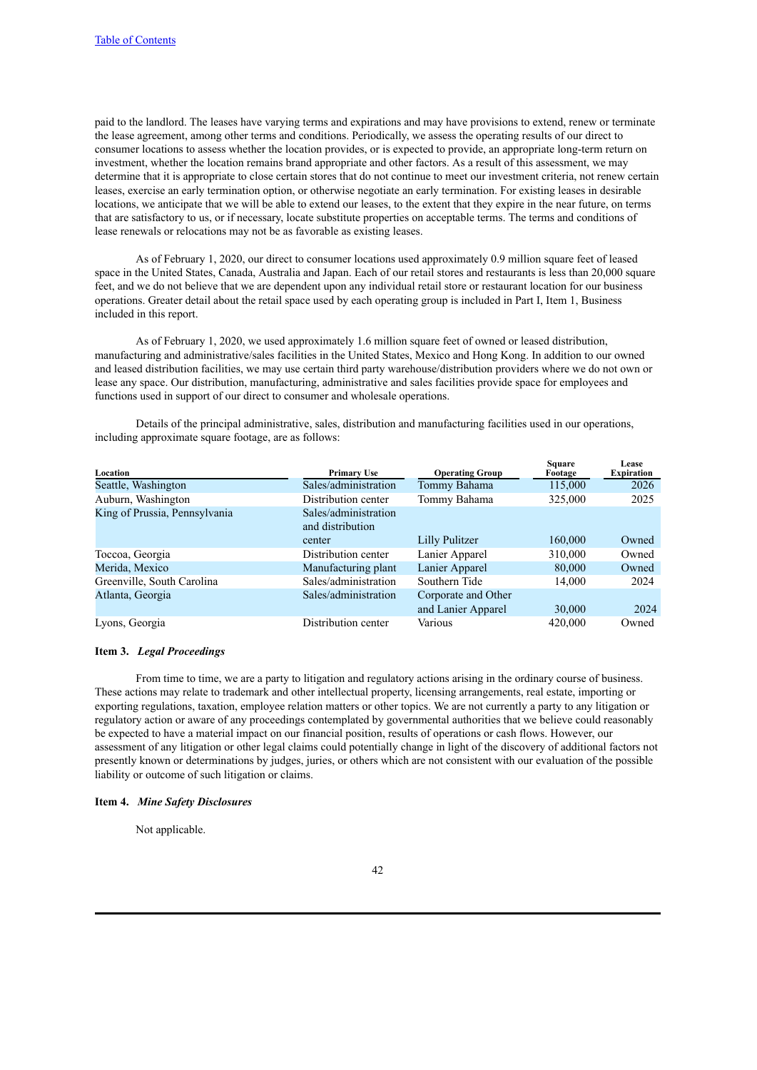paid to the landlord. The leases have varying terms and expirations and may have provisions to extend, renew or terminate the lease agreement, among other terms and conditions. Periodically, we assess the operating results of our direct to consumer locations to assess whether the location provides, or is expected to provide, an appropriate long-term return on investment, whether the location remains brand appropriate and other factors. As a result of this assessment, we may determine that it is appropriate to close certain stores that do not continue to meet our investment criteria, not renew certain leases, exercise an early termination option, or otherwise negotiate an early termination. For existing leases in desirable locations, we anticipate that we will be able to extend our leases, to the extent that they expire in the near future, on terms that are satisfactory to us, or if necessary, locate substitute properties on acceptable terms. The terms and conditions of lease renewals or relocations may not be as favorable as existing leases.

As of February 1, 2020, our direct to consumer locations used approximately 0.9 million square feet of leased space in the United States, Canada, Australia and Japan. Each of our retail stores and restaurants is less than 20,000 square feet, and we do not believe that we are dependent upon any individual retail store or restaurant location for our business operations. Greater detail about the retail space used by each operating group is included in Part I, Item 1, Business included in this report.

As of February 1, 2020, we used approximately 1.6 million square feet of owned or leased distribution, manufacturing and administrative/sales facilities in the United States, Mexico and Hong Kong. In addition to our owned and leased distribution facilities, we may use certain third party warehouse/distribution providers where we do not own or lease any space. Our distribution, manufacturing, administrative and sales facilities provide space for employees and functions used in support of our direct to consumer and wholesale operations.

Details of the principal administrative, sales, distribution and manufacturing facilities used in our operations, including approximate square footage, are as follows:

| Location                      | <b>Primary Use</b>                       | <b>Operating Group</b>                    | <b>Square</b><br>Footage | Lease<br><b>Expiration</b> |
|-------------------------------|------------------------------------------|-------------------------------------------|--------------------------|----------------------------|
| Seattle, Washington           | Sales/administration                     | Tommy Bahama                              | 115,000                  | 2026                       |
| Auburn, Washington            | Distribution center                      | Tommy Bahama                              | 325,000                  | 2025                       |
| King of Prussia, Pennsylvania | Sales/administration<br>and distribution |                                           |                          |                            |
|                               | center                                   | Lilly Pulitzer                            | 160,000                  | Owned                      |
| Toccoa, Georgia               | Distribution center                      | Lanier Apparel                            | 310,000                  | Owned                      |
| Merida, Mexico                | Manufacturing plant                      | Lanier Apparel                            | 80,000                   | Owned                      |
| Greenville, South Carolina    | Sales/administration                     | Southern Tide                             | 14,000                   | 2024                       |
| Atlanta, Georgia              | Sales/administration                     | Corporate and Other<br>and Lanier Apparel | 30,000                   | 2024                       |
| Lyons, Georgia                | Distribution center                      | Various                                   | 420,000                  | Owned                      |

### **Item 3.** *Legal Proceedings*

From time to time, we are a party to litigation and regulatory actions arising in the ordinary course of business. These actions may relate to trademark and other intellectual property, licensing arrangements, real estate, importing or exporting regulations, taxation, employee relation matters or other topics. We are not currently a party to any litigation or regulatory action or aware of any proceedings contemplated by governmental authorities that we believe could reasonably be expected to have a material impact on our financial position, results of operations or cash flows. However, our assessment of any litigation or other legal claims could potentially change in light of the discovery of additional factors not presently known or determinations by judges, juries, or others which are not consistent with our evaluation of the possible liability or outcome of such litigation or claims.

## **Item 4.** *Mine Safety Disclosures*

Not applicable.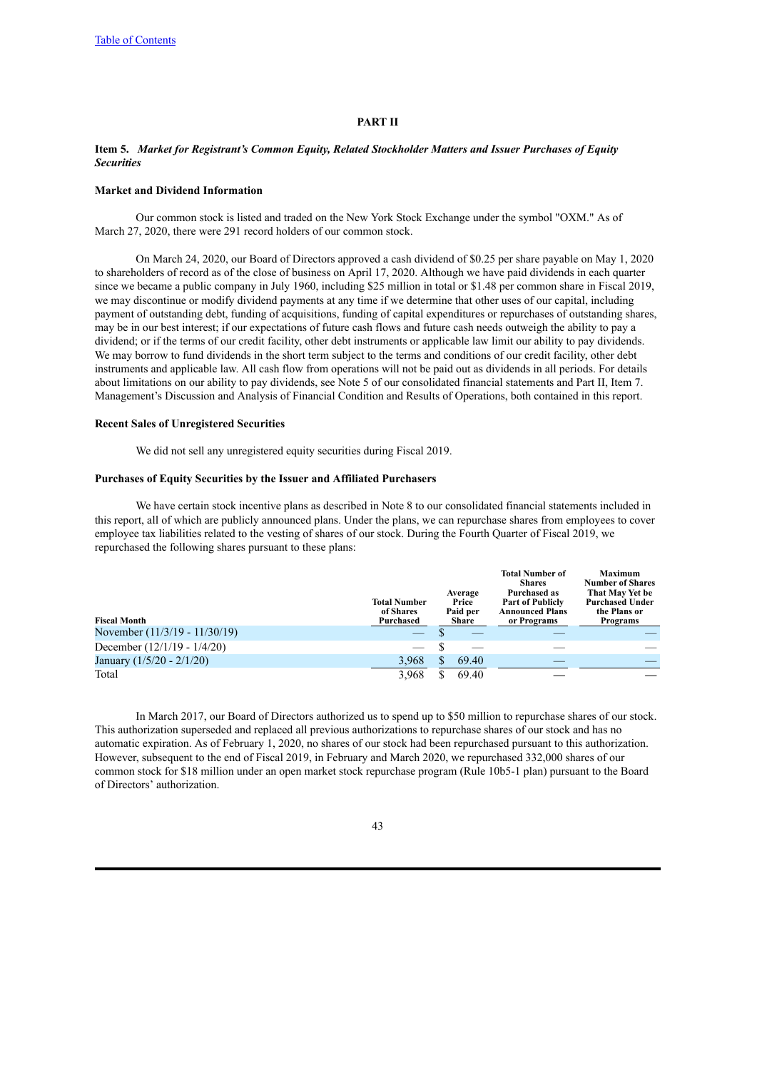# **PART II**

## **Item 5.** *Market for Registrant's Common Equity, Related Stockholder Matters and Issuer Purchases of Equity Securities*

# **Market and Dividend Information**

Our common stock is listed and traded on the New York Stock Exchange under the symbol "OXM." As of March 27, 2020, there were 291 record holders of our common stock.

On March 24, 2020, our Board of Directors approved a cash dividend of \$0.25 per share payable on May 1, 2020 to shareholders of record as of the close of business on April 17, 2020. Although we have paid dividends in each quarter since we became a public company in July 1960, including \$25 million in total or \$1.48 per common share in Fiscal 2019, we may discontinue or modify dividend payments at any time if we determine that other uses of our capital, including payment of outstanding debt, funding of acquisitions, funding of capital expenditures or repurchases of outstanding shares, may be in our best interest; if our expectations of future cash flows and future cash needs outweigh the ability to pay a dividend; or if the terms of our credit facility, other debt instruments or applicable law limit our ability to pay dividends. We may borrow to fund dividends in the short term subject to the terms and conditions of our credit facility, other debt instruments and applicable law. All cash flow from operations will not be paid out as dividends in all periods. For details about limitations on our ability to pay dividends, see Note 5 of our consolidated financial statements and Part II, Item 7. Management's Discussion and Analysis of Financial Condition and Results of Operations, both contained in this report.

## **Recent Sales of Unregistered Securities**

We did not sell any unregistered equity securities during Fiscal 2019.

### **Purchases of Equity Securities by the Issuer and Affiliated Purchasers**

We have certain stock incentive plans as described in Note 8 to our consolidated financial statements included in this report, all of which are publicly announced plans. Under the plans, we can repurchase shares from employees to cover employee tax liabilities related to the vesting of shares of our stock. During the Fourth Quarter of Fiscal 2019, we repurchased the following shares pursuant to these plans:

| <b>Fiscal Month</b>           | <b>Total Number</b><br>of Shares<br>Purchased | Average<br>Price<br>Paid per<br>Share | <b>Total Number of</b><br><b>Shares</b><br>Purchased as<br><b>Part of Publicly</b><br><b>Announced Plans</b><br>or Programs | <b>Maximum</b><br><b>Number of Shares</b><br>That May Yet be<br><b>Purchased Under</b><br>the Plans or<br>Programs |
|-------------------------------|-----------------------------------------------|---------------------------------------|-----------------------------------------------------------------------------------------------------------------------------|--------------------------------------------------------------------------------------------------------------------|
|                               |                                               |                                       |                                                                                                                             |                                                                                                                    |
| November (11/3/19 - 11/30/19) |                                               |                                       |                                                                                                                             |                                                                                                                    |
| December $(12/1/19 - 1/4/20)$ |                                               |                                       |                                                                                                                             |                                                                                                                    |
| January $(1/5/20 - 2/1/20)$   | 3,968                                         | 69.40                                 |                                                                                                                             |                                                                                                                    |
| Total                         | 3.968                                         | 69.40                                 |                                                                                                                             |                                                                                                                    |

In March 2017, our Board of Directors authorized us to spend up to \$50 million to repurchase shares of our stock. This authorization superseded and replaced all previous authorizations to repurchase shares of our stock and has no automatic expiration. As of February 1, 2020, no shares of our stock had been repurchased pursuant to this authorization. However, subsequent to the end of Fiscal 2019, in February and March 2020, we repurchased 332,000 shares of our common stock for \$18 million under an open market stock repurchase program (Rule 10b5-1 plan) pursuant to the Board of Directors' authorization.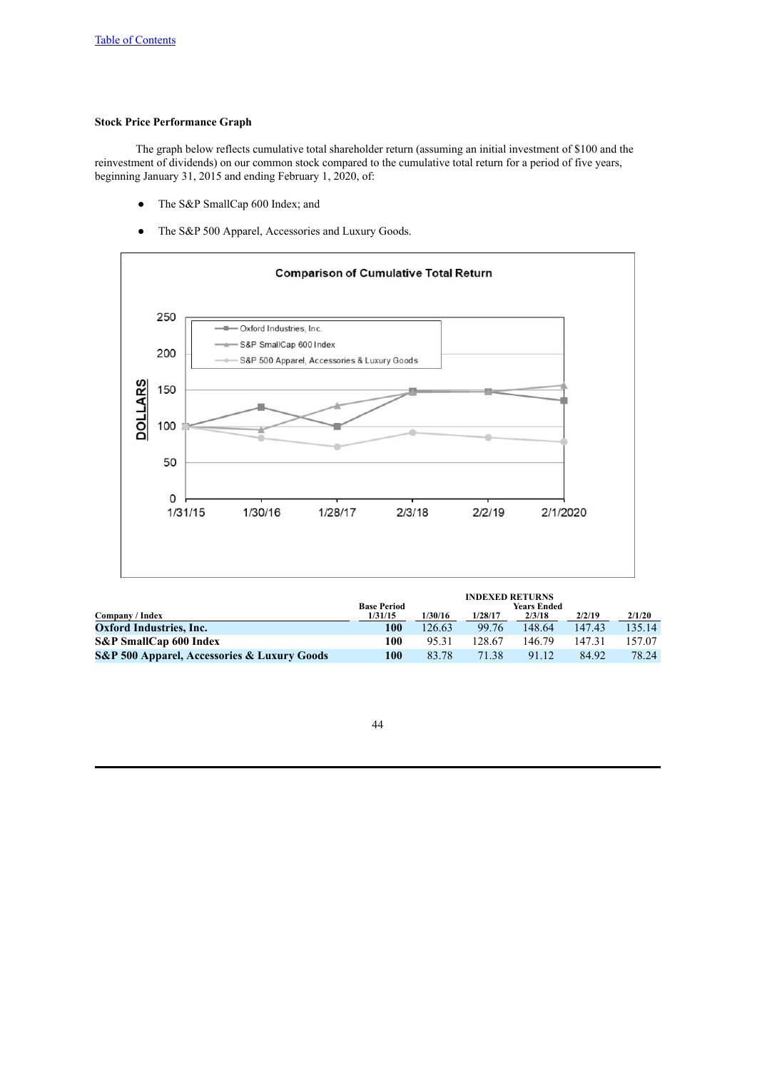# **Stock Price Performance Graph**

The graph below reflects cumulative total shareholder return (assuming an initial investment of \$100 and the reinvestment of dividends) on our common stock compared to the cumulative total return for a period of five years, beginning January 31, 2015 and ending February 1, 2020, of:

- The S&P SmallCap 600 Index; and
- The S&P 500 Apparel, Accessories and Luxury Goods.



| <b>INDEXED RETURNS</b> |         |         |                    |        |        |  |
|------------------------|---------|---------|--------------------|--------|--------|--|
| <b>Base Period</b>     |         |         | <b>Years Ended</b> |        |        |  |
|                        |         |         |                    |        | 2/1/20 |  |
| 100                    | 126.63  | 99.76   | 148.64             | 147.43 | 135.14 |  |
| 100                    | 95.31   | 128.67  | 146.79             | 147 31 | 157.07 |  |
| 100                    | 83.78   | 71.38   | 91 12              | 84.92  | 78.24  |  |
|                        | 1/31/15 | 1/30/16 | 1/28/17            | 2/3/18 | 2/2/19 |  |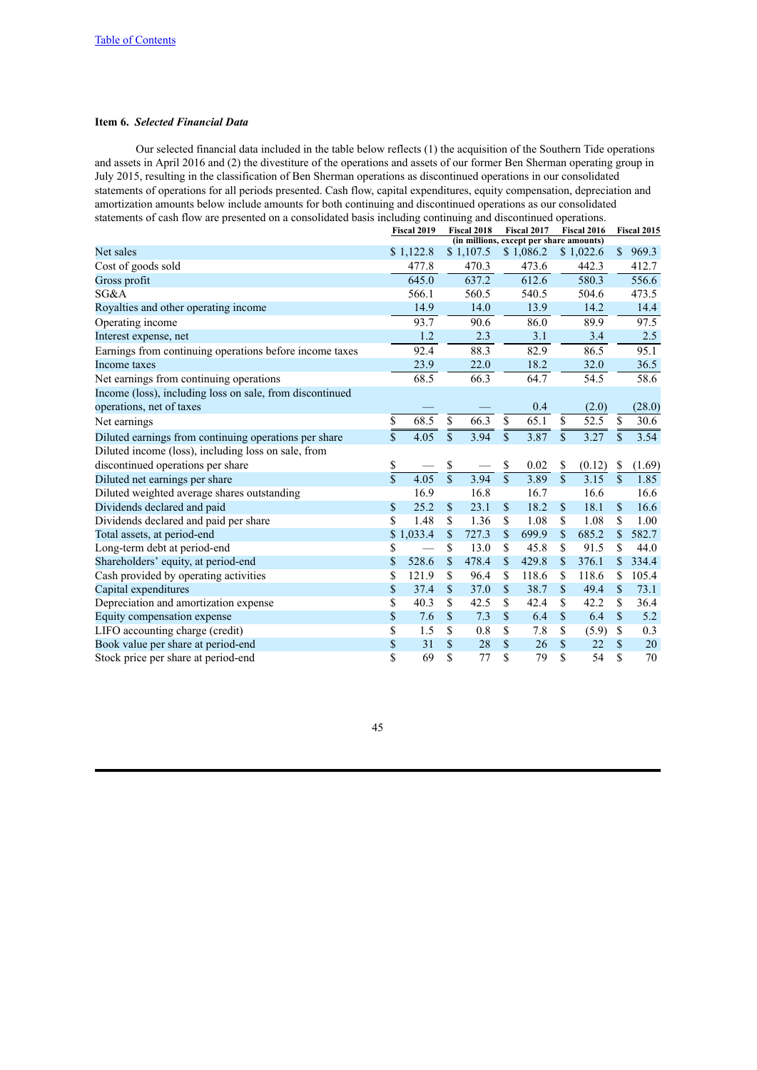# **Item 6.** *Selected Financial Data*

Our selected financial data included in the table below reflects (1) the acquisition of the Southern Tide operations and assets in April 2016 and (2) the divestiture of the operations and assets of our former Ben Sherman operating group in July 2015, resulting in the classification of Ben Sherman operations as discontinued operations in our consolidated statements of operations for all periods presented. Cash flow, capital expenditures, equity compensation, depreciation and amortization amounts below include amounts for both continuing and discontinued operations as our consolidated statements of cash flow are presented on a consolidated basis including continuing and discontinued operations.

|                                                          |                           | Fiscal 2019                             |                         | Fiscal 2018 |                         | Fiscal 2017 |                         | Fiscal 2016 |                    | Fiscal 2015 |
|----------------------------------------------------------|---------------------------|-----------------------------------------|-------------------------|-------------|-------------------------|-------------|-------------------------|-------------|--------------------|-------------|
|                                                          |                           | (in millions, except per share amounts) |                         |             |                         |             |                         |             |                    |             |
| Net sales                                                |                           | \$1,122.8                               |                         | \$1,107.5   |                         | \$1,086.2   |                         | \$1,022.6   | \$                 | 969.3       |
| Cost of goods sold                                       |                           | 477.8                                   |                         | 470.3       |                         | 473.6       |                         | 442.3       |                    | 412.7       |
| Gross profit                                             |                           | 645.0                                   |                         | 637.2       |                         | 612.6       |                         | 580.3       |                    | 556.6       |
| SG&A                                                     |                           | 566.1                                   |                         | 560.5       |                         | 540.5       |                         | 504.6       |                    | 473.5       |
| Royalties and other operating income                     |                           | 14.9                                    |                         | 14.0        |                         | 13.9        |                         | 14.2        |                    | 14.4        |
| Operating income                                         |                           | 93.7                                    |                         | 90.6        |                         | 86.0        |                         | 89.9        |                    | 97.5        |
| Interest expense, net                                    |                           | 1.2                                     |                         | 2.3         |                         | 3.1         |                         | 3.4         |                    | 2.5         |
| Earnings from continuing operations before income taxes  |                           | 92.4                                    |                         | 88.3        |                         | 82.9        |                         | 86.5        |                    | 95.1        |
| Income taxes                                             |                           | 23.9                                    |                         | 22.0        |                         | 18.2        |                         | 32.0        |                    | 36.5        |
| Net earnings from continuing operations                  |                           | 68.5                                    |                         | 66.3        |                         | 64.7        |                         | 54.5        |                    | 58.6        |
| Income (loss), including loss on sale, from discontinued |                           |                                         |                         |             |                         |             |                         |             |                    |             |
| operations, net of taxes                                 |                           |                                         |                         |             |                         | 0.4         |                         | (2.0)       |                    | (28.0)      |
| Net earnings                                             | $\overline{\$}$           | 68.5                                    | $\overline{\$}$         | 66.3        | $\overline{\$}$         | 65.1        | $\overline{\$}$         | 52.5        | \$                 | 30.6        |
| Diluted earnings from continuing operations per share    | $\overline{\overline{s}}$ | 4.05                                    | $\overline{\$}$         | 3.94        | $\overline{\mathbb{S}}$ | 3.87        | $\overline{\$}$         | 3.27        | $\mathbf{\hat{S}}$ | 3.54        |
| Diluted income (loss), including loss on sale, from      |                           |                                         |                         |             |                         |             |                         |             |                    |             |
| discontinued operations per share                        | $\mathbb{S}$              |                                         | \$                      |             | \$                      | 0.02        | \$                      | (0.12)      | \$                 | (1.69)      |
| Diluted net earnings per share                           | $\overline{s}$            | 4.05                                    | $\overline{\mathbb{S}}$ | 3.94        | $\overline{\mathbb{S}}$ | 3.89        | $\overline{\mathbb{S}}$ | 3.15        | $\mathbf{\hat{s}}$ | 1.85        |
| Diluted weighted average shares outstanding              |                           | 16.9                                    |                         | 16.8        |                         | 16.7        |                         | 16.6        |                    | 16.6        |
| Dividends declared and paid                              | \$                        | 25.2                                    | \$                      | 23.1        | \$                      | 18.2        | \$                      | 18.1        | \$                 | 16.6        |
| Dividends declared and paid per share                    | \$                        | 1.48                                    | \$                      | 1.36        | \$                      | 1.08        | \$                      | 1.08        | \$                 | 1.00        |
| Total assets, at period-end                              |                           | \$1,033.4                               | \$                      | 727.3       | \$                      | 699.9       | \$                      | 685.2       | \$                 | 582.7       |
| Long-term debt at period-end                             | \$                        |                                         | \$                      | 13.0        | \$                      | 45.8        | \$                      | 91.5        | \$                 | 44.0        |
| Shareholders' equity, at period-end                      | \$                        | 528.6                                   | \$                      | 478.4       | \$                      | 429.8       | \$                      | 376.1       | \$                 | 334.4       |
| Cash provided by operating activities                    | \$                        | 121.9                                   | \$                      | 96.4        | \$                      | 118.6       | \$                      | 118.6       | \$                 | 105.4       |
| Capital expenditures                                     | \$                        | 37.4                                    | \$                      | 37.0        | \$                      | 38.7        | \$                      | 49.4        | \$                 | 73.1        |
| Depreciation and amortization expense                    | \$                        | 40.3                                    | \$                      | 42.5        | \$                      | 42.4        | \$                      | 42.2        | \$                 | 36.4        |
| Equity compensation expense                              | \$                        | 7.6                                     | \$                      | 7.3         | $\mathbf S$             | 6.4         | \$                      | 6.4         | $\mathbf S$        | 5.2         |
| LIFO accounting charge (credit)                          | \$                        | 1.5                                     | \$                      | 0.8         | \$                      | 7.8         | \$                      | (5.9)       | \$                 | 0.3         |
| Book value per share at period-end                       | \$                        | 31                                      | \$                      | 28          | \$                      | 26          | $\mathbb{S}$            | 22          | \$                 | 20          |
| Stock price per share at period-end                      | \$                        | 69                                      | \$                      | 77          | \$                      | 79          | \$                      | 54          | \$                 | 70          |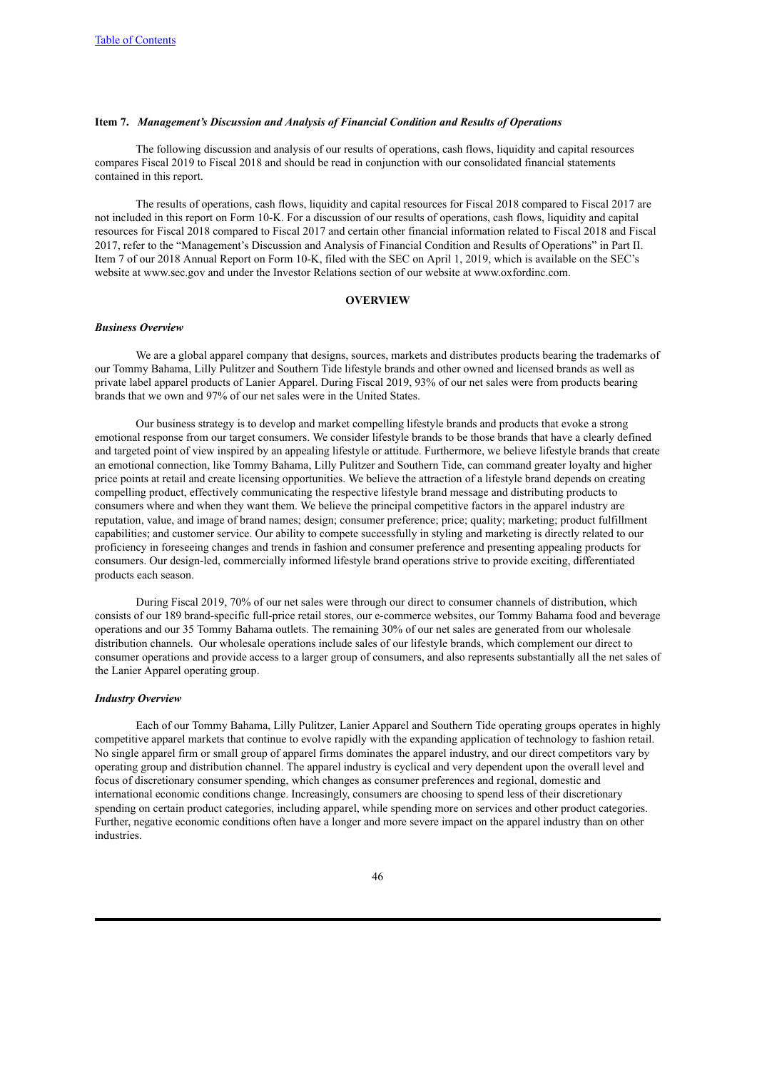### **Item 7.** *Management's Discussion and Analysis of Financial Condition and Results of Operations*

The following discussion and analysis of our results of operations, cash flows, liquidity and capital resources compares Fiscal 2019 to Fiscal 2018 and should be read in conjunction with our consolidated financial statements contained in this report.

The results of operations, cash flows, liquidity and capital resources for Fiscal 2018 compared to Fiscal 2017 are not included in this report on Form 10-K. For a discussion of our results of operations, cash flows, liquidity and capital resources for Fiscal 2018 compared to Fiscal 2017 and certain other financial information related to Fiscal 2018 and Fiscal 2017, refer to the "Management's Discussion and Analysis of Financial Condition and Results of Operations" in Part II. Item 7 of our 2018 Annual Report on Form 10-K, filed with the SEC on April 1, 2019, which is available on the SEC's website at www.sec.gov and under the Investor Relations section of our website at www.oxfordinc.com.

# **OVERVIEW**

### *Business Overview*

We are a global apparel company that designs, sources, markets and distributes products bearing the trademarks of our Tommy Bahama, Lilly Pulitzer and Southern Tide lifestyle brands and other owned and licensed brands as well as private label apparel products of Lanier Apparel. During Fiscal 2019, 93% of our net sales were from products bearing brands that we own and 97% of our net sales were in the United States.

Our business strategy is to develop and market compelling lifestyle brands and products that evoke a strong emotional response from our target consumers. We consider lifestyle brands to be those brands that have a clearly defined and targeted point of view inspired by an appealing lifestyle or attitude. Furthermore, we believe lifestyle brands that create an emotional connection, like Tommy Bahama, Lilly Pulitzer and Southern Tide, can command greater loyalty and higher price points at retail and create licensing opportunities. We believe the attraction of a lifestyle brand depends on creating compelling product, effectively communicating the respective lifestyle brand message and distributing products to consumers where and when they want them. We believe the principal competitive factors in the apparel industry are reputation, value, and image of brand names; design; consumer preference; price; quality; marketing; product fulfillment capabilities; and customer service. Our ability to compete successfully in styling and marketing is directly related to our proficiency in foreseeing changes and trends in fashion and consumer preference and presenting appealing products for consumers. Our design-led, commercially informed lifestyle brand operations strive to provide exciting, differentiated products each season.

During Fiscal 2019, 70% of our net sales were through our direct to consumer channels of distribution, which consists of our 189 brand-specific full-price retail stores, our e-commerce websites, our Tommy Bahama food and beverage operations and our 35 Tommy Bahama outlets. The remaining 30% of our net sales are generated from our wholesale distribution channels. Our wholesale operations include sales of our lifestyle brands, which complement our direct to consumer operations and provide access to a larger group of consumers, and also represents substantially all the net sales of the Lanier Apparel operating group.

#### *Industry Overview*

Each of our Tommy Bahama, Lilly Pulitzer, Lanier Apparel and Southern Tide operating groups operates in highly competitive apparel markets that continue to evolve rapidly with the expanding application of technology to fashion retail. No single apparel firm or small group of apparel firms dominates the apparel industry, and our direct competitors vary by operating group and distribution channel. The apparel industry is cyclical and very dependent upon the overall level and focus of discretionary consumer spending, which changes as consumer preferences and regional, domestic and international economic conditions change. Increasingly, consumers are choosing to spend less of their discretionary spending on certain product categories, including apparel, while spending more on services and other product categories. Further, negative economic conditions often have a longer and more severe impact on the apparel industry than on other industries.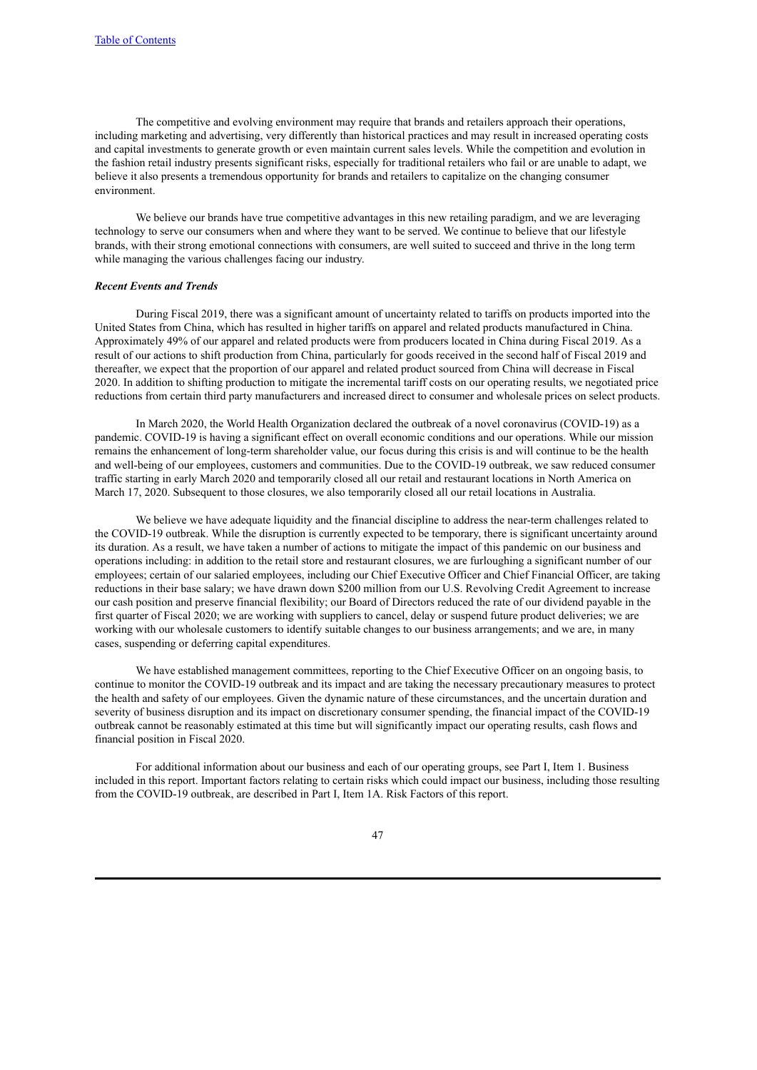The competitive and evolving environment may require that brands and retailers approach their operations, including marketing and advertising, very differently than historical practices and may result in increased operating costs and capital investments to generate growth or even maintain current sales levels. While the competition and evolution in the fashion retail industry presents significant risks, especially for traditional retailers who fail or are unable to adapt, we believe it also presents a tremendous opportunity for brands and retailers to capitalize on the changing consumer environment.

We believe our brands have true competitive advantages in this new retailing paradigm, and we are leveraging technology to serve our consumers when and where they want to be served. We continue to believe that our lifestyle brands, with their strong emotional connections with consumers, are well suited to succeed and thrive in the long term while managing the various challenges facing our industry.

### *Recent Events and Trends*

During Fiscal 2019, there was a significant amount of uncertainty related to tariffs on products imported into the United States from China, which has resulted in higher tariffs on apparel and related products manufactured in China. Approximately 49% of our apparel and related products were from producers located in China during Fiscal 2019. As a result of our actions to shift production from China, particularly for goods received in the second half of Fiscal 2019 and thereafter, we expect that the proportion of our apparel and related product sourced from China will decrease in Fiscal 2020. In addition to shifting production to mitigate the incremental tariff costs on our operating results, we negotiated price reductions from certain third party manufacturers and increased direct to consumer and wholesale prices on select products.

In March 2020, the World Health Organization declared the outbreak of a novel coronavirus (COVID-19) as a pandemic. COVID-19 is having a significant effect on overall economic conditions and our operations. While our mission remains the enhancement of long-term shareholder value, our focus during this crisis is and will continue to be the health and well-being of our employees, customers and communities. Due to the COVID-19 outbreak, we saw reduced consumer traffic starting in early March 2020 and temporarily closed all our retail and restaurant locations in North America on March 17, 2020. Subsequent to those closures, we also temporarily closed all our retail locations in Australia.

We believe we have adequate liquidity and the financial discipline to address the near-term challenges related to the COVID-19 outbreak. While the disruption is currently expected to be temporary, there is significant uncertainty around its duration. As a result, we have taken a number of actions to mitigate the impact of this pandemic on our business and operations including: in addition to the retail store and restaurant closures, we are furloughing a significant number of our employees; certain of our salaried employees, including our Chief Executive Officer and Chief Financial Officer, are taking reductions in their base salary; we have drawn down \$200 million from our U.S. Revolving Credit Agreement to increase our cash position and preserve financial flexibility; our Board of Directors reduced the rate of our dividend payable in the first quarter of Fiscal 2020; we are working with suppliers to cancel, delay or suspend future product deliveries; we are working with our wholesale customers to identify suitable changes to our business arrangements; and we are, in many cases, suspending or deferring capital expenditures.

We have established management committees, reporting to the Chief Executive Officer on an ongoing basis, to continue to monitor the COVID-19 outbreak and its impact and are taking the necessary precautionary measures to protect the health and safety of our employees. Given the dynamic nature of these circumstances, and the uncertain duration and severity of business disruption and its impact on discretionary consumer spending, the financial impact of the COVID-19 outbreak cannot be reasonably estimated at this time but will significantly impact our operating results, cash flows and financial position in Fiscal 2020.

For additional information about our business and each of our operating groups, see Part I, Item 1. Business included in this report. Important factors relating to certain risks which could impact our business, including those resulting from the COVID-19 outbreak, are described in Part I, Item 1A. Risk Factors of this report.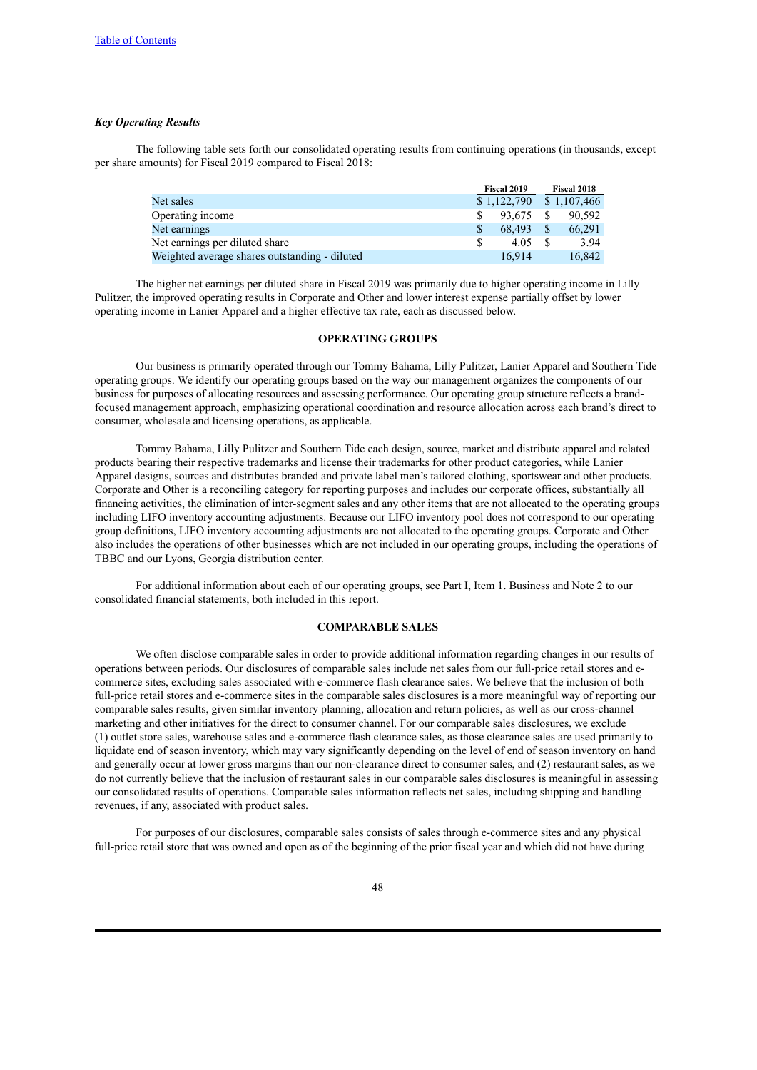## *Key Operating Results*

The following table sets forth our consolidated operating results from continuing operations (in thousands, except per share amounts) for Fiscal 2019 compared to Fiscal 2018:

|                                               | Fiscal 2019 |    | <b>Fiscal 2018</b> |
|-----------------------------------------------|-------------|----|--------------------|
| Net sales                                     | \$1,122,790 |    | \$1.107,466        |
| Operating income                              | 93.675      | -S | 90.592             |
| Net earnings                                  | 68.493      | S  | 66.291             |
| Net earnings per diluted share                | 4.05        |    | 3.94               |
| Weighted average shares outstanding - diluted | 16.914      |    | 16.842             |

The higher net earnings per diluted share in Fiscal 2019 was primarily due to higher operating income in Lilly Pulitzer, the improved operating results in Corporate and Other and lower interest expense partially offset by lower operating income in Lanier Apparel and a higher effective tax rate, each as discussed below.

## **OPERATING GROUPS**

Our business is primarily operated through our Tommy Bahama, Lilly Pulitzer, Lanier Apparel and Southern Tide operating groups. We identify our operating groups based on the way our management organizes the components of our business for purposes of allocating resources and assessing performance. Our operating group structure reflects a brandfocused management approach, emphasizing operational coordination and resource allocation across each brand's direct to consumer, wholesale and licensing operations, as applicable.

Tommy Bahama, Lilly Pulitzer and Southern Tide each design, source, market and distribute apparel and related products bearing their respective trademarks and license their trademarks for other product categories, while Lanier Apparel designs, sources and distributes branded and private label men's tailored clothing, sportswear and other products. Corporate and Other is a reconciling category for reporting purposes and includes our corporate offices, substantially all financing activities, the elimination of inter-segment sales and any other items that are not allocated to the operating groups including LIFO inventory accounting adjustments. Because our LIFO inventory pool does not correspond to our operating group definitions, LIFO inventory accounting adjustments are not allocated to the operating groups. Corporate and Other also includes the operations of other businesses which are not included in our operating groups, including the operations of TBBC and our Lyons, Georgia distribution center.

For additional information about each of our operating groups, see Part I, Item 1. Business and Note 2 to our consolidated financial statements, both included in this report.

### **COMPARABLE SALES**

We often disclose comparable sales in order to provide additional information regarding changes in our results of operations between periods. Our disclosures of comparable sales include net sales from our full-price retail stores and ecommerce sites, excluding sales associated with e-commerce flash clearance sales. We believe that the inclusion of both full-price retail stores and e-commerce sites in the comparable sales disclosures is a more meaningful way of reporting our comparable sales results, given similar inventory planning, allocation and return policies, as well as our cross-channel marketing and other initiatives for the direct to consumer channel. For our comparable sales disclosures, we exclude (1) outlet store sales, warehouse sales and e-commerce flash clearance sales, as those clearance sales are used primarily to liquidate end of season inventory, which may vary significantly depending on the level of end of season inventory on hand and generally occur at lower gross margins than our non-clearance direct to consumer sales, and (2) restaurant sales, as we do not currently believe that the inclusion of restaurant sales in our comparable sales disclosures is meaningful in assessing our consolidated results of operations. Comparable sales information reflects net sales, including shipping and handling revenues, if any, associated with product sales.

For purposes of our disclosures, comparable sales consists of sales through e-commerce sites and any physical full-price retail store that was owned and open as of the beginning of the prior fiscal year and which did not have during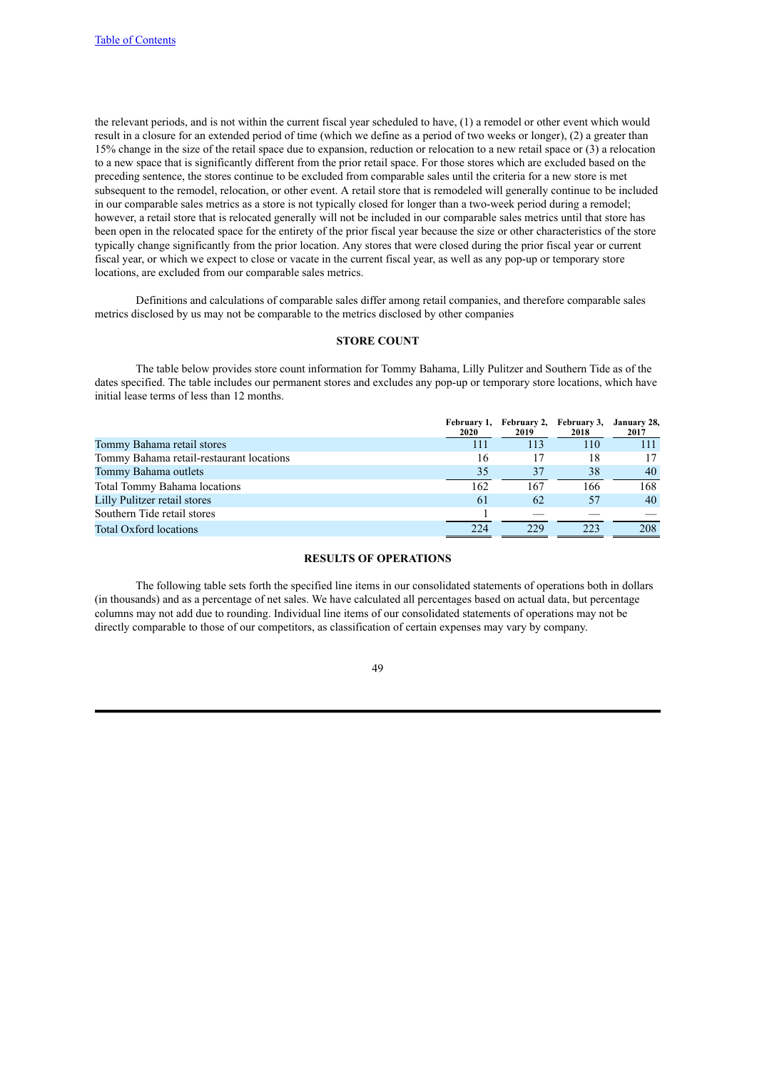the relevant periods, and is not within the current fiscal year scheduled to have, (1) a remodel or other event which would result in a closure for an extended period of time (which we define as a period of two weeks or longer), (2) a greater than 15% change in the size of the retail space due to expansion, reduction or relocation to a new retail space or (3) a relocation to a new space that is significantly different from the prior retail space. For those stores which are excluded based on the preceding sentence, the stores continue to be excluded from comparable sales until the criteria for a new store is met subsequent to the remodel, relocation, or other event. A retail store that is remodeled will generally continue to be included in our comparable sales metrics as a store is not typically closed for longer than a two-week period during a remodel; however, a retail store that is relocated generally will not be included in our comparable sales metrics until that store has been open in the relocated space for the entirety of the prior fiscal year because the size or other characteristics of the store typically change significantly from the prior location. Any stores that were closed during the prior fiscal year or current fiscal year, or which we expect to close or vacate in the current fiscal year, as well as any pop-up or temporary store locations, are excluded from our comparable sales metrics.

Definitions and calculations of comparable sales differ among retail companies, and therefore comparable sales metrics disclosed by us may not be comparable to the metrics disclosed by other companies

# **STORE COUNT**

The table below provides store count information for Tommy Bahama, Lilly Pulitzer and Southern Tide as of the dates specified. The table includes our permanent stores and excludes any pop-up or temporary store locations, which have initial lease terms of less than 12 months.

|                                          | February 1,<br>2020 | February 2,<br>2019 | February 3,<br>2018 | January 28,<br>2017 |
|------------------------------------------|---------------------|---------------------|---------------------|---------------------|
| Tommy Bahama retail stores               | 111                 | 113                 | 110                 |                     |
| Tommy Bahama retail-restaurant locations | 16                  | 17                  | 18                  | 17                  |
| Tommy Bahama outlets                     | 35                  | 37                  | 38                  | 40                  |
| <b>Total Tommy Bahama locations</b>      | 162                 | 167                 | 166                 | 168                 |
| Lilly Pulitzer retail stores             | 61                  | 62                  | 57                  | 40                  |
| Southern Tide retail stores              |                     |                     |                     |                     |
| <b>Total Oxford locations</b>            | 224                 | 229                 | 223                 | 208                 |

# **RESULTS OF OPERATIONS**

The following table sets forth the specified line items in our consolidated statements of operations both in dollars (in thousands) and as a percentage of net sales. We have calculated all percentages based on actual data, but percentage columns may not add due to rounding. Individual line items of our consolidated statements of operations may not be directly comparable to those of our competitors, as classification of certain expenses may vary by company.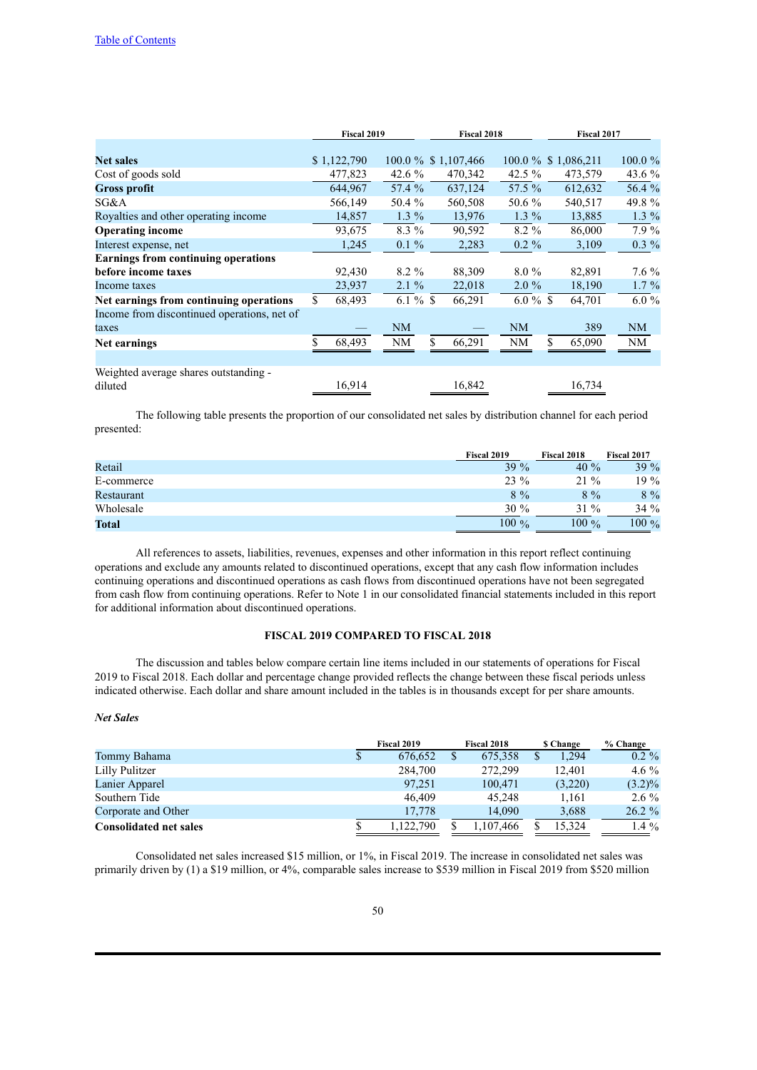|                                             |     | Fiscal 2019 |                     | <b>Fiscal 2018</b> |         | <b>Fiscal 2017</b>     |    |         |            |
|---------------------------------------------|-----|-------------|---------------------|--------------------|---------|------------------------|----|---------|------------|
|                                             |     |             |                     |                    |         |                        |    |         |            |
| <b>Net sales</b>                            |     | \$1,122,790 | 100.0 % \$1,107,466 |                    |         | $100.0\%$ \$ 1,086,211 |    |         | $100.0 \%$ |
| Cost of goods sold                          |     | 477,823     | 42.6 $%$            |                    | 470,342 | 42.5 $%$               |    | 473,579 | 43.6 %     |
| <b>Gross profit</b>                         |     | 644,967     | 57.4 %              |                    | 637,124 | 57.5 %                 |    | 612,632 | 56.4 %     |
| SG&A                                        |     | 566,149     | 50.4 %              |                    | 560,508 | 50.6 %                 |    | 540,517 | 49.8 %     |
| Royalties and other operating income.       |     | 14,857      | $1.3\%$             |                    | 13,976  | $1.3\%$                |    | 13,885  | $1.3\%$    |
| <b>Operating income</b>                     |     | 93,675      | $8.3\%$             |                    | 90,592  | $8.2\%$                |    | 86,000  | $7.9\%$    |
| Interest expense, net                       |     | 1,245       | $0.1 \%$            |                    | 2,283   | $0.2 \%$               |    | 3,109   | $0.3 \%$   |
| <b>Earnings from continuing operations</b>  |     |             |                     |                    |         |                        |    |         |            |
| before income taxes                         |     | 92,430      | $8.2\%$             |                    | 88,309  | $8.0\%$                |    | 82,891  | $7.6\%$    |
| Income taxes                                |     | 23,937      | $2.1\%$             |                    | 22,018  | $2.0\%$                |    | 18,190  | $1.7\%$    |
| Net earnings from continuing operations     | \$. | 68,493      | 6.1 % $$$           |                    | 66,291  | $6.0\%$ \$             |    | 64,701  | $6.0 \%$   |
| Income from discontinued operations, net of |     |             |                     |                    |         |                        |    |         |            |
| taxes                                       |     |             | NM                  |                    |         | NM                     |    | 389     | NM         |
| Net earnings                                | \$  | 68,493      | NM                  | \$                 | 66,291  | NΜ                     | \$ | 65,090  | NM         |
|                                             |     |             |                     |                    |         |                        |    |         |            |
| Weighted average shares outstanding -       |     |             |                     |                    |         |                        |    |         |            |
| diluted                                     |     | 16.914      |                     |                    | 16,842  |                        |    | 16,734  |            |

The following table presents the proportion of our consolidated net sales by distribution channel for each period presented:

|            | Fiscal 2019 | <b>Fiscal 2018</b> | <b>Fiscal 2017</b> |
|------------|-------------|--------------------|--------------------|
| Retail     | 39%         | 40 $%$             | $39\%$             |
| E-commerce | $23\%$      | $21\%$             | 19 %               |
| Restaurant | $8\%$       | $8\%$              | $8\%$              |
| Wholesale  | $30\%$      | $31\%$             | $34\%$             |
| Total      | $100\%$     | $100\%$            | $100\%$            |

All references to assets, liabilities, revenues, expenses and other information in this report reflect continuing operations and exclude any amounts related to discontinued operations, except that any cash flow information includes continuing operations and discontinued operations as cash flows from discontinued operations have not been segregated from cash flow from continuing operations. Refer to Note 1 in our consolidated financial statements included in this report for additional information about discontinued operations.

# **FISCAL 2019 COMPARED TO FISCAL 2018**

The discussion and tables below compare certain line items included in our statements of operations for Fiscal 2019 to Fiscal 2018. Each dollar and percentage change provided reflects the change between these fiscal periods unless indicated otherwise. Each dollar and share amount included in the tables is in thousands except for per share amounts.

# *Net Sales*

|                               |   | <b>Fiscal 2019</b> | <b>Fiscal 2018</b> |   | \$ Change | % Change  |
|-------------------------------|---|--------------------|--------------------|---|-----------|-----------|
| Tommy Bahama                  | Φ | 676.652            | 675,358            | S | 1.294     | $0.2 \%$  |
| Lilly Pulitzer                |   | 284,700            | 272.299            |   | 12.401    | $4.6\%$   |
| Lanier Apparel                |   | 97.251             | 100.471            |   | (3,220)   | $(3.2)\%$ |
| Southern Tide                 |   | 46.409             | 45.248             |   | 1.161     | $2.6\%$   |
| Corporate and Other           |   | 17.778             | 14.090             |   | 3,688     | $26.2 \%$ |
| <b>Consolidated net sales</b> |   | 1.122.790          | .107.466           |   | 15.324    | 1.4 $%$   |

Consolidated net sales increased \$15 million, or 1%, in Fiscal 2019. The increase in consolidated net sales was primarily driven by (1) a \$19 million, or 4%, comparable sales increase to \$539 million in Fiscal 2019 from \$520 million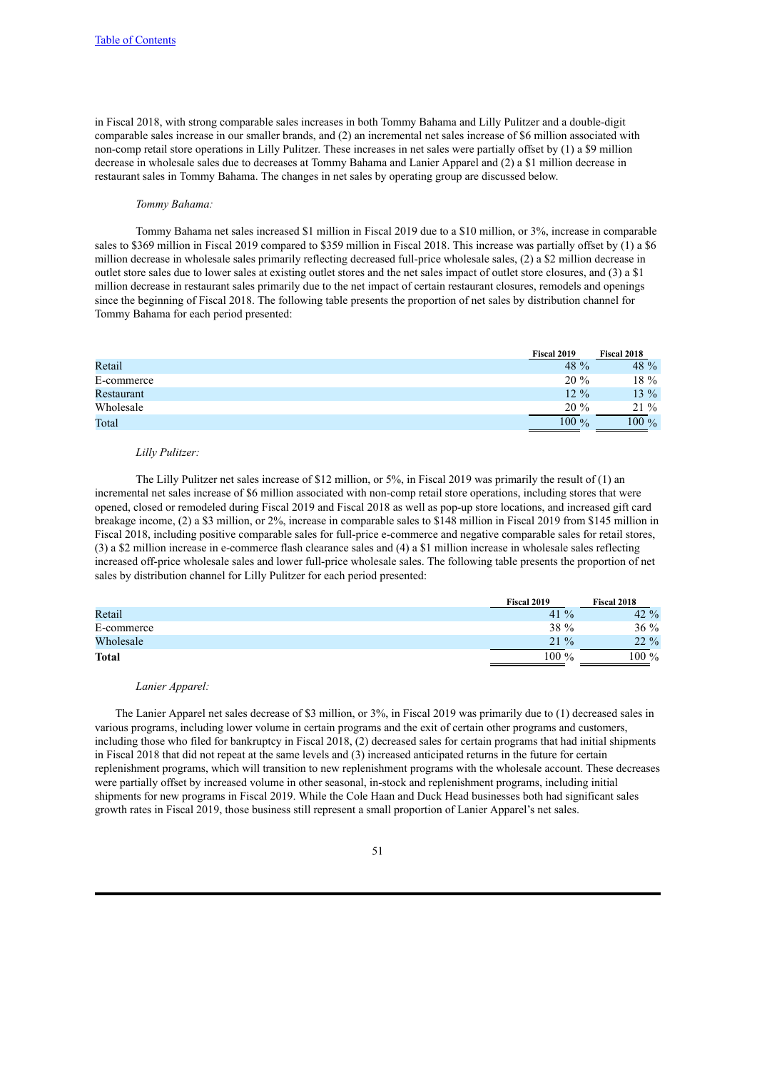in Fiscal 2018, with strong comparable sales increases in both Tommy Bahama and Lilly Pulitzer and a double-digit comparable sales increase in our smaller brands, and (2) an incremental net sales increase of \$6 million associated with non-comp retail store operations in Lilly Pulitzer. These increases in net sales were partially offset by (1) a \$9 million decrease in wholesale sales due to decreases at Tommy Bahama and Lanier Apparel and (2) a \$1 million decrease in restaurant sales in Tommy Bahama. The changes in net sales by operating group are discussed below.

### *Tommy Bahama:*

Tommy Bahama net sales increased \$1 million in Fiscal 2019 due to a \$10 million, or 3%, increase in comparable sales to \$369 million in Fiscal 2019 compared to \$359 million in Fiscal 2018. This increase was partially offset by (1) a \$6 million decrease in wholesale sales primarily reflecting decreased full-price wholesale sales, (2) a \$2 million decrease in outlet store sales due to lower sales at existing outlet stores and the net sales impact of outlet store closures, and (3) a \$1 million decrease in restaurant sales primarily due to the net impact of certain restaurant closures, remodels and openings since the beginning of Fiscal 2018. The following table presents the proportion of net sales by distribution channel for Tommy Bahama for each period presented:

|            | Fiscal 2019 | Fiscal 2018 |
|------------|-------------|-------------|
| Retail     | 48 %        | 48 %        |
| E-commerce | $20\%$      | $18\%$      |
| Restaurant | $12\%$      | $13\%$      |
| Wholesale  | $20\%$      | $21\%$      |
| Total      | $100\%$     | $100\%$     |

### *Lilly Pulitzer:*

The Lilly Pulitzer net sales increase of \$12 million, or 5%, in Fiscal 2019 was primarily the result of (1) an incremental net sales increase of \$6 million associated with non-comp retail store operations, including stores that were opened, closed or remodeled during Fiscal 2019 and Fiscal 2018 as well as pop-up store locations, and increased gift card breakage income, (2) a \$3 million, or 2%, increase in comparable sales to \$148 million in Fiscal 2019 from \$145 million in Fiscal 2018, including positive comparable sales for full-price e-commerce and negative comparable sales for retail stores, (3) a \$2 million increase in e-commerce flash clearance sales and (4) a \$1 million increase in wholesale sales reflecting increased off-price wholesale sales and lower full-price wholesale sales. The following table presents the proportion of net sales by distribution channel for Lilly Pulitzer for each period presented:

|              | Fiscal 2019         | <b>Fiscal 2018</b> |
|--------------|---------------------|--------------------|
| Retail       | $\frac{0}{0}$<br>41 | $42\%$             |
| E-commerce   | <b>38</b> %         | $36\%$             |
| Wholesale    | $\frac{0}{0}$<br>21 | $22\%$             |
| <b>Total</b> | $100\%$             | $100\%$            |

## *Lanier Apparel:*

The Lanier Apparel net sales decrease of \$3 million, or 3%, in Fiscal 2019 was primarily due to (1) decreased sales in various programs, including lower volume in certain programs and the exit of certain other programs and customers, including those who filed for bankruptcy in Fiscal 2018, (2) decreased sales for certain programs that had initial shipments in Fiscal 2018 that did not repeat at the same levels and (3) increased anticipated returns in the future for certain replenishment programs, which will transition to new replenishment programs with the wholesale account. These decreases were partially offset by increased volume in other seasonal, in-stock and replenishment programs, including initial shipments for new programs in Fiscal 2019. While the Cole Haan and Duck Head businesses both had significant sales growth rates in Fiscal 2019, those business still represent a small proportion of Lanier Apparel's net sales.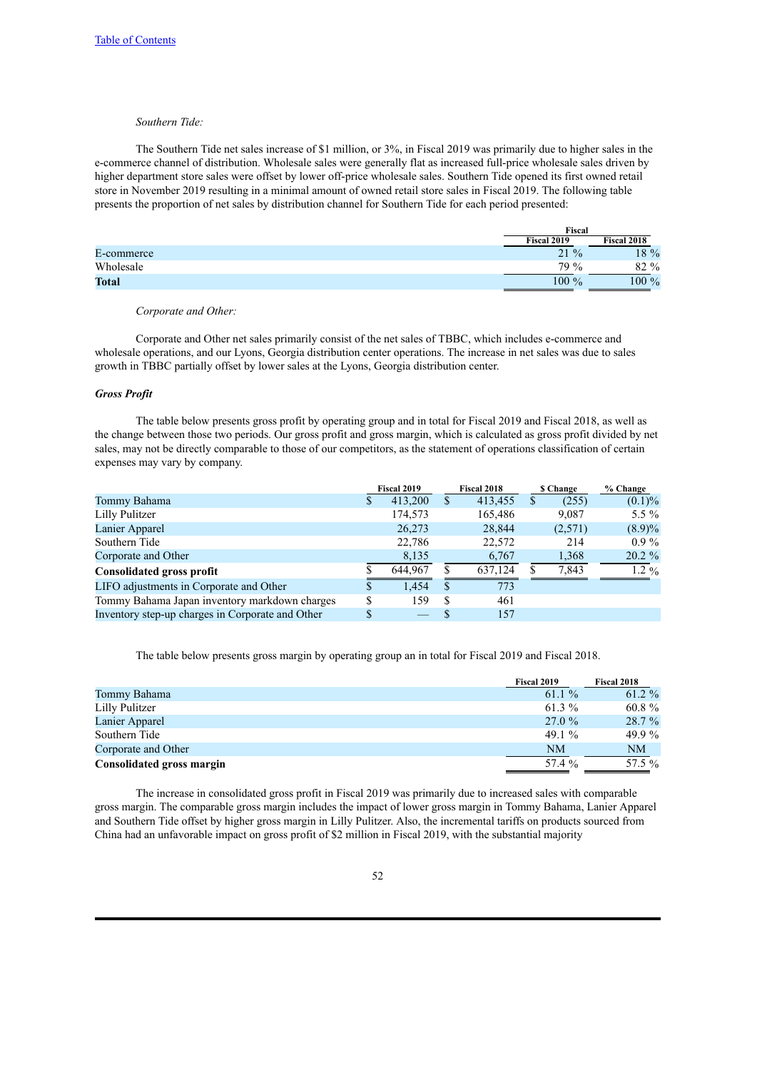# *Southern Tide:*

The Southern Tide net sales increase of \$1 million, or 3%, in Fiscal 2019 was primarily due to higher sales in the e-commerce channel of distribution. Wholesale sales were generally flat as increased full-price wholesale sales driven by higher department store sales were offset by lower off-price wholesale sales. Southern Tide opened its first owned retail store in November 2019 resulting in a minimal amount of owned retail store sales in Fiscal 2019. The following table presents the proportion of net sales by distribution channel for Southern Tide for each period presented:

|            | Fiscal             |                    |  |
|------------|--------------------|--------------------|--|
|            | <b>Fiscal 2019</b> | <b>Fiscal 2018</b> |  |
| E-commerce | $21\%$             | 18 %               |  |
| Wholesale  | 79 %               | 82 %               |  |
| Total      | $100\%$            | $100 \%$           |  |

## *Corporate and Other:*

Corporate and Other net sales primarily consist of the net sales of TBBC, which includes e-commerce and wholesale operations, and our Lyons, Georgia distribution center operations. The increase in net sales was due to sales growth in TBBC partially offset by lower sales at the Lyons, Georgia distribution center.

### *Gross Profit*

The table below presents gross profit by operating group and in total for Fiscal 2019 and Fiscal 2018, as well as the change between those two periods. Our gross profit and gross margin, which is calculated as gross profit divided by net sales, may not be directly comparable to those of our competitors, as the statement of operations classification of certain expenses may vary by company.

|                                                  |   | Fiscal 2019 |               | <b>Fiscal 2018</b> | <b>S</b> Change | % Change  |
|--------------------------------------------------|---|-------------|---------------|--------------------|-----------------|-----------|
| Tommy Bahama                                     | Φ | 413,200     | S             | 413,455            | (255)           | $(0.1)\%$ |
| Lilly Pulitzer                                   |   | 174,573     |               | 165,486            | 9,087           | 5.5 $%$   |
| Lanier Apparel                                   |   | 26,273      |               | 28,844             | (2,571)         | $(8.9)\%$ |
| Southern Tide                                    |   | 22,786      |               | 22,572             | 214             | $0.9\%$   |
| Corporate and Other                              |   | 8,135       |               | 6,767              | 1,368           | $20.2 \%$ |
| <b>Consolidated gross profit</b>                 |   | 644.967     |               | 637,124            | 7,843           | $1.2\%$   |
| LIFO adjustments in Corporate and Other          |   | 1.454       | <sup>\$</sup> | 773                |                 |           |
| Tommy Bahama Japan inventory markdown charges    | S | 159         | S             | 461                |                 |           |
| Inventory step-up charges in Corporate and Other |   |             | S             | 157                |                 |           |

The table below presents gross margin by operating group an in total for Fiscal 2019 and Fiscal 2018.

|                           | Fiscal 2019 | Fiscal 2018 |
|---------------------------|-------------|-------------|
| Tommy Bahama              | 61.1 $%$    | 61.2 %      |
| Lilly Pulitzer            | 61.3%       | $60.8 \%$   |
| Lanier Apparel            | 27.0%       | 28.7%       |
| Southern Tide             | 49.1 $\%$   | 49.9 $\%$   |
| Corporate and Other       | NM          | NM          |
| Consolidated gross margin | 57.4 %      | 57.5 %      |

The increase in consolidated gross profit in Fiscal 2019 was primarily due to increased sales with comparable gross margin. The comparable gross margin includes the impact of lower gross margin in Tommy Bahama, Lanier Apparel and Southern Tide offset by higher gross margin in Lilly Pulitzer. Also, the incremental tariffs on products sourced from China had an unfavorable impact on gross profit of \$2 million in Fiscal 2019, with the substantial majority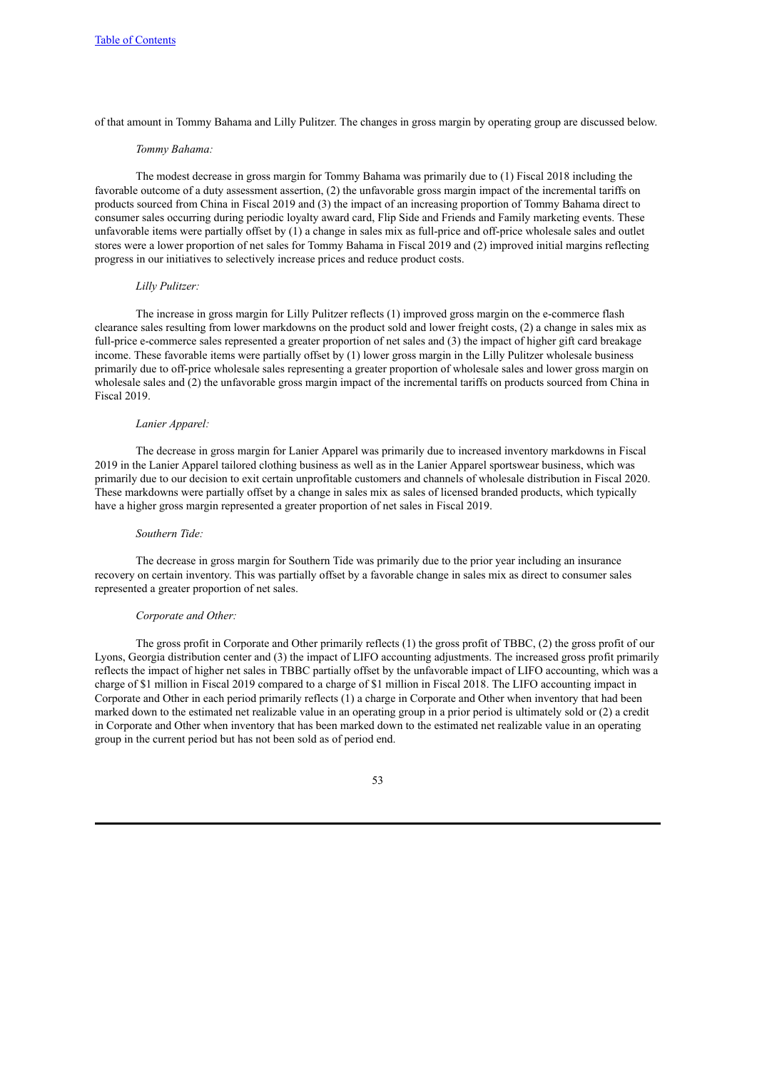of that amount in Tommy Bahama and Lilly Pulitzer. The changes in gross margin by operating group are discussed below.

### *Tommy Bahama:*

The modest decrease in gross margin for Tommy Bahama was primarily due to (1) Fiscal 2018 including the favorable outcome of a duty assessment assertion, (2) the unfavorable gross margin impact of the incremental tariffs on products sourced from China in Fiscal 2019 and (3) the impact of an increasing proportion of Tommy Bahama direct to consumer sales occurring during periodic loyalty award card, Flip Side and Friends and Family marketing events. These unfavorable items were partially offset by (1) a change in sales mix as full-price and off-price wholesale sales and outlet stores were a lower proportion of net sales for Tommy Bahama in Fiscal 2019 and (2) improved initial margins reflecting progress in our initiatives to selectively increase prices and reduce product costs.

## *Lilly Pulitzer:*

The increase in gross margin for Lilly Pulitzer reflects (1) improved gross margin on the e-commerce flash clearance sales resulting from lower markdowns on the product sold and lower freight costs, (2) a change in sales mix as full-price e-commerce sales represented a greater proportion of net sales and (3) the impact of higher gift card breakage income. These favorable items were partially offset by (1) lower gross margin in the Lilly Pulitzer wholesale business primarily due to off-price wholesale sales representing a greater proportion of wholesale sales and lower gross margin on wholesale sales and (2) the unfavorable gross margin impact of the incremental tariffs on products sourced from China in Fiscal 2019.

### *Lanier Apparel:*

The decrease in gross margin for Lanier Apparel was primarily due to increased inventory markdowns in Fiscal 2019 in the Lanier Apparel tailored clothing business as well as in the Lanier Apparel sportswear business, which was primarily due to our decision to exit certain unprofitable customers and channels of wholesale distribution in Fiscal 2020. These markdowns were partially offset by a change in sales mix as sales of licensed branded products, which typically have a higher gross margin represented a greater proportion of net sales in Fiscal 2019.

### *Southern Tide:*

The decrease in gross margin for Southern Tide was primarily due to the prior year including an insurance recovery on certain inventory. This was partially offset by a favorable change in sales mix as direct to consumer sales represented a greater proportion of net sales.

#### *Corporate and Other:*

The gross profit in Corporate and Other primarily reflects (1) the gross profit of TBBC, (2) the gross profit of our Lyons, Georgia distribution center and (3) the impact of LIFO accounting adjustments. The increased gross profit primarily reflects the impact of higher net sales in TBBC partially offset by the unfavorable impact of LIFO accounting, which was a charge of \$1 million in Fiscal 2019 compared to a charge of \$1 million in Fiscal 2018. The LIFO accounting impact in Corporate and Other in each period primarily reflects (1) a charge in Corporate and Other when inventory that had been marked down to the estimated net realizable value in an operating group in a prior period is ultimately sold or (2) a credit in Corporate and Other when inventory that has been marked down to the estimated net realizable value in an operating group in the current period but has not been sold as of period end.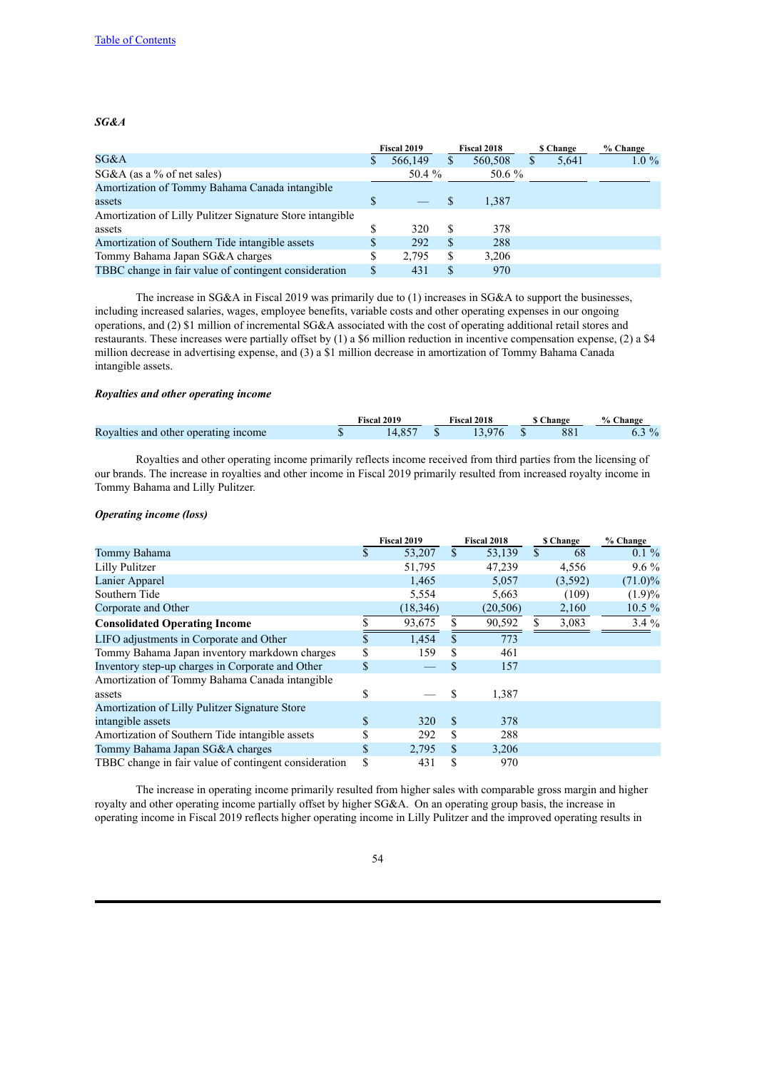# *SG&A*

|                                                           |    | <b>Fiscal 2019</b> |     | <b>Fiscal 2018</b> |   | <b>S</b> Change | % Change |
|-----------------------------------------------------------|----|--------------------|-----|--------------------|---|-----------------|----------|
| SG&A                                                      |    | 566,149            | S   | 560,508            | S | 5,641           | $1.0\%$  |
| SG&A (as a % of net sales)                                |    | 50.4 %             |     | 50.6 %             |   |                 |          |
| Amortization of Tommy Bahama Canada intangible            |    |                    |     |                    |   |                 |          |
| assets                                                    | S  |                    |     | 1,387              |   |                 |          |
| Amortization of Lilly Pulitzer Signature Store intangible |    |                    |     |                    |   |                 |          |
| assets                                                    |    | 320                | \$. | 378                |   |                 |          |
| Amortization of Southern Tide intangible assets           | S  | 292                | S   | 288                |   |                 |          |
| Tommy Bahama Japan SG&A charges                           | \$ | 2.795              |     | 3,206              |   |                 |          |
| TBBC change in fair value of contingent consideration     | \$ | 431                |     | 970                |   |                 |          |
|                                                           |    |                    |     |                    |   |                 |          |

The increase in SG&A in Fiscal 2019 was primarily due to (1) increases in SG&A to support the businesses, including increased salaries, wages, employee benefits, variable costs and other operating expenses in our ongoing operations, and (2) \$1 million of incremental SG&A associated with the cost of operating additional retail stores and restaurants. These increases were partially offset by (1) a \$6 million reduction in incentive compensation expense, (2) a \$4 million decrease in advertising expense, and (3) a \$1 million decrease in amortization of Tommy Bahama Canada intangible assets.

## *Royalties and other operating income*

|                                      | Fiscal 2019 | Fiscal 2018 | 5 Change | % Change |
|--------------------------------------|-------------|-------------|----------|----------|
| Royalties and other operating income | 14.857      | 13.976      | 881      | $3\%$    |

Royalties and other operating income primarily reflects income received from third parties from the licensing of our brands. The increase in royalties and other income in Fiscal 2019 primarily resulted from increased royalty income in Tommy Bahama and Lilly Pulitzer.

## *Operating income (loss)*

|                                                       |    | <b>Fiscal 2019</b> |              | <b>Fiscal 2018</b> |              | \$ Change | % Change   |
|-------------------------------------------------------|----|--------------------|--------------|--------------------|--------------|-----------|------------|
| Tommy Bahama                                          | \$ | 53,207             | \$           | 53,139             | $\mathbb{S}$ | 68        | $0.1 \%$   |
| Lilly Pulitzer                                        |    | 51,795             |              | 47,239             |              | 4,556     | $9.6\%$    |
| Lanier Apparel                                        |    | 1,465              |              | 5,057              |              | (3,592)   | $(71.0)\%$ |
| Southern Tide                                         |    | 5,554              |              | 5,663              |              | (109)     | $(1.9)\%$  |
| Corporate and Other                                   |    | (18, 346)          |              | (20, 506)          |              | 2,160     | $10.5 \%$  |
| <b>Consolidated Operating Income</b>                  |    | 93,675             | \$           | 90,592             | \$           | 3,083     | $3.4\%$    |
| LIFO adjustments in Corporate and Other               |    | 1,454              | $\mathbf{s}$ | 773                |              |           |            |
| Tommy Bahama Japan inventory markdown charges         | \$ | 159                | \$           | 461                |              |           |            |
| Inventory step-up charges in Corporate and Other      | \$ |                    | S            | 157                |              |           |            |
| Amortization of Tommy Bahama Canada intangible        |    |                    |              |                    |              |           |            |
| assets                                                | \$ |                    | \$           | 1,387              |              |           |            |
| Amortization of Lilly Pulitzer Signature Store        |    |                    |              |                    |              |           |            |
| intangible assets                                     | S  | 320                | \$.          | 378                |              |           |            |
| Amortization of Southern Tide intangible assets       |    | 292                | S            | 288                |              |           |            |
| Tommy Bahama Japan SG&A charges                       | S  | 2,795              | \$           | 3,206              |              |           |            |
| TBBC change in fair value of contingent consideration | S  | 431                | S            | 970                |              |           |            |

The increase in operating income primarily resulted from higher sales with comparable gross margin and higher royalty and other operating income partially offset by higher SG&A. On an operating group basis, the increase in operating income in Fiscal 2019 reflects higher operating income in Lilly Pulitzer and the improved operating results in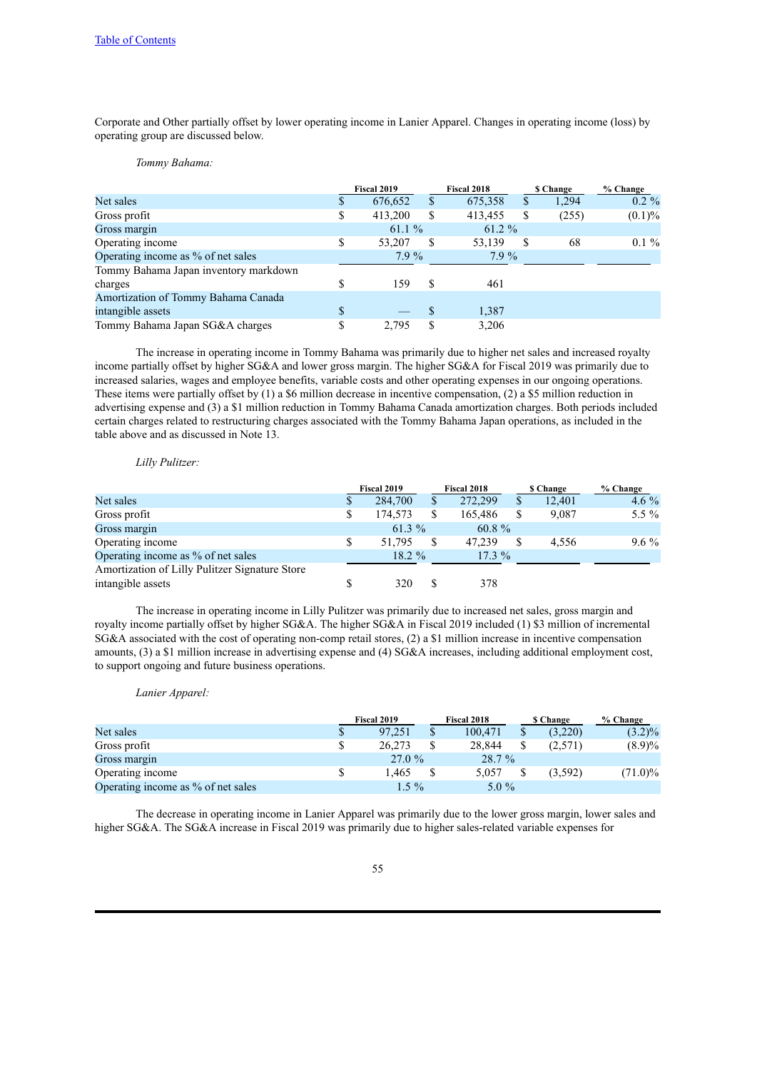Corporate and Other partially offset by lower operating income in Lanier Apparel. Changes in operating income (loss) by operating group are discussed below.

### *Tommy Bahama:*

|                                       |    | <b>Fiscal 2019</b> |    | <b>Fiscal 2018</b> |   | <b>S</b> Change | % Change |
|---------------------------------------|----|--------------------|----|--------------------|---|-----------------|----------|
| Net sales                             | S  | 676,652            | \$ | 675,358            | S | 1,294           | $0.2 \%$ |
| Gross profit                          | \$ | 413,200            | \$ | 413,455            | S | (255)           | (0.1)%   |
| Gross margin                          |    | 61.1 $%$           |    | 61.2 %             |   |                 |          |
| Operating income                      | \$ | 53,207             | S  | 53,139             | S | 68              | $0.1 \%$ |
| Operating income as % of net sales    |    | $7.9\%$            |    | $7.9\%$            |   |                 |          |
| Tommy Bahama Japan inventory markdown |    |                    |    |                    |   |                 |          |
| charges                               | S  | 159                | S  | 461                |   |                 |          |
| Amortization of Tommy Bahama Canada   |    |                    |    |                    |   |                 |          |
| intangible assets                     | \$ |                    | S  | 1,387              |   |                 |          |
| Tommy Bahama Japan SG&A charges       | \$ | 2.795              | \$ | 3,206              |   |                 |          |

The increase in operating income in Tommy Bahama was primarily due to higher net sales and increased royalty income partially offset by higher SG&A and lower gross margin. The higher SG&A for Fiscal 2019 was primarily due to increased salaries, wages and employee benefits, variable costs and other operating expenses in our ongoing operations. These items were partially offset by (1) a \$6 million decrease in incentive compensation, (2) a \$5 million reduction in advertising expense and (3) a \$1 million reduction in Tommy Bahama Canada amortization charges. Both periods included certain charges related to restructuring charges associated with the Tommy Bahama Japan operations, as included in the table above and as discussed in Note 13.

### *Lilly Pulitzer:*

|                                                |   | Fiscal 2019 |   | Fiscal 2018 |    | <b>S</b> Change | % Change |
|------------------------------------------------|---|-------------|---|-------------|----|-----------------|----------|
| Net sales                                      | D | 284,700     | S | 272,299     | \$ | 12,401          | 4.6 $\%$ |
| Gross profit                                   | S | 174.573     |   | 165.486     | \$ | 9.087           | 5.5 $%$  |
| Gross margin                                   |   | $61.3\%$    |   | $60.8 \%$   |    |                 |          |
| Operating income                               | S | 51.795      |   | 47.239      | S  | 4.556           | $9.6\%$  |
| Operating income as % of net sales             |   | $18.2 \%$   |   | $17.3\%$    |    |                 |          |
| Amortization of Lilly Pulitzer Signature Store |   |             |   |             |    |                 |          |
| intangible assets                              |   | 320         |   | 378         |    |                 |          |

The increase in operating income in Lilly Pulitzer was primarily due to increased net sales, gross margin and royalty income partially offset by higher SG&A. The higher SG&A in Fiscal 2019 included (1) \$3 million of incremental SG&A associated with the cost of operating non-comp retail stores, (2) a \$1 million increase in incentive compensation amounts, (3) a \$1 million increase in advertising expense and (4) SG&A increases, including additional employment cost, to support ongoing and future business operations.

### *Lanier Apparel:*

|                                    | <b>Fiscal 2019</b> | <b>Fiscal 2018</b> | \$ Change | % Change   |
|------------------------------------|--------------------|--------------------|-----------|------------|
| Net sales                          | \$<br>97.251       | 100.471            | (3.220)   | $(3.2)\%$  |
| Gross profit                       | \$<br>26.273       | 28.844             | (2.571)   | $(8.9)\%$  |
| Gross margin                       | 27.0%              | 28.7 %             |           |            |
| Operating income                   | .465               | 5.057              | (3.592)   | $(71.0)\%$ |
| Operating income as % of net sales | $1.5 \%$           | $5.0\%$            |           |            |

The decrease in operating income in Lanier Apparel was primarily due to the lower gross margin, lower sales and higher SG&A. The SG&A increase in Fiscal 2019 was primarily due to higher sales-related variable expenses for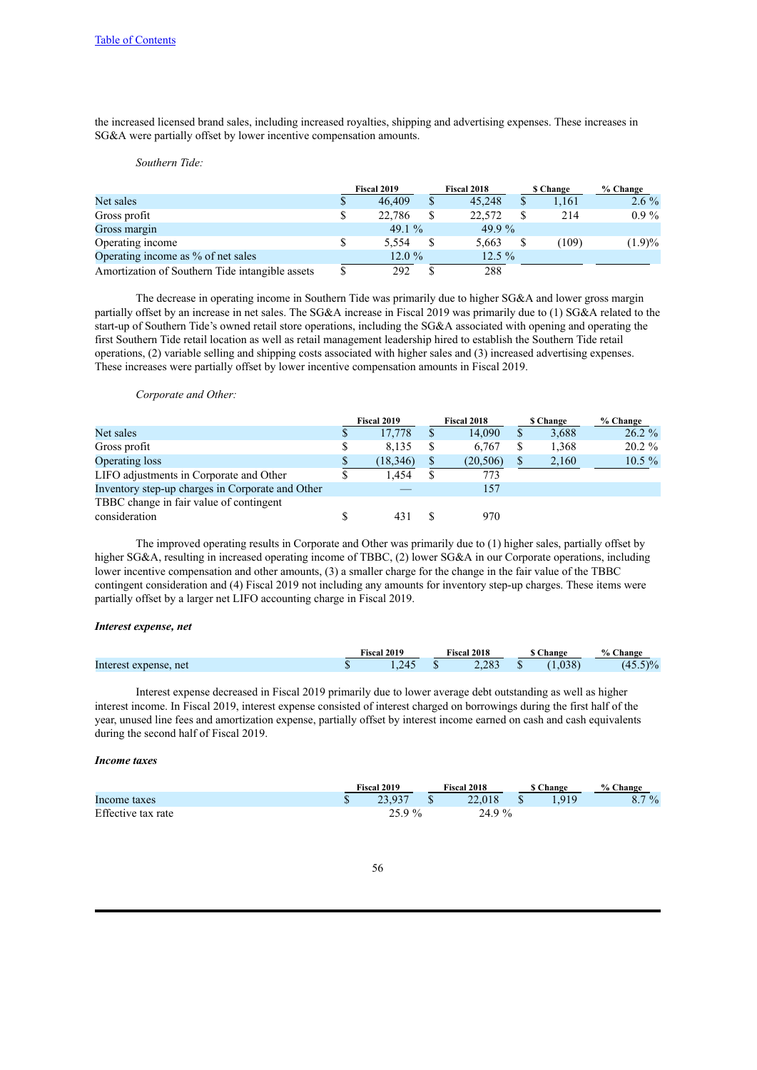the increased licensed brand sales, including increased royalties, shipping and advertising expenses. These increases in SG&A were partially offset by lower incentive compensation amounts.

### *Southern Tide:*

|                                                 | Fiscal 2019 |          |   | <b>Fiscal 2018</b> | \$ Change   | % Change |  |
|-------------------------------------------------|-------------|----------|---|--------------------|-------------|----------|--|
| Net sales                                       | S           | 46.409   | S | 45.248             | \$<br>1.161 | $2.6\%$  |  |
| Gross profit                                    | \$          | 22.786   | S | 22.572             | 214         | $0.9\%$  |  |
| Gross margin                                    |             | 49.1 $%$ |   | 49.9 $\%$          |             |          |  |
| Operating income                                |             | 5.554    | S | 5.663              | (109)       | (1.9)%   |  |
| Operating income as % of net sales              |             | 12.0%    |   | $12.5\%$           |             |          |  |
| Amortization of Southern Tide intangible assets |             | 292      |   | 288                |             |          |  |

The decrease in operating income in Southern Tide was primarily due to higher SG&A and lower gross margin partially offset by an increase in net sales. The SG&A increase in Fiscal 2019 was primarily due to (1) SG&A related to the start-up of Southern Tide's owned retail store operations, including the SG&A associated with opening and operating the first Southern Tide retail location as well as retail management leadership hired to establish the Southern Tide retail operations, (2) variable selling and shipping costs associated with higher sales and (3) increased advertising expenses. These increases were partially offset by lower incentive compensation amounts in Fiscal 2019.

## *Corporate and Other:*

|                                                  | Fiscal 2019 |    | Fiscal 2018 | <b>S</b> Change | % Change  |
|--------------------------------------------------|-------------|----|-------------|-----------------|-----------|
| Net sales                                        | 17.778      | S  | 14.090      | \$<br>3,688     | $26.2 \%$ |
| Gross profit                                     | 8,135       | S  | 6.767       | \$<br>1,368     | $20.2 \%$ |
| Operating loss                                   | (18, 346)   | \$ | (20, 506)   | \$<br>2,160     | $10.5 \%$ |
| LIFO adjustments in Corporate and Other          | 1.454       | S  | 773         |                 |           |
| Inventory step-up charges in Corporate and Other |             |    | 157         |                 |           |
| TBBC change in fair value of contingent          |             |    |             |                 |           |
| consideration                                    |             |    | 970         |                 |           |

The improved operating results in Corporate and Other was primarily due to (1) higher sales, partially offset by higher SG&A, resulting in increased operating income of TBBC, (2) lower SG&A in our Corporate operations, including lower incentive compensation and other amounts, (3) a smaller charge for the change in the fair value of the TBBC contingent consideration and (4) Fiscal 2019 not including any amounts for inventory step-up charges. These items were partially offset by a larger net LIFO accounting charge in Fiscal 2019.

### *Interest expense, net*

|                       | Fiscal 2019 |     | <b>Fiscal 2018</b> | <b>Change</b> | % Change          |
|-----------------------|-------------|-----|--------------------|---------------|-------------------|
| Interest expense, net |             | 245 | 2.283              | (1.038)       | $5) \%$<br>(45.5) |

Interest expense decreased in Fiscal 2019 primarily due to lower average debt outstanding as well as higher interest income. In Fiscal 2019, interest expense consisted of interest charged on borrowings during the first half of the year, unused line fees and amortization expense, partially offset by interest income earned on cash and cash equivalents during the second half of Fiscal 2019.

# *Income taxes*

|                    | Fiscal 2019 | <b>Fiscal 2018</b> | <b>S</b> Change | % Change      |
|--------------------|-------------|--------------------|-----------------|---------------|
| Income taxes       | 23.937      | 22,018             | 919             | $8.7\%$<br>ο. |
| Effective tax rate | $25.9\%$    | 24.9 %             |                 |               |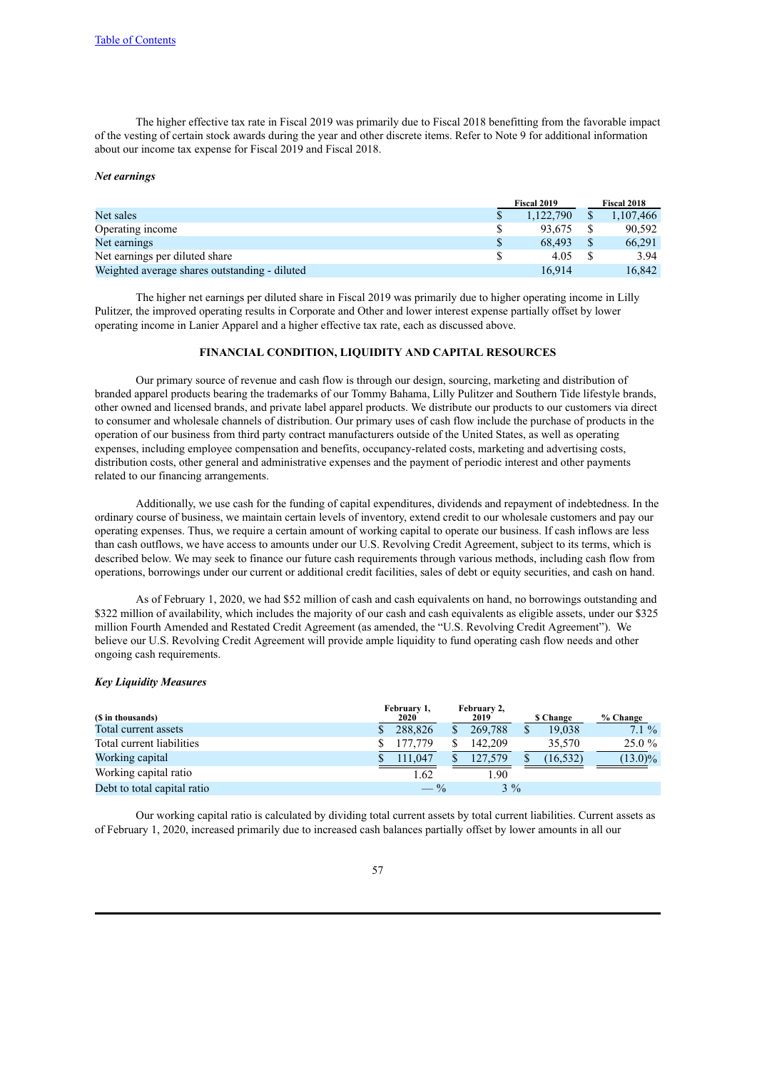The higher effective tax rate in Fiscal 2019 was primarily due to Fiscal 2018 benefitting from the favorable impact of the vesting of certain stock awards during the year and other discrete items. Refer to Note 9 for additional information about our income tax expense for Fiscal 2019 and Fiscal 2018.

#### *Net earnings*

|                                               |   | <b>Fiscal 2019</b> | <b>Fiscal 2018</b> |
|-----------------------------------------------|---|--------------------|--------------------|
| Net sales                                     |   | 1.122.790          | 1,107,466          |
| Operating income                              |   | 93.675             | 90.592             |
| Net earnings                                  | S | 68.493             | 66.291             |
| Net earnings per diluted share                |   | 4.05               | 3.94               |
| Weighted average shares outstanding - diluted |   | 16.914             | 16.842             |

The higher net earnings per diluted share in Fiscal 2019 was primarily due to higher operating income in Lilly Pulitzer, the improved operating results in Corporate and Other and lower interest expense partially offset by lower operating income in Lanier Apparel and a higher effective tax rate, each as discussed above.

## **FINANCIAL CONDITION, LIQUIDITY AND CAPITAL RESOURCES**

Our primary source of revenue and cash flow is through our design, sourcing, marketing and distribution of branded apparel products bearing the trademarks of our Tommy Bahama, Lilly Pulitzer and Southern Tide lifestyle brands, other owned and licensed brands, and private label apparel products. We distribute our products to our customers via direct to consumer and wholesale channels of distribution. Our primary uses of cash flow include the purchase of products in the operation of our business from third party contract manufacturers outside of the United States, as well as operating expenses, including employee compensation and benefits, occupancy-related costs, marketing and advertising costs, distribution costs, other general and administrative expenses and the payment of periodic interest and other payments related to our financing arrangements.

Additionally, we use cash for the funding of capital expenditures, dividends and repayment of indebtedness. In the ordinary course of business, we maintain certain levels of inventory, extend credit to our wholesale customers and pay our operating expenses. Thus, we require a certain amount of working capital to operate our business. If cash inflows are less than cash outflows, we have access to amounts under our U.S. Revolving Credit Agreement, subject to its terms, which is described below. We may seek to finance our future cash requirements through various methods, including cash flow from operations, borrowings under our current or additional credit facilities, sales of debt or equity securities, and cash on hand.

As of February 1, 2020, we had \$52 million of cash and cash equivalents on hand, no borrowings outstanding and \$322 million of availability, which includes the majority of our cash and cash equivalents as eligible assets, under our \$325 million Fourth Amended and Restated Credit Agreement (as amended, the "U.S. Revolving Credit Agreement"). We believe our U.S. Revolving Credit Agreement will provide ample liquidity to fund operating cash flow needs and other ongoing cash requirements.

## *Key Liquidity Measures*

| (\$ in thousands)           | February 1,<br>2020 | February 2,<br>2019 | <b>S</b> Change | % Change   |
|-----------------------------|---------------------|---------------------|-----------------|------------|
| Total current assets        | 288.826             | 269.788             | 19.038          | $7.1\%$    |
| Total current liabilities   | 177,779             | 142.209             | 35,570          | $25.0 \%$  |
| Working capital             | 111.047             | 127,579             | (16.532)        | $(13.0)\%$ |
| Working capital ratio       | 1.62                | L.90                |                 |            |
| Debt to total capital ratio | $- \frac{9}{6}$     | $3\%$               |                 |            |

Our working capital ratio is calculated by dividing total current assets by total current liabilities. Current assets as of February 1, 2020, increased primarily due to increased cash balances partially offset by lower amounts in all our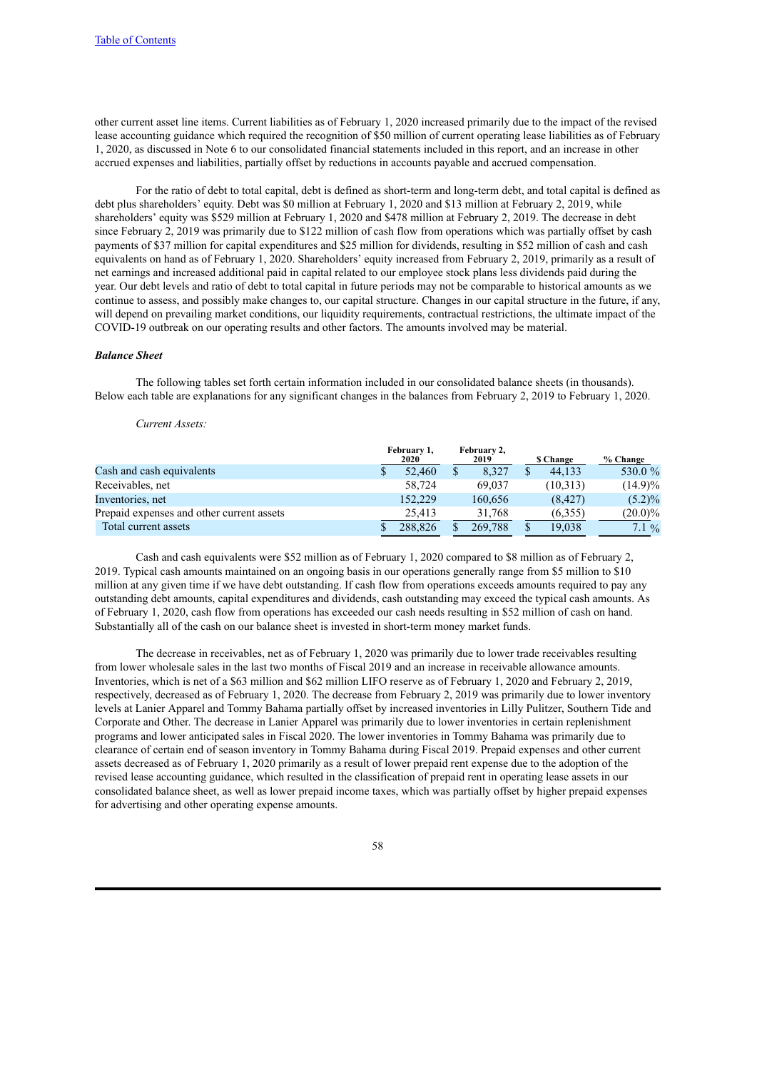other current asset line items. Current liabilities as of February 1, 2020 increased primarily due to the impact of the revised lease accounting guidance which required the recognition of \$50 million of current operating lease liabilities as of February 1, 2020, as discussed in Note 6 to our consolidated financial statements included in this report, and an increase in other accrued expenses and liabilities, partially offset by reductions in accounts payable and accrued compensation.

For the ratio of debt to total capital, debt is defined as short-term and long-term debt, and total capital is defined as debt plus shareholders' equity. Debt was \$0 million at February 1, 2020 and \$13 million at February 2, 2019, while shareholders' equity was \$529 million at February 1, 2020 and \$478 million at February 2, 2019. The decrease in debt since February 2, 2019 was primarily due to \$122 million of cash flow from operations which was partially offset by cash payments of \$37 million for capital expenditures and \$25 million for dividends, resulting in \$52 million of cash and cash equivalents on hand as of February 1, 2020. Shareholders' equity increased from February 2, 2019, primarily as a result of net earnings and increased additional paid in capital related to our employee stock plans less dividends paid during the year. Our debt levels and ratio of debt to total capital in future periods may not be comparable to historical amounts as we continue to assess, and possibly make changes to, our capital structure. Changes in our capital structure in the future, if any, will depend on prevailing market conditions, our liquidity requirements, contractual restrictions, the ultimate impact of the COVID-19 outbreak on our operating results and other factors. The amounts involved may be material.

## *Balance Sheet*

The following tables set forth certain information included in our consolidated balance sheets (in thousands). Below each table are explanations for any significant changes in the balances from February 2, 2019 to February 1, 2020.

*Current Assets:*

|                                           | February 1,<br>2020 | February 2,<br>2019 | \$ Change | % Change   |
|-------------------------------------------|---------------------|---------------------|-----------|------------|
| Cash and cash equivalents                 | 52,460              | 8.327               | 44.133    | 530.0 %    |
| Receivables, net                          | 58,724              | 69.037              | (10,313)  | $(14.9)\%$ |
| Inventories, net                          | 152.229             | 160.656             | (8.427)   | $(5.2)\%$  |
| Prepaid expenses and other current assets | 25.413              | 31.768              | (6.355)   | $(20.0)\%$ |
| Total current assets                      | 288.826             | 269.788             | 19.038    | $7.1\%$    |

Cash and cash equivalents were \$52 million as of February 1, 2020 compared to \$8 million as of February 2, 2019. Typical cash amounts maintained on an ongoing basis in our operations generally range from \$5 million to \$10 million at any given time if we have debt outstanding. If cash flow from operations exceeds amounts required to pay any outstanding debt amounts, capital expenditures and dividends, cash outstanding may exceed the typical cash amounts. As of February 1, 2020, cash flow from operations has exceeded our cash needs resulting in \$52 million of cash on hand. Substantially all of the cash on our balance sheet is invested in short-term money market funds.

The decrease in receivables, net as of February 1, 2020 was primarily due to lower trade receivables resulting from lower wholesale sales in the last two months of Fiscal 2019 and an increase in receivable allowance amounts. Inventories, which is net of a \$63 million and \$62 million LIFO reserve as of February 1, 2020 and February 2, 2019, respectively, decreased as of February 1, 2020. The decrease from February 2, 2019 was primarily due to lower inventory levels at Lanier Apparel and Tommy Bahama partially offset by increased inventories in Lilly Pulitzer, Southern Tide and Corporate and Other. The decrease in Lanier Apparel was primarily due to lower inventories in certain replenishment programs and lower anticipated sales in Fiscal 2020. The lower inventories in Tommy Bahama was primarily due to clearance of certain end of season inventory in Tommy Bahama during Fiscal 2019. Prepaid expenses and other current assets decreased as of February 1, 2020 primarily as a result of lower prepaid rent expense due to the adoption of the revised lease accounting guidance, which resulted in the classification of prepaid rent in operating lease assets in our consolidated balance sheet, as well as lower prepaid income taxes, which was partially offset by higher prepaid expenses for advertising and other operating expense amounts.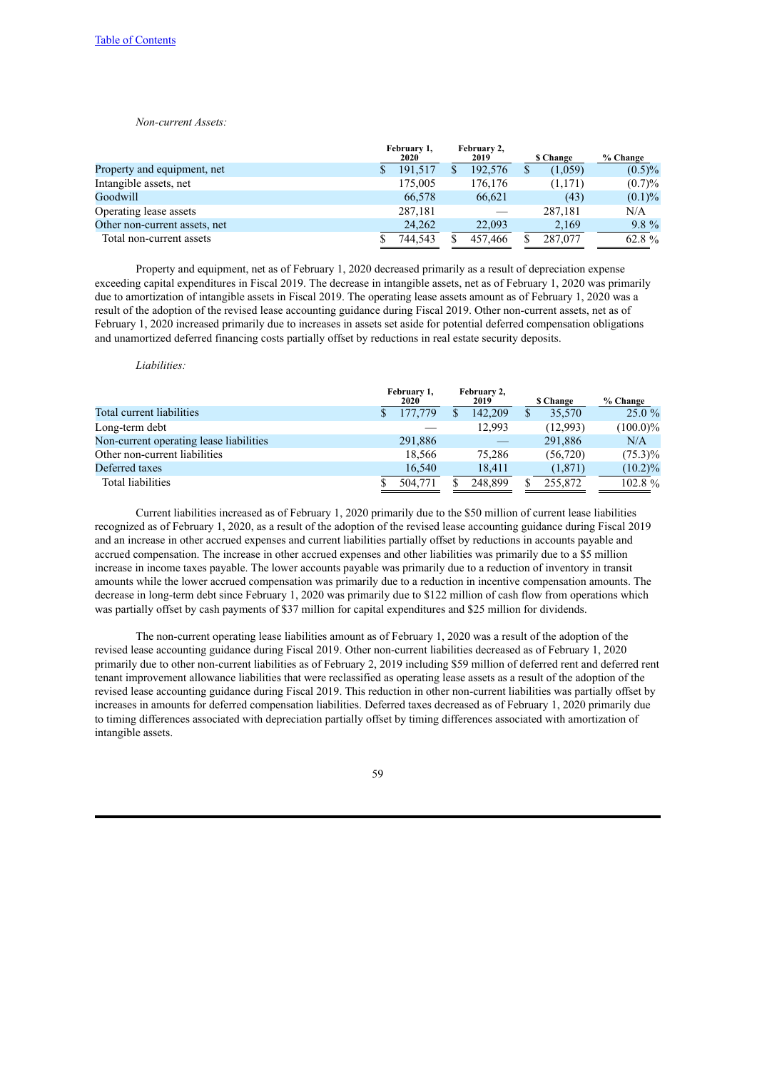*Non-current Assets:*

|                               | February 1,<br>2020 | February 2,<br>2019 | \$ Change | % Change  |
|-------------------------------|---------------------|---------------------|-----------|-----------|
| Property and equipment, net   | 191.517             | 192,576             | (1,059)   | $(0.5)\%$ |
| Intangible assets, net        | 175,005             | 176.176             | (1,171)   | (0.7)%    |
| Goodwill                      | 66.578              | 66,621              | (43)      | $(0.1)\%$ |
| Operating lease assets        | 287,181             |                     | 287.181   | N/A       |
| Other non-current assets, net | 24.262              | 22,093              | 2,169     | $9.8\%$   |
| Total non-current assets      | 744.543             | 457.466             | 287,077   | 62.8 $\%$ |

Property and equipment, net as of February 1, 2020 decreased primarily as a result of depreciation expense exceeding capital expenditures in Fiscal 2019. The decrease in intangible assets, net as of February 1, 2020 was primarily due to amortization of intangible assets in Fiscal 2019. The operating lease assets amount as of February 1, 2020 was a result of the adoption of the revised lease accounting guidance during Fiscal 2019. Other non-current assets, net as of February 1, 2020 increased primarily due to increases in assets set aside for potential deferred compensation obligations and unamortized deferred financing costs partially offset by reductions in real estate security deposits.

*Liabilities:*

|                                         | February 1,<br>2020 | February 2,<br>2019 |  | \$ Change | % Change    |
|-----------------------------------------|---------------------|---------------------|--|-----------|-------------|
| Total current liabilities               | 177,779             | 142.209             |  | 35.570    | 25.0%       |
| Long-term debt                          |                     | 12,993              |  | (12,993)  | $(100.0)\%$ |
| Non-current operating lease liabilities | 291,886             |                     |  | 291.886   | N/A         |
| Other non-current liabilities           | 18.566              | 75,286              |  | (56, 720) | $(75.3)\%$  |
| Deferred taxes                          | 16.540              | 18.411              |  | (1, 871)  | $(10.2)\%$  |
| Total liabilities                       | 504.771             | 248.899             |  | 255,872   | 102.8 %     |

Current liabilities increased as of February 1, 2020 primarily due to the \$50 million of current lease liabilities recognized as of February 1, 2020, as a result of the adoption of the revised lease accounting guidance during Fiscal 2019 and an increase in other accrued expenses and current liabilities partially offset by reductions in accounts payable and accrued compensation. The increase in other accrued expenses and other liabilities was primarily due to a \$5 million increase in income taxes payable. The lower accounts payable was primarily due to a reduction of inventory in transit amounts while the lower accrued compensation was primarily due to a reduction in incentive compensation amounts. The decrease in long-term debt since February 1, 2020 was primarily due to \$122 million of cash flow from operations which was partially offset by cash payments of \$37 million for capital expenditures and \$25 million for dividends.

The non-current operating lease liabilities amount as of February 1, 2020 was a result of the adoption of the revised lease accounting guidance during Fiscal 2019. Other non-current liabilities decreased as of February 1, 2020 primarily due to other non-current liabilities as of February 2, 2019 including \$59 million of deferred rent and deferred rent tenant improvement allowance liabilities that were reclassified as operating lease assets as a result of the adoption of the revised lease accounting guidance during Fiscal 2019. This reduction in other non-current liabilities was partially offset by increases in amounts for deferred compensation liabilities. Deferred taxes decreased as of February 1, 2020 primarily due to timing differences associated with depreciation partially offset by timing differences associated with amortization of intangible assets.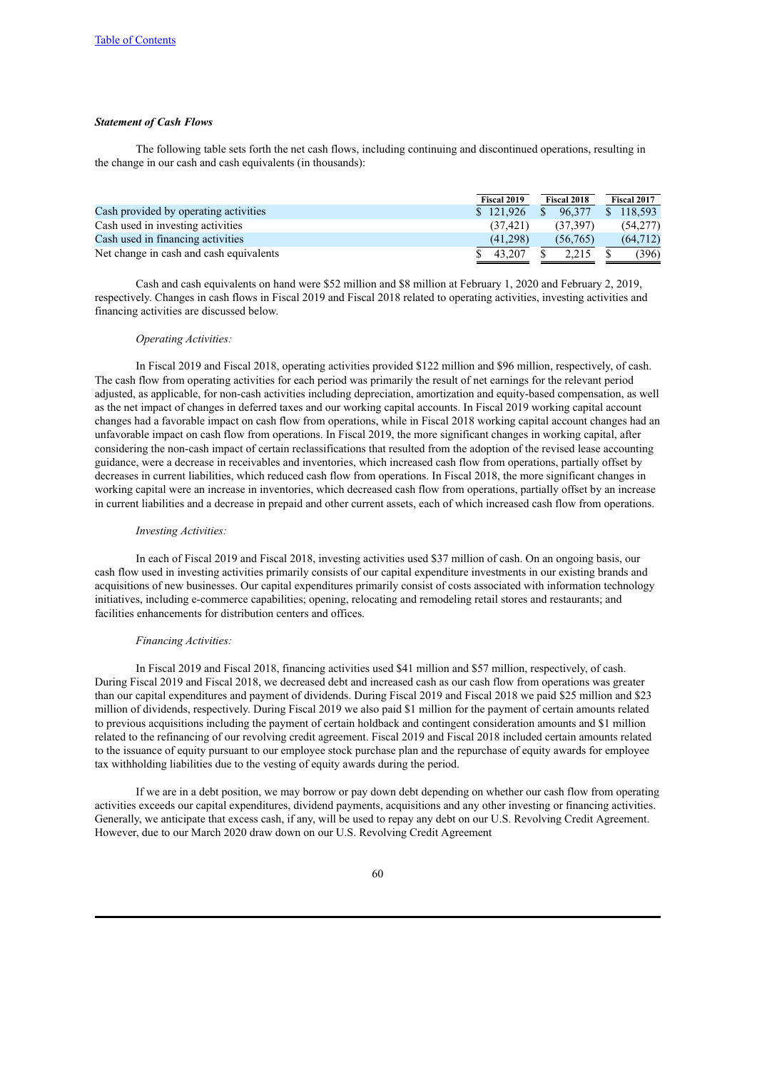# *Statement of Cash Flows*

The following table sets forth the net cash flows, including continuing and discontinued operations, resulting in the change in our cash and cash equivalents (in thousands):

|                                         | Fiscal 2019 |           | <b>Fiscal 2018</b> |          | <b>Fiscal 2017</b> |
|-----------------------------------------|-------------|-----------|--------------------|----------|--------------------|
| Cash provided by operating activities   |             | \$121.926 |                    | 96.377   | 118.593            |
| Cash used in investing activities       |             | (37.421)  |                    | (37.397) | (54,277)           |
| Cash used in financing activities       |             | (41,298)  |                    | (56.765) | (64, 712)          |
| Net change in cash and cash equivalents |             | 43 207    |                    | 2.215    | (396)              |

Cash and cash equivalents on hand were \$52 million and \$8 million at February 1, 2020 and February 2, 2019, respectively. Changes in cash flows in Fiscal 2019 and Fiscal 2018 related to operating activities, investing activities and financing activities are discussed below.

## *Operating Activities:*

In Fiscal 2019 and Fiscal 2018, operating activities provided \$122 million and \$96 million, respectively, of cash. The cash flow from operating activities for each period was primarily the result of net earnings for the relevant period adjusted, as applicable, for non-cash activities including depreciation, amortization and equity-based compensation, as well as the net impact of changes in deferred taxes and our working capital accounts. In Fiscal 2019 working capital account changes had a favorable impact on cash flow from operations, while in Fiscal 2018 working capital account changes had an unfavorable impact on cash flow from operations. In Fiscal 2019, the more significant changes in working capital, after considering the non-cash impact of certain reclassifications that resulted from the adoption of the revised lease accounting guidance, were a decrease in receivables and inventories, which increased cash flow from operations, partially offset by decreases in current liabilities, which reduced cash flow from operations. In Fiscal 2018, the more significant changes in working capital were an increase in inventories, which decreased cash flow from operations, partially offset by an increase in current liabilities and a decrease in prepaid and other current assets, each of which increased cash flow from operations.

### *Investing Activities:*

In each of Fiscal 2019 and Fiscal 2018, investing activities used \$37 million of cash. On an ongoing basis, our cash flow used in investing activities primarily consists of our capital expenditure investments in our existing brands and acquisitions of new businesses. Our capital expenditures primarily consist of costs associated with information technology initiatives, including e-commerce capabilities; opening, relocating and remodeling retail stores and restaurants; and facilities enhancements for distribution centers and offices.

#### *Financing Activities:*

In Fiscal 2019 and Fiscal 2018, financing activities used \$41 million and \$57 million, respectively, of cash. During Fiscal 2019 and Fiscal 2018, we decreased debt and increased cash as our cash flow from operations was greater than our capital expenditures and payment of dividends. During Fiscal 2019 and Fiscal 2018 we paid \$25 million and \$23 million of dividends, respectively. During Fiscal 2019 we also paid \$1 million for the payment of certain amounts related to previous acquisitions including the payment of certain holdback and contingent consideration amounts and \$1 million related to the refinancing of our revolving credit agreement. Fiscal 2019 and Fiscal 2018 included certain amounts related to the issuance of equity pursuant to our employee stock purchase plan and the repurchase of equity awards for employee tax withholding liabilities due to the vesting of equity awards during the period.

If we are in a debt position, we may borrow or pay down debt depending on whether our cash flow from operating activities exceeds our capital expenditures, dividend payments, acquisitions and any other investing or financing activities. Generally, we anticipate that excess cash, if any, will be used to repay any debt on our U.S. Revolving Credit Agreement. However, due to our March 2020 draw down on our U.S. Revolving Credit Agreement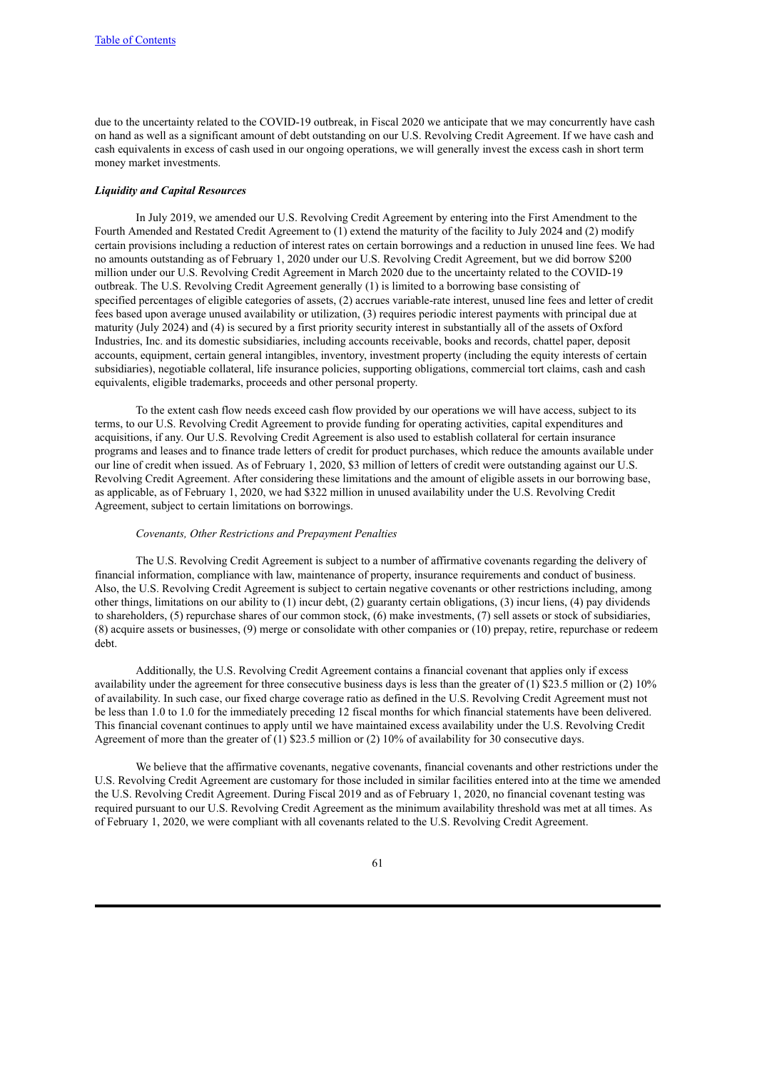due to the uncertainty related to the COVID-19 outbreak, in Fiscal 2020 we anticipate that we may concurrently have cash on hand as well as a significant amount of debt outstanding on our U.S. Revolving Credit Agreement. If we have cash and cash equivalents in excess of cash used in our ongoing operations, we will generally invest the excess cash in short term money market investments.

## *Liquidity and Capital Resources*

In July 2019, we amended our U.S. Revolving Credit Agreement by entering into the First Amendment to the Fourth Amended and Restated Credit Agreement to (1) extend the maturity of the facility to July 2024 and (2) modify certain provisions including a reduction of interest rates on certain borrowings and a reduction in unused line fees. We had no amounts outstanding as of February 1, 2020 under our U.S. Revolving Credit Agreement, but we did borrow \$200 million under our U.S. Revolving Credit Agreement in March 2020 due to the uncertainty related to the COVID-19 outbreak. The U.S. Revolving Credit Agreement generally (1) is limited to a borrowing base consisting of specified percentages of eligible categories of assets, (2) accrues variable-rate interest, unused line fees and letter of credit fees based upon average unused availability or utilization, (3) requires periodic interest payments with principal due at maturity (July 2024) and (4) is secured by a first priority security interest in substantially all of the assets of Oxford Industries, Inc. and its domestic subsidiaries, including accounts receivable, books and records, chattel paper, deposit accounts, equipment, certain general intangibles, inventory, investment property (including the equity interests of certain subsidiaries), negotiable collateral, life insurance policies, supporting obligations, commercial tort claims, cash and cash equivalents, eligible trademarks, proceeds and other personal property.

To the extent cash flow needs exceed cash flow provided by our operations we will have access, subject to its terms, to our U.S. Revolving Credit Agreement to provide funding for operating activities, capital expenditures and acquisitions, if any. Our U.S. Revolving Credit Agreement is also used to establish collateral for certain insurance programs and leases and to finance trade letters of credit for product purchases, which reduce the amounts available under our line of credit when issued. As of February 1, 2020, \$3 million of letters of credit were outstanding against our U.S. Revolving Credit Agreement. After considering these limitations and the amount of eligible assets in our borrowing base, as applicable, as of February 1, 2020, we had \$322 million in unused availability under the U.S. Revolving Credit Agreement, subject to certain limitations on borrowings.

### *Covenants, Other Restrictions and Prepayment Penalties*

The U.S. Revolving Credit Agreement is subject to a number of affirmative covenants regarding the delivery of financial information, compliance with law, maintenance of property, insurance requirements and conduct of business. Also, the U.S. Revolving Credit Agreement is subject to certain negative covenants or other restrictions including, among other things, limitations on our ability to (1) incur debt, (2) guaranty certain obligations, (3) incur liens, (4) pay dividends to shareholders, (5) repurchase shares of our common stock, (6) make investments, (7) sell assets or stock of subsidiaries, (8) acquire assets or businesses, (9) merge or consolidate with other companies or (10) prepay, retire, repurchase or redeem debt.

Additionally, the U.S. Revolving Credit Agreement contains a financial covenant that applies only if excess availability under the agreement for three consecutive business days is less than the greater of  $(1)$  \$23.5 million or  $(2)$  10% of availability. In such case, our fixed charge coverage ratio as defined in the U.S. Revolving Credit Agreement must not be less than 1.0 to 1.0 for the immediately preceding 12 fiscal months for which financial statements have been delivered. This financial covenant continues to apply until we have maintained excess availability under the U.S. Revolving Credit Agreement of more than the greater of (1) \$23.5 million or (2) 10% of availability for 30 consecutive days.

We believe that the affirmative covenants, negative covenants, financial covenants and other restrictions under the U.S. Revolving Credit Agreement are customary for those included in similar facilities entered into at the time we amended the U.S. Revolving Credit Agreement. During Fiscal 2019 and as of February 1, 2020, no financial covenant testing was required pursuant to our U.S. Revolving Credit Agreement as the minimum availability threshold was met at all times. As of February 1, 2020, we were compliant with all covenants related to the U.S. Revolving Credit Agreement.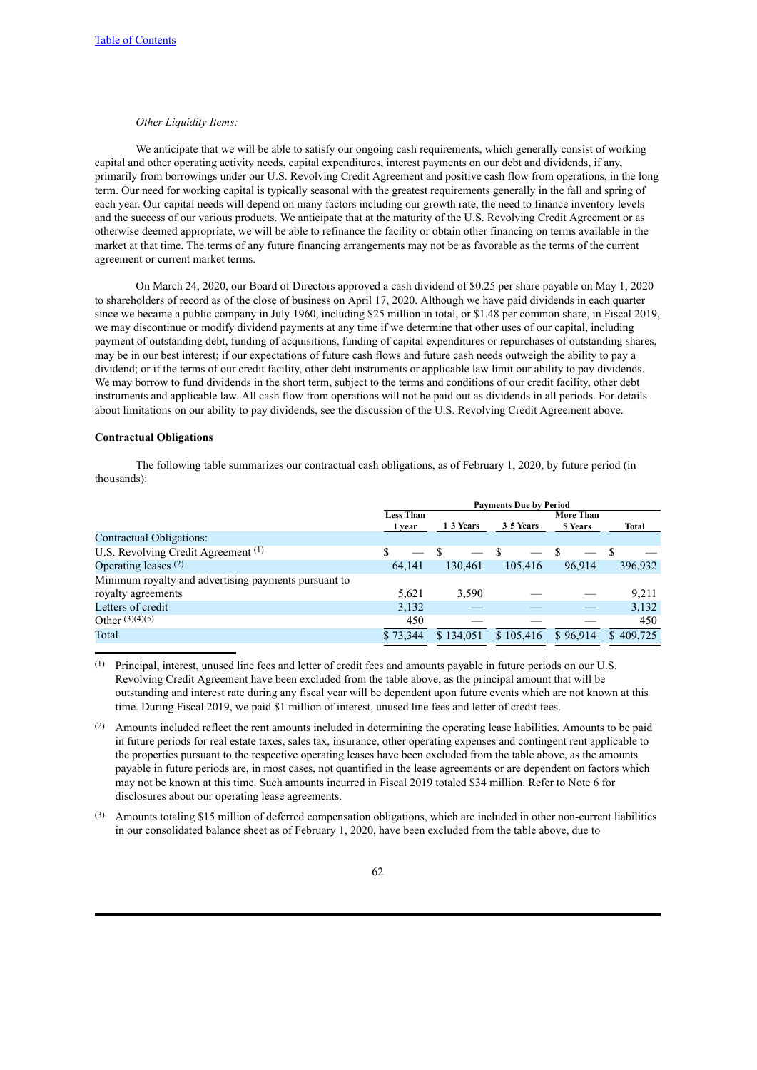### *Other Liquidity Items:*

We anticipate that we will be able to satisfy our ongoing cash requirements, which generally consist of working capital and other operating activity needs, capital expenditures, interest payments on our debt and dividends, if any, primarily from borrowings under our U.S. Revolving Credit Agreement and positive cash flow from operations, in the long term. Our need for working capital is typically seasonal with the greatest requirements generally in the fall and spring of each year. Our capital needs will depend on many factors including our growth rate, the need to finance inventory levels and the success of our various products. We anticipate that at the maturity of the U.S. Revolving Credit Agreement or as otherwise deemed appropriate, we will be able to refinance the facility or obtain other financing on terms available in the market at that time. The terms of any future financing arrangements may not be as favorable as the terms of the current agreement or current market terms.

On March 24, 2020, our Board of Directors approved a cash dividend of \$0.25 per share payable on May 1, 2020 to shareholders of record as of the close of business on April 17, 2020. Although we have paid dividends in each quarter since we became a public company in July 1960, including \$25 million in total, or \$1.48 per common share, in Fiscal 2019, we may discontinue or modify dividend payments at any time if we determine that other uses of our capital, including payment of outstanding debt, funding of acquisitions, funding of capital expenditures or repurchases of outstanding shares, may be in our best interest; if our expectations of future cash flows and future cash needs outweigh the ability to pay a dividend; or if the terms of our credit facility, other debt instruments or applicable law limit our ability to pay dividends. We may borrow to fund dividends in the short term, subject to the terms and conditions of our credit facility, other debt instruments and applicable law. All cash flow from operations will not be paid out as dividends in all periods. For details about limitations on our ability to pay dividends, see the discussion of the U.S. Revolving Credit Agreement above.

### **Contractual Obligations**

The following table summarizes our contractual cash obligations, as of February 1, 2020, by future period (in thousands):

|                                                      | <b>Payments Due by Period</b> |           |           |                  |           |  |  |
|------------------------------------------------------|-------------------------------|-----------|-----------|------------------|-----------|--|--|
|                                                      | <b>Less Than</b>              |           |           | <b>More Than</b> |           |  |  |
|                                                      | 1 year                        | 1 3 Years | 3-5 Years | 5 Years          | Total     |  |  |
| Contractual Obligations:                             |                               |           |           |                  |           |  |  |
| U.S. Revolving Credit Agreement $(1)$                | S                             |           |           |                  |           |  |  |
| Operating leases $(2)$                               | 64.141                        | 130.461   | 105.416   | 96.914           | 396,932   |  |  |
| Minimum royalty and advertising payments pursuant to |                               |           |           |                  |           |  |  |
| royalty agreements                                   | 5.621                         | 3.590     |           |                  | 9.211     |  |  |
| Letters of credit                                    | 3,132                         |           |           |                  | 3,132     |  |  |
| Other $(3)(4)(5)$                                    | 450                           |           |           |                  | 450       |  |  |
| Total                                                | \$73.344                      | \$134.051 | \$105.416 | \$96.914         | \$409.725 |  |  |

(1) Principal, interest, unused line fees and letter of credit fees and amounts payable in future periods on our U.S. Revolving Credit Agreement have been excluded from the table above, as the principal amount that will be outstanding and interest rate during any fiscal year will be dependent upon future events which are not known at this time. During Fiscal 2019, we paid \$1 million of interest, unused line fees and letter of credit fees.

- (2) Amounts included reflect the rent amounts included in determining the operating lease liabilities. Amounts to be paid in future periods for real estate taxes, sales tax, insurance, other operating expenses and contingent rent applicable to the properties pursuant to the respective operating leases have been excluded from the table above, as the amounts payable in future periods are, in most cases, not quantified in the lease agreements or are dependent on factors which may not be known at this time. Such amounts incurred in Fiscal 2019 totaled \$34 million. Refer to Note 6 for disclosures about our operating lease agreements.
- (3) Amounts totaling \$15 million of deferred compensation obligations, which are included in other non-current liabilities in our consolidated balance sheet as of February 1, 2020, have been excluded from the table above, due to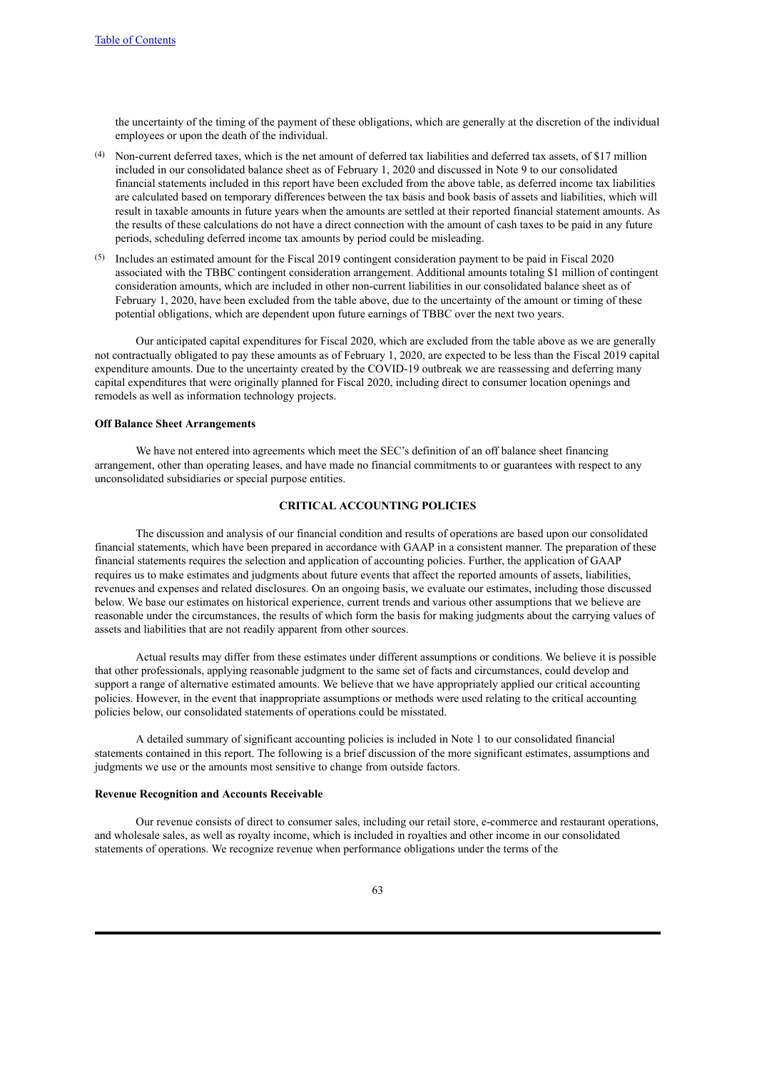the uncertainty of the timing of the payment of these obligations, which are generally at the discretion of the individual employees or upon the death of the individual.

- (4) Non-current deferred taxes, which is the net amount of deferred tax liabilities and deferred tax assets, of \$17 million included in our consolidated balance sheet as of February 1, 2020 and discussed in Note 9 to our consolidated financial statements included in this report have been excluded from the above table, as deferred income tax liabilities are calculated based on temporary differences between the tax basis and book basis of assets and liabilities, which will result in taxable amounts in future years when the amounts are settled at their reported financial statement amounts. As the results of these calculations do not have a direct connection with the amount of cash taxes to be paid in any future periods, scheduling deferred income tax amounts by period could be misleading.
- (5) Includes an estimated amount for the Fiscal 2019 contingent consideration payment to be paid in Fiscal 2020 associated with the TBBC contingent consideration arrangement. Additional amounts totaling \$1 million of contingent consideration amounts, which are included in other non-current liabilities in our consolidated balance sheet as of February 1, 2020, have been excluded from the table above, due to the uncertainty of the amount or timing of these potential obligations, which are dependent upon future earnings of TBBC over the next two years.

Our anticipated capital expenditures for Fiscal 2020, which are excluded from the table above as we are generally not contractually obligated to pay these amounts as of February 1, 2020, are expected to be less than the Fiscal 2019 capital expenditure amounts. Due to the uncertainty created by the COVID-19 outbreak we are reassessing and deferring many capital expenditures that were originally planned for Fiscal 2020, including direct to consumer location openings and remodels as well as information technology projects.

## **Off Balance Sheet Arrangements**

We have not entered into agreements which meet the SEC's definition of an off balance sheet financing arrangement, other than operating leases, and have made no financial commitments to or guarantees with respect to any unconsolidated subsidiaries or special purpose entities.

### **CRITICAL ACCOUNTING POLICIES**

The discussion and analysis of our financial condition and results of operations are based upon our consolidated financial statements, which have been prepared in accordance with GAAP in a consistent manner. The preparation of these financial statements requires the selection and application of accounting policies. Further, the application of GAAP requires us to make estimates and judgments about future events that affect the reported amounts of assets, liabilities, revenues and expenses and related disclosures. On an ongoing basis, we evaluate our estimates, including those discussed below. We base our estimates on historical experience, current trends and various other assumptions that we believe are reasonable under the circumstances, the results of which form the basis for making judgments about the carrying values of assets and liabilities that are not readily apparent from other sources.

Actual results may differ from these estimates under different assumptions or conditions. We believe it is possible that other professionals, applying reasonable judgment to the same set of facts and circumstances, could develop and support a range of alternative estimated amounts. We believe that we have appropriately applied our critical accounting policies. However, in the event that inappropriate assumptions or methods were used relating to the critical accounting policies below, our consolidated statements of operations could be misstated.

A detailed summary of significant accounting policies is included in Note 1 to our consolidated financial statements contained in this report. The following is a brief discussion of the more significant estimates, assumptions and judgments we use or the amounts most sensitive to change from outside factors.

### **Revenue Recognition and Accounts Receivable**

Our revenue consists of direct to consumer sales, including our retail store, e-commerce and restaurant operations, and wholesale sales, as well as royalty income, which is included in royalties and other income in our consolidated statements of operations. We recognize revenue when performance obligations under the terms of the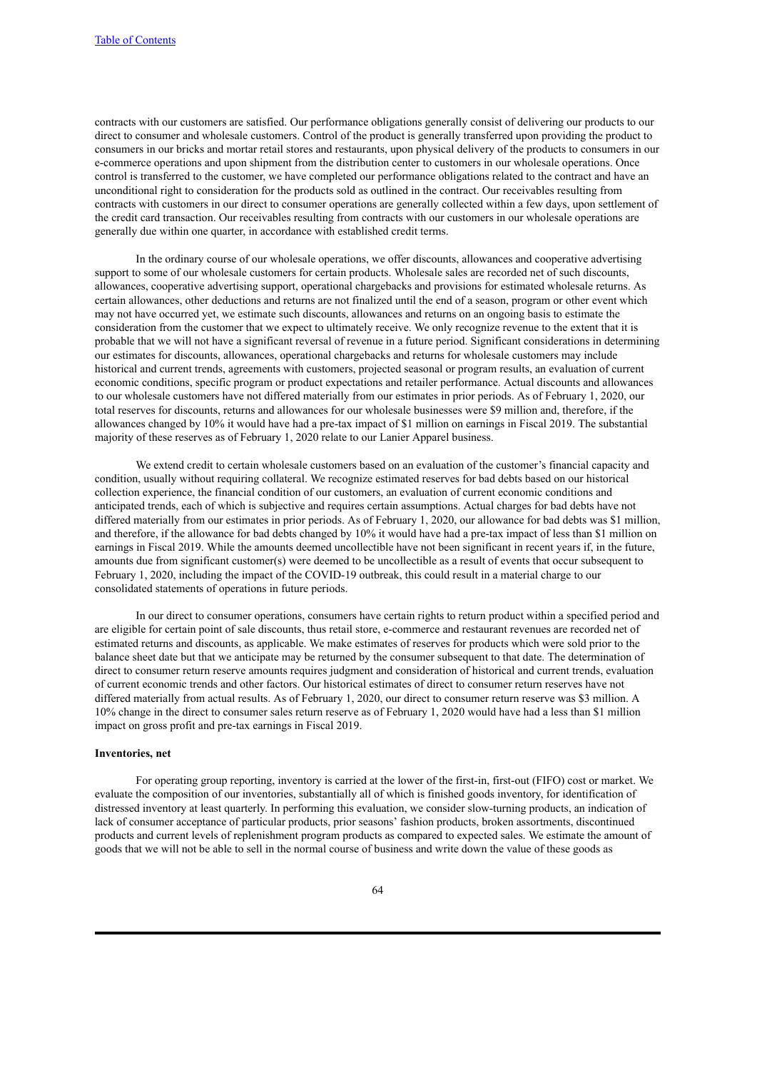contracts with our customers are satisfied. Our performance obligations generally consist of delivering our products to our direct to consumer and wholesale customers. Control of the product is generally transferred upon providing the product to consumers in our bricks and mortar retail stores and restaurants, upon physical delivery of the products to consumers in our e-commerce operations and upon shipment from the distribution center to customers in our wholesale operations. Once control is transferred to the customer, we have completed our performance obligations related to the contract and have an unconditional right to consideration for the products sold as outlined in the contract. Our receivables resulting from contracts with customers in our direct to consumer operations are generally collected within a few days, upon settlement of the credit card transaction. Our receivables resulting from contracts with our customers in our wholesale operations are generally due within one quarter, in accordance with established credit terms.

In the ordinary course of our wholesale operations, we offer discounts, allowances and cooperative advertising support to some of our wholesale customers for certain products. Wholesale sales are recorded net of such discounts, allowances, cooperative advertising support, operational chargebacks and provisions for estimated wholesale returns. As certain allowances, other deductions and returns are not finalized until the end of a season, program or other event which may not have occurred yet, we estimate such discounts, allowances and returns on an ongoing basis to estimate the consideration from the customer that we expect to ultimately receive. We only recognize revenue to the extent that it is probable that we will not have a significant reversal of revenue in a future period. Significant considerations in determining our estimates for discounts, allowances, operational chargebacks and returns for wholesale customers may include historical and current trends, agreements with customers, projected seasonal or program results, an evaluation of current economic conditions, specific program or product expectations and retailer performance. Actual discounts and allowances to our wholesale customers have not differed materially from our estimates in prior periods. As of February 1, 2020, our total reserves for discounts, returns and allowances for our wholesale businesses were \$9 million and, therefore, if the allowances changed by 10% it would have had a pre-tax impact of \$1 million on earnings in Fiscal 2019. The substantial majority of these reserves as of February 1, 2020 relate to our Lanier Apparel business.

We extend credit to certain wholesale customers based on an evaluation of the customer's financial capacity and condition, usually without requiring collateral. We recognize estimated reserves for bad debts based on our historical collection experience, the financial condition of our customers, an evaluation of current economic conditions and anticipated trends, each of which is subjective and requires certain assumptions. Actual charges for bad debts have not differed materially from our estimates in prior periods. As of February 1, 2020, our allowance for bad debts was \$1 million, and therefore, if the allowance for bad debts changed by 10% it would have had a pre-tax impact of less than \$1 million on earnings in Fiscal 2019. While the amounts deemed uncollectible have not been significant in recent years if, in the future, amounts due from significant customer(s) were deemed to be uncollectible as a result of events that occur subsequent to February 1, 2020, including the impact of the COVID-19 outbreak, this could result in a material charge to our consolidated statements of operations in future periods.

In our direct to consumer operations, consumers have certain rights to return product within a specified period and are eligible for certain point of sale discounts, thus retail store, e-commerce and restaurant revenues are recorded net of estimated returns and discounts, as applicable. We make estimates of reserves for products which were sold prior to the balance sheet date but that we anticipate may be returned by the consumer subsequent to that date. The determination of direct to consumer return reserve amounts requires judgment and consideration of historical and current trends, evaluation of current economic trends and other factors. Our historical estimates of direct to consumer return reserves have not differed materially from actual results. As of February 1, 2020, our direct to consumer return reserve was \$3 million. A 10% change in the direct to consumer sales return reserve as of February 1, 2020 would have had a less than \$1 million impact on gross profit and pre-tax earnings in Fiscal 2019.

### **Inventories, net**

For operating group reporting, inventory is carried at the lower of the first-in, first-out (FIFO) cost or market. We evaluate the composition of our inventories, substantially all of which is finished goods inventory, for identification of distressed inventory at least quarterly. In performing this evaluation, we consider slow-turning products, an indication of lack of consumer acceptance of particular products, prior seasons' fashion products, broken assortments, discontinued products and current levels of replenishment program products as compared to expected sales. We estimate the amount of goods that we will not be able to sell in the normal course of business and write down the value of these goods as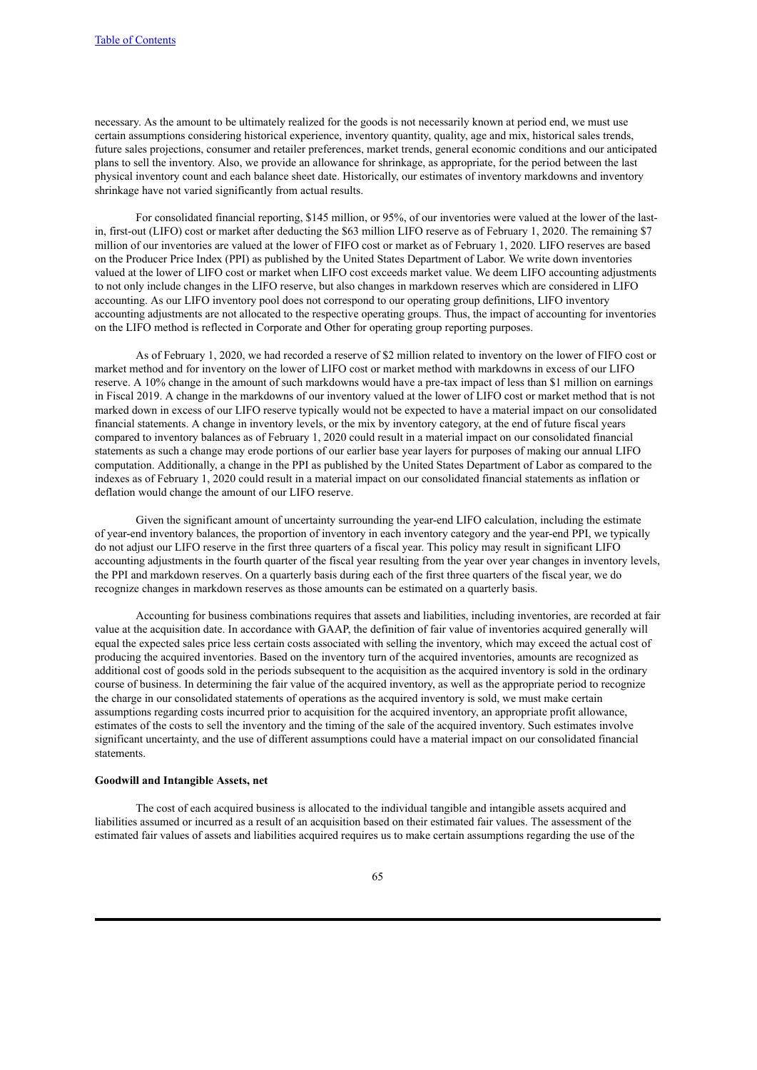necessary. As the amount to be ultimately realized for the goods is not necessarily known at period end, we must use certain assumptions considering historical experience, inventory quantity, quality, age and mix, historical sales trends, future sales projections, consumer and retailer preferences, market trends, general economic conditions and our anticipated plans to sell the inventory. Also, we provide an allowance for shrinkage, as appropriate, for the period between the last physical inventory count and each balance sheet date. Historically, our estimates of inventory markdowns and inventory shrinkage have not varied significantly from actual results.

For consolidated financial reporting, \$145 million, or 95%, of our inventories were valued at the lower of the lastin, first-out (LIFO) cost or market after deducting the \$63 million LIFO reserve as of February 1, 2020. The remaining \$7 million of our inventories are valued at the lower of FIFO cost or market as of February 1, 2020. LIFO reserves are based on the Producer Price Index (PPI) as published by the United States Department of Labor. We write down inventories valued at the lower of LIFO cost or market when LIFO cost exceeds market value. We deem LIFO accounting adjustments to not only include changes in the LIFO reserve, but also changes in markdown reserves which are considered in LIFO accounting. As our LIFO inventory pool does not correspond to our operating group definitions, LIFO inventory accounting adjustments are not allocated to the respective operating groups. Thus, the impact of accounting for inventories on the LIFO method is reflected in Corporate and Other for operating group reporting purposes.

As of February 1, 2020, we had recorded a reserve of \$2 million related to inventory on the lower of FIFO cost or market method and for inventory on the lower of LIFO cost or market method with markdowns in excess of our LIFO reserve. A 10% change in the amount of such markdowns would have a pre-tax impact of less than \$1 million on earnings in Fiscal 2019. A change in the markdowns of our inventory valued at the lower of LIFO cost or market method that is not marked down in excess of our LIFO reserve typically would not be expected to have a material impact on our consolidated financial statements. A change in inventory levels, or the mix by inventory category, at the end of future fiscal years compared to inventory balances as of February 1, 2020 could result in a material impact on our consolidated financial statements as such a change may erode portions of our earlier base year layers for purposes of making our annual LIFO computation. Additionally, a change in the PPI as published by the United States Department of Labor as compared to the indexes as of February 1, 2020 could result in a material impact on our consolidated financial statements as inflation or deflation would change the amount of our LIFO reserve.

Given the significant amount of uncertainty surrounding the year-end LIFO calculation, including the estimate of year-end inventory balances, the proportion of inventory in each inventory category and the year-end PPI, we typically do not adjust our LIFO reserve in the first three quarters of a fiscal year. This policy may result in significant LIFO accounting adjustments in the fourth quarter of the fiscal year resulting from the year over year changes in inventory levels, the PPI and markdown reserves. On a quarterly basis during each of the first three quarters of the fiscal year, we do recognize changes in markdown reserves as those amounts can be estimated on a quarterly basis.

Accounting for business combinations requires that assets and liabilities, including inventories, are recorded at fair value at the acquisition date. In accordance with GAAP, the definition of fair value of inventories acquired generally will equal the expected sales price less certain costs associated with selling the inventory, which may exceed the actual cost of producing the acquired inventories. Based on the inventory turn of the acquired inventories, amounts are recognized as additional cost of goods sold in the periods subsequent to the acquisition as the acquired inventory is sold in the ordinary course of business. In determining the fair value of the acquired inventory, as well as the appropriate period to recognize the charge in our consolidated statements of operations as the acquired inventory is sold, we must make certain assumptions regarding costs incurred prior to acquisition for the acquired inventory, an appropriate profit allowance, estimates of the costs to sell the inventory and the timing of the sale of the acquired inventory. Such estimates involve significant uncertainty, and the use of different assumptions could have a material impact on our consolidated financial statements.

### **Goodwill and Intangible Assets, net**

The cost of each acquired business is allocated to the individual tangible and intangible assets acquired and liabilities assumed or incurred as a result of an acquisition based on their estimated fair values. The assessment of the estimated fair values of assets and liabilities acquired requires us to make certain assumptions regarding the use of the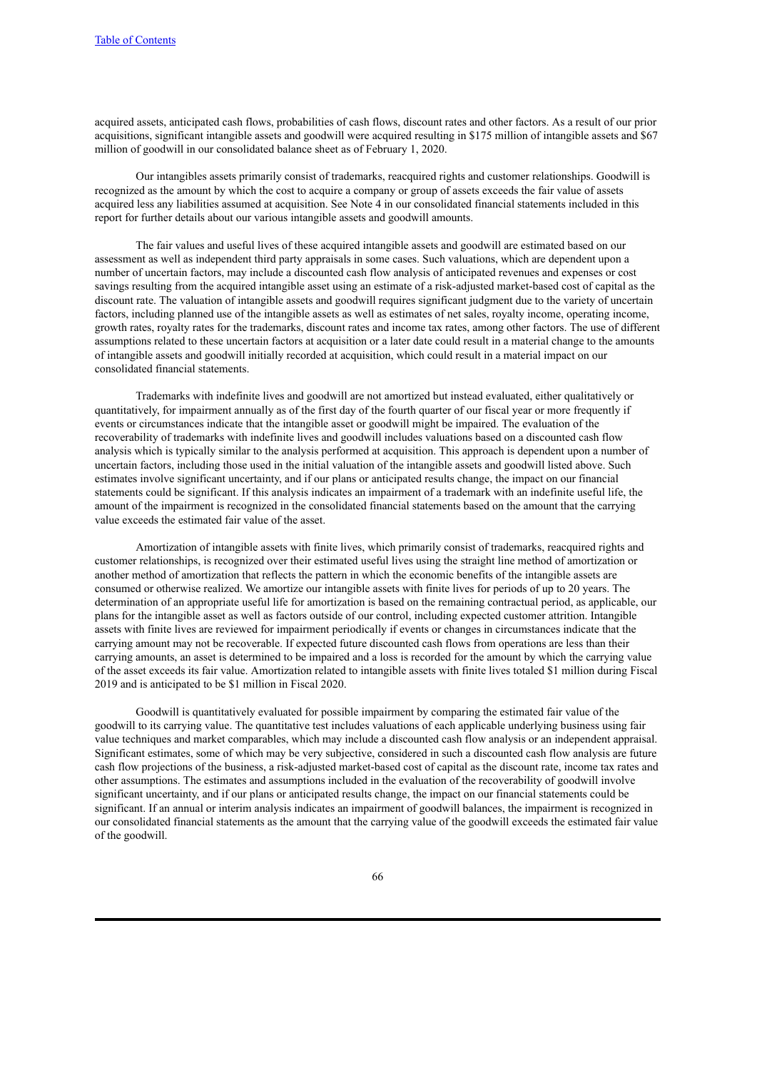acquired assets, anticipated cash flows, probabilities of cash flows, discount rates and other factors. As a result of our prior acquisitions, significant intangible assets and goodwill were acquired resulting in \$175 million of intangible assets and \$67 million of goodwill in our consolidated balance sheet as of February 1, 2020.

Our intangibles assets primarily consist of trademarks, reacquired rights and customer relationships. Goodwill is recognized as the amount by which the cost to acquire a company or group of assets exceeds the fair value of assets acquired less any liabilities assumed at acquisition. See Note 4 in our consolidated financial statements included in this report for further details about our various intangible assets and goodwill amounts.

The fair values and useful lives of these acquired intangible assets and goodwill are estimated based on our assessment as well as independent third party appraisals in some cases. Such valuations, which are dependent upon a number of uncertain factors, may include a discounted cash flow analysis of anticipated revenues and expenses or cost savings resulting from the acquired intangible asset using an estimate of a risk-adjusted market-based cost of capital as the discount rate. The valuation of intangible assets and goodwill requires significant judgment due to the variety of uncertain factors, including planned use of the intangible assets as well as estimates of net sales, royalty income, operating income, growth rates, royalty rates for the trademarks, discount rates and income tax rates, among other factors. The use of different assumptions related to these uncertain factors at acquisition or a later date could result in a material change to the amounts of intangible assets and goodwill initially recorded at acquisition, which could result in a material impact on our consolidated financial statements.

Trademarks with indefinite lives and goodwill are not amortized but instead evaluated, either qualitatively or quantitatively, for impairment annually as of the first day of the fourth quarter of our fiscal year or more frequently if events or circumstances indicate that the intangible asset or goodwill might be impaired. The evaluation of the recoverability of trademarks with indefinite lives and goodwill includes valuations based on a discounted cash flow analysis which is typically similar to the analysis performed at acquisition. This approach is dependent upon a number of uncertain factors, including those used in the initial valuation of the intangible assets and goodwill listed above. Such estimates involve significant uncertainty, and if our plans or anticipated results change, the impact on our financial statements could be significant. If this analysis indicates an impairment of a trademark with an indefinite useful life, the amount of the impairment is recognized in the consolidated financial statements based on the amount that the carrying value exceeds the estimated fair value of the asset.

Amortization of intangible assets with finite lives, which primarily consist of trademarks, reacquired rights and customer relationships, is recognized over their estimated useful lives using the straight line method of amortization or another method of amortization that reflects the pattern in which the economic benefits of the intangible assets are consumed or otherwise realized. We amortize our intangible assets with finite lives for periods of up to 20 years. The determination of an appropriate useful life for amortization is based on the remaining contractual period, as applicable, our plans for the intangible asset as well as factors outside of our control, including expected customer attrition. Intangible assets with finite lives are reviewed for impairment periodically if events or changes in circumstances indicate that the carrying amount may not be recoverable. If expected future discounted cash flows from operations are less than their carrying amounts, an asset is determined to be impaired and a loss is recorded for the amount by which the carrying value of the asset exceeds its fair value. Amortization related to intangible assets with finite lives totaled \$1 million during Fiscal 2019 and is anticipated to be \$1 million in Fiscal 2020.

Goodwill is quantitatively evaluated for possible impairment by comparing the estimated fair value of the goodwill to its carrying value. The quantitative test includes valuations of each applicable underlying business using fair value techniques and market comparables, which may include a discounted cash flow analysis or an independent appraisal. Significant estimates, some of which may be very subjective, considered in such a discounted cash flow analysis are future cash flow projections of the business, a risk-adjusted market-based cost of capital as the discount rate, income tax rates and other assumptions. The estimates and assumptions included in the evaluation of the recoverability of goodwill involve significant uncertainty, and if our plans or anticipated results change, the impact on our financial statements could be significant. If an annual or interim analysis indicates an impairment of goodwill balances, the impairment is recognized in our consolidated financial statements as the amount that the carrying value of the goodwill exceeds the estimated fair value of the goodwill.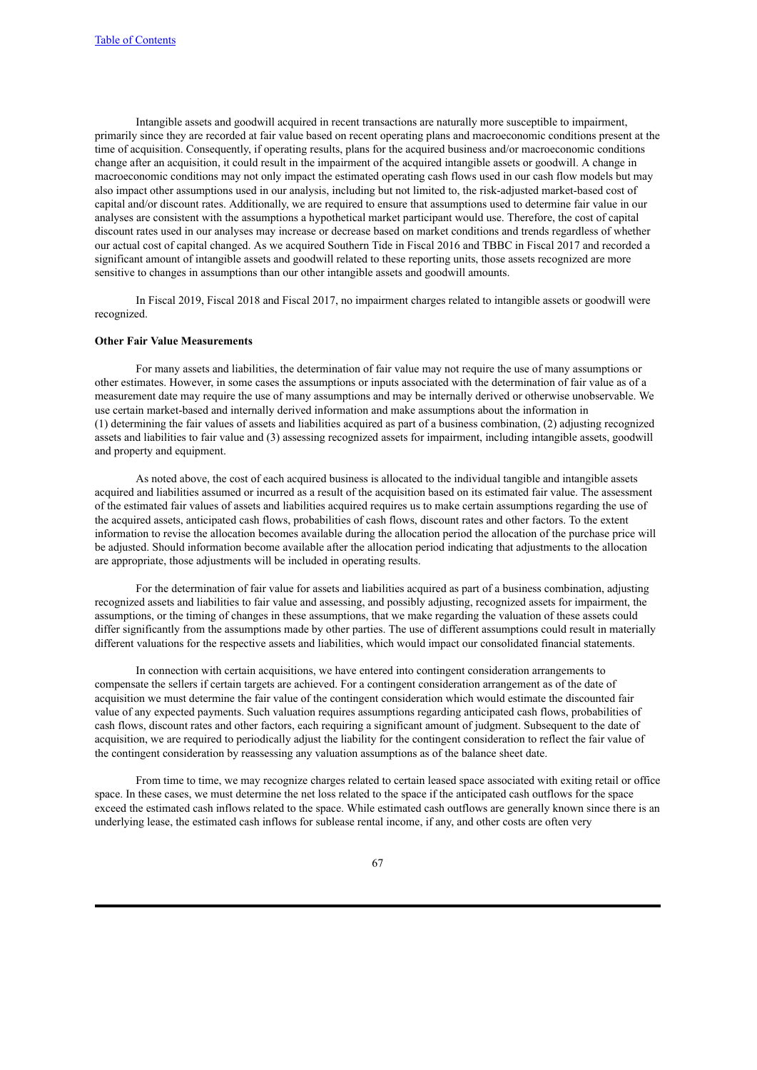Intangible assets and goodwill acquired in recent transactions are naturally more susceptible to impairment, primarily since they are recorded at fair value based on recent operating plans and macroeconomic conditions present at the time of acquisition. Consequently, if operating results, plans for the acquired business and/or macroeconomic conditions change after an acquisition, it could result in the impairment of the acquired intangible assets or goodwill. A change in macroeconomic conditions may not only impact the estimated operating cash flows used in our cash flow models but may also impact other assumptions used in our analysis, including but not limited to, the risk-adjusted market-based cost of capital and/or discount rates. Additionally, we are required to ensure that assumptions used to determine fair value in our analyses are consistent with the assumptions a hypothetical market participant would use. Therefore, the cost of capital discount rates used in our analyses may increase or decrease based on market conditions and trends regardless of whether our actual cost of capital changed. As we acquired Southern Tide in Fiscal 2016 and TBBC in Fiscal 2017 and recorded a significant amount of intangible assets and goodwill related to these reporting units, those assets recognized are more sensitive to changes in assumptions than our other intangible assets and goodwill amounts.

In Fiscal 2019, Fiscal 2018 and Fiscal 2017, no impairment charges related to intangible assets or goodwill were recognized.

### **Other Fair Value Measurements**

For many assets and liabilities, the determination of fair value may not require the use of many assumptions or other estimates. However, in some cases the assumptions or inputs associated with the determination of fair value as of a measurement date may require the use of many assumptions and may be internally derived or otherwise unobservable. We use certain market-based and internally derived information and make assumptions about the information in (1) determining the fair values of assets and liabilities acquired as part of a business combination, (2) adjusting recognized assets and liabilities to fair value and (3) assessing recognized assets for impairment, including intangible assets, goodwill and property and equipment.

As noted above, the cost of each acquired business is allocated to the individual tangible and intangible assets acquired and liabilities assumed or incurred as a result of the acquisition based on its estimated fair value. The assessment of the estimated fair values of assets and liabilities acquired requires us to make certain assumptions regarding the use of the acquired assets, anticipated cash flows, probabilities of cash flows, discount rates and other factors. To the extent information to revise the allocation becomes available during the allocation period the allocation of the purchase price will be adjusted. Should information become available after the allocation period indicating that adjustments to the allocation are appropriate, those adjustments will be included in operating results.

For the determination of fair value for assets and liabilities acquired as part of a business combination, adjusting recognized assets and liabilities to fair value and assessing, and possibly adjusting, recognized assets for impairment, the assumptions, or the timing of changes in these assumptions, that we make regarding the valuation of these assets could differ significantly from the assumptions made by other parties. The use of different assumptions could result in materially different valuations for the respective assets and liabilities, which would impact our consolidated financial statements.

In connection with certain acquisitions, we have entered into contingent consideration arrangements to compensate the sellers if certain targets are achieved. For a contingent consideration arrangement as of the date of acquisition we must determine the fair value of the contingent consideration which would estimate the discounted fair value of any expected payments. Such valuation requires assumptions regarding anticipated cash flows, probabilities of cash flows, discount rates and other factors, each requiring a significant amount of judgment. Subsequent to the date of acquisition, we are required to periodically adjust the liability for the contingent consideration to reflect the fair value of the contingent consideration by reassessing any valuation assumptions as of the balance sheet date.

From time to time, we may recognize charges related to certain leased space associated with exiting retail or office space. In these cases, we must determine the net loss related to the space if the anticipated cash outflows for the space exceed the estimated cash inflows related to the space. While estimated cash outflows are generally known since there is an underlying lease, the estimated cash inflows for sublease rental income, if any, and other costs are often very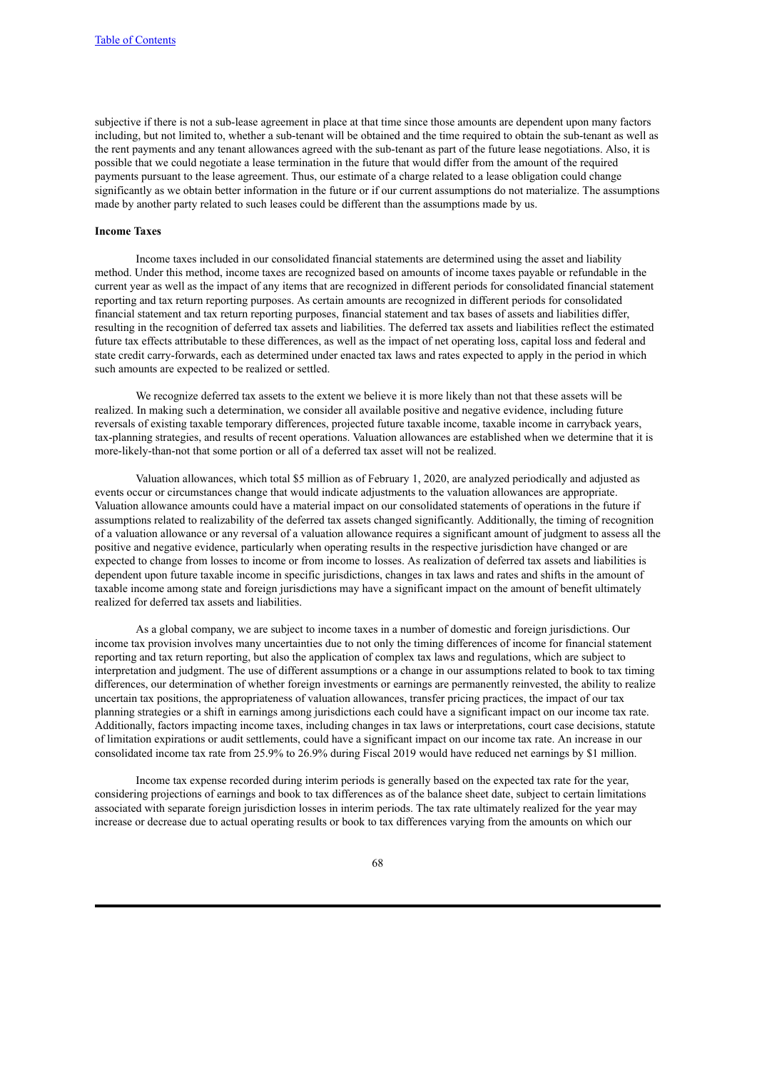subjective if there is not a sub-lease agreement in place at that time since those amounts are dependent upon many factors including, but not limited to, whether a sub-tenant will be obtained and the time required to obtain the sub-tenant as well as the rent payments and any tenant allowances agreed with the sub-tenant as part of the future lease negotiations. Also, it is possible that we could negotiate a lease termination in the future that would differ from the amount of the required payments pursuant to the lease agreement. Thus, our estimate of a charge related to a lease obligation could change significantly as we obtain better information in the future or if our current assumptions do not materialize. The assumptions made by another party related to such leases could be different than the assumptions made by us.

### **Income Taxes**

Income taxes included in our consolidated financial statements are determined using the asset and liability method. Under this method, income taxes are recognized based on amounts of income taxes payable or refundable in the current year as well as the impact of any items that are recognized in different periods for consolidated financial statement reporting and tax return reporting purposes. As certain amounts are recognized in different periods for consolidated financial statement and tax return reporting purposes, financial statement and tax bases of assets and liabilities differ, resulting in the recognition of deferred tax assets and liabilities. The deferred tax assets and liabilities reflect the estimated future tax effects attributable to these differences, as well as the impact of net operating loss, capital loss and federal and state credit carry-forwards, each as determined under enacted tax laws and rates expected to apply in the period in which such amounts are expected to be realized or settled.

We recognize deferred tax assets to the extent we believe it is more likely than not that these assets will be realized. In making such a determination, we consider all available positive and negative evidence, including future reversals of existing taxable temporary differences, projected future taxable income, taxable income in carryback years, tax-planning strategies, and results of recent operations. Valuation allowances are established when we determine that it is more-likely-than-not that some portion or all of a deferred tax asset will not be realized.

Valuation allowances, which total \$5 million as of February 1, 2020, are analyzed periodically and adjusted as events occur or circumstances change that would indicate adjustments to the valuation allowances are appropriate. Valuation allowance amounts could have a material impact on our consolidated statements of operations in the future if assumptions related to realizability of the deferred tax assets changed significantly. Additionally, the timing of recognition of a valuation allowance or any reversal of a valuation allowance requires a significant amount of judgment to assess all the positive and negative evidence, particularly when operating results in the respective jurisdiction have changed or are expected to change from losses to income or from income to losses. As realization of deferred tax assets and liabilities is dependent upon future taxable income in specific jurisdictions, changes in tax laws and rates and shifts in the amount of taxable income among state and foreign jurisdictions may have a significant impact on the amount of benefit ultimately realized for deferred tax assets and liabilities.

As a global company, we are subject to income taxes in a number of domestic and foreign jurisdictions. Our income tax provision involves many uncertainties due to not only the timing differences of income for financial statement reporting and tax return reporting, but also the application of complex tax laws and regulations, which are subject to interpretation and judgment. The use of different assumptions or a change in our assumptions related to book to tax timing differences, our determination of whether foreign investments or earnings are permanently reinvested, the ability to realize uncertain tax positions, the appropriateness of valuation allowances, transfer pricing practices, the impact of our tax planning strategies or a shift in earnings among jurisdictions each could have a significant impact on our income tax rate. Additionally, factors impacting income taxes, including changes in tax laws or interpretations, court case decisions, statute of limitation expirations or audit settlements, could have a significant impact on our income tax rate. An increase in our consolidated income tax rate from 25.9% to 26.9% during Fiscal 2019 would have reduced net earnings by \$1 million.

Income tax expense recorded during interim periods is generally based on the expected tax rate for the year, considering projections of earnings and book to tax differences as of the balance sheet date, subject to certain limitations associated with separate foreign jurisdiction losses in interim periods. The tax rate ultimately realized for the year may increase or decrease due to actual operating results or book to tax differences varying from the amounts on which our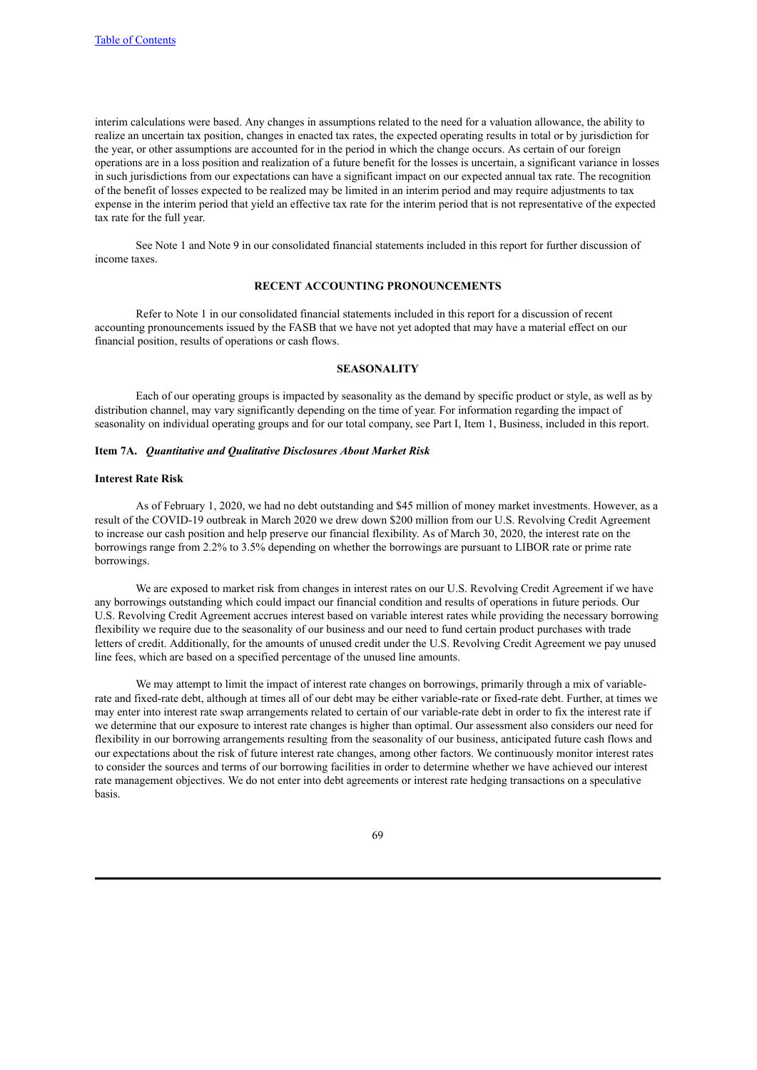interim calculations were based. Any changes in assumptions related to the need for a valuation allowance, the ability to realize an uncertain tax position, changes in enacted tax rates, the expected operating results in total or by jurisdiction for the year, or other assumptions are accounted for in the period in which the change occurs. As certain of our foreign operations are in a loss position and realization of a future benefit for the losses is uncertain, a significant variance in losses in such jurisdictions from our expectations can have a significant impact on our expected annual tax rate. The recognition of the benefit of losses expected to be realized may be limited in an interim period and may require adjustments to tax expense in the interim period that yield an effective tax rate for the interim period that is not representative of the expected tax rate for the full year.

See Note 1 and Note 9 in our consolidated financial statements included in this report for further discussion of income taxes.

# **RECENT ACCOUNTING PRONOUNCEMENTS**

Refer to Note 1 in our consolidated financial statements included in this report for a discussion of recent accounting pronouncements issued by the FASB that we have not yet adopted that may have a material effect on our financial position, results of operations or cash flows.

# **SEASONALITY**

Each of our operating groups is impacted by seasonality as the demand by specific product or style, as well as by distribution channel, may vary significantly depending on the time of year. For information regarding the impact of seasonality on individual operating groups and for our total company, see Part I, Item 1, Business, included in this report.

#### **Item 7A.** *Quantitative and Qualitative Disclosures About Market Risk*

### **Interest Rate Risk**

As of February 1, 2020, we had no debt outstanding and \$45 million of money market investments. However, as a result of the COVID-19 outbreak in March 2020 we drew down \$200 million from our U.S. Revolving Credit Agreement to increase our cash position and help preserve our financial flexibility. As of March 30, 2020, the interest rate on the borrowings range from 2.2% to 3.5% depending on whether the borrowings are pursuant to LIBOR rate or prime rate borrowings.

We are exposed to market risk from changes in interest rates on our U.S. Revolving Credit Agreement if we have any borrowings outstanding which could impact our financial condition and results of operations in future periods. Our U.S. Revolving Credit Agreement accrues interest based on variable interest rates while providing the necessary borrowing flexibility we require due to the seasonality of our business and our need to fund certain product purchases with trade letters of credit. Additionally, for the amounts of unused credit under the U.S. Revolving Credit Agreement we pay unused line fees, which are based on a specified percentage of the unused line amounts.

We may attempt to limit the impact of interest rate changes on borrowings, primarily through a mix of variablerate and fixed-rate debt, although at times all of our debt may be either variable-rate or fixed-rate debt. Further, at times we may enter into interest rate swap arrangements related to certain of our variable-rate debt in order to fix the interest rate if we determine that our exposure to interest rate changes is higher than optimal. Our assessment also considers our need for flexibility in our borrowing arrangements resulting from the seasonality of our business, anticipated future cash flows and our expectations about the risk of future interest rate changes, among other factors. We continuously monitor interest rates to consider the sources and terms of our borrowing facilities in order to determine whether we have achieved our interest rate management objectives. We do not enter into debt agreements or interest rate hedging transactions on a speculative basis.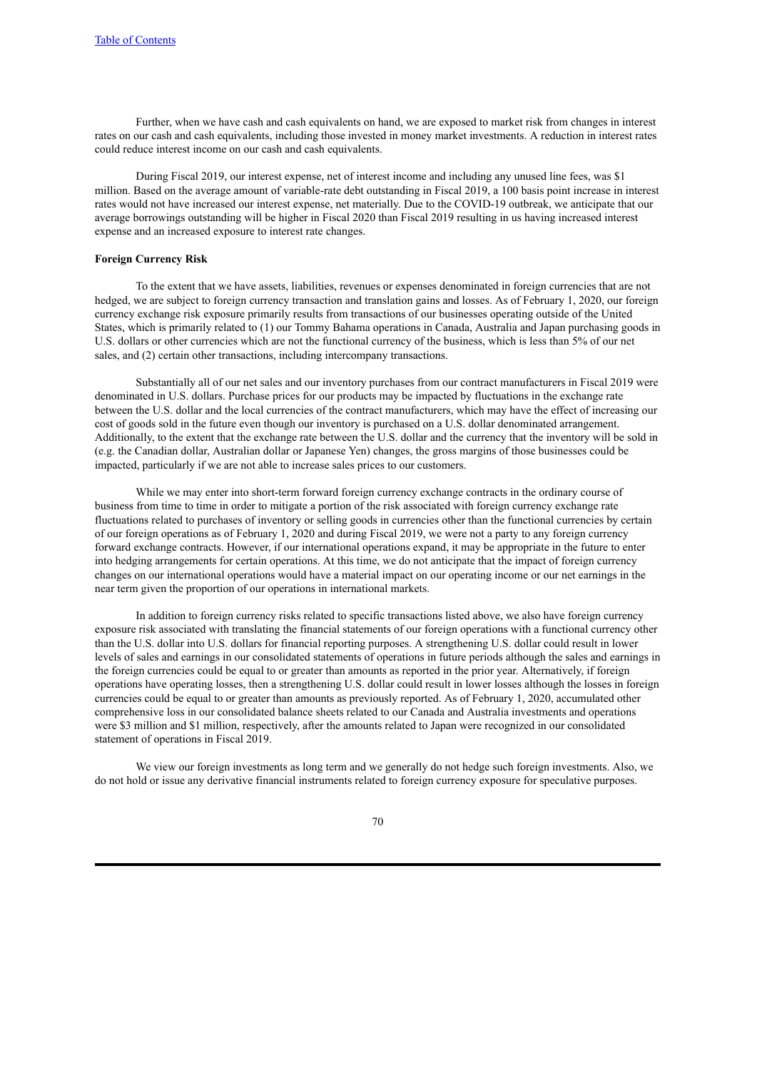Further, when we have cash and cash equivalents on hand, we are exposed to market risk from changes in interest rates on our cash and cash equivalents, including those invested in money market investments. A reduction in interest rates could reduce interest income on our cash and cash equivalents.

During Fiscal 2019, our interest expense, net of interest income and including any unused line fees, was \$1 million. Based on the average amount of variable-rate debt outstanding in Fiscal 2019, a 100 basis point increase in interest rates would not have increased our interest expense, net materially. Due to the COVID-19 outbreak, we anticipate that our average borrowings outstanding will be higher in Fiscal 2020 than Fiscal 2019 resulting in us having increased interest expense and an increased exposure to interest rate changes.

## **Foreign Currency Risk**

To the extent that we have assets, liabilities, revenues or expenses denominated in foreign currencies that are not hedged, we are subject to foreign currency transaction and translation gains and losses. As of February 1, 2020, our foreign currency exchange risk exposure primarily results from transactions of our businesses operating outside of the United States, which is primarily related to (1) our Tommy Bahama operations in Canada, Australia and Japan purchasing goods in U.S. dollars or other currencies which are not the functional currency of the business, which is less than 5% of our net sales, and (2) certain other transactions, including intercompany transactions.

Substantially all of our net sales and our inventory purchases from our contract manufacturers in Fiscal 2019 were denominated in U.S. dollars. Purchase prices for our products may be impacted by fluctuations in the exchange rate between the U.S. dollar and the local currencies of the contract manufacturers, which may have the effect of increasing our cost of goods sold in the future even though our inventory is purchased on a U.S. dollar denominated arrangement. Additionally, to the extent that the exchange rate between the U.S. dollar and the currency that the inventory will be sold in (e.g. the Canadian dollar, Australian dollar or Japanese Yen) changes, the gross margins of those businesses could be impacted, particularly if we are not able to increase sales prices to our customers.

While we may enter into short-term forward foreign currency exchange contracts in the ordinary course of business from time to time in order to mitigate a portion of the risk associated with foreign currency exchange rate fluctuations related to purchases of inventory or selling goods in currencies other than the functional currencies by certain of our foreign operations as of February 1, 2020 and during Fiscal 2019, we were not a party to any foreign currency forward exchange contracts. However, if our international operations expand, it may be appropriate in the future to enter into hedging arrangements for certain operations. At this time, we do not anticipate that the impact of foreign currency changes on our international operations would have a material impact on our operating income or our net earnings in the near term given the proportion of our operations in international markets.

In addition to foreign currency risks related to specific transactions listed above, we also have foreign currency exposure risk associated with translating the financial statements of our foreign operations with a functional currency other than the U.S. dollar into U.S. dollars for financial reporting purposes. A strengthening U.S. dollar could result in lower levels of sales and earnings in our consolidated statements of operations in future periods although the sales and earnings in the foreign currencies could be equal to or greater than amounts as reported in the prior year. Alternatively, if foreign operations have operating losses, then a strengthening U.S. dollar could result in lower losses although the losses in foreign currencies could be equal to or greater than amounts as previously reported. As of February 1, 2020, accumulated other comprehensive loss in our consolidated balance sheets related to our Canada and Australia investments and operations were \$3 million and \$1 million, respectively, after the amounts related to Japan were recognized in our consolidated statement of operations in Fiscal 2019.

We view our foreign investments as long term and we generally do not hedge such foreign investments. Also, we do not hold or issue any derivative financial instruments related to foreign currency exposure for speculative purposes.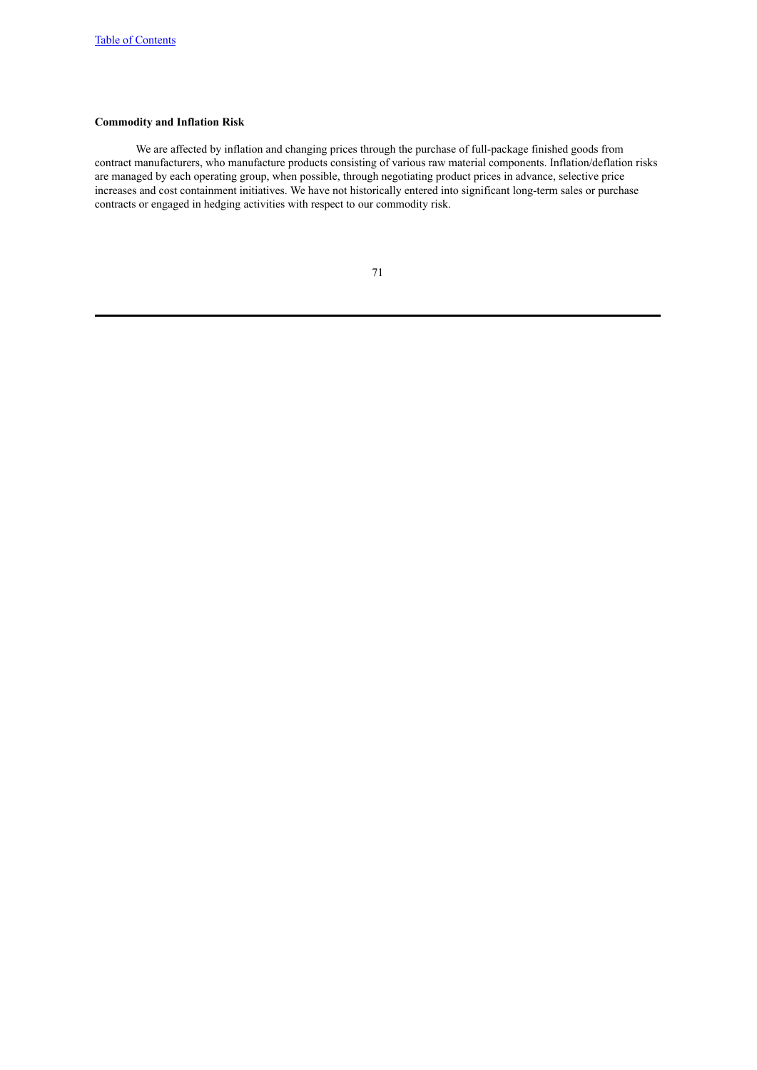# **Commodity and Inflation Risk**

We are affected by inflation and changing prices through the purchase of full-package finished goods from contract manufacturers, who manufacture products consisting of various raw material components. Inflation/deflation risks are managed by each operating group, when possible, through negotiating product prices in advance, selective price increases and cost containment initiatives. We have not historically entered into significant long-term sales or purchase contracts or engaged in hedging activities with respect to our commodity risk.

|  | ۰, |  |
|--|----|--|
|--|----|--|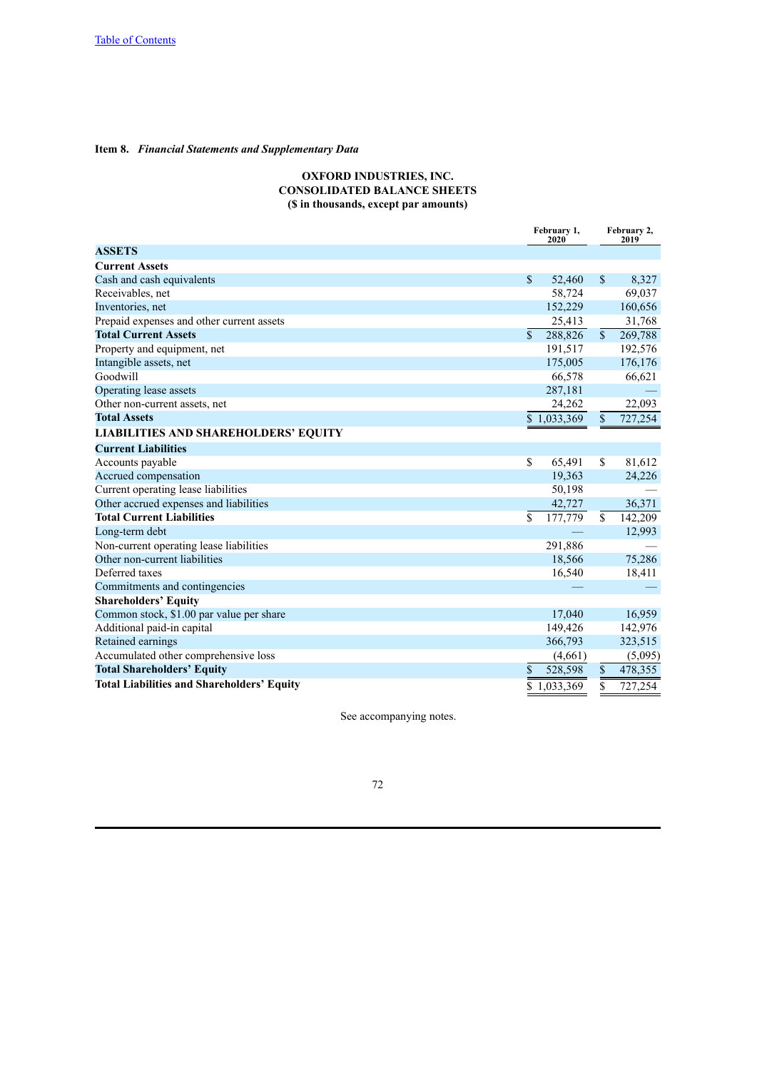# **Item 8.** *Financial Statements and Supplementary Data*

# **OXFORD INDUSTRIES, INC. CONSOLIDATED BALANCE SHEETS (\$ in thousands, except par amounts)**

|                                                   |              | February 1,<br>2020 |                    | February 2,<br>2019 |
|---------------------------------------------------|--------------|---------------------|--------------------|---------------------|
| <b>ASSETS</b>                                     |              |                     |                    |                     |
| <b>Current Assets</b>                             |              |                     |                    |                     |
| Cash and cash equivalents                         | $\mathbf S$  | 52,460              | $\mathbb{S}$       | 8,327               |
| Receivables, net                                  |              | 58,724              |                    | 69,037              |
| Inventories, net                                  |              | 152,229             |                    | 160,656             |
| Prepaid expenses and other current assets         |              | 25,413              |                    | 31,768              |
| <b>Total Current Assets</b>                       | $\mathbf{s}$ | 288,826             | $\mathbf{\hat{S}}$ | 269,788             |
| Property and equipment, net                       |              | 191,517             |                    | 192,576             |
| Intangible assets, net                            |              | 175,005             |                    | 176,176             |
| Goodwill                                          |              | 66,578              |                    | 66,621              |
| Operating lease assets                            |              | 287,181             |                    |                     |
| Other non-current assets, net                     |              | 24,262              |                    | 22,093              |
| <b>Total Assets</b>                               |              | \$1,033,369         | $\sqrt{\ }$        | 727,254             |
| <b>LIABILITIES AND SHAREHOLDERS' EQUITY</b>       |              |                     |                    |                     |
| <b>Current Liabilities</b>                        |              |                     |                    |                     |
| Accounts payable                                  | \$           | 65,491              | \$                 | 81,612              |
| Accrued compensation                              |              | 19,363              |                    | 24,226              |
| Current operating lease liabilities               |              | 50,198              |                    |                     |
| Other accrued expenses and liabilities            |              | 42,727              |                    | 36,371              |
| <b>Total Current Liabilities</b>                  | \$           | 177,779             | \$                 | 142,209             |
| Long-term debt                                    |              |                     |                    | 12,993              |
| Non-current operating lease liabilities           |              | 291,886             |                    |                     |
| Other non-current liabilities                     |              | 18,566              |                    | 75,286              |
| Deferred taxes                                    |              | 16,540              |                    | 18,411              |
| Commitments and contingencies                     |              |                     |                    |                     |
| <b>Shareholders' Equity</b>                       |              |                     |                    |                     |
| Common stock, \$1.00 par value per share          |              | 17,040              |                    | 16,959              |
| Additional paid-in capital                        |              | 149,426             |                    | 142,976             |
| Retained earnings                                 |              | 366,793             |                    | 323,515             |
| Accumulated other comprehensive loss              |              | (4,661)             |                    | (5,095)             |
| <b>Total Shareholders' Equity</b>                 | \$           | 528,598             | $\sqrt{\ }$        | 478,355             |
| <b>Total Liabilities and Shareholders' Equity</b> |              | 1.033.369           | $\overline{\$}$    | 727.254             |

See accompanying notes.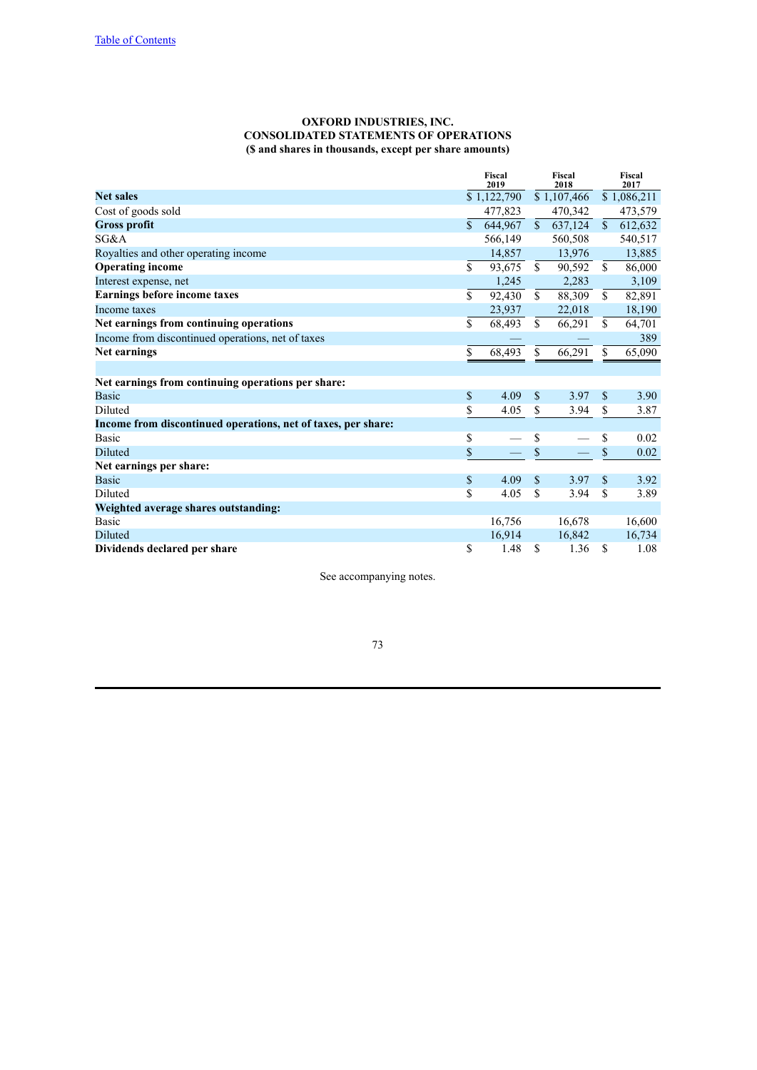# **OXFORD INDUSTRIES, INC. CONSOLIDATED STATEMENTS OF OPERATIONS (\$ and shares in thousands, except per share amounts)**

|                                                               |               | Fiscal<br>2019 |              | Fiscal<br>2018 |               | Fiscal<br>2017 |
|---------------------------------------------------------------|---------------|----------------|--------------|----------------|---------------|----------------|
| <b>Net sales</b>                                              |               | \$1,122,790    |              | \$1,107,466    |               | \$1,086,211    |
| Cost of goods sold                                            |               | 477,823        |              | 470,342        |               | 473,579        |
| <b>Gross profit</b>                                           | $\mathcal{S}$ | 644,967        | $\mathbb{S}$ | 637,124        |               | \$612,632      |
| SG&A                                                          |               | 566,149        |              | 560,508        |               | 540,517        |
| Royalties and other operating income                          |               | 14,857         |              | 13,976         |               | 13,885         |
| <b>Operating income</b>                                       | \$            | 93,675         | $\mathbb{S}$ | 90,592         | <sup>\$</sup> | 86,000         |
| Interest expense, net                                         |               | 1,245          |              | 2,283          |               | 3,109          |
| <b>Earnings before income taxes</b>                           | \$            | 92,430         | $\mathbb{S}$ | 88,309         | $\mathbb{S}$  | 82,891         |
| Income taxes                                                  |               | 23,937         |              | 22,018         |               | 18,190         |
| Net earnings from continuing operations                       | \$            | 68,493         | \$           | 66,291         | S.            | 64,701         |
| Income from discontinued operations, net of taxes             |               |                |              |                |               | 389            |
| Net earnings                                                  | \$            | 68,493         | \$           | 66,291         | \$            | 65,090         |
|                                                               |               |                |              |                |               |                |
| Net earnings from continuing operations per share:            |               |                |              |                |               |                |
| Basic                                                         | \$            | 4.09           | \$           | 3.97           | $\mathcal{S}$ | 3.90           |
| Diluted                                                       | \$            | 4.05           | \$           | 3.94           | S             | 3.87           |
| Income from discontinued operations, net of taxes, per share: |               |                |              |                |               |                |
| Basic                                                         | \$            |                | \$           |                | S             | 0.02           |
| <b>Diluted</b>                                                | \$            |                | \$           |                | \$            | 0.02           |
| Net earnings per share:                                       |               |                |              |                |               |                |
| Basic                                                         | \$            | 4.09           | \$           | 3.97           | $\mathcal{S}$ | 3.92           |
| Diluted                                                       | \$            | 4.05           | \$.          | 3.94           | \$.           | 3.89           |
| Weighted average shares outstanding:                          |               |                |              |                |               |                |
| <b>Basic</b>                                                  |               | 16,756         |              | 16,678         |               | 16,600         |
| <b>Diluted</b>                                                |               | 16,914         |              | 16,842         |               | 16,734         |
| Dividends declared per share                                  | \$            | 1.48           | \$           | 1.36           | <sup>\$</sup> | 1.08           |

See accompanying notes.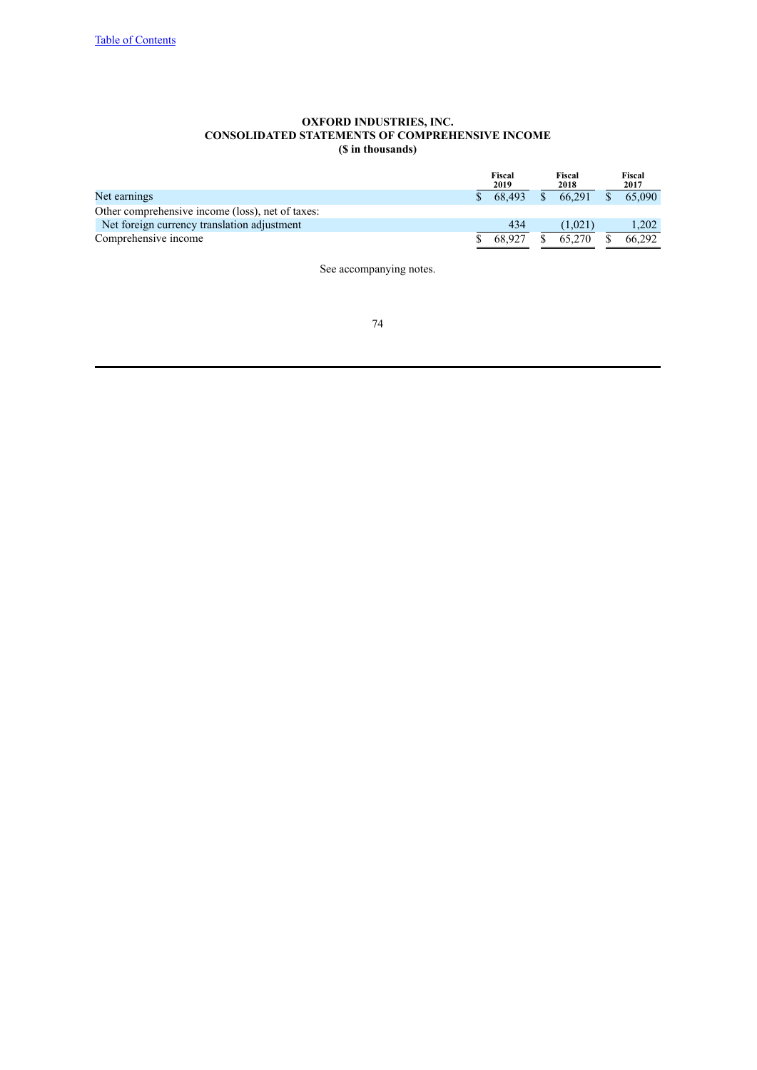# **OXFORD INDUSTRIES, INC. CONSOLIDATED STATEMENTS OF COMPREHENSIVE INCOME (\$ in thousands)**

|                                                  | Fiscal<br>2019 |    | Fiscal<br>2018 | Fiscal<br>2017 |
|--------------------------------------------------|----------------|----|----------------|----------------|
| Net earnings                                     | 68.493         | S. | 66.291         | 65.090         |
| Other comprehensive income (loss), net of taxes: |                |    |                |                |
| Net foreign currency translation adjustment      | 434            |    | (1.021)        | 1.202          |
| Comprehensive income                             | 68.927         |    | 65,270         | 66.292         |
|                                                  |                |    |                |                |

See accompanying notes.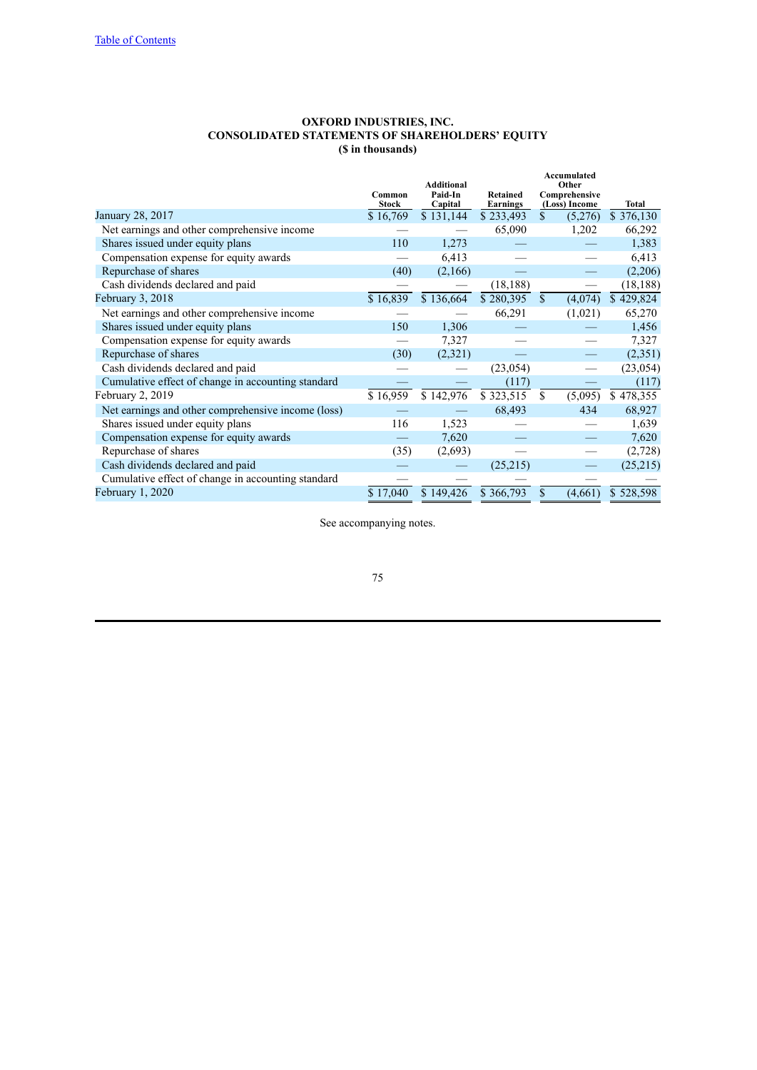## **OXFORD INDUSTRIES, INC. CONSOLIDATED STATEMENTS OF SHAREHOLDERS' EQUITY (\$ in thousands)**

|                                                    | Common<br><b>Stock</b> | <b>Additional</b><br>Paid-In<br>Capital | <b>Retained</b><br>Earnings | Accumulated<br>Other<br>Comprehensive<br>(Loss) Income | Total     |
|----------------------------------------------------|------------------------|-----------------------------------------|-----------------------------|--------------------------------------------------------|-----------|
| January 28, 2017                                   | \$16,769               | \$131,144                               | \$233,493                   | $\mathcal{S}$<br>(5,276)                               | \$376,130 |
| Net earnings and other comprehensive income        |                        |                                         | 65,090                      | 1,202                                                  | 66,292    |
| Shares issued under equity plans                   | 110                    | 1,273                                   |                             |                                                        | 1,383     |
| Compensation expense for equity awards             |                        | 6,413                                   |                             |                                                        | 6,413     |
| Repurchase of shares                               | (40)                   | (2,166)                                 |                             |                                                        | (2,206)   |
| Cash dividends declared and paid                   |                        |                                         | (18, 188)                   |                                                        | (18, 188) |
| February 3, 2018                                   | \$16,839               | \$136,664                               | \$280,395                   | $\mathcal{S}$<br>(4,074)                               | \$429,824 |
| Net earnings and other comprehensive income        |                        |                                         | 66,291                      | (1,021)                                                | 65,270    |
| Shares issued under equity plans                   | 150                    | 1,306                                   |                             |                                                        | 1,456     |
| Compensation expense for equity awards             |                        | 7,327                                   |                             |                                                        | 7,327     |
| Repurchase of shares                               | (30)                   | (2,321)                                 |                             |                                                        | (2,351)   |
| Cash dividends declared and paid                   |                        |                                         | (23, 054)                   |                                                        | (23, 054) |
| Cumulative effect of change in accounting standard |                        |                                         | (117)                       |                                                        | (117)     |
| February 2, 2019                                   | \$16,959               | \$142,976                               | \$323,515                   | \$<br>(5,095)                                          | \$478,355 |
| Net earnings and other comprehensive income (loss) |                        |                                         | 68,493                      | 434                                                    | 68,927    |
| Shares issued under equity plans                   | 116                    | 1,523                                   |                             |                                                        | 1,639     |
| Compensation expense for equity awards             |                        | 7,620                                   |                             |                                                        | 7,620     |
| Repurchase of shares                               | (35)                   | (2,693)                                 |                             |                                                        | (2,728)   |
| Cash dividends declared and paid                   |                        |                                         | (25,215)                    |                                                        | (25, 215) |
| Cumulative effect of change in accounting standard |                        |                                         |                             |                                                        |           |
| February 1, 2020                                   | \$17,040               | \$149,426                               | \$366,793                   | \$<br>(4,661)                                          | \$528,598 |

See accompanying notes.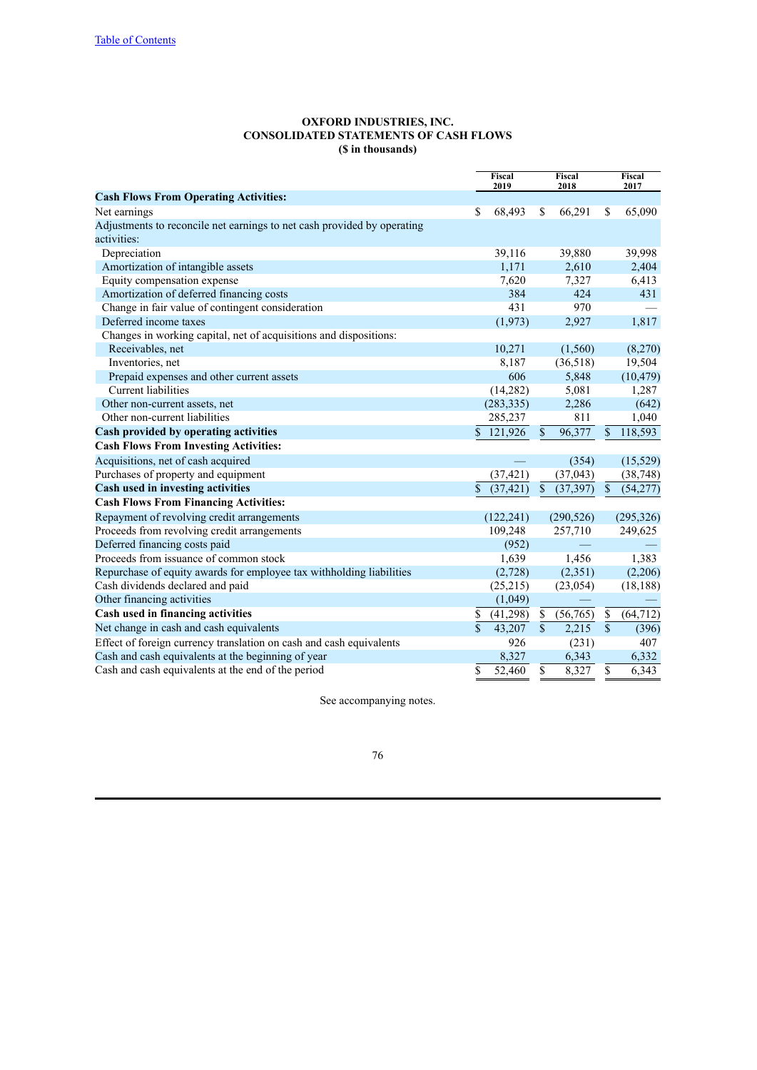## **OXFORD INDUSTRIES, INC. CONSOLIDATED STATEMENTS OF CASH FLOWS (\$ in thousands)**

|                                                                         |                         | Fiscal<br>2019 |                 | Fiscal<br>2018 |                           | Fiscal<br>2017 |
|-------------------------------------------------------------------------|-------------------------|----------------|-----------------|----------------|---------------------------|----------------|
| <b>Cash Flows From Operating Activities:</b>                            |                         |                |                 |                |                           |                |
| Net earnings                                                            | \$                      | 68,493         | S.              | 66,291         | <sup>\$</sup>             | 65,090         |
| Adjustments to reconcile net earnings to net cash provided by operating |                         |                |                 |                |                           |                |
| activities:                                                             |                         |                |                 |                |                           |                |
| Depreciation                                                            |                         | 39,116         |                 | 39,880         |                           | 39,998         |
| Amortization of intangible assets                                       |                         | 1,171          |                 | 2,610          |                           | 2,404          |
| Equity compensation expense                                             |                         | 7,620          |                 | 7,327          |                           | 6,413          |
| Amortization of deferred financing costs                                |                         | 384            |                 | 424            |                           | 431            |
| Change in fair value of contingent consideration                        |                         | 431            |                 | 970            |                           |                |
| Deferred income taxes                                                   |                         | (1, 973)       |                 | 2,927          |                           | 1,817          |
| Changes in working capital, net of acquisitions and dispositions:       |                         |                |                 |                |                           |                |
| Receivables, net                                                        |                         | 10,271         |                 | (1, 560)       |                           | (8,270)        |
| Inventories, net                                                        |                         | 8,187          |                 | (36,518)       |                           | 19,504         |
| Prepaid expenses and other current assets                               |                         | 606            |                 | 5,848          |                           | (10, 479)      |
| <b>Current liabilities</b>                                              |                         | (14, 282)      |                 | 5,081          |                           | 1,287          |
| Other non-current assets, net                                           |                         | (283, 335)     |                 | 2,286          |                           | (642)          |
| Other non-current liabilities                                           |                         | 285,237        |                 | 811            |                           | 1,040          |
| Cash provided by operating activities                                   |                         | 121,926        | $\mathsf{\$}$   | 96,377         | $\mathbf S$               | 118,593        |
| <b>Cash Flows From Investing Activities:</b>                            |                         |                |                 |                |                           |                |
| Acquisitions, net of cash acquired                                      |                         |                |                 | (354)          |                           | (15, 529)      |
| Purchases of property and equipment                                     |                         | (37, 421)      |                 | (37, 043)      |                           | (38, 748)      |
| Cash used in investing activities                                       | \$                      | (37, 421)      | $\overline{\$}$ | (37, 397)      | $\boldsymbol{\mathsf{S}}$ | (54, 277)      |
| <b>Cash Flows From Financing Activities:</b>                            |                         |                |                 |                |                           |                |
| Repayment of revolving credit arrangements                              |                         | (122, 241)     |                 | (290, 526)     |                           | (295, 326)     |
| Proceeds from revolving credit arrangements                             |                         | 109,248        |                 | 257,710        |                           | 249,625        |
| Deferred financing costs paid                                           |                         | (952)          |                 |                |                           |                |
| Proceeds from issuance of common stock                                  |                         | 1,639          |                 | 1,456          |                           | 1,383          |
| Repurchase of equity awards for employee tax withholding liabilities    |                         | (2,728)        |                 | (2,351)        |                           | (2,206)        |
| Cash dividends declared and paid                                        |                         | (25,215)       |                 | (23,054)       |                           | (18, 188)      |
| Other financing activities                                              |                         | (1,049)        |                 |                |                           |                |
| Cash used in financing activities                                       | \$                      | (41,298)       | \$              | (56, 765)      | \$                        | (64, 712)      |
| Net change in cash and cash equivalents                                 | $\overline{\mathbb{S}}$ | 43,207         | $\overline{\$}$ | 2,215          | $\overline{\$}$           | (396)          |
| Effect of foreign currency translation on cash and cash equivalents     |                         | 926            |                 | (231)          |                           | 407            |
| Cash and cash equivalents at the beginning of year                      |                         | 8,327          |                 | 6,343          |                           | 6,332          |
| Cash and cash equivalents at the end of the period                      | $\overline{\$}$         | 52.460         | \$              | 8,327          | \$                        | 6.343          |

See accompanying notes.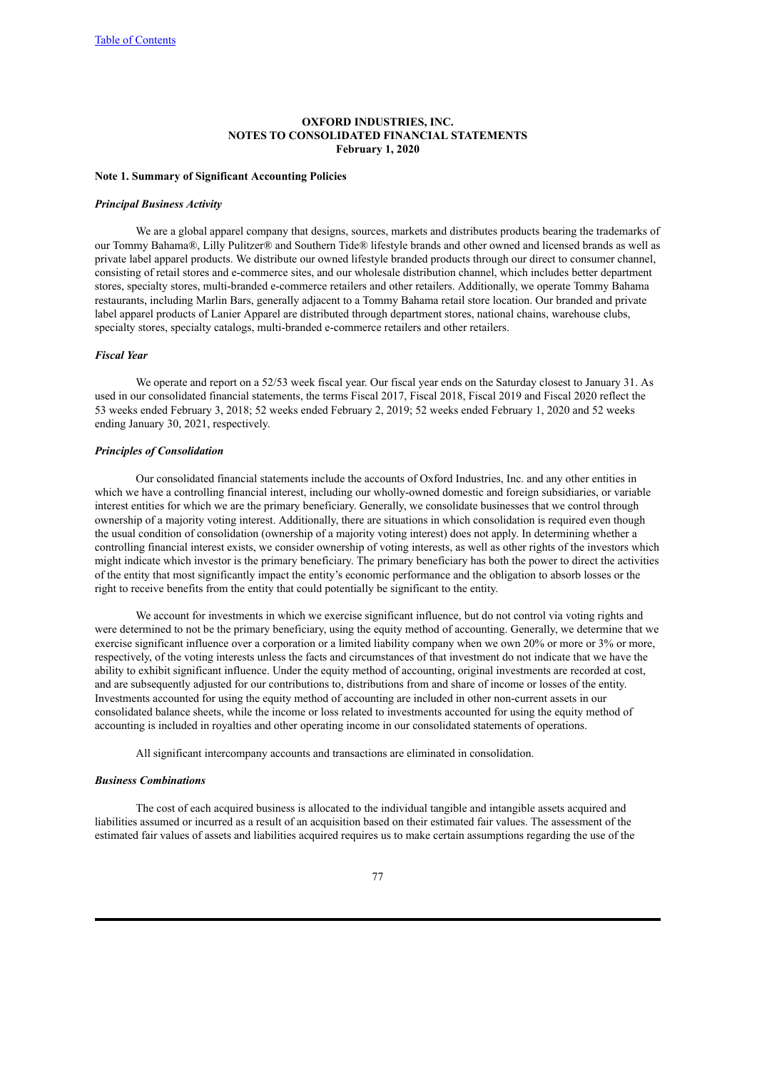# **OXFORD INDUSTRIES, INC. NOTES TO CONSOLIDATED FINANCIAL STATEMENTS February 1, 2020**

### **Note 1. Summary of Significant Accounting Policies**

### *Principal Business Activity*

We are a global apparel company that designs, sources, markets and distributes products bearing the trademarks of our Tommy Bahama®, Lilly Pulitzer® and Southern Tide® lifestyle brands and other owned and licensed brands as well as private label apparel products. We distribute our owned lifestyle branded products through our direct to consumer channel, consisting of retail stores and e-commerce sites, and our wholesale distribution channel, which includes better department stores, specialty stores, multi-branded e-commerce retailers and other retailers. Additionally, we operate Tommy Bahama restaurants, including Marlin Bars, generally adjacent to a Tommy Bahama retail store location. Our branded and private label apparel products of Lanier Apparel are distributed through department stores, national chains, warehouse clubs, specialty stores, specialty catalogs, multi-branded e-commerce retailers and other retailers.

### *Fiscal Year*

We operate and report on a 52/53 week fiscal year. Our fiscal year ends on the Saturday closest to January 31. As used in our consolidated financial statements, the terms Fiscal 2017, Fiscal 2018, Fiscal 2019 and Fiscal 2020 reflect the 53 weeks ended February 3, 2018; 52 weeks ended February 2, 2019; 52 weeks ended February 1, 2020 and 52 weeks ending January 30, 2021, respectively.

### *Principles of Consolidation*

Our consolidated financial statements include the accounts of Oxford Industries, Inc. and any other entities in which we have a controlling financial interest, including our wholly-owned domestic and foreign subsidiaries, or variable interest entities for which we are the primary beneficiary. Generally, we consolidate businesses that we control through ownership of a majority voting interest. Additionally, there are situations in which consolidation is required even though the usual condition of consolidation (ownership of a majority voting interest) does not apply. In determining whether a controlling financial interest exists, we consider ownership of voting interests, as well as other rights of the investors which might indicate which investor is the primary beneficiary. The primary beneficiary has both the power to direct the activities of the entity that most significantly impact the entity's economic performance and the obligation to absorb losses or the right to receive benefits from the entity that could potentially be significant to the entity.

We account for investments in which we exercise significant influence, but do not control via voting rights and were determined to not be the primary beneficiary, using the equity method of accounting. Generally, we determine that we exercise significant influence over a corporation or a limited liability company when we own 20% or more or 3% or more, respectively, of the voting interests unless the facts and circumstances of that investment do not indicate that we have the ability to exhibit significant influence. Under the equity method of accounting, original investments are recorded at cost, and are subsequently adjusted for our contributions to, distributions from and share of income or losses of the entity. Investments accounted for using the equity method of accounting are included in other non-current assets in our consolidated balance sheets, while the income or loss related to investments accounted for using the equity method of accounting is included in royalties and other operating income in our consolidated statements of operations.

All significant intercompany accounts and transactions are eliminated in consolidation.

#### *Business Combinations*

The cost of each acquired business is allocated to the individual tangible and intangible assets acquired and liabilities assumed or incurred as a result of an acquisition based on their estimated fair values. The assessment of the estimated fair values of assets and liabilities acquired requires us to make certain assumptions regarding the use of the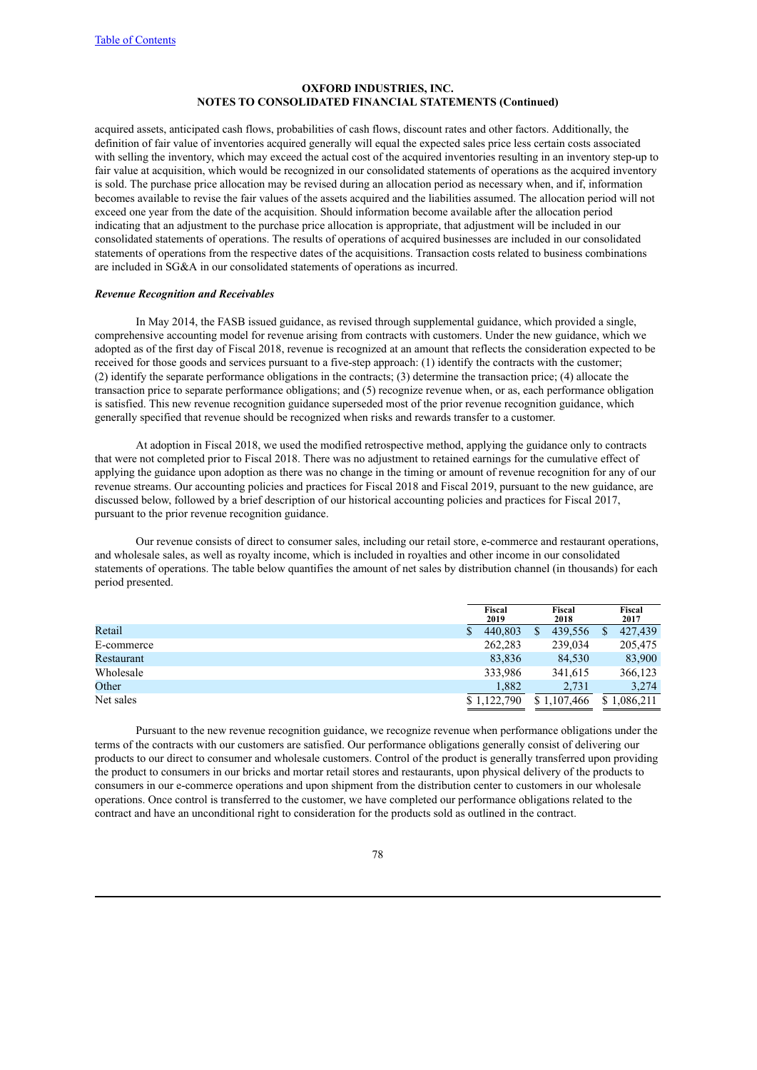acquired assets, anticipated cash flows, probabilities of cash flows, discount rates and other factors. Additionally, the definition of fair value of inventories acquired generally will equal the expected sales price less certain costs associated with selling the inventory, which may exceed the actual cost of the acquired inventories resulting in an inventory step-up to fair value at acquisition, which would be recognized in our consolidated statements of operations as the acquired inventory is sold. The purchase price allocation may be revised during an allocation period as necessary when, and if, information becomes available to revise the fair values of the assets acquired and the liabilities assumed. The allocation period will not exceed one year from the date of the acquisition. Should information become available after the allocation period indicating that an adjustment to the purchase price allocation is appropriate, that adjustment will be included in our consolidated statements of operations. The results of operations of acquired businesses are included in our consolidated statements of operations from the respective dates of the acquisitions. Transaction costs related to business combinations are included in SG&A in our consolidated statements of operations as incurred.

### *Revenue Recognition and Receivables*

In May 2014, the FASB issued guidance, as revised through supplemental guidance, which provided a single, comprehensive accounting model for revenue arising from contracts with customers. Under the new guidance, which we adopted as of the first day of Fiscal 2018, revenue is recognized at an amount that reflects the consideration expected to be received for those goods and services pursuant to a five-step approach: (1) identify the contracts with the customer; (2) identify the separate performance obligations in the contracts; (3) determine the transaction price; (4) allocate the transaction price to separate performance obligations; and (5) recognize revenue when, or as, each performance obligation is satisfied. This new revenue recognition guidance superseded most of the prior revenue recognition guidance, which generally specified that revenue should be recognized when risks and rewards transfer to a customer.

At adoption in Fiscal 2018, we used the modified retrospective method, applying the guidance only to contracts that were not completed prior to Fiscal 2018. There was no adjustment to retained earnings for the cumulative effect of applying the guidance upon adoption as there was no change in the timing or amount of revenue recognition for any of our revenue streams. Our accounting policies and practices for Fiscal 2018 and Fiscal 2019, pursuant to the new guidance, are discussed below, followed by a brief description of our historical accounting policies and practices for Fiscal 2017, pursuant to the prior revenue recognition guidance.

Our revenue consists of direct to consumer sales, including our retail store, e-commerce and restaurant operations, and wholesale sales, as well as royalty income, which is included in royalties and other income in our consolidated statements of operations. The table below quantifies the amount of net sales by distribution channel (in thousands) for each period presented.

|            | Fiscal<br>2019 | Fiscal<br>2018 | Fiscal<br>2017 |
|------------|----------------|----------------|----------------|
| Retail     | 440,803        | 439,556        | 427.439        |
| E-commerce | 262,283        | 239.034        | 205,475        |
| Restaurant | 83.836         | 84.530         | 83,900         |
| Wholesale  | 333,986        | 341.615        | 366,123        |
| Other      | 1,882          | 2,731          | 3,274          |
| Net sales  | \$1.122.790    | \$1,107,466    | \$1.086.211    |

Pursuant to the new revenue recognition guidance, we recognize revenue when performance obligations under the terms of the contracts with our customers are satisfied. Our performance obligations generally consist of delivering our products to our direct to consumer and wholesale customers. Control of the product is generally transferred upon providing the product to consumers in our bricks and mortar retail stores and restaurants, upon physical delivery of the products to consumers in our e-commerce operations and upon shipment from the distribution center to customers in our wholesale operations. Once control is transferred to the customer, we have completed our performance obligations related to the contract and have an unconditional right to consideration for the products sold as outlined in the contract.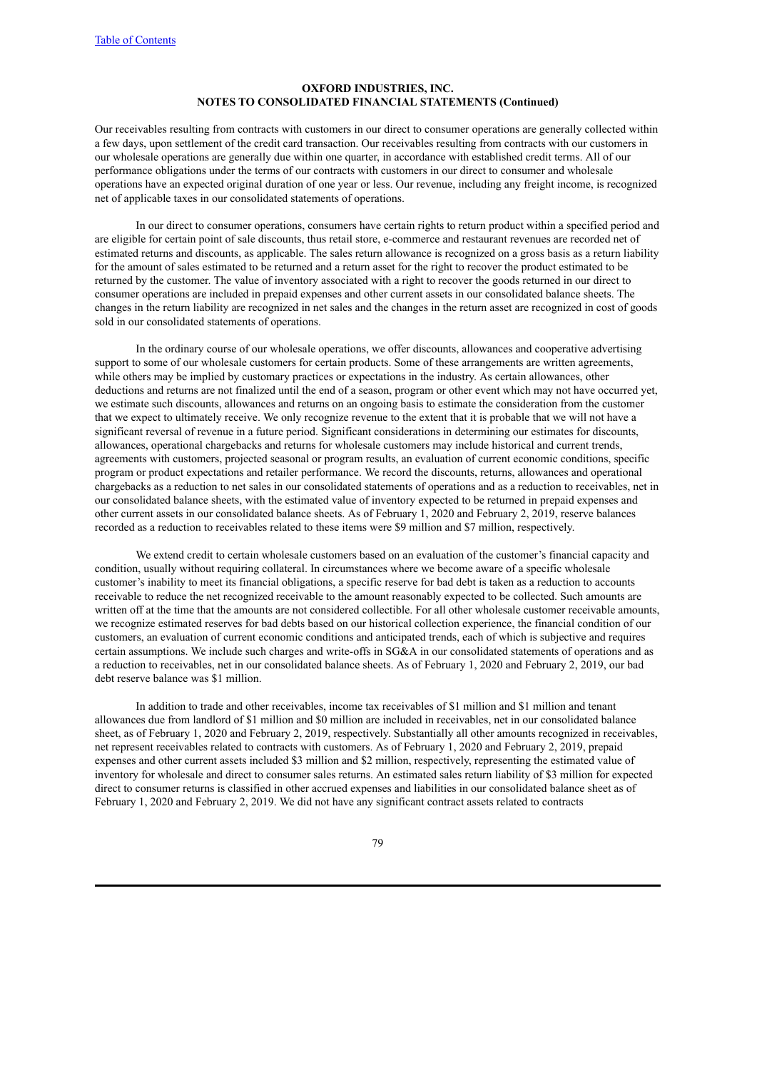Our receivables resulting from contracts with customers in our direct to consumer operations are generally collected within a few days, upon settlement of the credit card transaction. Our receivables resulting from contracts with our customers in our wholesale operations are generally due within one quarter, in accordance with established credit terms. All of our performance obligations under the terms of our contracts with customers in our direct to consumer and wholesale operations have an expected original duration of one year or less. Our revenue, including any freight income, is recognized net of applicable taxes in our consolidated statements of operations.

In our direct to consumer operations, consumers have certain rights to return product within a specified period and are eligible for certain point of sale discounts, thus retail store, e-commerce and restaurant revenues are recorded net of estimated returns and discounts, as applicable. The sales return allowance is recognized on a gross basis as a return liability for the amount of sales estimated to be returned and a return asset for the right to recover the product estimated to be returned by the customer. The value of inventory associated with a right to recover the goods returned in our direct to consumer operations are included in prepaid expenses and other current assets in our consolidated balance sheets. The changes in the return liability are recognized in net sales and the changes in the return asset are recognized in cost of goods sold in our consolidated statements of operations.

In the ordinary course of our wholesale operations, we offer discounts, allowances and cooperative advertising support to some of our wholesale customers for certain products. Some of these arrangements are written agreements, while others may be implied by customary practices or expectations in the industry. As certain allowances, other deductions and returns are not finalized until the end of a season, program or other event which may not have occurred yet, we estimate such discounts, allowances and returns on an ongoing basis to estimate the consideration from the customer that we expect to ultimately receive. We only recognize revenue to the extent that it is probable that we will not have a significant reversal of revenue in a future period. Significant considerations in determining our estimates for discounts, allowances, operational chargebacks and returns for wholesale customers may include historical and current trends, agreements with customers, projected seasonal or program results, an evaluation of current economic conditions, specific program or product expectations and retailer performance. We record the discounts, returns, allowances and operational chargebacks as a reduction to net sales in our consolidated statements of operations and as a reduction to receivables, net in our consolidated balance sheets, with the estimated value of inventory expected to be returned in prepaid expenses and other current assets in our consolidated balance sheets. As of February 1, 2020 and February 2, 2019, reserve balances recorded as a reduction to receivables related to these items were \$9 million and \$7 million, respectively.

We extend credit to certain wholesale customers based on an evaluation of the customer's financial capacity and condition, usually without requiring collateral. In circumstances where we become aware of a specific wholesale customer's inability to meet its financial obligations, a specific reserve for bad debt is taken as a reduction to accounts receivable to reduce the net recognized receivable to the amount reasonably expected to be collected. Such amounts are written off at the time that the amounts are not considered collectible. For all other wholesale customer receivable amounts, we recognize estimated reserves for bad debts based on our historical collection experience, the financial condition of our customers, an evaluation of current economic conditions and anticipated trends, each of which is subjective and requires certain assumptions. We include such charges and write-offs in SG&A in our consolidated statements of operations and as a reduction to receivables, net in our consolidated balance sheets. As of February 1, 2020 and February 2, 2019, our bad debt reserve balance was \$1 million.

In addition to trade and other receivables, income tax receivables of \$1 million and \$1 million and tenant allowances due from landlord of \$1 million and \$0 million are included in receivables, net in our consolidated balance sheet, as of February 1, 2020 and February 2, 2019, respectively. Substantially all other amounts recognized in receivables, net represent receivables related to contracts with customers. As of February 1, 2020 and February 2, 2019, prepaid expenses and other current assets included \$3 million and \$2 million, respectively, representing the estimated value of inventory for wholesale and direct to consumer sales returns. An estimated sales return liability of \$3 million for expected direct to consumer returns is classified in other accrued expenses and liabilities in our consolidated balance sheet as of February 1, 2020 and February 2, 2019. We did not have any significant contract assets related to contracts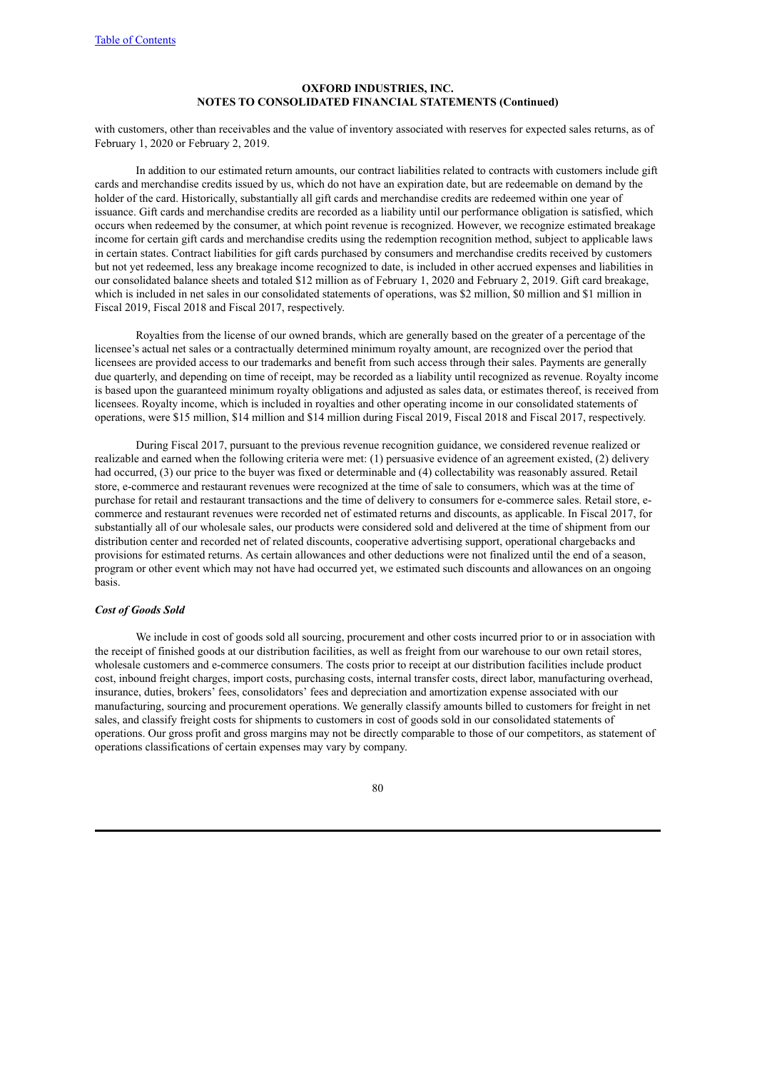with customers, other than receivables and the value of inventory associated with reserves for expected sales returns, as of February 1, 2020 or February 2, 2019.

In addition to our estimated return amounts, our contract liabilities related to contracts with customers include gift cards and merchandise credits issued by us, which do not have an expiration date, but are redeemable on demand by the holder of the card. Historically, substantially all gift cards and merchandise credits are redeemed within one year of issuance. Gift cards and merchandise credits are recorded as a liability until our performance obligation is satisfied, which occurs when redeemed by the consumer, at which point revenue is recognized. However, we recognize estimated breakage income for certain gift cards and merchandise credits using the redemption recognition method, subject to applicable laws in certain states. Contract liabilities for gift cards purchased by consumers and merchandise credits received by customers but not yet redeemed, less any breakage income recognized to date, is included in other accrued expenses and liabilities in our consolidated balance sheets and totaled \$12 million as of February 1, 2020 and February 2, 2019. Gift card breakage, which is included in net sales in our consolidated statements of operations, was \$2 million, \$0 million and \$1 million in Fiscal 2019, Fiscal 2018 and Fiscal 2017, respectively.

Royalties from the license of our owned brands, which are generally based on the greater of a percentage of the licensee's actual net sales or a contractually determined minimum royalty amount, are recognized over the period that licensees are provided access to our trademarks and benefit from such access through their sales. Payments are generally due quarterly, and depending on time of receipt, may be recorded as a liability until recognized as revenue. Royalty income is based upon the guaranteed minimum royalty obligations and adjusted as sales data, or estimates thereof, is received from licensees. Royalty income, which is included in royalties and other operating income in our consolidated statements of operations, were \$15 million, \$14 million and \$14 million during Fiscal 2019, Fiscal 2018 and Fiscal 2017, respectively.

During Fiscal 2017, pursuant to the previous revenue recognition guidance, we considered revenue realized or realizable and earned when the following criteria were met: (1) persuasive evidence of an agreement existed, (2) delivery had occurred, (3) our price to the buyer was fixed or determinable and (4) collectability was reasonably assured. Retail store, e-commerce and restaurant revenues were recognized at the time of sale to consumers, which was at the time of purchase for retail and restaurant transactions and the time of delivery to consumers for e-commerce sales. Retail store, ecommerce and restaurant revenues were recorded net of estimated returns and discounts, as applicable. In Fiscal 2017, for substantially all of our wholesale sales, our products were considered sold and delivered at the time of shipment from our distribution center and recorded net of related discounts, cooperative advertising support, operational chargebacks and provisions for estimated returns. As certain allowances and other deductions were not finalized until the end of a season, program or other event which may not have had occurred yet, we estimated such discounts and allowances on an ongoing basis.

# *Cost of Goods Sold*

We include in cost of goods sold all sourcing, procurement and other costs incurred prior to or in association with the receipt of finished goods at our distribution facilities, as well as freight from our warehouse to our own retail stores, wholesale customers and e-commerce consumers. The costs prior to receipt at our distribution facilities include product cost, inbound freight charges, import costs, purchasing costs, internal transfer costs, direct labor, manufacturing overhead, insurance, duties, brokers' fees, consolidators' fees and depreciation and amortization expense associated with our manufacturing, sourcing and procurement operations. We generally classify amounts billed to customers for freight in net sales, and classify freight costs for shipments to customers in cost of goods sold in our consolidated statements of operations. Our gross profit and gross margins may not be directly comparable to those of our competitors, as statement of operations classifications of certain expenses may vary by company.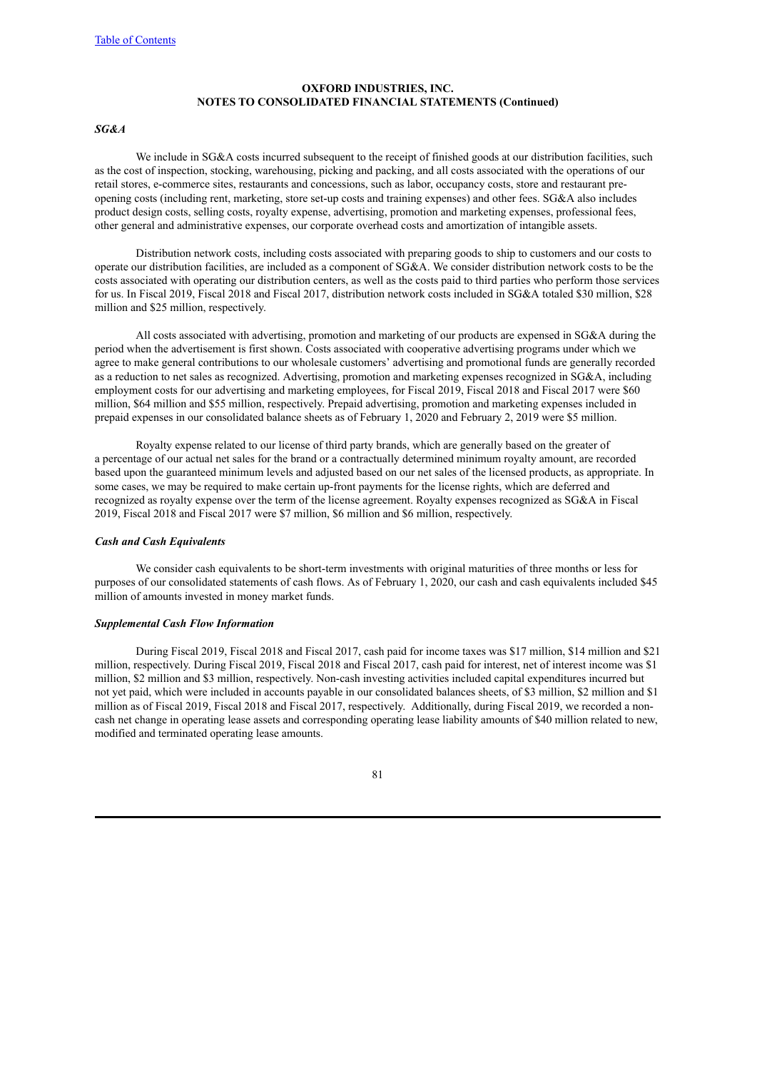### *SG&A*

We include in SG&A costs incurred subsequent to the receipt of finished goods at our distribution facilities, such as the cost of inspection, stocking, warehousing, picking and packing, and all costs associated with the operations of our retail stores, e-commerce sites, restaurants and concessions, such as labor, occupancy costs, store and restaurant preopening costs (including rent, marketing, store set-up costs and training expenses) and other fees. SG&A also includes product design costs, selling costs, royalty expense, advertising, promotion and marketing expenses, professional fees, other general and administrative expenses, our corporate overhead costs and amortization of intangible assets.

Distribution network costs, including costs associated with preparing goods to ship to customers and our costs to operate our distribution facilities, are included as a component of SG&A. We consider distribution network costs to be the costs associated with operating our distribution centers, as well as the costs paid to third parties who perform those services for us. In Fiscal 2019, Fiscal 2018 and Fiscal 2017, distribution network costs included in SG&A totaled \$30 million, \$28 million and \$25 million, respectively.

All costs associated with advertising, promotion and marketing of our products are expensed in SG&A during the period when the advertisement is first shown. Costs associated with cooperative advertising programs under which we agree to make general contributions to our wholesale customers' advertising and promotional funds are generally recorded as a reduction to net sales as recognized. Advertising, promotion and marketing expenses recognized in SG&A, including employment costs for our advertising and marketing employees, for Fiscal 2019, Fiscal 2018 and Fiscal 2017 were \$60 million, \$64 million and \$55 million, respectively. Prepaid advertising, promotion and marketing expenses included in prepaid expenses in our consolidated balance sheets as of February 1, 2020 and February 2, 2019 were \$5 million.

Royalty expense related to our license of third party brands, which are generally based on the greater of a percentage of our actual net sales for the brand or a contractually determined minimum royalty amount, are recorded based upon the guaranteed minimum levels and adjusted based on our net sales of the licensed products, as appropriate. In some cases, we may be required to make certain up-front payments for the license rights, which are deferred and recognized as royalty expense over the term of the license agreement. Royalty expenses recognized as SG&A in Fiscal 2019, Fiscal 2018 and Fiscal 2017 were \$7 million, \$6 million and \$6 million, respectively.

### *Cash and Cash Equivalents*

We consider cash equivalents to be short-term investments with original maturities of three months or less for purposes of our consolidated statements of cash flows. As of February 1, 2020, our cash and cash equivalents included \$45 million of amounts invested in money market funds.

### *Supplemental Cash Flow Information*

During Fiscal 2019, Fiscal 2018 and Fiscal 2017, cash paid for income taxes was \$17 million, \$14 million and \$21 million, respectively. During Fiscal 2019, Fiscal 2018 and Fiscal 2017, cash paid for interest, net of interest income was \$1 million, \$2 million and \$3 million, respectively. Non-cash investing activities included capital expenditures incurred but not yet paid, which were included in accounts payable in our consolidated balances sheets, of \$3 million, \$2 million and \$1 million as of Fiscal 2019, Fiscal 2018 and Fiscal 2017, respectively. Additionally, during Fiscal 2019, we recorded a noncash net change in operating lease assets and corresponding operating lease liability amounts of \$40 million related to new, modified and terminated operating lease amounts.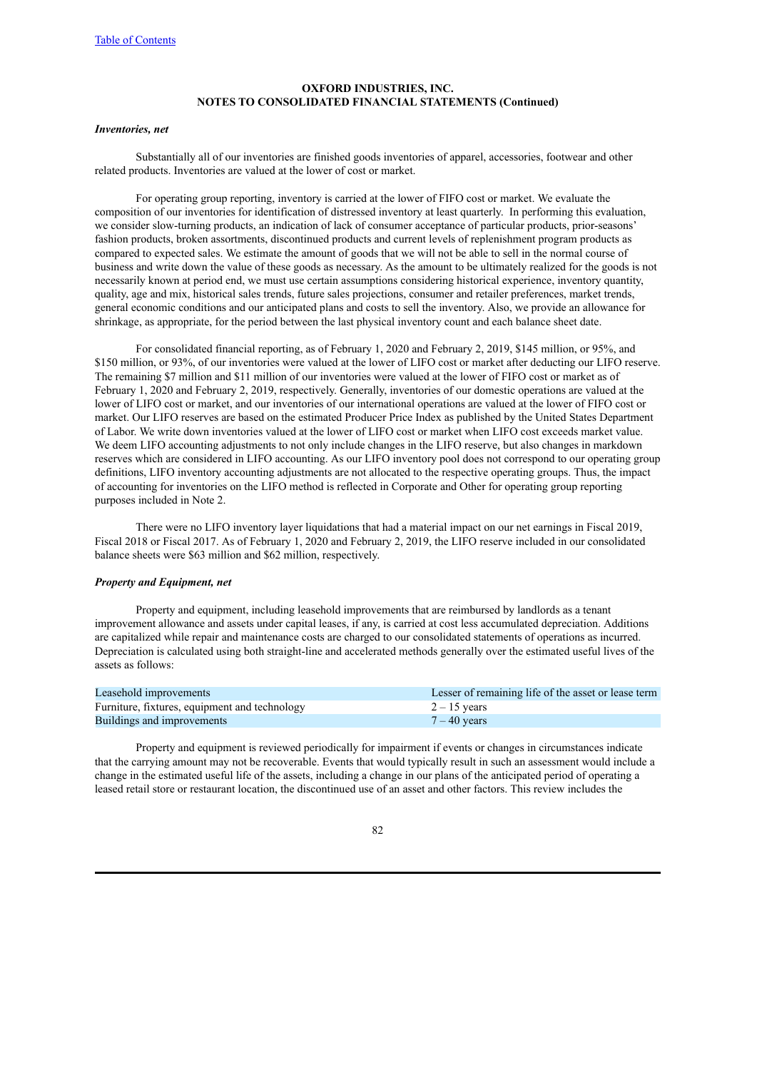#### *Inventories, net*

Substantially all of our inventories are finished goods inventories of apparel, accessories, footwear and other related products. Inventories are valued at the lower of cost or market.

For operating group reporting, inventory is carried at the lower of FIFO cost or market. We evaluate the composition of our inventories for identification of distressed inventory at least quarterly. In performing this evaluation, we consider slow-turning products, an indication of lack of consumer acceptance of particular products, prior-seasons' fashion products, broken assortments, discontinued products and current levels of replenishment program products as compared to expected sales. We estimate the amount of goods that we will not be able to sell in the normal course of business and write down the value of these goods as necessary. As the amount to be ultimately realized for the goods is not necessarily known at period end, we must use certain assumptions considering historical experience, inventory quantity, quality, age and mix, historical sales trends, future sales projections, consumer and retailer preferences, market trends, general economic conditions and our anticipated plans and costs to sell the inventory. Also, we provide an allowance for shrinkage, as appropriate, for the period between the last physical inventory count and each balance sheet date.

For consolidated financial reporting, as of February 1, 2020 and February 2, 2019, \$145 million, or 95%, and \$150 million, or 93%, of our inventories were valued at the lower of LIFO cost or market after deducting our LIFO reserve. The remaining \$7 million and \$11 million of our inventories were valued at the lower of FIFO cost or market as of February 1, 2020 and February 2, 2019, respectively. Generally, inventories of our domestic operations are valued at the lower of LIFO cost or market, and our inventories of our international operations are valued at the lower of FIFO cost or market. Our LIFO reserves are based on the estimated Producer Price Index as published by the United States Department of Labor. We write down inventories valued at the lower of LIFO cost or market when LIFO cost exceeds market value. We deem LIFO accounting adjustments to not only include changes in the LIFO reserve, but also changes in markdown reserves which are considered in LIFO accounting. As our LIFO inventory pool does not correspond to our operating group definitions, LIFO inventory accounting adjustments are not allocated to the respective operating groups. Thus, the impact of accounting for inventories on the LIFO method is reflected in Corporate and Other for operating group reporting purposes included in Note 2.

There were no LIFO inventory layer liquidations that had a material impact on our net earnings in Fiscal 2019, Fiscal 2018 or Fiscal 2017. As of February 1, 2020 and February 2, 2019, the LIFO reserve included in our consolidated balance sheets were \$63 million and \$62 million, respectively.

# *Property and Equipment, net*

Property and equipment, including leasehold improvements that are reimbursed by landlords as a tenant improvement allowance and assets under capital leases, if any, is carried at cost less accumulated depreciation. Additions are capitalized while repair and maintenance costs are charged to our consolidated statements of operations as incurred. Depreciation is calculated using both straight-line and accelerated methods generally over the estimated useful lives of the assets as follows:

| Leasehold improvements                        | Lesser of remaining life of the asset or lease term |
|-----------------------------------------------|-----------------------------------------------------|
| Furniture, fixtures, equipment and technology | $2 - 15$ years                                      |
| Buildings and improvements                    | $7 - 40$ years                                      |

Property and equipment is reviewed periodically for impairment if events or changes in circumstances indicate that the carrying amount may not be recoverable. Events that would typically result in such an assessment would include a change in the estimated useful life of the assets, including a change in our plans of the anticipated period of operating a leased retail store or restaurant location, the discontinued use of an asset and other factors. This review includes the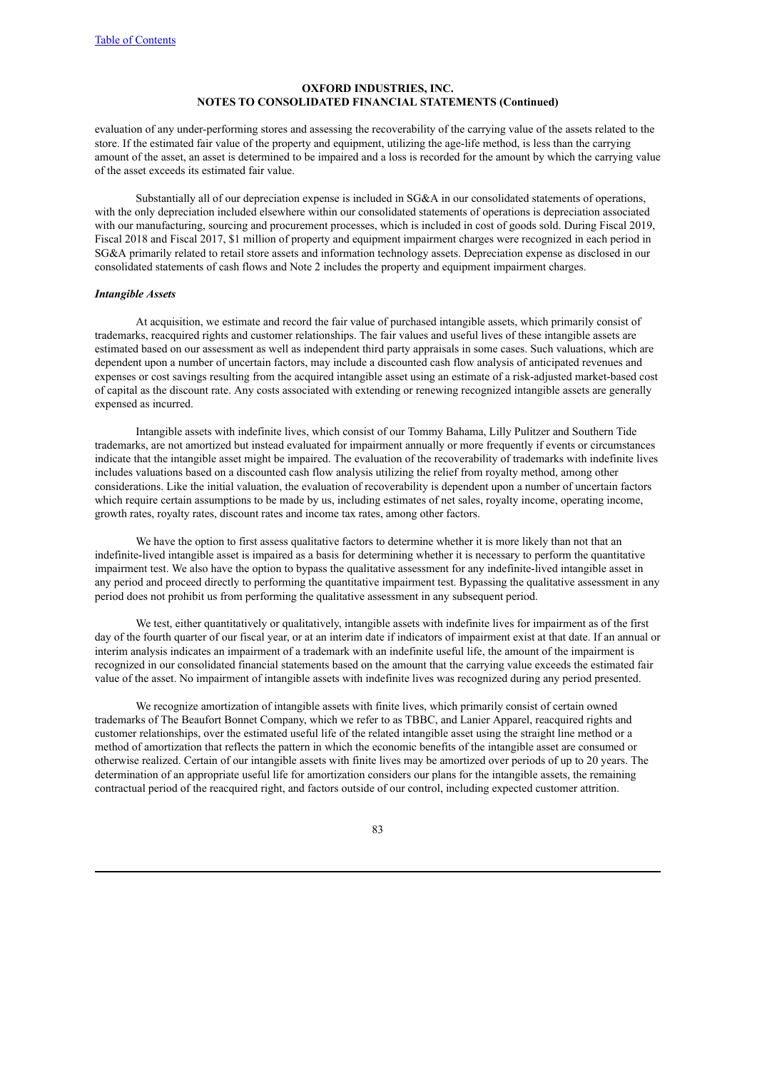evaluation of any under-performing stores and assessing the recoverability of the carrying value of the assets related to the store. If the estimated fair value of the property and equipment, utilizing the age-life method, is less than the carrying amount of the asset, an asset is determined to be impaired and a loss is recorded for the amount by which the carrying value of the asset exceeds its estimated fair value.

Substantially all of our depreciation expense is included in SG&A in our consolidated statements of operations, with the only depreciation included elsewhere within our consolidated statements of operations is depreciation associated with our manufacturing, sourcing and procurement processes, which is included in cost of goods sold. During Fiscal 2019, Fiscal 2018 and Fiscal 2017, \$1 million of property and equipment impairment charges were recognized in each period in SG&A primarily related to retail store assets and information technology assets. Depreciation expense as disclosed in our consolidated statements of cash flows and Note 2 includes the property and equipment impairment charges.

### *Intangible Assets*

At acquisition, we estimate and record the fair value of purchased intangible assets, which primarily consist of trademarks, reacquired rights and customer relationships. The fair values and useful lives of these intangible assets are estimated based on our assessment as well as independent third party appraisals in some cases. Such valuations, which are dependent upon a number of uncertain factors, may include a discounted cash flow analysis of anticipated revenues and expenses or cost savings resulting from the acquired intangible asset using an estimate of a risk-adjusted market-based cost of capital as the discount rate. Any costs associated with extending or renewing recognized intangible assets are generally expensed as incurred.

Intangible assets with indefinite lives, which consist of our Tommy Bahama, Lilly Pulitzer and Southern Tide trademarks, are not amortized but instead evaluated for impairment annually or more frequently if events or circumstances indicate that the intangible asset might be impaired. The evaluation of the recoverability of trademarks with indefinite lives includes valuations based on a discounted cash flow analysis utilizing the relief from royalty method, among other considerations. Like the initial valuation, the evaluation of recoverability is dependent upon a number of uncertain factors which require certain assumptions to be made by us, including estimates of net sales, royalty income, operating income, growth rates, royalty rates, discount rates and income tax rates, among other factors.

We have the option to first assess qualitative factors to determine whether it is more likely than not that an indefinite-lived intangible asset is impaired as a basis for determining whether it is necessary to perform the quantitative impairment test. We also have the option to bypass the qualitative assessment for any indefinite-lived intangible asset in any period and proceed directly to performing the quantitative impairment test. Bypassing the qualitative assessment in any period does not prohibit us from performing the qualitative assessment in any subsequent period.

We test, either quantitatively or qualitatively, intangible assets with indefinite lives for impairment as of the first day of the fourth quarter of our fiscal year, or at an interim date if indicators of impairment exist at that date. If an annual or interim analysis indicates an impairment of a trademark with an indefinite useful life, the amount of the impairment is recognized in our consolidated financial statements based on the amount that the carrying value exceeds the estimated fair value of the asset. No impairment of intangible assets with indefinite lives was recognized during any period presented.

We recognize amortization of intangible assets with finite lives, which primarily consist of certain owned trademarks of The Beaufort Bonnet Company, which we refer to as TBBC, and Lanier Apparel, reacquired rights and customer relationships, over the estimated useful life of the related intangible asset using the straight line method or a method of amortization that reflects the pattern in which the economic benefits of the intangible asset are consumed or otherwise realized. Certain of our intangible assets with finite lives may be amortized over periods of up to 20 years. The determination of an appropriate useful life for amortization considers our plans for the intangible assets, the remaining contractual period of the reacquired right, and factors outside of our control, including expected customer attrition.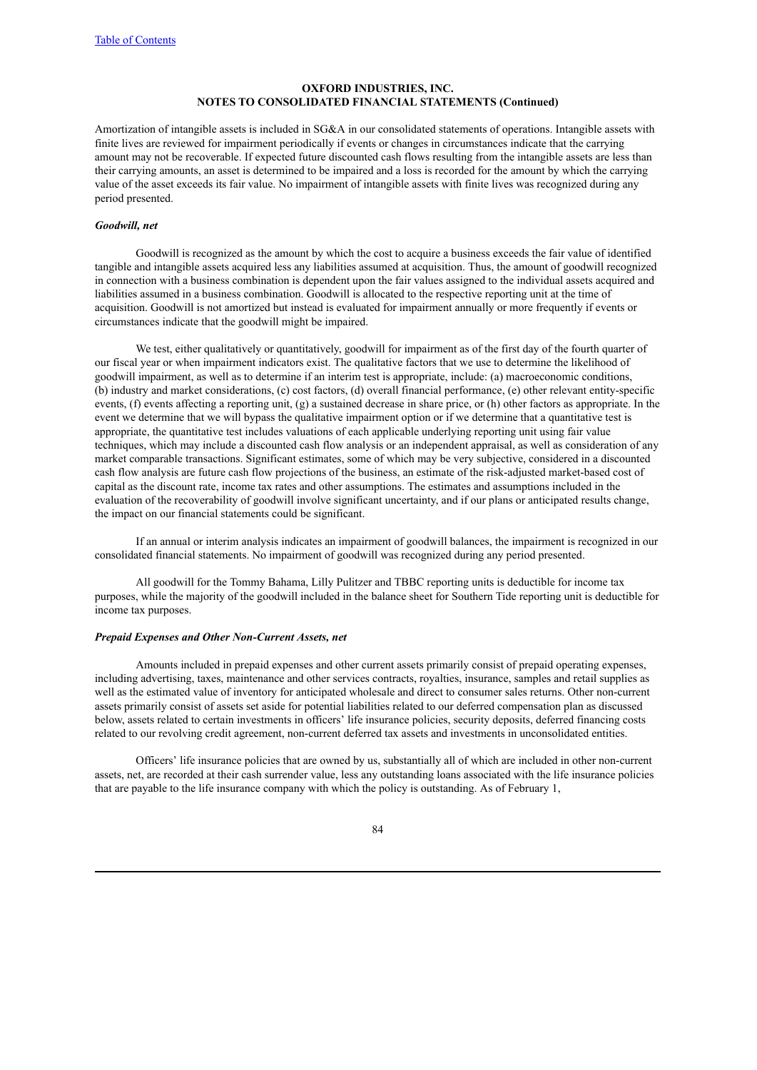Amortization of intangible assets is included in SG&A in our consolidated statements of operations. Intangible assets with finite lives are reviewed for impairment periodically if events or changes in circumstances indicate that the carrying amount may not be recoverable. If expected future discounted cash flows resulting from the intangible assets are less than their carrying amounts, an asset is determined to be impaired and a loss is recorded for the amount by which the carrying value of the asset exceeds its fair value. No impairment of intangible assets with finite lives was recognized during any period presented.

### *Goodwill, net*

Goodwill is recognized as the amount by which the cost to acquire a business exceeds the fair value of identified tangible and intangible assets acquired less any liabilities assumed at acquisition. Thus, the amount of goodwill recognized in connection with a business combination is dependent upon the fair values assigned to the individual assets acquired and liabilities assumed in a business combination. Goodwill is allocated to the respective reporting unit at the time of acquisition. Goodwill is not amortized but instead is evaluated for impairment annually or more frequently if events or circumstances indicate that the goodwill might be impaired.

We test, either qualitatively or quantitatively, goodwill for impairment as of the first day of the fourth quarter of our fiscal year or when impairment indicators exist. The qualitative factors that we use to determine the likelihood of goodwill impairment, as well as to determine if an interim test is appropriate, include: (a) macroeconomic conditions, (b) industry and market considerations, (c) cost factors, (d) overall financial performance, (e) other relevant entity-specific events, (f) events affecting a reporting unit, (g) a sustained decrease in share price, or (h) other factors as appropriate. In the event we determine that we will bypass the qualitative impairment option or if we determine that a quantitative test is appropriate, the quantitative test includes valuations of each applicable underlying reporting unit using fair value techniques, which may include a discounted cash flow analysis or an independent appraisal, as well as consideration of any market comparable transactions. Significant estimates, some of which may be very subjective, considered in a discounted cash flow analysis are future cash flow projections of the business, an estimate of the risk-adjusted market-based cost of capital as the discount rate, income tax rates and other assumptions. The estimates and assumptions included in the evaluation of the recoverability of goodwill involve significant uncertainty, and if our plans or anticipated results change, the impact on our financial statements could be significant.

If an annual or interim analysis indicates an impairment of goodwill balances, the impairment is recognized in our consolidated financial statements. No impairment of goodwill was recognized during any period presented.

All goodwill for the Tommy Bahama, Lilly Pulitzer and TBBC reporting units is deductible for income tax purposes, while the majority of the goodwill included in the balance sheet for Southern Tide reporting unit is deductible for income tax purposes.

#### *Prepaid Expenses and Other Non-Current Assets, net*

Amounts included in prepaid expenses and other current assets primarily consist of prepaid operating expenses, including advertising, taxes, maintenance and other services contracts, royalties, insurance, samples and retail supplies as well as the estimated value of inventory for anticipated wholesale and direct to consumer sales returns. Other non-current assets primarily consist of assets set aside for potential liabilities related to our deferred compensation plan as discussed below, assets related to certain investments in officers' life insurance policies, security deposits, deferred financing costs related to our revolving credit agreement, non-current deferred tax assets and investments in unconsolidated entities.

Officers' life insurance policies that are owned by us, substantially all of which are included in other non-current assets, net, are recorded at their cash surrender value, less any outstanding loans associated with the life insurance policies that are payable to the life insurance company with which the policy is outstanding. As of February 1,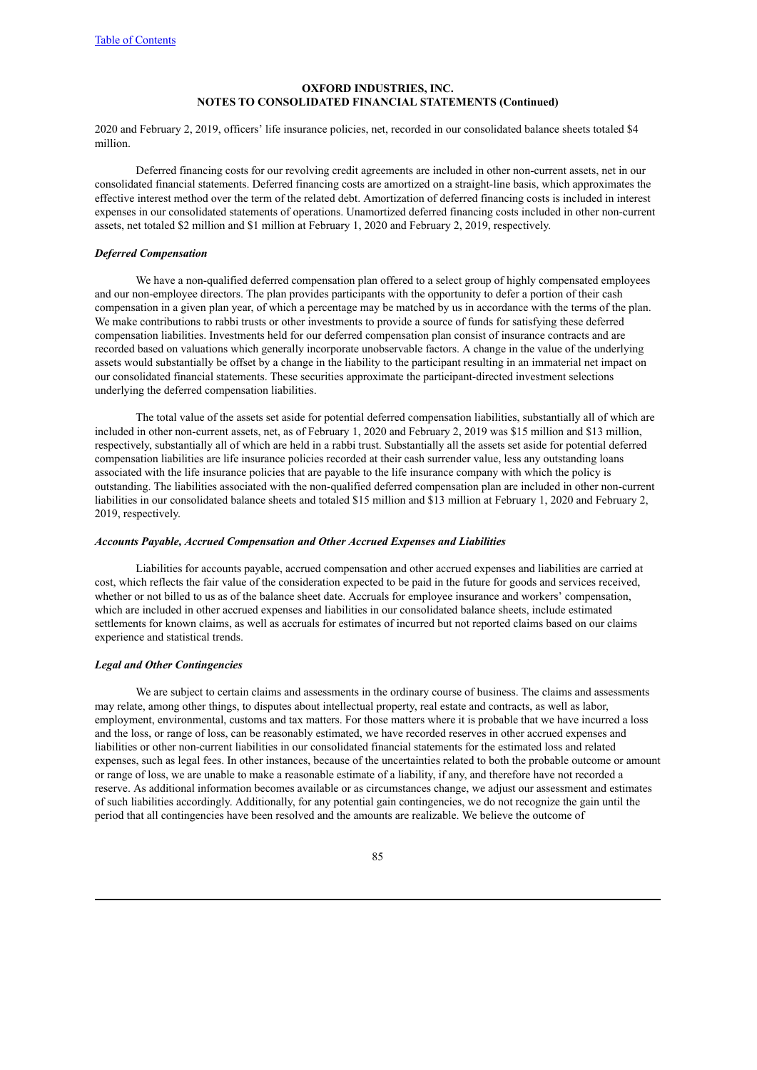2020 and February 2, 2019, officers' life insurance policies, net, recorded in our consolidated balance sheets totaled \$4 million.

Deferred financing costs for our revolving credit agreements are included in other non-current assets, net in our consolidated financial statements. Deferred financing costs are amortized on a straight-line basis, which approximates the effective interest method over the term of the related debt. Amortization of deferred financing costs is included in interest expenses in our consolidated statements of operations. Unamortized deferred financing costs included in other non-current assets, net totaled \$2 million and \$1 million at February 1, 2020 and February 2, 2019, respectively.

### *Deferred Compensation*

We have a non-qualified deferred compensation plan offered to a select group of highly compensated employees and our non-employee directors. The plan provides participants with the opportunity to defer a portion of their cash compensation in a given plan year, of which a percentage may be matched by us in accordance with the terms of the plan. We make contributions to rabbi trusts or other investments to provide a source of funds for satisfying these deferred compensation liabilities. Investments held for our deferred compensation plan consist of insurance contracts and are recorded based on valuations which generally incorporate unobservable factors. A change in the value of the underlying assets would substantially be offset by a change in the liability to the participant resulting in an immaterial net impact on our consolidated financial statements. These securities approximate the participant-directed investment selections underlying the deferred compensation liabilities.

The total value of the assets set aside for potential deferred compensation liabilities, substantially all of which are included in other non-current assets, net, as of February 1, 2020 and February 2, 2019 was \$15 million and \$13 million, respectively, substantially all of which are held in a rabbi trust. Substantially all the assets set aside for potential deferred compensation liabilities are life insurance policies recorded at their cash surrender value, less any outstanding loans associated with the life insurance policies that are payable to the life insurance company with which the policy is outstanding. The liabilities associated with the non-qualified deferred compensation plan are included in other non-current liabilities in our consolidated balance sheets and totaled \$15 million and \$13 million at February 1, 2020 and February 2, 2019, respectively.

#### *Accounts Payable, Accrued Compensation and Other Accrued Expenses and Liabilities*

Liabilities for accounts payable, accrued compensation and other accrued expenses and liabilities are carried at cost, which reflects the fair value of the consideration expected to be paid in the future for goods and services received, whether or not billed to us as of the balance sheet date. Accruals for employee insurance and workers' compensation, which are included in other accrued expenses and liabilities in our consolidated balance sheets, include estimated settlements for known claims, as well as accruals for estimates of incurred but not reported claims based on our claims experience and statistical trends.

### *Legal and Other Contingencies*

We are subject to certain claims and assessments in the ordinary course of business. The claims and assessments may relate, among other things, to disputes about intellectual property, real estate and contracts, as well as labor, employment, environmental, customs and tax matters. For those matters where it is probable that we have incurred a loss and the loss, or range of loss, can be reasonably estimated, we have recorded reserves in other accrued expenses and liabilities or other non-current liabilities in our consolidated financial statements for the estimated loss and related expenses, such as legal fees. In other instances, because of the uncertainties related to both the probable outcome or amount or range of loss, we are unable to make a reasonable estimate of a liability, if any, and therefore have not recorded a reserve. As additional information becomes available or as circumstances change, we adjust our assessment and estimates of such liabilities accordingly. Additionally, for any potential gain contingencies, we do not recognize the gain until the period that all contingencies have been resolved and the amounts are realizable. We believe the outcome of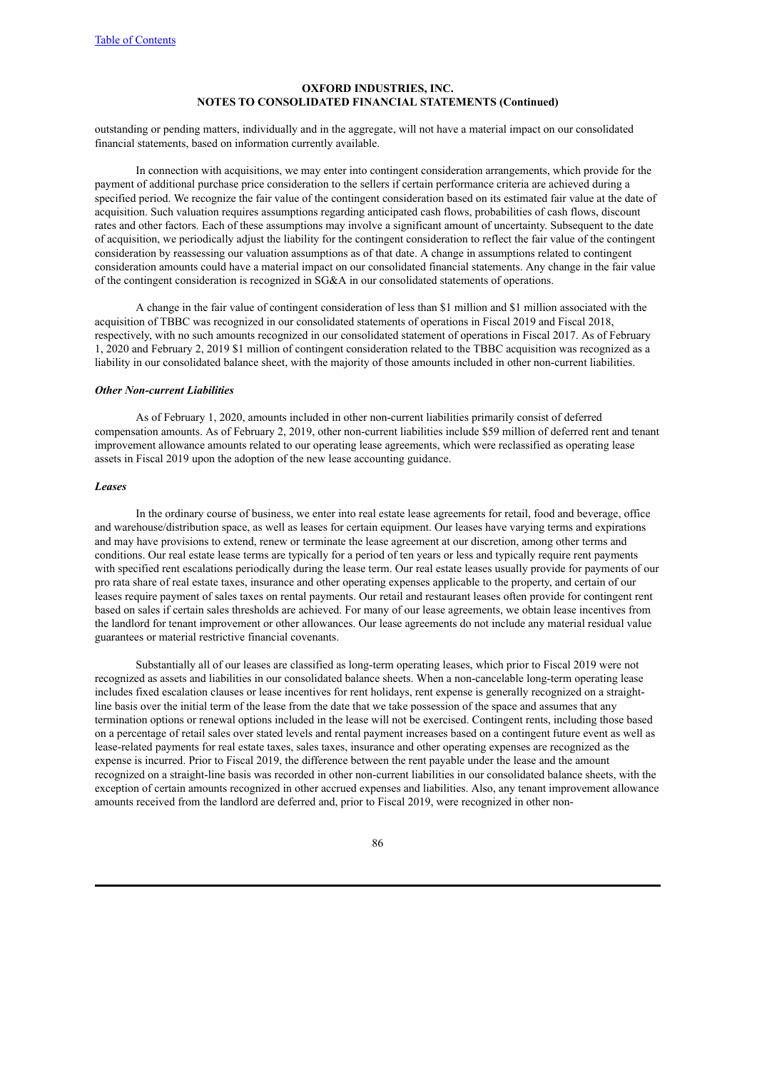outstanding or pending matters, individually and in the aggregate, will not have a material impact on our consolidated financial statements, based on information currently available.

In connection with acquisitions, we may enter into contingent consideration arrangements, which provide for the payment of additional purchase price consideration to the sellers if certain performance criteria are achieved during a specified period. We recognize the fair value of the contingent consideration based on its estimated fair value at the date of acquisition. Such valuation requires assumptions regarding anticipated cash flows, probabilities of cash flows, discount rates and other factors. Each of these assumptions may involve a significant amount of uncertainty. Subsequent to the date of acquisition, we periodically adjust the liability for the contingent consideration to reflect the fair value of the contingent consideration by reassessing our valuation assumptions as of that date. A change in assumptions related to contingent consideration amounts could have a material impact on our consolidated financial statements. Any change in the fair value of the contingent consideration is recognized in SG&A in our consolidated statements of operations.

A change in the fair value of contingent consideration of less than \$1 million and \$1 million associated with the acquisition of TBBC was recognized in our consolidated statements of operations in Fiscal 2019 and Fiscal 2018, respectively, with no such amounts recognized in our consolidated statement of operations in Fiscal 2017. As of February 1, 2020 and February 2, 2019 \$1 million of contingent consideration related to the TBBC acquisition was recognized as a liability in our consolidated balance sheet, with the majority of those amounts included in other non-current liabilities.

#### *Other Non-current Liabilities*

As of February 1, 2020, amounts included in other non-current liabilities primarily consist of deferred compensation amounts. As of February 2, 2019, other non-current liabilities include \$59 million of deferred rent and tenant improvement allowance amounts related to our operating lease agreements, which were reclassified as operating lease assets in Fiscal 2019 upon the adoption of the new lease accounting guidance.

### *Leases*

In the ordinary course of business, we enter into real estate lease agreements for retail, food and beverage, office and warehouse/distribution space, as well as leases for certain equipment. Our leases have varying terms and expirations and may have provisions to extend, renew or terminate the lease agreement at our discretion, among other terms and conditions. Our real estate lease terms are typically for a period of ten years or less and typically require rent payments with specified rent escalations periodically during the lease term. Our real estate leases usually provide for payments of our pro rata share of real estate taxes, insurance and other operating expenses applicable to the property, and certain of our leases require payment of sales taxes on rental payments. Our retail and restaurant leases often provide for contingent rent based on sales if certain sales thresholds are achieved. For many of our lease agreements, we obtain lease incentives from the landlord for tenant improvement or other allowances. Our lease agreements do not include any material residual value guarantees or material restrictive financial covenants.

Substantially all of our leases are classified as long-term operating leases, which prior to Fiscal 2019 were not recognized as assets and liabilities in our consolidated balance sheets. When a non-cancelable long-term operating lease includes fixed escalation clauses or lease incentives for rent holidays, rent expense is generally recognized on a straightline basis over the initial term of the lease from the date that we take possession of the space and assumes that any termination options or renewal options included in the lease will not be exercised. Contingent rents, including those based on a percentage of retail sales over stated levels and rental payment increases based on a contingent future event as well as lease-related payments for real estate taxes, sales taxes, insurance and other operating expenses are recognized as the expense is incurred. Prior to Fiscal 2019, the difference between the rent payable under the lease and the amount recognized on a straight-line basis was recorded in other non-current liabilities in our consolidated balance sheets, with the exception of certain amounts recognized in other accrued expenses and liabilities. Also, any tenant improvement allowance amounts received from the landlord are deferred and, prior to Fiscal 2019, were recognized in other non-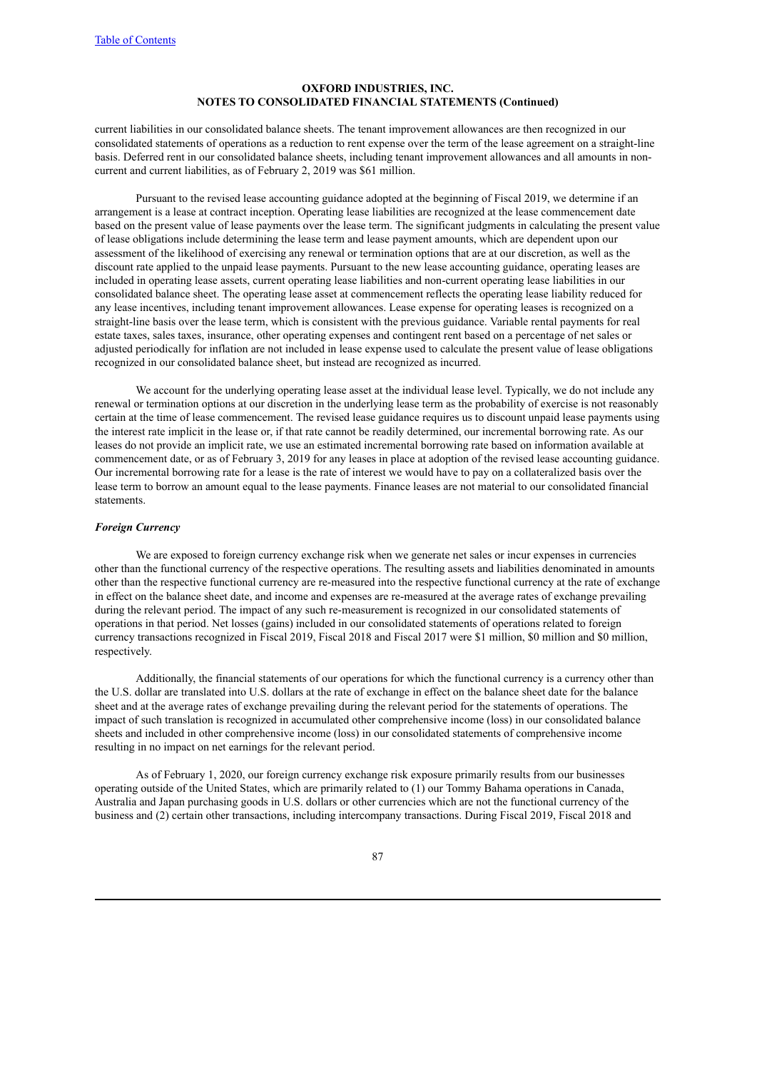current liabilities in our consolidated balance sheets. The tenant improvement allowances are then recognized in our consolidated statements of operations as a reduction to rent expense over the term of the lease agreement on a straight-line basis. Deferred rent in our consolidated balance sheets, including tenant improvement allowances and all amounts in noncurrent and current liabilities, as of February 2, 2019 was \$61 million.

Pursuant to the revised lease accounting guidance adopted at the beginning of Fiscal 2019, we determine if an arrangement is a lease at contract inception. Operating lease liabilities are recognized at the lease commencement date based on the present value of lease payments over the lease term. The significant judgments in calculating the present value of lease obligations include determining the lease term and lease payment amounts, which are dependent upon our assessment of the likelihood of exercising any renewal or termination options that are at our discretion, as well as the discount rate applied to the unpaid lease payments. Pursuant to the new lease accounting guidance, operating leases are included in operating lease assets, current operating lease liabilities and non-current operating lease liabilities in our consolidated balance sheet. The operating lease asset at commencement reflects the operating lease liability reduced for any lease incentives, including tenant improvement allowances. Lease expense for operating leases is recognized on a straight-line basis over the lease term, which is consistent with the previous guidance. Variable rental payments for real estate taxes, sales taxes, insurance, other operating expenses and contingent rent based on a percentage of net sales or adjusted periodically for inflation are not included in lease expense used to calculate the present value of lease obligations recognized in our consolidated balance sheet, but instead are recognized as incurred.

We account for the underlying operating lease asset at the individual lease level. Typically, we do not include any renewal or termination options at our discretion in the underlying lease term as the probability of exercise is not reasonably certain at the time of lease commencement. The revised lease guidance requires us to discount unpaid lease payments using the interest rate implicit in the lease or, if that rate cannot be readily determined, our incremental borrowing rate. As our leases do not provide an implicit rate, we use an estimated incremental borrowing rate based on information available at commencement date, or as of February 3, 2019 for any leases in place at adoption of the revised lease accounting guidance. Our incremental borrowing rate for a lease is the rate of interest we would have to pay on a collateralized basis over the lease term to borrow an amount equal to the lease payments. Finance leases are not material to our consolidated financial statements.

### *Foreign Currency*

We are exposed to foreign currency exchange risk when we generate net sales or incur expenses in currencies other than the functional currency of the respective operations. The resulting assets and liabilities denominated in amounts other than the respective functional currency are re-measured into the respective functional currency at the rate of exchange in effect on the balance sheet date, and income and expenses are re-measured at the average rates of exchange prevailing during the relevant period. The impact of any such re-measurement is recognized in our consolidated statements of operations in that period. Net losses (gains) included in our consolidated statements of operations related to foreign currency transactions recognized in Fiscal 2019, Fiscal 2018 and Fiscal 2017 were \$1 million, \$0 million and \$0 million, respectively.

Additionally, the financial statements of our operations for which the functional currency is a currency other than the U.S. dollar are translated into U.S. dollars at the rate of exchange in effect on the balance sheet date for the balance sheet and at the average rates of exchange prevailing during the relevant period for the statements of operations. The impact of such translation is recognized in accumulated other comprehensive income (loss) in our consolidated balance sheets and included in other comprehensive income (loss) in our consolidated statements of comprehensive income resulting in no impact on net earnings for the relevant period.

As of February 1, 2020, our foreign currency exchange risk exposure primarily results from our businesses operating outside of the United States, which are primarily related to (1) our Tommy Bahama operations in Canada, Australia and Japan purchasing goods in U.S. dollars or other currencies which are not the functional currency of the business and (2) certain other transactions, including intercompany transactions. During Fiscal 2019, Fiscal 2018 and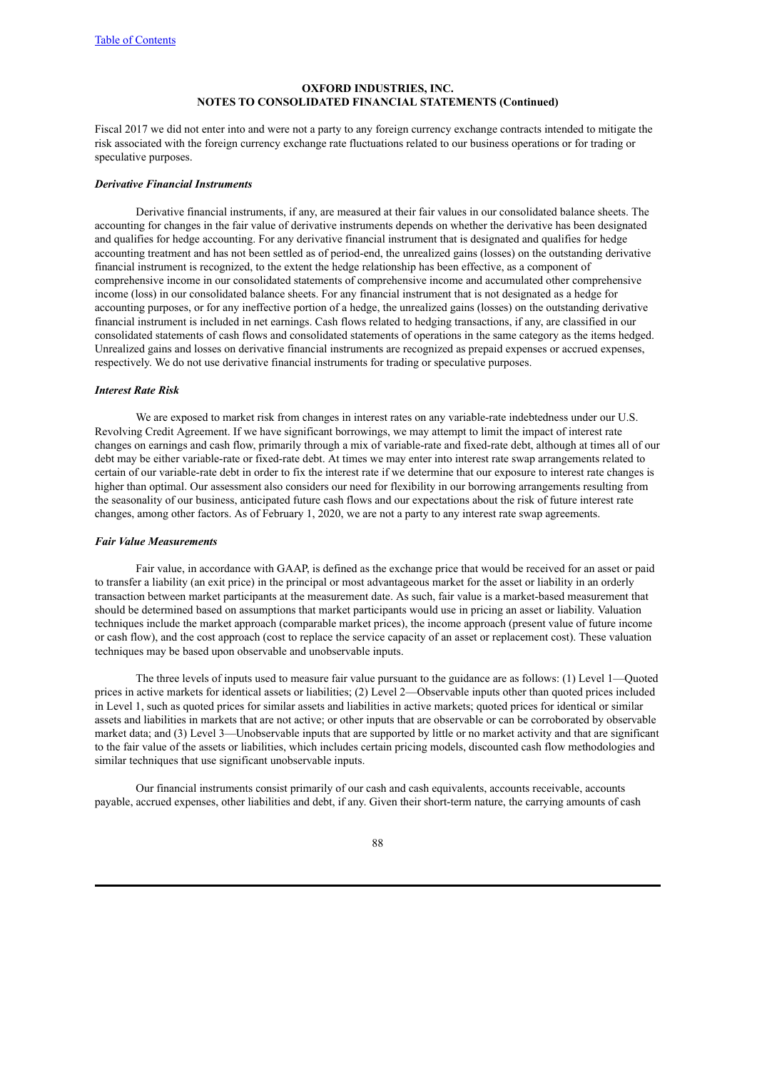Fiscal 2017 we did not enter into and were not a party to any foreign currency exchange contracts intended to mitigate the risk associated with the foreign currency exchange rate fluctuations related to our business operations or for trading or speculative purposes.

#### *Derivative Financial Instruments*

Derivative financial instruments, if any, are measured at their fair values in our consolidated balance sheets. The accounting for changes in the fair value of derivative instruments depends on whether the derivative has been designated and qualifies for hedge accounting. For any derivative financial instrument that is designated and qualifies for hedge accounting treatment and has not been settled as of period-end, the unrealized gains (losses) on the outstanding derivative financial instrument is recognized, to the extent the hedge relationship has been effective, as a component of comprehensive income in our consolidated statements of comprehensive income and accumulated other comprehensive income (loss) in our consolidated balance sheets. For any financial instrument that is not designated as a hedge for accounting purposes, or for any ineffective portion of a hedge, the unrealized gains (losses) on the outstanding derivative financial instrument is included in net earnings. Cash flows related to hedging transactions, if any, are classified in our consolidated statements of cash flows and consolidated statements of operations in the same category as the items hedged. Unrealized gains and losses on derivative financial instruments are recognized as prepaid expenses or accrued expenses, respectively. We do not use derivative financial instruments for trading or speculative purposes.

#### *Interest Rate Risk*

We are exposed to market risk from changes in interest rates on any variable-rate indebtedness under our U.S. Revolving Credit Agreement. If we have significant borrowings, we may attempt to limit the impact of interest rate changes on earnings and cash flow, primarily through a mix of variable-rate and fixed-rate debt, although at times all of our debt may be either variable-rate or fixed-rate debt. At times we may enter into interest rate swap arrangements related to certain of our variable-rate debt in order to fix the interest rate if we determine that our exposure to interest rate changes is higher than optimal. Our assessment also considers our need for flexibility in our borrowing arrangements resulting from the seasonality of our business, anticipated future cash flows and our expectations about the risk of future interest rate changes, among other factors. As of February 1, 2020, we are not a party to any interest rate swap agreements.

#### *Fair Value Measurements*

Fair value, in accordance with GAAP, is defined as the exchange price that would be received for an asset or paid to transfer a liability (an exit price) in the principal or most advantageous market for the asset or liability in an orderly transaction between market participants at the measurement date. As such, fair value is a market-based measurement that should be determined based on assumptions that market participants would use in pricing an asset or liability. Valuation techniques include the market approach (comparable market prices), the income approach (present value of future income or cash flow), and the cost approach (cost to replace the service capacity of an asset or replacement cost). These valuation techniques may be based upon observable and unobservable inputs.

The three levels of inputs used to measure fair value pursuant to the guidance are as follows: (1) Level 1—Quoted prices in active markets for identical assets or liabilities; (2) Level 2—Observable inputs other than quoted prices included in Level 1, such as quoted prices for similar assets and liabilities in active markets; quoted prices for identical or similar assets and liabilities in markets that are not active; or other inputs that are observable or can be corroborated by observable market data; and (3) Level 3—Unobservable inputs that are supported by little or no market activity and that are significant to the fair value of the assets or liabilities, which includes certain pricing models, discounted cash flow methodologies and similar techniques that use significant unobservable inputs.

Our financial instruments consist primarily of our cash and cash equivalents, accounts receivable, accounts payable, accrued expenses, other liabilities and debt, if any. Given their short-term nature, the carrying amounts of cash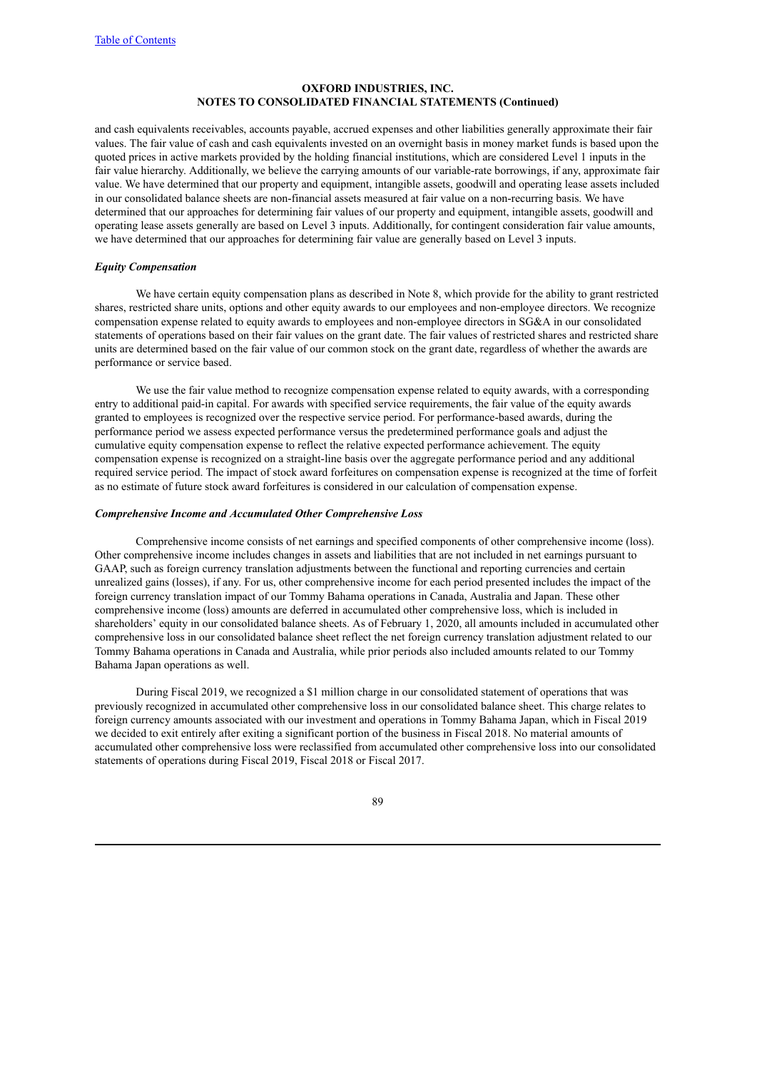and cash equivalents receivables, accounts payable, accrued expenses and other liabilities generally approximate their fair values. The fair value of cash and cash equivalents invested on an overnight basis in money market funds is based upon the quoted prices in active markets provided by the holding financial institutions, which are considered Level 1 inputs in the fair value hierarchy. Additionally, we believe the carrying amounts of our variable-rate borrowings, if any, approximate fair value. We have determined that our property and equipment, intangible assets, goodwill and operating lease assets included in our consolidated balance sheets are non-financial assets measured at fair value on a non-recurring basis. We have determined that our approaches for determining fair values of our property and equipment, intangible assets, goodwill and operating lease assets generally are based on Level 3 inputs. Additionally, for contingent consideration fair value amounts, we have determined that our approaches for determining fair value are generally based on Level 3 inputs.

### *Equity Compensation*

We have certain equity compensation plans as described in Note 8, which provide for the ability to grant restricted shares, restricted share units, options and other equity awards to our employees and non-employee directors. We recognize compensation expense related to equity awards to employees and non-employee directors in SG&A in our consolidated statements of operations based on their fair values on the grant date. The fair values of restricted shares and restricted share units are determined based on the fair value of our common stock on the grant date, regardless of whether the awards are performance or service based.

We use the fair value method to recognize compensation expense related to equity awards, with a corresponding entry to additional paid-in capital. For awards with specified service requirements, the fair value of the equity awards granted to employees is recognized over the respective service period. For performance-based awards, during the performance period we assess expected performance versus the predetermined performance goals and adjust the cumulative equity compensation expense to reflect the relative expected performance achievement. The equity compensation expense is recognized on a straight-line basis over the aggregate performance period and any additional required service period. The impact of stock award forfeitures on compensation expense is recognized at the time of forfeit as no estimate of future stock award forfeitures is considered in our calculation of compensation expense.

### *Comprehensive Income and Accumulated Other Comprehensive Loss*

Comprehensive income consists of net earnings and specified components of other comprehensive income (loss). Other comprehensive income includes changes in assets and liabilities that are not included in net earnings pursuant to GAAP, such as foreign currency translation adjustments between the functional and reporting currencies and certain unrealized gains (losses), if any. For us, other comprehensive income for each period presented includes the impact of the foreign currency translation impact of our Tommy Bahama operations in Canada, Australia and Japan. These other comprehensive income (loss) amounts are deferred in accumulated other comprehensive loss, which is included in shareholders' equity in our consolidated balance sheets. As of February 1, 2020, all amounts included in accumulated other comprehensive loss in our consolidated balance sheet reflect the net foreign currency translation adjustment related to our Tommy Bahama operations in Canada and Australia, while prior periods also included amounts related to our Tommy Bahama Japan operations as well.

During Fiscal 2019, we recognized a \$1 million charge in our consolidated statement of operations that was previously recognized in accumulated other comprehensive loss in our consolidated balance sheet. This charge relates to foreign currency amounts associated with our investment and operations in Tommy Bahama Japan, which in Fiscal 2019 we decided to exit entirely after exiting a significant portion of the business in Fiscal 2018. No material amounts of accumulated other comprehensive loss were reclassified from accumulated other comprehensive loss into our consolidated statements of operations during Fiscal 2019, Fiscal 2018 or Fiscal 2017.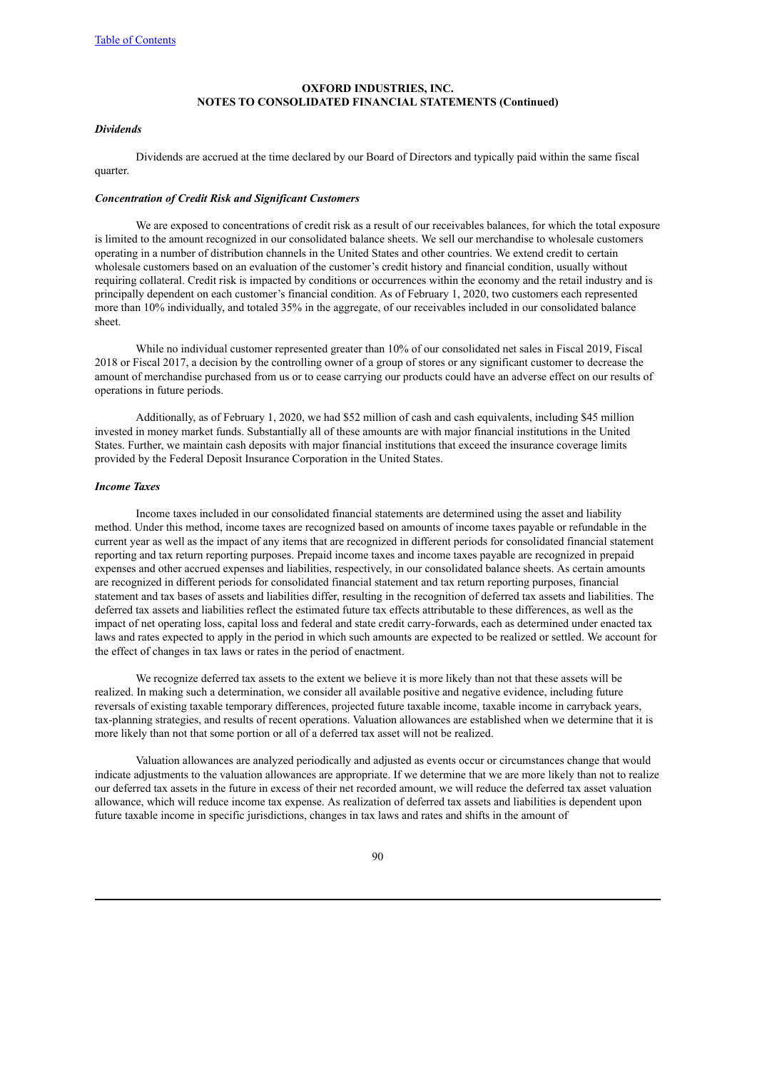### *Dividends*

Dividends are accrued at the time declared by our Board of Directors and typically paid within the same fiscal quarter.

#### *Concentration of Credit Risk and Significant Customers*

We are exposed to concentrations of credit risk as a result of our receivables balances, for which the total exposure is limited to the amount recognized in our consolidated balance sheets. We sell our merchandise to wholesale customers operating in a number of distribution channels in the United States and other countries. We extend credit to certain wholesale customers based on an evaluation of the customer's credit history and financial condition, usually without requiring collateral. Credit risk is impacted by conditions or occurrences within the economy and the retail industry and is principally dependent on each customer's financial condition. As of February 1, 2020, two customers each represented more than 10% individually, and totaled 35% in the aggregate, of our receivables included in our consolidated balance sheet.

While no individual customer represented greater than 10% of our consolidated net sales in Fiscal 2019, Fiscal 2018 or Fiscal 2017, a decision by the controlling owner of a group of stores or any significant customer to decrease the amount of merchandise purchased from us or to cease carrying our products could have an adverse effect on our results of operations in future periods.

Additionally, as of February 1, 2020, we had \$52 million of cash and cash equivalents, including \$45 million invested in money market funds. Substantially all of these amounts are with major financial institutions in the United States. Further, we maintain cash deposits with major financial institutions that exceed the insurance coverage limits provided by the Federal Deposit Insurance Corporation in the United States.

### *Income Taxes*

Income taxes included in our consolidated financial statements are determined using the asset and liability method. Under this method, income taxes are recognized based on amounts of income taxes payable or refundable in the current year as well as the impact of any items that are recognized in different periods for consolidated financial statement reporting and tax return reporting purposes. Prepaid income taxes and income taxes payable are recognized in prepaid expenses and other accrued expenses and liabilities, respectively, in our consolidated balance sheets. As certain amounts are recognized in different periods for consolidated financial statement and tax return reporting purposes, financial statement and tax bases of assets and liabilities differ, resulting in the recognition of deferred tax assets and liabilities. The deferred tax assets and liabilities reflect the estimated future tax effects attributable to these differences, as well as the impact of net operating loss, capital loss and federal and state credit carry-forwards, each as determined under enacted tax laws and rates expected to apply in the period in which such amounts are expected to be realized or settled. We account for the effect of changes in tax laws or rates in the period of enactment.

We recognize deferred tax assets to the extent we believe it is more likely than not that these assets will be realized. In making such a determination, we consider all available positive and negative evidence, including future reversals of existing taxable temporary differences, projected future taxable income, taxable income in carryback years, tax-planning strategies, and results of recent operations. Valuation allowances are established when we determine that it is more likely than not that some portion or all of a deferred tax asset will not be realized.

Valuation allowances are analyzed periodically and adjusted as events occur or circumstances change that would indicate adjustments to the valuation allowances are appropriate. If we determine that we are more likely than not to realize our deferred tax assets in the future in excess of their net recorded amount, we will reduce the deferred tax asset valuation allowance, which will reduce income tax expense. As realization of deferred tax assets and liabilities is dependent upon future taxable income in specific jurisdictions, changes in tax laws and rates and shifts in the amount of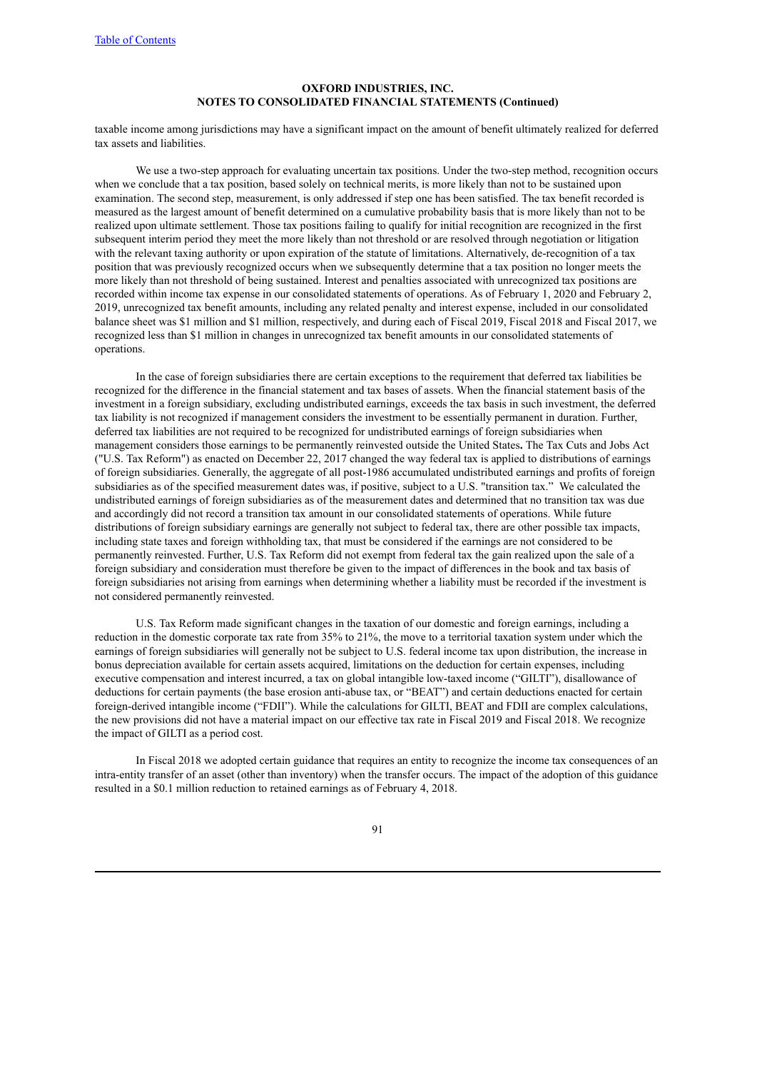taxable income among jurisdictions may have a significant impact on the amount of benefit ultimately realized for deferred tax assets and liabilities.

We use a two-step approach for evaluating uncertain tax positions. Under the two-step method, recognition occurs when we conclude that a tax position, based solely on technical merits, is more likely than not to be sustained upon examination. The second step, measurement, is only addressed if step one has been satisfied. The tax benefit recorded is measured as the largest amount of benefit determined on a cumulative probability basis that is more likely than not to be realized upon ultimate settlement. Those tax positions failing to qualify for initial recognition are recognized in the first subsequent interim period they meet the more likely than not threshold or are resolved through negotiation or litigation with the relevant taxing authority or upon expiration of the statute of limitations. Alternatively, de-recognition of a tax position that was previously recognized occurs when we subsequently determine that a tax position no longer meets the more likely than not threshold of being sustained. Interest and penalties associated with unrecognized tax positions are recorded within income tax expense in our consolidated statements of operations. As of February 1, 2020 and February 2, 2019, unrecognized tax benefit amounts, including any related penalty and interest expense, included in our consolidated balance sheet was \$1 million and \$1 million, respectively, and during each of Fiscal 2019, Fiscal 2018 and Fiscal 2017, we recognized less than \$1 million in changes in unrecognized tax benefit amounts in our consolidated statements of operations.

In the case of foreign subsidiaries there are certain exceptions to the requirement that deferred tax liabilities be recognized for the difference in the financial statement and tax bases of assets. When the financial statement basis of the investment in a foreign subsidiary, excluding undistributed earnings, exceeds the tax basis in such investment, the deferred tax liability is not recognized if management considers the investment to be essentially permanent in duration. Further, deferred tax liabilities are not required to be recognized for undistributed earnings of foreign subsidiaries when management considers those earnings to be permanently reinvested outside the United States**.** The Tax Cuts and Jobs Act ("U.S. Tax Reform") as enacted on December 22, 2017 changed the way federal tax is applied to distributions of earnings of foreign subsidiaries. Generally, the aggregate of all post-1986 accumulated undistributed earnings and profits of foreign subsidiaries as of the specified measurement dates was, if positive, subject to a U.S. "transition tax." We calculated the undistributed earnings of foreign subsidiaries as of the measurement dates and determined that no transition tax was due and accordingly did not record a transition tax amount in our consolidated statements of operations. While future distributions of foreign subsidiary earnings are generally not subject to federal tax, there are other possible tax impacts, including state taxes and foreign withholding tax, that must be considered if the earnings are not considered to be permanently reinvested. Further, U.S. Tax Reform did not exempt from federal tax the gain realized upon the sale of a foreign subsidiary and consideration must therefore be given to the impact of differences in the book and tax basis of foreign subsidiaries not arising from earnings when determining whether a liability must be recorded if the investment is not considered permanently reinvested.

U.S. Tax Reform made significant changes in the taxation of our domestic and foreign earnings, including a reduction in the domestic corporate tax rate from 35% to 21%, the move to a territorial taxation system under which the earnings of foreign subsidiaries will generally not be subject to U.S. federal income tax upon distribution, the increase in bonus depreciation available for certain assets acquired, limitations on the deduction for certain expenses, including executive compensation and interest incurred, a tax on global intangible low-taxed income ("GILTI"), disallowance of deductions for certain payments (the base erosion anti-abuse tax, or "BEAT") and certain deductions enacted for certain foreign-derived intangible income ("FDII"). While the calculations for GILTI, BEAT and FDII are complex calculations, the new provisions did not have a material impact on our effective tax rate in Fiscal 2019 and Fiscal 2018. We recognize the impact of GILTI as a period cost.

In Fiscal 2018 we adopted certain guidance that requires an entity to recognize the income tax consequences of an intra-entity transfer of an asset (other than inventory) when the transfer occurs. The impact of the adoption of this guidance resulted in a \$0.1 million reduction to retained earnings as of February 4, 2018.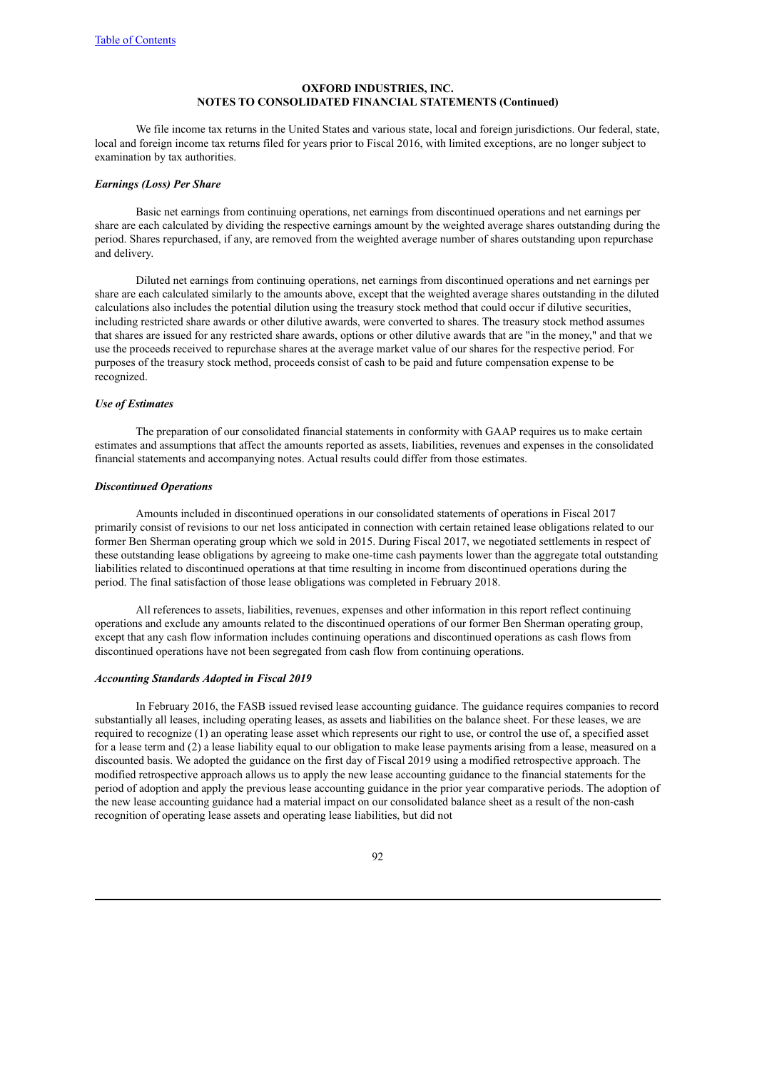We file income tax returns in the United States and various state, local and foreign jurisdictions. Our federal, state, local and foreign income tax returns filed for years prior to Fiscal 2016, with limited exceptions, are no longer subject to examination by tax authorities.

#### *Earnings (Loss) Per Share*

Basic net earnings from continuing operations, net earnings from discontinued operations and net earnings per share are each calculated by dividing the respective earnings amount by the weighted average shares outstanding during the period. Shares repurchased, if any, are removed from the weighted average number of shares outstanding upon repurchase and delivery.

Diluted net earnings from continuing operations, net earnings from discontinued operations and net earnings per share are each calculated similarly to the amounts above, except that the weighted average shares outstanding in the diluted calculations also includes the potential dilution using the treasury stock method that could occur if dilutive securities, including restricted share awards or other dilutive awards, were converted to shares. The treasury stock method assumes that shares are issued for any restricted share awards, options or other dilutive awards that are "in the money," and that we use the proceeds received to repurchase shares at the average market value of our shares for the respective period. For purposes of the treasury stock method, proceeds consist of cash to be paid and future compensation expense to be recognized.

### *Use of Estimates*

The preparation of our consolidated financial statements in conformity with GAAP requires us to make certain estimates and assumptions that affect the amounts reported as assets, liabilities, revenues and expenses in the consolidated financial statements and accompanying notes. Actual results could differ from those estimates.

### *Discontinued Operations*

Amounts included in discontinued operations in our consolidated statements of operations in Fiscal 2017 primarily consist of revisions to our net loss anticipated in connection with certain retained lease obligations related to our former Ben Sherman operating group which we sold in 2015. During Fiscal 2017, we negotiated settlements in respect of these outstanding lease obligations by agreeing to make one-time cash payments lower than the aggregate total outstanding liabilities related to discontinued operations at that time resulting in income from discontinued operations during the period. The final satisfaction of those lease obligations was completed in February 2018.

All references to assets, liabilities, revenues, expenses and other information in this report reflect continuing operations and exclude any amounts related to the discontinued operations of our former Ben Sherman operating group, except that any cash flow information includes continuing operations and discontinued operations as cash flows from discontinued operations have not been segregated from cash flow from continuing operations.

### *Accounting Standards Adopted in Fiscal 2019*

In February 2016, the FASB issued revised lease accounting guidance. The guidance requires companies to record substantially all leases, including operating leases, as assets and liabilities on the balance sheet. For these leases, we are required to recognize (1) an operating lease asset which represents our right to use, or control the use of, a specified asset for a lease term and (2) a lease liability equal to our obligation to make lease payments arising from a lease, measured on a discounted basis. We adopted the guidance on the first day of Fiscal 2019 using a modified retrospective approach. The modified retrospective approach allows us to apply the new lease accounting guidance to the financial statements for the period of adoption and apply the previous lease accounting guidance in the prior year comparative periods. The adoption of the new lease accounting guidance had a material impact on our consolidated balance sheet as a result of the non-cash recognition of operating lease assets and operating lease liabilities, but did not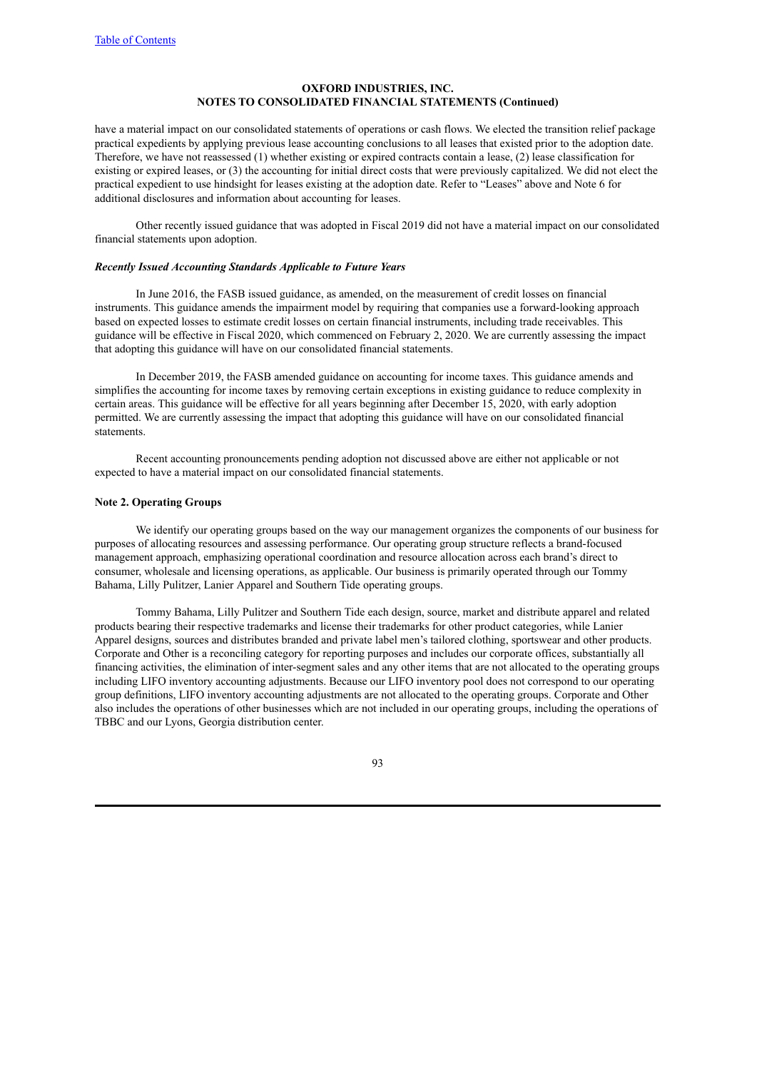have a material impact on our consolidated statements of operations or cash flows. We elected the transition relief package practical expedients by applying previous lease accounting conclusions to all leases that existed prior to the adoption date. Therefore, we have not reassessed (1) whether existing or expired contracts contain a lease, (2) lease classification for existing or expired leases, or (3) the accounting for initial direct costs that were previously capitalized. We did not elect the practical expedient to use hindsight for leases existing at the adoption date. Refer to "Leases" above and Note 6 for additional disclosures and information about accounting for leases.

Other recently issued guidance that was adopted in Fiscal 2019 did not have a material impact on our consolidated financial statements upon adoption.

### *Recently Issued Accounting Standards Applicable to Future Years*

In June 2016, the FASB issued guidance, as amended, on the measurement of credit losses on financial instruments. This guidance amends the impairment model by requiring that companies use a forward-looking approach based on expected losses to estimate credit losses on certain financial instruments, including trade receivables. This guidance will be effective in Fiscal 2020, which commenced on February 2, 2020. We are currently assessing the impact that adopting this guidance will have on our consolidated financial statements.

In December 2019, the FASB amended guidance on accounting for income taxes. This guidance amends and simplifies the accounting for income taxes by removing certain exceptions in existing guidance to reduce complexity in certain areas. This guidance will be effective for all years beginning after December 15, 2020, with early adoption permitted. We are currently assessing the impact that adopting this guidance will have on our consolidated financial statements.

Recent accounting pronouncements pending adoption not discussed above are either not applicable or not expected to have a material impact on our consolidated financial statements.

### **Note 2. Operating Groups**

We identify our operating groups based on the way our management organizes the components of our business for purposes of allocating resources and assessing performance. Our operating group structure reflects a brand-focused management approach, emphasizing operational coordination and resource allocation across each brand's direct to consumer, wholesale and licensing operations, as applicable. Our business is primarily operated through our Tommy Bahama, Lilly Pulitzer, Lanier Apparel and Southern Tide operating groups.

Tommy Bahama, Lilly Pulitzer and Southern Tide each design, source, market and distribute apparel and related products bearing their respective trademarks and license their trademarks for other product categories, while Lanier Apparel designs, sources and distributes branded and private label men's tailored clothing, sportswear and other products. Corporate and Other is a reconciling category for reporting purposes and includes our corporate offices, substantially all financing activities, the elimination of inter-segment sales and any other items that are not allocated to the operating groups including LIFO inventory accounting adjustments. Because our LIFO inventory pool does not correspond to our operating group definitions, LIFO inventory accounting adjustments are not allocated to the operating groups. Corporate and Other also includes the operations of other businesses which are not included in our operating groups, including the operations of TBBC and our Lyons, Georgia distribution center.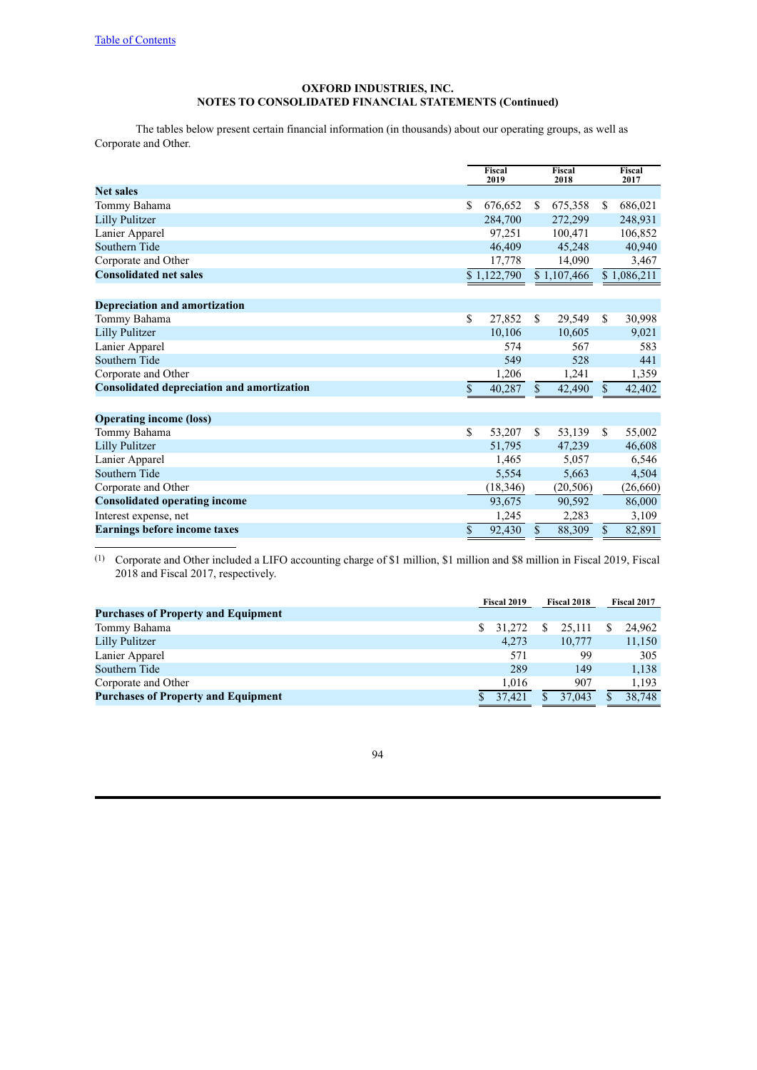The tables below present certain financial information (in thousands) about our operating groups, as well as Corporate and Other.

|                                                      | Fiscal<br>2019 |               | Fiscal<br>2018 |               | Fiscal<br>2017 |
|------------------------------------------------------|----------------|---------------|----------------|---------------|----------------|
| <b>Net sales</b>                                     |                |               |                |               |                |
| Tommy Bahama                                         | \$<br>676,652  | <sup>\$</sup> | 675,358        | S.            | 686,021        |
| <b>Lilly Pulitzer</b>                                | 284,700        |               | 272,299        |               | 248,931        |
| Lanier Apparel                                       | 97,251         |               | 100,471        |               | 106,852        |
| Southern Tide                                        | 46,409         |               | 45,248         |               | 40,940         |
| Corporate and Other                                  | 17,778         |               | 14,090         |               | 3,467          |
| <b>Consolidated net sales</b>                        | \$1,122,790    |               | \$1,107,466    |               | \$1,086,211    |
|                                                      |                |               |                |               |                |
| <b>Depreciation and amortization</b><br>Tommy Bahama | \$<br>27,852   | \$.           | 29,549         | \$.           | 30,998         |
| <b>Lilly Pulitzer</b>                                | 10,106         |               | 10,605         |               | 9,021          |
| Lanier Apparel                                       | 574            |               | 567            |               | 583            |
| Southern Tide                                        | 549            |               | 528            |               | 441            |
| Corporate and Other                                  | 1,206          |               | 1,241          |               | 1,359          |
| <b>Consolidated depreciation and amortization</b>    | \$<br>40,287   | $\mathbb{S}$  | 42,490         | $\mathcal{S}$ | 42,402         |
|                                                      |                |               |                |               |                |
| <b>Operating income (loss)</b>                       |                |               |                |               |                |
| Tommy Bahama                                         | \$<br>53,207   | <sup>\$</sup> | 53,139         | \$            | 55,002         |
| <b>Lilly Pulitzer</b>                                | 51,795         |               | 47,239         |               | 46,608         |
| Lanier Apparel                                       | 1,465          |               | 5,057          |               | 6,546          |
| Southern Tide                                        | 5,554          |               | 5,663          |               | 4,504          |
| Corporate and Other                                  | (18, 346)      |               | (20, 506)      |               | (26, 660)      |
| <b>Consolidated operating income</b>                 | 93,675         |               | 90,592         |               | 86,000         |
| Interest expense, net                                | 1,245          |               | 2,283          |               | 3,109          |
| <b>Earnings before income taxes</b>                  | \$<br>92,430   | \$            | 88,309         | \$            | 82,891         |

(1) Corporate and Other included a LIFO accounting charge of \$1 million, \$1 million and \$8 million in Fiscal 2019, Fiscal 2018 and Fiscal 2017, respectively.

|                                            | Fiscal 2019 |        | <b>Fiscal 2018</b> |        | <b>Fiscal 2017</b> |
|--------------------------------------------|-------------|--------|--------------------|--------|--------------------|
| <b>Purchases of Property and Equipment</b> |             |        |                    |        |                    |
| Tommy Bahama                               |             | 31.272 |                    | 25.111 | 24.962             |
| Lilly Pulitzer                             |             | 4.273  |                    | 10.777 | 11,150             |
| Lanier Apparel                             |             | 571    |                    | 99     | 305                |
| Southern Tide                              |             | 289    |                    | 149    | 1,138              |
| Corporate and Other                        |             | 1.016  |                    | 907    | 1.193              |
| <b>Purchases of Property and Equipment</b> |             | 37.421 |                    | 37.043 | 38.748             |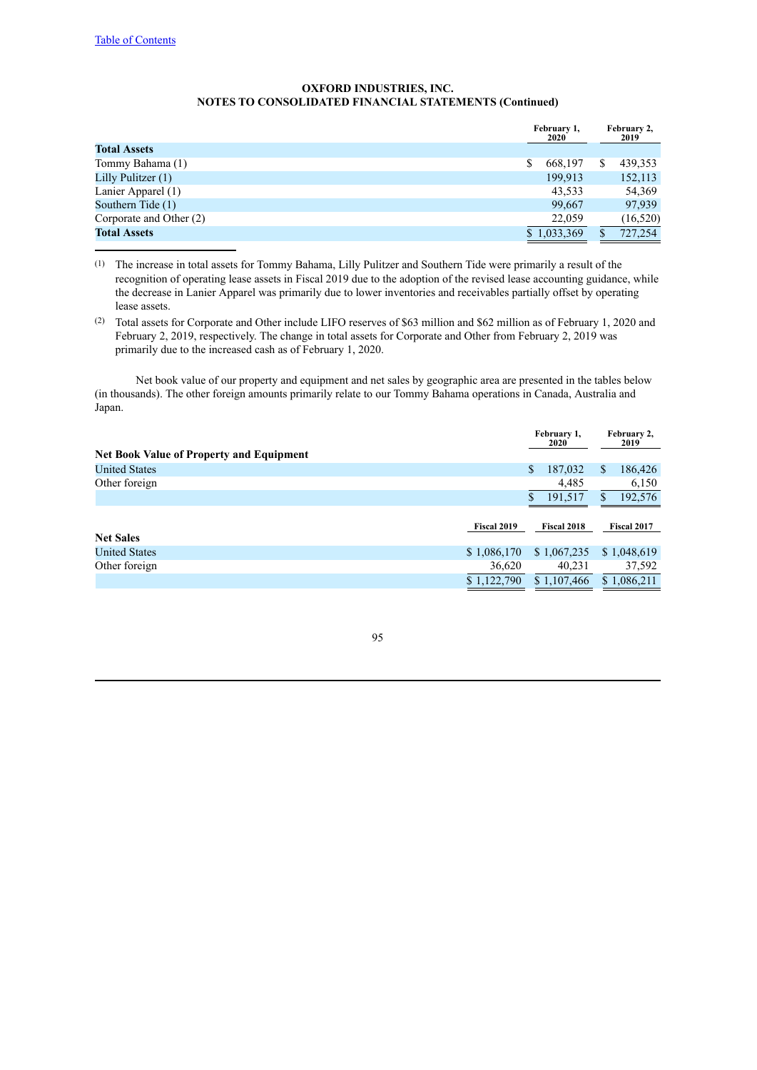|                         | February 1,<br>2020 |  | February 2,<br>2019 |
|-------------------------|---------------------|--|---------------------|
| <b>Total Assets</b>     |                     |  |                     |
| Tommy Bahama (1)        | \$<br>668,197       |  | 439,353             |
| Lilly Pulitzer (1)      | 199,913             |  | 152,113             |
| Lanier Apparel (1)      | 43.533              |  | 54,369              |
| Southern Tide (1)       | 99,667              |  | 97.939              |
| Corporate and Other (2) | 22,059              |  | (16, 520)           |
| <b>Total Assets</b>     | \$1,033,369         |  | 727,254             |

(1) The increase in total assets for Tommy Bahama, Lilly Pulitzer and Southern Tide were primarily a result of the recognition of operating lease assets in Fiscal 2019 due to the adoption of the revised lease accounting guidance, while the decrease in Lanier Apparel was primarily due to lower inventories and receivables partially offset by operating lease assets.

(2) Total assets for Corporate and Other include LIFO reserves of \$63 million and \$62 million as of February 1, 2020 and February 2, 2019, respectively. The change in total assets for Corporate and Other from February 2, 2019 was primarily due to the increased cash as of February 1, 2020.

Net book value of our property and equipment and net sales by geographic area are presented in the tables below (in thousands). The other foreign amounts primarily relate to our Tommy Bahama operations in Canada, Australia and Japan.

|                                                 |                    | February 1,<br>2020 | February 2,<br>2019 |
|-------------------------------------------------|--------------------|---------------------|---------------------|
| <b>Net Book Value of Property and Equipment</b> |                    |                     |                     |
| <b>United States</b>                            |                    | 187,032<br>\$       | 186,426<br>S        |
| Other foreign                                   |                    | 4,485               | 6,150               |
|                                                 |                    | 191,517             | 192,576<br>S        |
|                                                 |                    |                     |                     |
|                                                 | <b>Fiscal 2019</b> | Fiscal 2018         | <b>Fiscal 2017</b>  |
| <b>Net Sales</b>                                |                    |                     |                     |
| <b>United States</b>                            | \$1,086,170        | \$1,067,235         | \$1,048,619         |
| Other foreign                                   | 36,620             | 40,231              | 37,592              |
|                                                 | \$1,122,790        | \$1,107,466         | \$1,086,211         |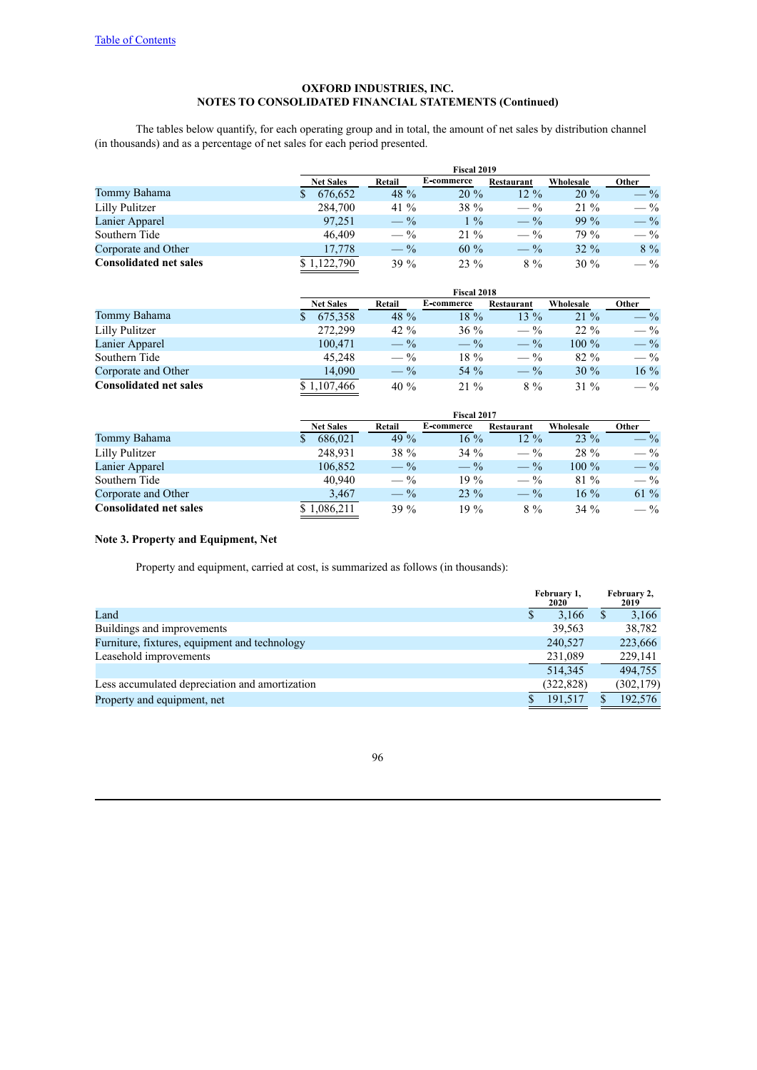The tables below quantify, for each operating group and in total, the amount of net sales by distribution channel (in thousands) and as a percentage of net sales for each period presented.

|                               | Fiscal 2019      |                |            |                |           |                 |  |  |  |  |  |
|-------------------------------|------------------|----------------|------------|----------------|-----------|-----------------|--|--|--|--|--|
|                               | <b>Net Sales</b> | Retail         | E-commerce | Restaurant     | Wholesale | Other           |  |  |  |  |  |
| Tommy Bahama                  | 676,652          | 48 %           | $20\%$     | $12\%$         | $20\%$    | $-$ %           |  |  |  |  |  |
| Lilly Pulitzer                | 284,700          | 41 $%$         | 38 %       | $-$ %          | $21\%$    | $-$ %           |  |  |  |  |  |
| Lanier Apparel                | 97,251           | $-\frac{9}{6}$ | $1\%$      | $-\frac{9}{6}$ | $99\%$    | $- \frac{9}{6}$ |  |  |  |  |  |
| Southern Tide                 | 46.409           | $-$ %          | $21\%$     | $-$ %          | 79 %      | $-$ %           |  |  |  |  |  |
| Corporate and Other           | 17,778           | $-\frac{9}{6}$ | $60\%$     | $-\frac{9}{6}$ | $32\%$    | $8\%$           |  |  |  |  |  |
| <b>Consolidated net sales</b> | \$1,122,790      | $39\%$         | $23\%$     | $8\%$          | $30\%$    | $- \frac{9}{6}$ |  |  |  |  |  |

|                               | Fiscal 2018      |                 |                |                 |           |                 |  |  |  |  |
|-------------------------------|------------------|-----------------|----------------|-----------------|-----------|-----------------|--|--|--|--|
|                               | <b>Net Sales</b> | Retail          | E-commerce     | Restaurant      | Wholesale | Other           |  |  |  |  |
| Tommy Bahama                  | 675,358          | 48 %            | $18\%$         | $13\%$          | $21\%$    | $- \frac{9}{6}$ |  |  |  |  |
| Lilly Pulitzer                | 272.299          | 42 $%$          | $36\%$         | $- \frac{9}{6}$ | $22\%$    | $-$ %           |  |  |  |  |
| Lanier Apparel                | 100,471          | $- \frac{9}{6}$ | $-\frac{9}{6}$ | $-\frac{9}{6}$  | $100\%$   | $-$ %           |  |  |  |  |
| Southern Tide                 | 45.248           | $-$ %           | 18 %           | $- \frac{9}{6}$ | $82\%$    | $-$ %           |  |  |  |  |
| Corporate and Other           | 14.090           | $-\frac{9}{6}$  | 54 $\%$        | $- \frac{9}{6}$ | $30\%$    | $16\%$          |  |  |  |  |
| <b>Consolidated net sales</b> | \$1,107,466      | $40\%$          | $21\%$         | $8\%$           | $31\%$    | $- \frac{9}{6}$ |  |  |  |  |

|                               |                  | Fiscal 2017    |            |                 |           |                 |  |  |  |  |
|-------------------------------|------------------|----------------|------------|-----------------|-----------|-----------------|--|--|--|--|
|                               | <b>Net Sales</b> | Retail         | E-commerce | Restaurant      | Wholesale | Other           |  |  |  |  |
| Tommy Bahama                  | 686,021          | 49 $%$         | $16\%$     | $12\%$          | $23\%$    | $-$ %           |  |  |  |  |
| Lilly Pulitzer                | 248.931          | 38 %           | $34\%$     | $- \frac{9}{6}$ | 28 %      | $-$ %           |  |  |  |  |
| Lanier Apparel                | 106,852          | $-$ %          | $-$ %      | $- \frac{9}{6}$ | $100\%$   | $-$ %           |  |  |  |  |
| Southern Tide                 | 40.940           | $-$ %          | $19\%$     | $- \frac{9}{6}$ | $81\%$    | $-$ %           |  |  |  |  |
| Corporate and Other           | 3.467            | $-\frac{9}{6}$ | $23\%$     | $-\frac{9}{6}$  | $16\%$    | $61\%$          |  |  |  |  |
| <b>Consolidated net sales</b> | \$1,086,211      | $39\%$         | $19\%$     | $8\%$           | $34\%$    | $- \frac{9}{6}$ |  |  |  |  |

# **Note 3. Property and Equipment, Net**

Property and equipment, carried at cost, is summarized as follows (in thousands):

|                                                | February 1,<br>2020 | February 2,<br>2019 |
|------------------------------------------------|---------------------|---------------------|
| Land                                           | 3.166               | 3,166               |
| Buildings and improvements                     | 39,563              | 38,782              |
| Furniture, fixtures, equipment and technology  | 240,527             | 223,666             |
| Leasehold improvements                         | 231,089             | 229,141             |
|                                                | 514,345             | 494,755             |
| Less accumulated depreciation and amortization | (322, 828)          | (302, 179)          |
| Property and equipment, net                    | 191.517             | 192,576             |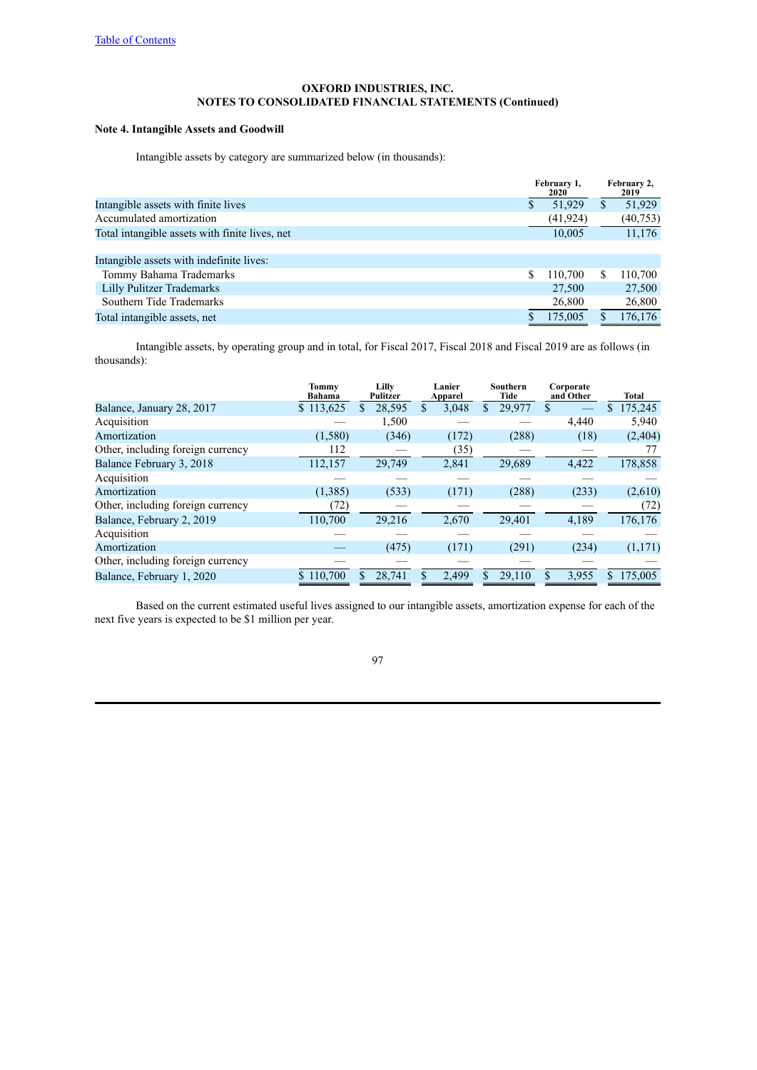# **Note 4. Intangible Assets and Goodwill**

Intangible assets by category are summarized below (in thousands):

|                                                |   | February 1,<br>2020 |   | February 2,<br>2019 |
|------------------------------------------------|---|---------------------|---|---------------------|
| Intangible assets with finite lives            | D | 51,929              | D | 51,929              |
| Accumulated amortization                       |   | (41, 924)           |   | (40, 753)           |
| Total intangible assets with finite lives, net |   | 10,005              |   | 11,176              |
|                                                |   |                     |   |                     |
| Intangible assets with indefinite lives:       |   |                     |   |                     |
| Tommy Bahama Trademarks                        | S | 110.700             |   | 110,700             |
| Lilly Pulitzer Trademarks                      |   | 27,500              |   | 27,500              |
| Southern Tide Trademarks                       |   | 26,800              |   | 26,800              |
| Total intangible assets, net                   |   | 175,005             |   | 176.176             |

Intangible assets, by operating group and in total, for Fiscal 2017, Fiscal 2018 and Fiscal 2019 are as follows (in thousands):

|                                   | <b>Tommy</b><br>Bahama | Lilly<br>Pulitzer | Lanier<br>Apparel | <b>Southern</b><br>Tide | Corporate<br>and Other | Total   |
|-----------------------------------|------------------------|-------------------|-------------------|-------------------------|------------------------|---------|
| Balance, January 28, 2017         | \$113,625              | 28,595            | 3,048<br>S        | 29,977<br>S             | S                      | 175,245 |
| Acquisition                       |                        | 1,500             |                   |                         | 4,440                  | 5,940   |
| Amortization                      | (1,580)                | (346)             | (172)             | (288)                   | (18)                   | (2,404) |
| Other, including foreign currency | 112                    |                   | (35)              |                         |                        |         |
| Balance February 3, 2018          | 112,157                | 29,749            | 2,841             | 29,689                  | 4,422                  | 178,858 |
| Acquisition                       |                        |                   |                   |                         |                        |         |
| Amortization                      | (1, 385)               | (533)             | (171)             | (288)                   | (233)                  | (2,610) |
| Other, including foreign currency | (72)                   |                   |                   |                         |                        | (72)    |
| Balance, February 2, 2019         | 110,700                | 29.216            | 2,670             | 29.401                  | 4.189                  | 176,176 |
| Acquisition                       |                        |                   |                   |                         |                        |         |
| Amortization                      |                        | (475)             | (171)             | (291)                   | (234)                  | (1,171) |
| Other, including foreign currency |                        |                   |                   |                         |                        |         |
| Balance, February 1, 2020         | \$110,700              | 28,741            | 2,499             | 29,110                  | 3,955                  | 175,005 |

Based on the current estimated useful lives assigned to our intangible assets, amortization expense for each of the next five years is expected to be \$1 million per year.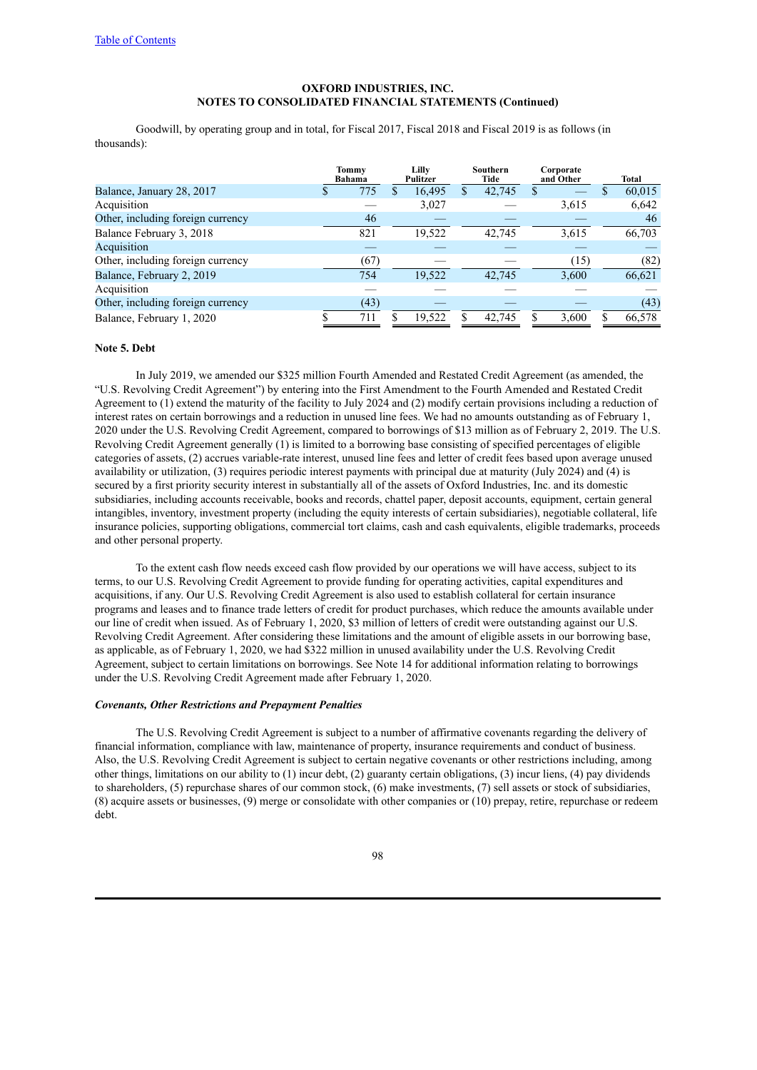Goodwill, by operating group and in total, for Fiscal 2017, Fiscal 2018 and Fiscal 2019 is as follows (in thousands):

|                                   | Tommy<br>Bahama | Lilly<br>Pulitzer | Southern<br>Tide | Corporate<br>and Other |       |        |  | Total |
|-----------------------------------|-----------------|-------------------|------------------|------------------------|-------|--------|--|-------|
| Balance, January 28, 2017         | 775<br>Ф        | 16,495<br>.D      | 42,745           | S                      |       | 60,015 |  |       |
| Acquisition                       |                 | 3,027             |                  |                        | 3,615 | 6,642  |  |       |
| Other, including foreign currency | 46              |                   |                  |                        |       | 46     |  |       |
| Balance February 3, 2018          | 821             | 19,522            | 42,745           |                        | 3,615 | 66,703 |  |       |
| Acquisition                       |                 |                   |                  |                        |       |        |  |       |
| Other, including foreign currency | (67)            |                   |                  |                        | (15)  | (82)   |  |       |
| Balance, February 2, 2019         | 754             | 19,522            | 42,745           |                        | 3,600 | 66,621 |  |       |
| Acquisition                       |                 |                   |                  |                        |       |        |  |       |
| Other, including foreign currency | (43)            |                   |                  |                        |       | (43)   |  |       |
| Balance, February 1, 2020         | 711             | 19,522            | 42,745           |                        | 3,600 | 66,578 |  |       |

# **Note 5. Debt**

In July 2019, we amended our \$325 million Fourth Amended and Restated Credit Agreement (as amended, the "U.S. Revolving Credit Agreement") by entering into the First Amendment to the Fourth Amended and Restated Credit Agreement to (1) extend the maturity of the facility to July 2024 and (2) modify certain provisions including a reduction of interest rates on certain borrowings and a reduction in unused line fees. We had no amounts outstanding as of February 1, 2020 under the U.S. Revolving Credit Agreement, compared to borrowings of \$13 million as of February 2, 2019. The U.S. Revolving Credit Agreement generally (1) is limited to a borrowing base consisting of specified percentages of eligible categories of assets, (2) accrues variable-rate interest, unused line fees and letter of credit fees based upon average unused availability or utilization, (3) requires periodic interest payments with principal due at maturity (July 2024) and (4) is secured by a first priority security interest in substantially all of the assets of Oxford Industries, Inc. and its domestic subsidiaries, including accounts receivable, books and records, chattel paper, deposit accounts, equipment, certain general intangibles, inventory, investment property (including the equity interests of certain subsidiaries), negotiable collateral, life insurance policies, supporting obligations, commercial tort claims, cash and cash equivalents, eligible trademarks, proceeds and other personal property.

To the extent cash flow needs exceed cash flow provided by our operations we will have access, subject to its terms, to our U.S. Revolving Credit Agreement to provide funding for operating activities, capital expenditures and acquisitions, if any. Our U.S. Revolving Credit Agreement is also used to establish collateral for certain insurance programs and leases and to finance trade letters of credit for product purchases, which reduce the amounts available under our line of credit when issued. As of February 1, 2020, \$3 million of letters of credit were outstanding against our U.S. Revolving Credit Agreement. After considering these limitations and the amount of eligible assets in our borrowing base, as applicable, as of February 1, 2020, we had \$322 million in unused availability under the U.S. Revolving Credit Agreement, subject to certain limitations on borrowings. See Note 14 for additional information relating to borrowings under the U.S. Revolving Credit Agreement made after February 1, 2020.

### *Covenants, Other Restrictions and Prepayment Penalties*

The U.S. Revolving Credit Agreement is subject to a number of affirmative covenants regarding the delivery of financial information, compliance with law, maintenance of property, insurance requirements and conduct of business. Also, the U.S. Revolving Credit Agreement is subject to certain negative covenants or other restrictions including, among other things, limitations on our ability to (1) incur debt, (2) guaranty certain obligations, (3) incur liens, (4) pay dividends to shareholders, (5) repurchase shares of our common stock, (6) make investments, (7) sell assets or stock of subsidiaries, (8) acquire assets or businesses, (9) merge or consolidate with other companies or (10) prepay, retire, repurchase or redeem debt.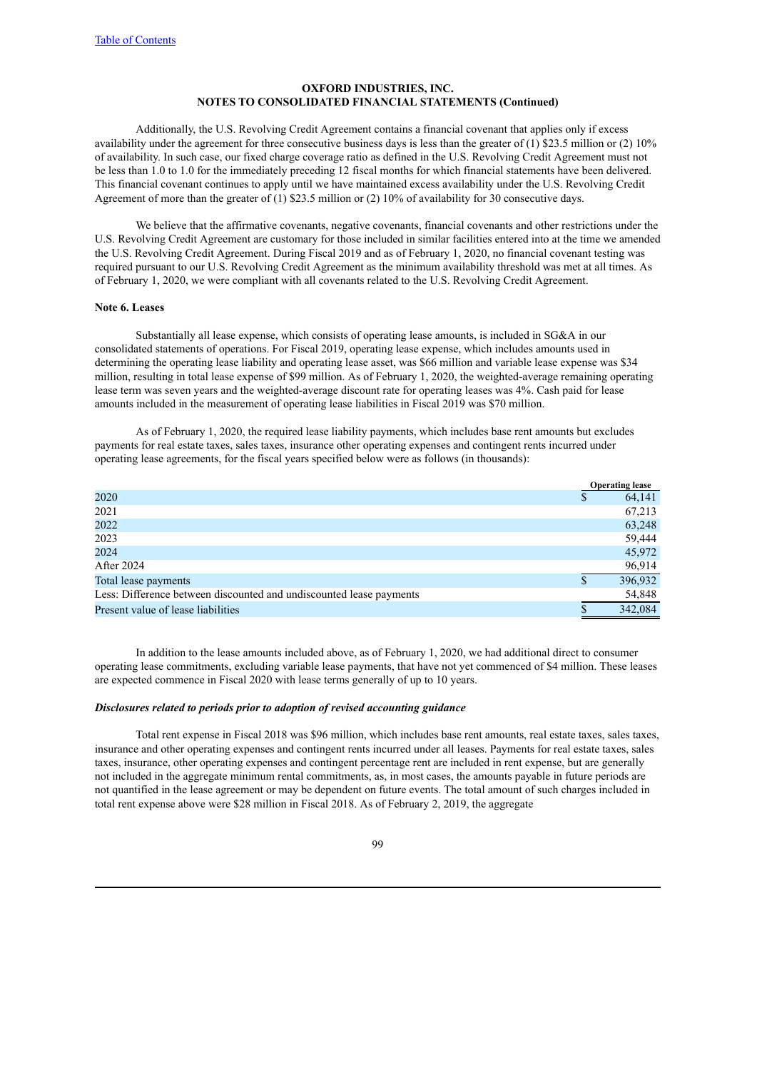Additionally, the U.S. Revolving Credit Agreement contains a financial covenant that applies only if excess availability under the agreement for three consecutive business days is less than the greater of  $(1)$  \$23.5 million or  $(2)$  10% of availability. In such case, our fixed charge coverage ratio as defined in the U.S. Revolving Credit Agreement must not be less than 1.0 to 1.0 for the immediately preceding 12 fiscal months for which financial statements have been delivered. This financial covenant continues to apply until we have maintained excess availability under the U.S. Revolving Credit Agreement of more than the greater of (1) \$23.5 million or (2) 10% of availability for 30 consecutive days.

We believe that the affirmative covenants, negative covenants, financial covenants and other restrictions under the U.S. Revolving Credit Agreement are customary for those included in similar facilities entered into at the time we amended the U.S. Revolving Credit Agreement. During Fiscal 2019 and as of February 1, 2020, no financial covenant testing was required pursuant to our U.S. Revolving Credit Agreement as the minimum availability threshold was met at all times. As of February 1, 2020, we were compliant with all covenants related to the U.S. Revolving Credit Agreement.

### **Note 6. Leases**

Substantially all lease expense, which consists of operating lease amounts, is included in SG&A in our consolidated statements of operations. For Fiscal 2019, operating lease expense, which includes amounts used in determining the operating lease liability and operating lease asset, was \$66 million and variable lease expense was \$34 million, resulting in total lease expense of \$99 million. As of February 1, 2020, the weighted-average remaining operating lease term was seven years and the weighted-average discount rate for operating leases was 4%. Cash paid for lease amounts included in the measurement of operating lease liabilities in Fiscal 2019 was \$70 million.

As of February 1, 2020, the required lease liability payments, which includes base rent amounts but excludes payments for real estate taxes, sales taxes, insurance other operating expenses and contingent rents incurred under operating lease agreements, for the fiscal years specified below were as follows (in thousands):

|                                                                     |   | <b>Operating lease</b> |
|---------------------------------------------------------------------|---|------------------------|
| 2020                                                                | S | 64,141                 |
| 2021                                                                |   | 67,213                 |
| 2022                                                                |   | 63,248                 |
| 2023                                                                |   | 59,444                 |
| 2024                                                                |   | 45,972                 |
| After 2024                                                          |   | 96,914                 |
| Total lease payments                                                |   | 396,932                |
| Less: Difference between discounted and undiscounted lease payments |   | 54,848                 |
| Present value of lease liabilities                                  |   | 342,084                |

In addition to the lease amounts included above, as of February 1, 2020, we had additional direct to consumer operating lease commitments, excluding variable lease payments, that have not yet commenced of \$4 million. These leases are expected commence in Fiscal 2020 with lease terms generally of up to 10 years.

### *Disclosures related to periods prior to adoption of revised accounting guidance*

Total rent expense in Fiscal 2018 was \$96 million, which includes base rent amounts, real estate taxes, sales taxes, insurance and other operating expenses and contingent rents incurred under all leases. Payments for real estate taxes, sales taxes, insurance, other operating expenses and contingent percentage rent are included in rent expense, but are generally not included in the aggregate minimum rental commitments, as, in most cases, the amounts payable in future periods are not quantified in the lease agreement or may be dependent on future events. The total amount of such charges included in total rent expense above were \$28 million in Fiscal 2018. As of February 2, 2019, the aggregate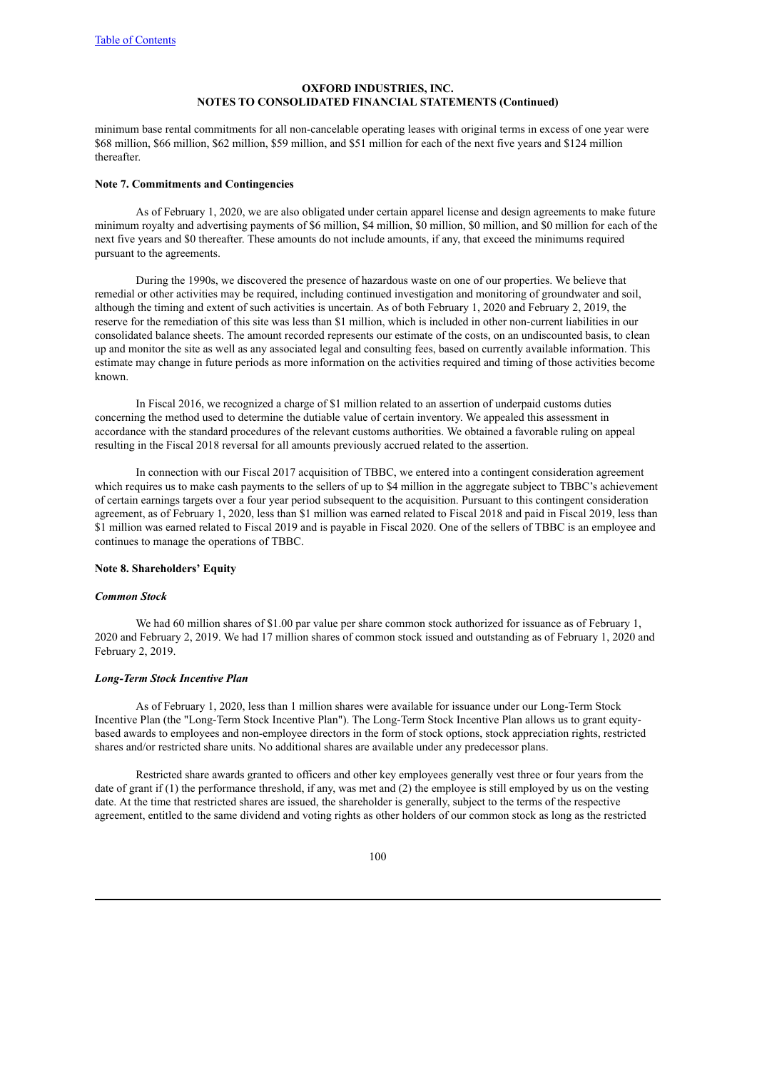minimum base rental commitments for all non-cancelable operating leases with original terms in excess of one year were \$68 million, \$66 million, \$62 million, \$59 million, and \$51 million for each of the next five years and \$124 million thereafter.

#### **Note 7. Commitments and Contingencies**

As of February 1, 2020, we are also obligated under certain apparel license and design agreements to make future minimum royalty and advertising payments of \$6 million, \$4 million, \$0 million, \$0 million, and \$0 million for each of the next five years and \$0 thereafter. These amounts do not include amounts, if any, that exceed the minimums required pursuant to the agreements.

During the 1990s, we discovered the presence of hazardous waste on one of our properties. We believe that remedial or other activities may be required, including continued investigation and monitoring of groundwater and soil, although the timing and extent of such activities is uncertain. As of both February 1, 2020 and February 2, 2019, the reserve for the remediation of this site was less than \$1 million, which is included in other non-current liabilities in our consolidated balance sheets. The amount recorded represents our estimate of the costs, on an undiscounted basis, to clean up and monitor the site as well as any associated legal and consulting fees, based on currently available information. This estimate may change in future periods as more information on the activities required and timing of those activities become known.

In Fiscal 2016, we recognized a charge of \$1 million related to an assertion of underpaid customs duties concerning the method used to determine the dutiable value of certain inventory. We appealed this assessment in accordance with the standard procedures of the relevant customs authorities. We obtained a favorable ruling on appeal resulting in the Fiscal 2018 reversal for all amounts previously accrued related to the assertion.

In connection with our Fiscal 2017 acquisition of TBBC, we entered into a contingent consideration agreement which requires us to make cash payments to the sellers of up to \$4 million in the aggregate subject to TBBC's achievement of certain earnings targets over a four year period subsequent to the acquisition. Pursuant to this contingent consideration agreement, as of February 1, 2020, less than \$1 million was earned related to Fiscal 2018 and paid in Fiscal 2019, less than \$1 million was earned related to Fiscal 2019 and is payable in Fiscal 2020. One of the sellers of TBBC is an employee and continues to manage the operations of TBBC.

### **Note 8. Shareholders' Equity**

### *Common Stock*

We had 60 million shares of \$1.00 par value per share common stock authorized for issuance as of February 1, 2020 and February 2, 2019. We had 17 million shares of common stock issued and outstanding as of February 1, 2020 and February 2, 2019.

### *Long-Term Stock Incentive Plan*

As of February 1, 2020, less than 1 million shares were available for issuance under our Long-Term Stock Incentive Plan (the "Long-Term Stock Incentive Plan"). The Long-Term Stock Incentive Plan allows us to grant equitybased awards to employees and non-employee directors in the form of stock options, stock appreciation rights, restricted shares and/or restricted share units. No additional shares are available under any predecessor plans.

Restricted share awards granted to officers and other key employees generally vest three or four years from the date of grant if (1) the performance threshold, if any, was met and (2) the employee is still employed by us on the vesting date. At the time that restricted shares are issued, the shareholder is generally, subject to the terms of the respective agreement, entitled to the same dividend and voting rights as other holders of our common stock as long as the restricted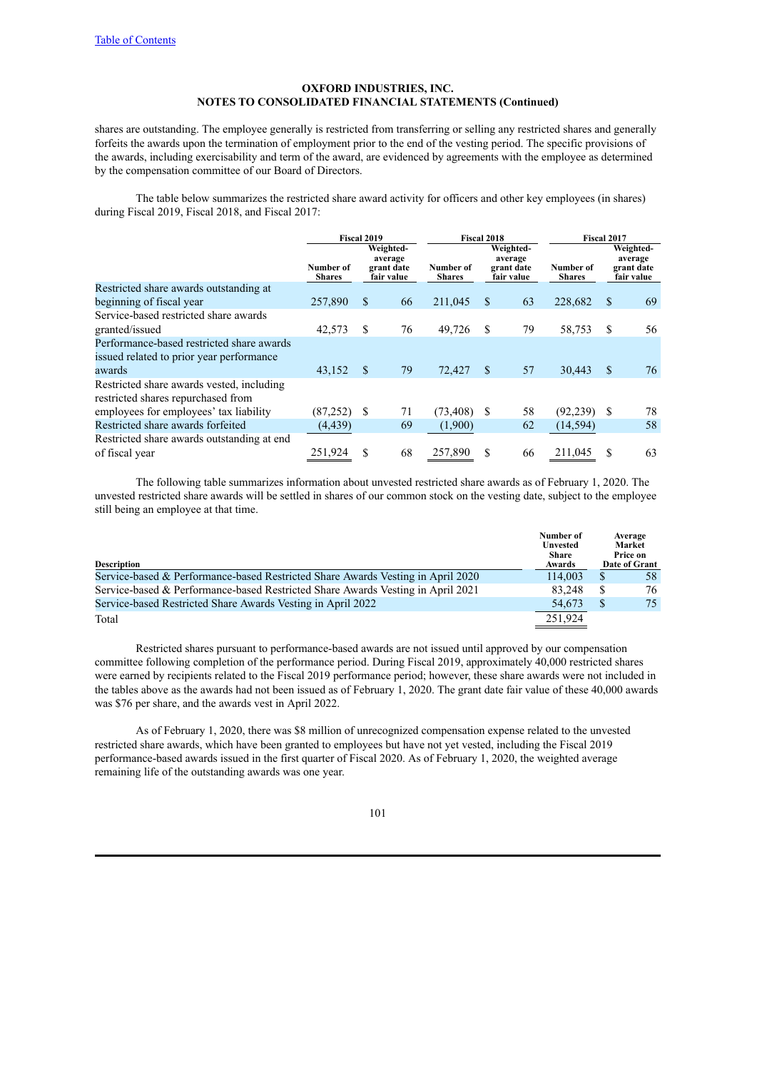shares are outstanding. The employee generally is restricted from transferring or selling any restricted shares and generally forfeits the awards upon the termination of employment prior to the end of the vesting period. The specific provisions of the awards, including exercisability and term of the award, are evidenced by agreements with the employee as determined by the compensation committee of our Board of Directors.

The table below summarizes the restricted share award activity for officers and other key employees (in shares) during Fiscal 2019, Fiscal 2018, and Fiscal 2017:

|                                                                                       | <b>Fiscal 2019</b>         |               | <b>Fiscal 2018</b>                               |                            |               | Fiscal 2017                                      |                            |     |                                                  |
|---------------------------------------------------------------------------------------|----------------------------|---------------|--------------------------------------------------|----------------------------|---------------|--------------------------------------------------|----------------------------|-----|--------------------------------------------------|
|                                                                                       | Number of<br><b>Shares</b> |               | Weighted-<br>average<br>grant date<br>fair value | Number of<br><b>Shares</b> |               | Weighted-<br>average<br>grant date<br>fair value | Number of<br><b>Shares</b> |     | Weighted-<br>average<br>grant date<br>fair value |
| Restricted share awards outstanding at                                                |                            |               |                                                  |                            |               |                                                  |                            |     |                                                  |
| beginning of fiscal year                                                              | 257,890                    | \$            | 66                                               | 211,045                    | S             | 63                                               | 228,682                    | \$  | 69                                               |
| Service-based restricted share awards<br>granted/issued                               | 42,573                     | \$            | 76                                               | 49,726                     | S             | 79                                               | 58,753                     | \$  | 56                                               |
| Performance-based restricted share awards<br>issued related to prior year performance |                            |               |                                                  |                            |               |                                                  |                            |     |                                                  |
| awards                                                                                | 43,152                     | <sup>\$</sup> | 79                                               | 72,427                     | <sup>\$</sup> | 57                                               | 30,443                     | \$  | 76                                               |
| Restricted share awards vested, including<br>restricted shares repurchased from       |                            |               |                                                  |                            |               |                                                  |                            |     |                                                  |
| employees for employees' tax liability                                                | (87, 252)                  | \$.           | 71                                               | (73, 408)                  | \$.           | 58                                               | (92, 239)                  | \$. | 78                                               |
| Restricted share awards forfeited                                                     | (4, 439)                   |               | 69                                               | (1,900)                    |               | 62                                               | (14, 594)                  |     | 58                                               |
| Restricted share awards outstanding at end.<br>of fiscal year                         | 251,924                    | S             | 68                                               | 257,890                    | \$            | 66                                               | 211,045                    | \$  | 63                                               |

The following table summarizes information about unvested restricted share awards as of February 1, 2020. The unvested restricted share awards will be settled in shares of our common stock on the vesting date, subject to the employee still being an employee at that time.

| <b>Description</b>                                                              | Number of<br>Unvested<br>Share<br>Awards | Average<br>Market<br>Price on<br>Date of Grant |
|---------------------------------------------------------------------------------|------------------------------------------|------------------------------------------------|
| Service-based & Performance-based Restricted Share Awards Vesting in April 2020 | 114,003                                  | 58                                             |
| Service-based & Performance-based Restricted Share Awards Vesting in April 2021 | 83.248                                   | 76                                             |
| Service-based Restricted Share Awards Vesting in April 2022                     | 54,673                                   | 75                                             |
| Total                                                                           | 251,924                                  |                                                |

Restricted shares pursuant to performance-based awards are not issued until approved by our compensation committee following completion of the performance period. During Fiscal 2019, approximately 40,000 restricted shares were earned by recipients related to the Fiscal 2019 performance period; however, these share awards were not included in the tables above as the awards had not been issued as of February 1, 2020. The grant date fair value of these 40,000 awards was \$76 per share, and the awards vest in April 2022.

As of February 1, 2020, there was \$8 million of unrecognized compensation expense related to the unvested restricted share awards, which have been granted to employees but have not yet vested, including the Fiscal 2019 performance-based awards issued in the first quarter of Fiscal 2020. As of February 1, 2020, the weighted average remaining life of the outstanding awards was one year.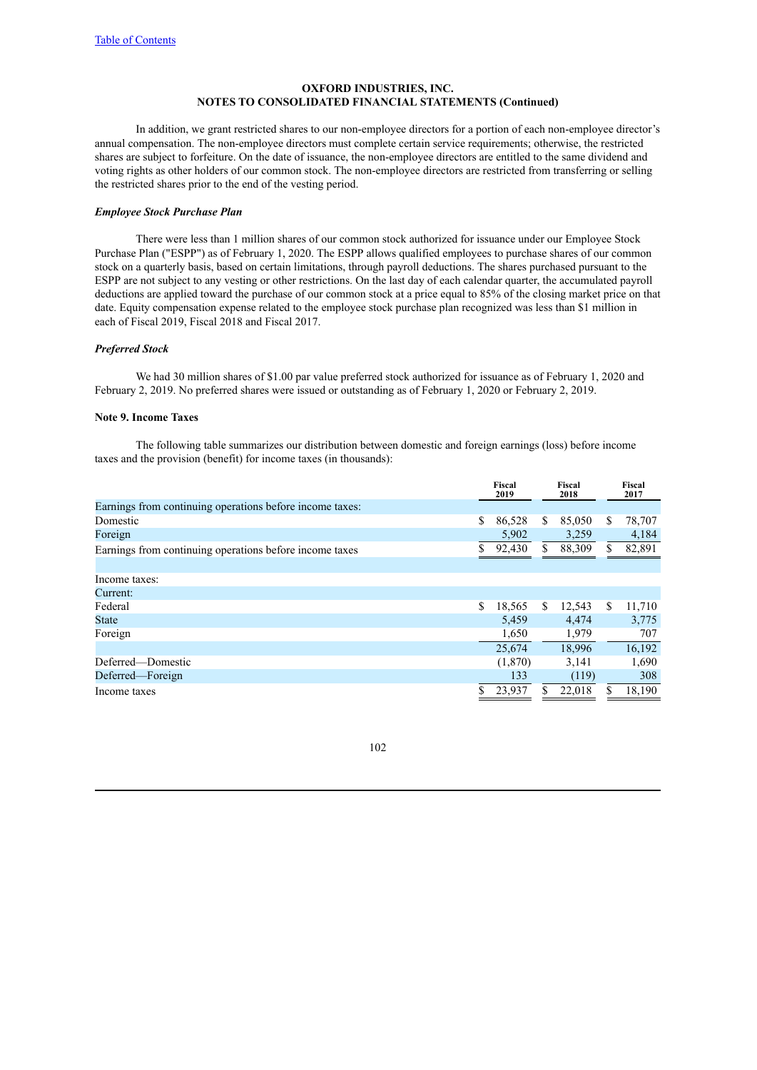In addition, we grant restricted shares to our non-employee directors for a portion of each non-employee director's annual compensation. The non-employee directors must complete certain service requirements; otherwise, the restricted shares are subject to forfeiture. On the date of issuance, the non-employee directors are entitled to the same dividend and voting rights as other holders of our common stock. The non-employee directors are restricted from transferring or selling the restricted shares prior to the end of the vesting period.

## *Employee Stock Purchase Plan*

There were less than 1 million shares of our common stock authorized for issuance under our Employee Stock Purchase Plan ("ESPP") as of February 1, 2020. The ESPP allows qualified employees to purchase shares of our common stock on a quarterly basis, based on certain limitations, through payroll deductions. The shares purchased pursuant to the ESPP are not subject to any vesting or other restrictions. On the last day of each calendar quarter, the accumulated payroll deductions are applied toward the purchase of our common stock at a price equal to 85% of the closing market price on that date. Equity compensation expense related to the employee stock purchase plan recognized was less than \$1 million in each of Fiscal 2019, Fiscal 2018 and Fiscal 2017.

#### *Preferred Stock*

We had 30 million shares of \$1.00 par value preferred stock authorized for issuance as of February 1, 2020 and February 2, 2019. No preferred shares were issued or outstanding as of February 1, 2020 or February 2, 2019.

### **Note 9. Income Taxes**

The following table summarizes our distribution between domestic and foreign earnings (loss) before income taxes and the provision (benefit) for income taxes (in thousands):

|                                                          |     | Fiscal<br>2019 |     | Fiscal<br>2018 |               | Fiscal<br>2017 |
|----------------------------------------------------------|-----|----------------|-----|----------------|---------------|----------------|
| Earnings from continuing operations before income taxes: |     |                |     |                |               |                |
| Domestic                                                 | S.  | 86,528         | S   | 85,050         | S             | 78,707         |
| Foreign                                                  |     | 5,902          |     | 3,259          |               | 4,184          |
| Earnings from continuing operations before income taxes  |     | 92,430         | \$  | 88,309         | \$            | 82,891         |
|                                                          |     |                |     |                |               |                |
| Income taxes:                                            |     |                |     |                |               |                |
| Current:                                                 |     |                |     |                |               |                |
| Federal                                                  | \$. | 18,565         | \$. | 12,543         | <sup>\$</sup> | 11,710         |
| State                                                    |     | 5,459          |     | 4,474          |               | 3,775          |
| Foreign                                                  |     | 1,650          |     | 1,979          |               | 707            |
|                                                          |     | 25,674         |     | 18,996         |               | 16,192         |
| Deferred—Domestic                                        |     | (1,870)        |     | 3.141          |               | 1.690          |
| Deferred—Foreign                                         |     | 133            |     | (119)          |               | 308            |
| Income taxes                                             |     | 23.937         | ς   | 22.018         | S             | 18,190         |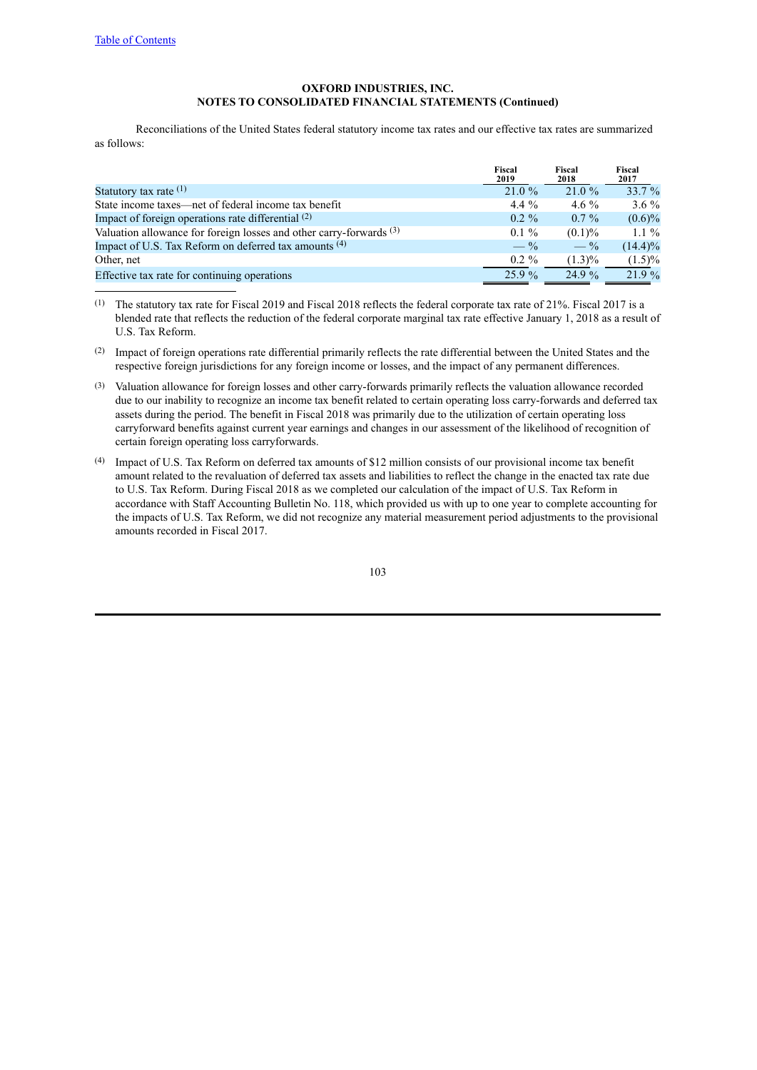Reconciliations of the United States federal statutory income tax rates and our effective tax rates are summarized as follows:

|                                                                     | Fiscal<br>2019  | Fiscal<br>2018 | Fiscal<br>2017 |
|---------------------------------------------------------------------|-----------------|----------------|----------------|
| Statutory tax rate $(1)$                                            | 21.0%           | 21.0%          | 33.7 %         |
| State income taxes—net of federal income tax benefit                | $4.4\%$         | $4.6\%$        | $3.6\%$        |
| Impact of foreign operations rate differential (2)                  | $0.2 \%$        | $0.7\%$        | $(0.6)\%$      |
| Valuation allowance for foreign losses and other carry-forwards (3) | $0.1 \%$        | (0.1)%         | $1.1\%$        |
| Impact of U.S. Tax Reform on deferred tax amounts <sup>(4)</sup>    | $- \frac{9}{6}$ | $-$ %          | $(14.4)\%$     |
| Other, net                                                          | $0.2 \%$        | $(1.3)\%$      | $(1.5)\%$      |
| Effective tax rate for continuing operations                        | 25.9%           | 24.9%          | $21.9\%$       |

(1) The statutory tax rate for Fiscal 2019 and Fiscal 2018 reflects the federal corporate tax rate of 21%. Fiscal 2017 is a blended rate that reflects the reduction of the federal corporate marginal tax rate effective January 1, 2018 as a result of U.S. Tax Reform.

- (2) Impact of foreign operations rate differential primarily reflects the rate differential between the United States and the respective foreign jurisdictions for any foreign income or losses, and the impact of any permanent differences.
- (3) Valuation allowance for foreign losses and other carry-forwards primarily reflects the valuation allowance recorded due to our inability to recognize an income tax benefit related to certain operating loss carry-forwards and deferred tax assets during the period. The benefit in Fiscal 2018 was primarily due to the utilization of certain operating loss carryforward benefits against current year earnings and changes in our assessment of the likelihood of recognition of certain foreign operating loss carryforwards.
- (4) Impact of U.S. Tax Reform on deferred tax amounts of \$12 million consists of our provisional income tax benefit amount related to the revaluation of deferred tax assets and liabilities to reflect the change in the enacted tax rate due to U.S. Tax Reform. During Fiscal 2018 as we completed our calculation of the impact of U.S. Tax Reform in accordance with Staff Accounting Bulletin No. 118, which provided us with up to one year to complete accounting for the impacts of U.S. Tax Reform, we did not recognize any material measurement period adjustments to the provisional amounts recorded in Fiscal 2017.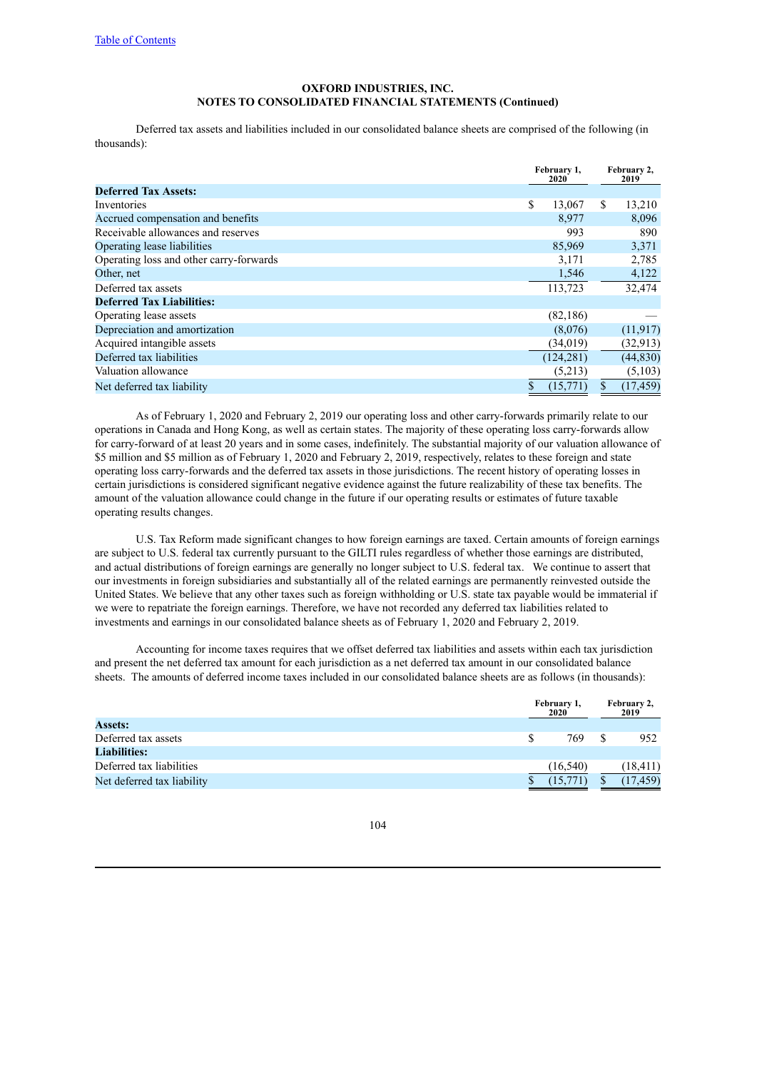Deferred tax assets and liabilities included in our consolidated balance sheets are comprised of the following (in thousands):

|                                         | February 1,<br>2020 |    | February 2,<br>2019 |
|-----------------------------------------|---------------------|----|---------------------|
| <b>Deferred Tax Assets:</b>             |                     |    |                     |
| Inventories                             | \$<br>13.067        | S. | 13,210              |
| Accrued compensation and benefits       | 8,977               |    | 8,096               |
| Receivable allowances and reserves      | 993                 |    | 890                 |
| Operating lease liabilities             | 85,969              |    | 3,371               |
| Operating loss and other carry-forwards | 3,171               |    | 2,785               |
| Other, net                              | 1,546               |    | 4,122               |
| Deferred tax assets                     | 113,723             |    | 32,474              |
| <b>Deferred Tax Liabilities:</b>        |                     |    |                     |
| Operating lease assets                  | (82, 186)           |    |                     |
| Depreciation and amortization           | (8,076)             |    | (11, 917)           |
| Acquired intangible assets              | (34, 019)           |    | (32, 913)           |
| Deferred tax liabilities                | (124, 281)          |    | (44, 830)           |
| Valuation allowance                     | (5,213)             |    | (5,103)             |
| Net deferred tax liability              | (15, 771)           |    | (17, 459)           |

As of February 1, 2020 and February 2, 2019 our operating loss and other carry-forwards primarily relate to our operations in Canada and Hong Kong, as well as certain states. The majority of these operating loss carry-forwards allow for carry-forward of at least 20 years and in some cases, indefinitely. The substantial majority of our valuation allowance of \$5 million and \$5 million as of February 1, 2020 and February 2, 2019, respectively, relates to these foreign and state operating loss carry-forwards and the deferred tax assets in those jurisdictions. The recent history of operating losses in certain jurisdictions is considered significant negative evidence against the future realizability of these tax benefits. The amount of the valuation allowance could change in the future if our operating results or estimates of future taxable operating results changes.

U.S. Tax Reform made significant changes to how foreign earnings are taxed. Certain amounts of foreign earnings are subject to U.S. federal tax currently pursuant to the GILTI rules regardless of whether those earnings are distributed, and actual distributions of foreign earnings are generally no longer subject to U.S. federal tax. We continue to assert that our investments in foreign subsidiaries and substantially all of the related earnings are permanently reinvested outside the United States. We believe that any other taxes such as foreign withholding or U.S. state tax payable would be immaterial if we were to repatriate the foreign earnings. Therefore, we have not recorded any deferred tax liabilities related to investments and earnings in our consolidated balance sheets as of February 1, 2020 and February 2, 2019.

Accounting for income taxes requires that we offset deferred tax liabilities and assets within each tax jurisdiction and present the net deferred tax amount for each jurisdiction as a net deferred tax amount in our consolidated balance sheets. The amounts of deferred income taxes included in our consolidated balance sheets are as follows (in thousands):

|                            | February 1,<br>2020 | February 2,<br>2019 |
|----------------------------|---------------------|---------------------|
| <b>Assets:</b>             |                     |                     |
| Deferred tax assets        | 769.                | 952                 |
| <b>Liabilities:</b>        |                     |                     |
| Deferred tax liabilities   | (16, 540)           | (18, 411)           |
| Net deferred tax liability |                     | (17, 459)           |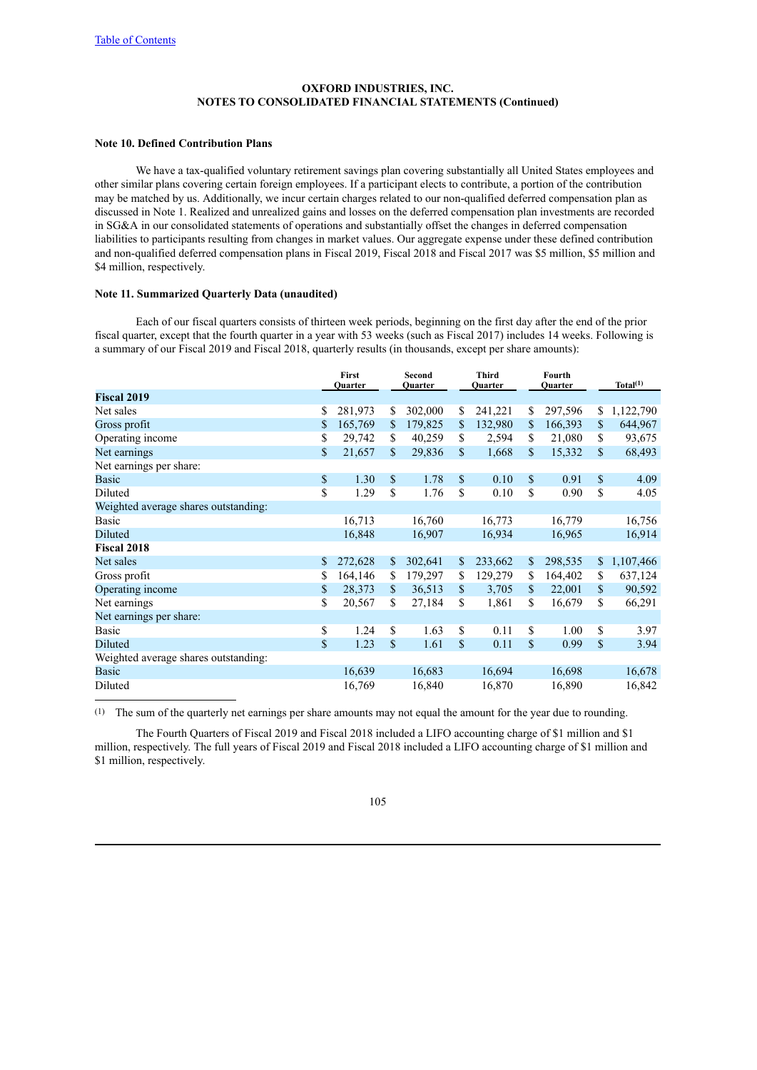### **Note 10. Defined Contribution Plans**

We have a tax-qualified voluntary retirement savings plan covering substantially all United States employees and other similar plans covering certain foreign employees. If a participant elects to contribute, a portion of the contribution may be matched by us. Additionally, we incur certain charges related to our non-qualified deferred compensation plan as discussed in Note 1. Realized and unrealized gains and losses on the deferred compensation plan investments are recorded in SG&A in our consolidated statements of operations and substantially offset the changes in deferred compensation liabilities to participants resulting from changes in market values. Our aggregate expense under these defined contribution and non-qualified deferred compensation plans in Fiscal 2019, Fiscal 2018 and Fiscal 2017 was \$5 million, \$5 million and \$4 million, respectively.

#### **Note 11. Summarized Quarterly Data (unaudited)**

Each of our fiscal quarters consists of thirteen week periods, beginning on the first day after the end of the prior fiscal quarter, except that the fourth quarter in a year with 53 weeks (such as Fiscal 2017) includes 14 weeks. Following is a summary of our Fiscal 2019 and Fiscal 2018, quarterly results (in thousands, except per share amounts):

|                                      | First<br>Ouarter |              | Second<br><b>Ouarter</b> |               | <b>Third</b><br>Ouarter |    | Fourth<br>Ouarter |               | Total <sup>(1)</sup> |
|--------------------------------------|------------------|--------------|--------------------------|---------------|-------------------------|----|-------------------|---------------|----------------------|
| <b>Fiscal 2019</b>                   |                  |              |                          |               |                         |    |                   |               |                      |
| Net sales                            | \$<br>281,973    | \$           | 302,000                  | \$            | 241,221                 | \$ | 297,596           | \$            | 1,122,790            |
| Gross profit                         | \$<br>165,769    | S            | 179,825                  | \$            | 132,980                 | \$ | 166,393           | \$            | 644,967              |
| Operating income                     | \$<br>29,742     | \$           | 40,259                   | \$            | 2,594                   | \$ | 21,080            | \$            | 93,675               |
| Net earnings                         | \$<br>21,657     | \$           | 29,836                   | \$            | 1,668                   | \$ | 15,332            | $\mathbf{\$}$ | 68,493               |
| Net earnings per share:              |                  |              |                          |               |                         |    |                   |               |                      |
| Basic                                | \$<br>1.30       | $\mathbb{S}$ | 1.78                     | \$            | 0.10                    | \$ | 0.91              | \$            | 4.09                 |
| Diluted                              | \$<br>1.29       | \$           | 1.76                     | \$            | 0.10                    | \$ | 0.90              | \$            | 4.05                 |
| Weighted average shares outstanding: |                  |              |                          |               |                         |    |                   |               |                      |
| <b>Basic</b>                         | 16,713           |              | 16,760                   |               | 16,773                  |    | 16,779            |               | 16,756               |
| Diluted                              | 16,848           |              | 16,907                   |               | 16,934                  |    | 16,965            |               | 16,914               |
| <b>Fiscal 2018</b>                   |                  |              |                          |               |                         |    |                   |               |                      |
| Net sales                            | \$<br>272,628    | \$           | 302,641                  | <sup>\$</sup> | 233,662                 | \$ | 298,535           |               | \$1,107,466          |
| Gross profit                         | \$<br>164,146    | S            | 179,297                  | \$            | 129,279                 | \$ | 164,402           | \$            | 637,124              |
| Operating income                     | \$<br>28,373     | \$           | 36,513                   | $\mathbf S$   | 3,705                   | \$ | 22,001            | \$            | 90,592               |
| Net earnings                         | \$<br>20,567     | \$           | 27,184                   | \$            | 1,861                   | \$ | 16,679            | \$            | 66,291               |
| Net earnings per share:              |                  |              |                          |               |                         |    |                   |               |                      |
| <b>Basic</b>                         | \$<br>1.24       | S            | 1.63                     | \$            | 0.11                    | \$ | 1.00              | \$            | 3.97                 |
| Diluted                              | \$<br>1.23       | \$           | 1.61                     | \$            | 0.11                    | \$ | 0.99              | \$            | 3.94                 |
| Weighted average shares outstanding: |                  |              |                          |               |                         |    |                   |               |                      |
| Basic                                | 16,639           |              | 16,683                   |               | 16,694                  |    | 16,698            |               | 16,678               |
| Diluted                              | 16,769           |              | 16,840                   |               | 16,870                  |    | 16,890            |               | 16,842               |

(1) The sum of the quarterly net earnings per share amounts may not equal the amount for the year due to rounding.

The Fourth Quarters of Fiscal 2019 and Fiscal 2018 included a LIFO accounting charge of \$1 million and \$1 million, respectively. The full years of Fiscal 2019 and Fiscal 2018 included a LIFO accounting charge of \$1 million and \$1 million, respectively.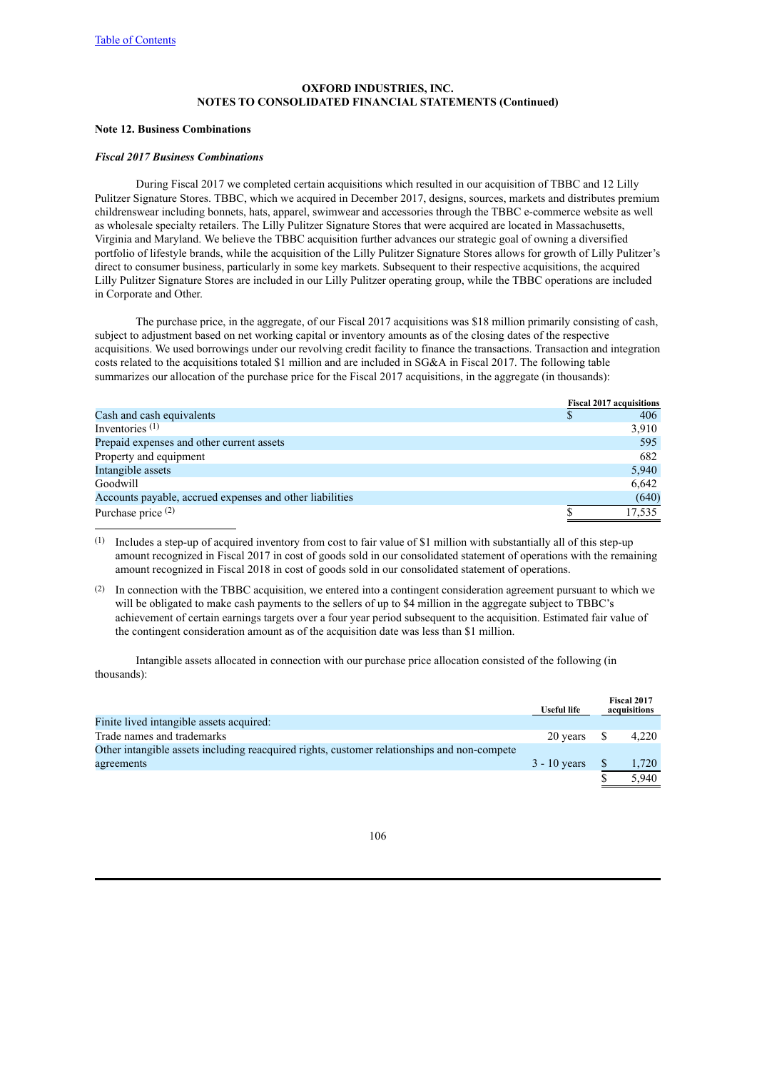### **Note 12. Business Combinations**

### *Fiscal 2017 Business Combinations*

During Fiscal 2017 we completed certain acquisitions which resulted in our acquisition of TBBC and 12 Lilly Pulitzer Signature Stores. TBBC, which we acquired in December 2017, designs, sources, markets and distributes premium childrenswear including bonnets, hats, apparel, swimwear and accessories through the TBBC e-commerce website as well as wholesale specialty retailers. The Lilly Pulitzer Signature Stores that were acquired are located in Massachusetts, Virginia and Maryland. We believe the TBBC acquisition further advances our strategic goal of owning a diversified portfolio of lifestyle brands, while the acquisition of the Lilly Pulitzer Signature Stores allows for growth of Lilly Pulitzer's direct to consumer business, particularly in some key markets. Subsequent to their respective acquisitions, the acquired Lilly Pulitzer Signature Stores are included in our Lilly Pulitzer operating group, while the TBBC operations are included in Corporate and Other.

The purchase price, in the aggregate, of our Fiscal 2017 acquisitions was \$18 million primarily consisting of cash, subject to adjustment based on net working capital or inventory amounts as of the closing dates of the respective acquisitions. We used borrowings under our revolving credit facility to finance the transactions. Transaction and integration costs related to the acquisitions totaled \$1 million and are included in SG&A in Fiscal 2017. The following table summarizes our allocation of the purchase price for the Fiscal 2017 acquisitions, in the aggregate (in thousands):

|                                                          | <b>Fiscal 2017 acquisitions</b> |        |  |  |  |
|----------------------------------------------------------|---------------------------------|--------|--|--|--|
| Cash and cash equivalents                                |                                 | 406    |  |  |  |
| Inventories $(1)$                                        |                                 | 3,910  |  |  |  |
| Prepaid expenses and other current assets                |                                 | 595    |  |  |  |
| Property and equipment                                   |                                 | 682    |  |  |  |
| Intangible assets                                        |                                 | 5,940  |  |  |  |
| Goodwill                                                 |                                 | 6,642  |  |  |  |
| Accounts payable, accrued expenses and other liabilities |                                 | (640)  |  |  |  |
| Purchase price $(2)$                                     |                                 | 17,535 |  |  |  |

(1) Includes a step-up of acquired inventory from cost to fair value of \$1 million with substantially all of this step-up amount recognized in Fiscal 2017 in cost of goods sold in our consolidated statement of operations with the remaining amount recognized in Fiscal 2018 in cost of goods sold in our consolidated statement of operations.

(2) In connection with the TBBC acquisition, we entered into a contingent consideration agreement pursuant to which we will be obligated to make cash payments to the sellers of up to \$4 million in the aggregate subject to TBBC's achievement of certain earnings targets over a four year period subsequent to the acquisition. Estimated fair value of the contingent consideration amount as of the acquisition date was less than \$1 million.

Intangible assets allocated in connection with our purchase price allocation consisted of the following (in thousands):

| <b>Useful life</b> | Fiscal 2017<br>acquisitions |
|--------------------|-----------------------------|
|                    |                             |
|                    | 4.220                       |
|                    |                             |
| $3 - 10$ years     | 1.720                       |
|                    | 5.940                       |
|                    | 20 years \$                 |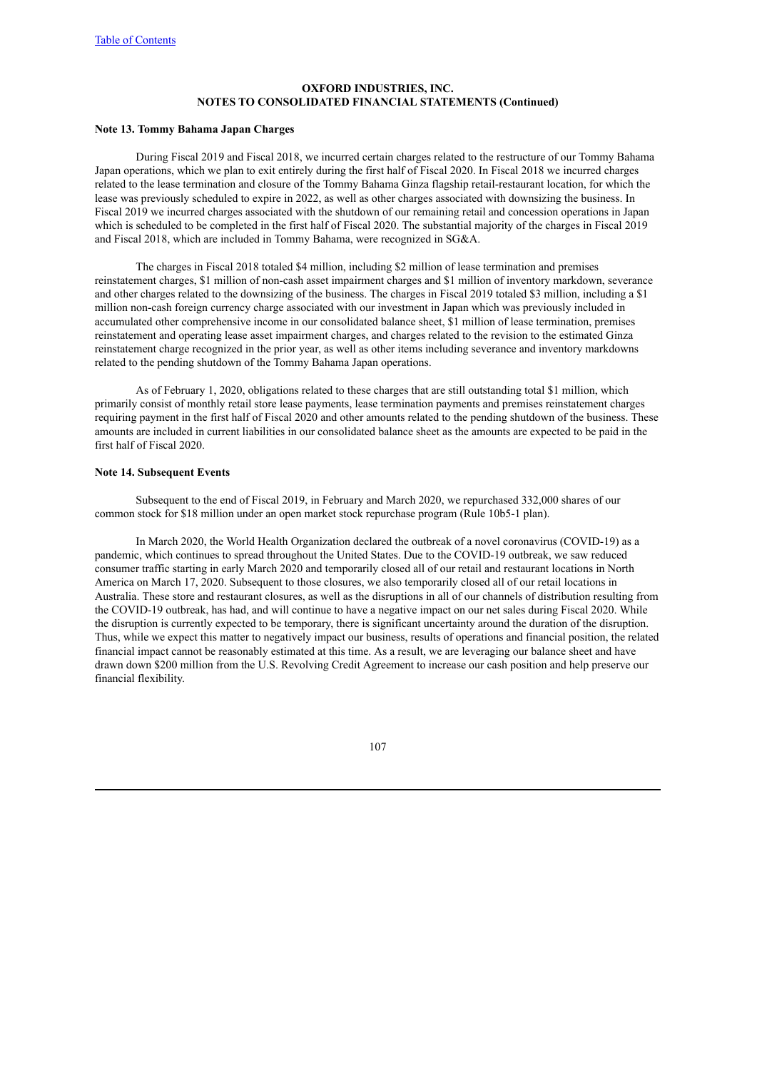# **Note 13. Tommy Bahama Japan Charges**

During Fiscal 2019 and Fiscal 2018, we incurred certain charges related to the restructure of our Tommy Bahama Japan operations, which we plan to exit entirely during the first half of Fiscal 2020. In Fiscal 2018 we incurred charges related to the lease termination and closure of the Tommy Bahama Ginza flagship retail-restaurant location, for which the lease was previously scheduled to expire in 2022, as well as other charges associated with downsizing the business. In Fiscal 2019 we incurred charges associated with the shutdown of our remaining retail and concession operations in Japan which is scheduled to be completed in the first half of Fiscal 2020. The substantial majority of the charges in Fiscal 2019 and Fiscal 2018, which are included in Tommy Bahama, were recognized in SG&A.

The charges in Fiscal 2018 totaled \$4 million, including \$2 million of lease termination and premises reinstatement charges, \$1 million of non-cash asset impairment charges and \$1 million of inventory markdown, severance and other charges related to the downsizing of the business. The charges in Fiscal 2019 totaled \$3 million, including a \$1 million non-cash foreign currency charge associated with our investment in Japan which was previously included in accumulated other comprehensive income in our consolidated balance sheet, \$1 million of lease termination, premises reinstatement and operating lease asset impairment charges, and charges related to the revision to the estimated Ginza reinstatement charge recognized in the prior year, as well as other items including severance and inventory markdowns related to the pending shutdown of the Tommy Bahama Japan operations.

As of February 1, 2020, obligations related to these charges that are still outstanding total \$1 million, which primarily consist of monthly retail store lease payments, lease termination payments and premises reinstatement charges requiring payment in the first half of Fiscal 2020 and other amounts related to the pending shutdown of the business. These amounts are included in current liabilities in our consolidated balance sheet as the amounts are expected to be paid in the first half of Fiscal 2020.

### **Note 14. Subsequent Events**

Subsequent to the end of Fiscal 2019, in February and March 2020, we repurchased 332,000 shares of our common stock for \$18 million under an open market stock repurchase program (Rule 10b5-1 plan).

In March 2020, the World Health Organization declared the outbreak of a novel coronavirus (COVID-19) as a pandemic, which continues to spread throughout the United States. Due to the COVID-19 outbreak, we saw reduced consumer traffic starting in early March 2020 and temporarily closed all of our retail and restaurant locations in North America on March 17, 2020. Subsequent to those closures, we also temporarily closed all of our retail locations in Australia. These store and restaurant closures, as well as the disruptions in all of our channels of distribution resulting from the COVID-19 outbreak, has had, and will continue to have a negative impact on our net sales during Fiscal 2020. While the disruption is currently expected to be temporary, there is significant uncertainty around the duration of the disruption. Thus, while we expect this matter to negatively impact our business, results of operations and financial position, the related financial impact cannot be reasonably estimated at this time. As a result, we are leveraging our balance sheet and have drawn down \$200 million from the U.S. Revolving Credit Agreement to increase our cash position and help preserve our financial flexibility.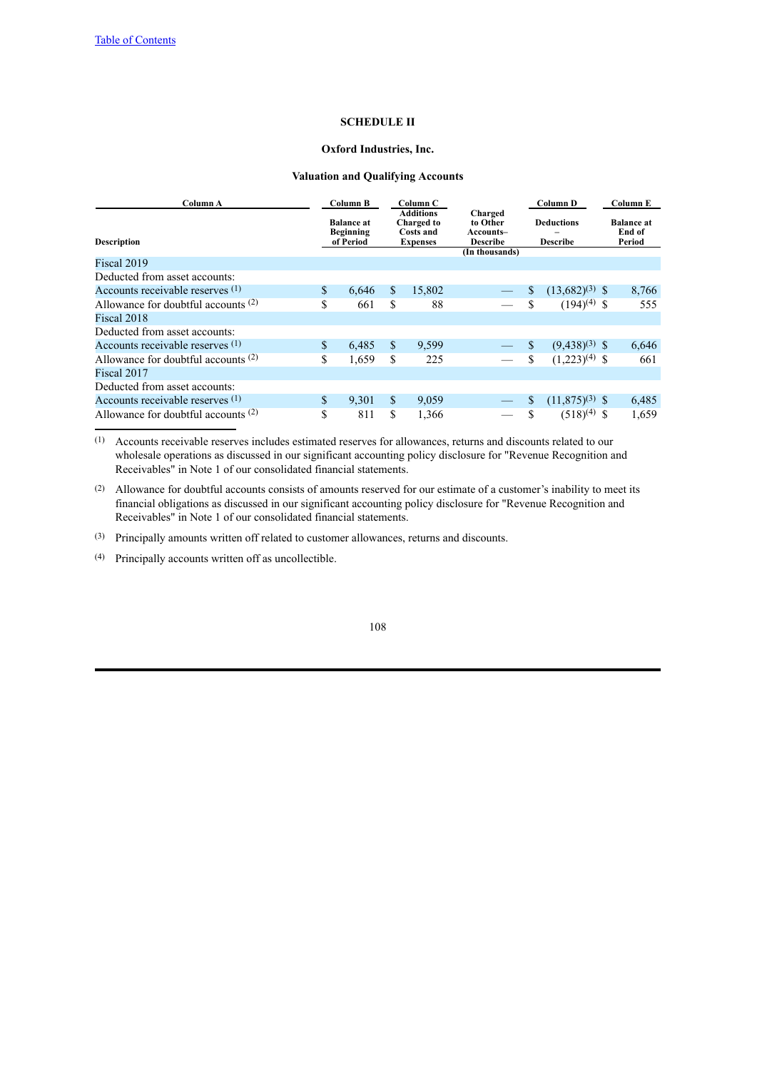## **SCHEDULE II**

### **Oxford Industries, Inc.**

# **Valuation and Qualifying Accounts**

| Column A                              |    | Column B                                           |     | Column C                                                       |                                                                       |                                      | Column D            |                                       | Column E |  |
|---------------------------------------|----|----------------------------------------------------|-----|----------------------------------------------------------------|-----------------------------------------------------------------------|--------------------------------------|---------------------|---------------------------------------|----------|--|
| <b>Description</b>                    |    | <b>Balance at</b><br><b>Beginning</b><br>of Period |     | <b>Additions</b><br>Charged to<br>Costs and<br><b>Expenses</b> | Charged<br>to Other<br>Accounts–<br><b>Describe</b><br>(In thousands) | <b>Deductions</b><br><b>Describe</b> |                     | <b>Balance at</b><br>End of<br>Period |          |  |
| Fiscal 2019                           |    |                                                    |     |                                                                |                                                                       |                                      |                     |                                       |          |  |
| Deducted from asset accounts:         |    |                                                    |     |                                                                |                                                                       |                                      |                     |                                       |          |  |
| Accounts receivable reserves $(1)$    | \$ | 6,646                                              | \$  | 15,802                                                         |                                                                       | S                                    | $(13,682)^{(3)}$ \$ |                                       | 8,766    |  |
| Allowance for doubtful accounts $(2)$ | \$ | 661                                                | S   | 88                                                             |                                                                       | S                                    | $(194)^{(4)}$ \$    |                                       | 555      |  |
| Fiscal 2018                           |    |                                                    |     |                                                                |                                                                       |                                      |                     |                                       |          |  |
| Deducted from asset accounts:         |    |                                                    |     |                                                                |                                                                       |                                      |                     |                                       |          |  |
| Accounts receivable reserves $(1)$    | \$ | 6,485                                              | \$. | 9,599                                                          |                                                                       |                                      | $(9,438)^{(3)}$ \$  |                                       | 6,646    |  |
| Allowance for doubtful accounts $(2)$ | \$ | 1,659                                              | \$  | 225                                                            |                                                                       | S                                    | $(1,223)^{(4)}$ \$  |                                       | 661      |  |
| Fiscal 2017                           |    |                                                    |     |                                                                |                                                                       |                                      |                     |                                       |          |  |
| Deducted from asset accounts:         |    |                                                    |     |                                                                |                                                                       |                                      |                     |                                       |          |  |
| Accounts receivable reserves $(1)$    | \$ | 9,301                                              | \$. | 9,059                                                          |                                                                       |                                      | $(11,875)^{(3)}$ \$ |                                       | 6,485    |  |
| Allowance for doubtful accounts $(2)$ | \$ | 811                                                | \$  | 1,366                                                          |                                                                       | S                                    | $(518)^{(4)}$ \$    |                                       | 1,659    |  |

(1) Accounts receivable reserves includes estimated reserves for allowances, returns and discounts related to our wholesale operations as discussed in our significant accounting policy disclosure for "Revenue Recognition and Receivables" in Note 1 of our consolidated financial statements.

(2) Allowance for doubtful accounts consists of amounts reserved for our estimate of a customer's inability to meet its financial obligations as discussed in our significant accounting policy disclosure for "Revenue Recognition and Receivables" in Note 1 of our consolidated financial statements.

(3) Principally amounts written off related to customer allowances, returns and discounts.

(4) Principally accounts written off as uncollectible.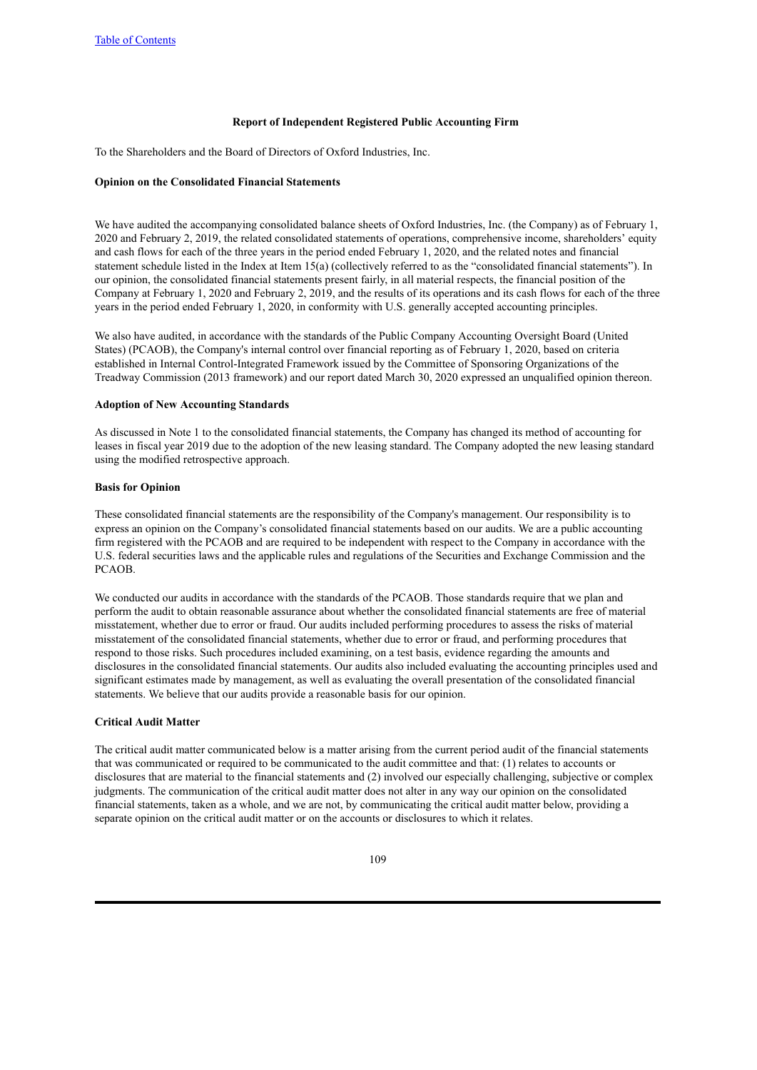### **Report of Independent Registered Public Accounting Firm**

To the Shareholders and the Board of Directors of Oxford Industries, Inc.

#### **Opinion on the Consolidated Financial Statements**

We have audited the accompanying consolidated balance sheets of Oxford Industries, Inc. (the Company) as of February 1, 2020 and February 2, 2019, the related consolidated statements of operations, comprehensive income, shareholders' equity and cash flows for each of the three years in the period ended February 1, 2020, and the related notes and financial statement schedule listed in the Index at Item 15(a) (collectively referred to as the "consolidated financial statements"). In our opinion, the consolidated financial statements present fairly, in all material respects, the financial position of the Company at February 1, 2020 and February 2, 2019, and the results of its operations and its cash flows for each of the three years in the period ended February 1, 2020, in conformity with U.S. generally accepted accounting principles.

We also have audited, in accordance with the standards of the Public Company Accounting Oversight Board (United States) (PCAOB), the Company's internal control over financial reporting as of February 1, 2020, based on criteria established in Internal Control-Integrated Framework issued by the Committee of Sponsoring Organizations of the Treadway Commission (2013 framework) and our report dated March 30, 2020 expressed an unqualified opinion thereon.

#### **Adoption of New Accounting Standards**

As discussed in Note 1 to the consolidated financial statements, the Company has changed its method of accounting for leases in fiscal year 2019 due to the adoption of the new leasing standard. The Company adopted the new leasing standard using the modified retrospective approach.

#### **Basis for Opinion**

These consolidated financial statements are the responsibility of the Company's management. Our responsibility is to express an opinion on the Company's consolidated financial statements based on our audits. We are a public accounting firm registered with the PCAOB and are required to be independent with respect to the Company in accordance with the U.S. federal securities laws and the applicable rules and regulations of the Securities and Exchange Commission and the PCAOB.

We conducted our audits in accordance with the standards of the PCAOB. Those standards require that we plan and perform the audit to obtain reasonable assurance about whether the consolidated financial statements are free of material misstatement, whether due to error or fraud. Our audits included performing procedures to assess the risks of material misstatement of the consolidated financial statements, whether due to error or fraud, and performing procedures that respond to those risks. Such procedures included examining, on a test basis, evidence regarding the amounts and disclosures in the consolidated financial statements. Our audits also included evaluating the accounting principles used and significant estimates made by management, as well as evaluating the overall presentation of the consolidated financial statements. We believe that our audits provide a reasonable basis for our opinion.

### **Critical Audit Matter**

The critical audit matter communicated below is a matter arising from the current period audit of the financial statements that was communicated or required to be communicated to the audit committee and that: (1) relates to accounts or disclosures that are material to the financial statements and (2) involved our especially challenging, subjective or complex judgments. The communication of the critical audit matter does not alter in any way our opinion on the consolidated financial statements, taken as a whole, and we are not, by communicating the critical audit matter below, providing a separate opinion on the critical audit matter or on the accounts or disclosures to which it relates.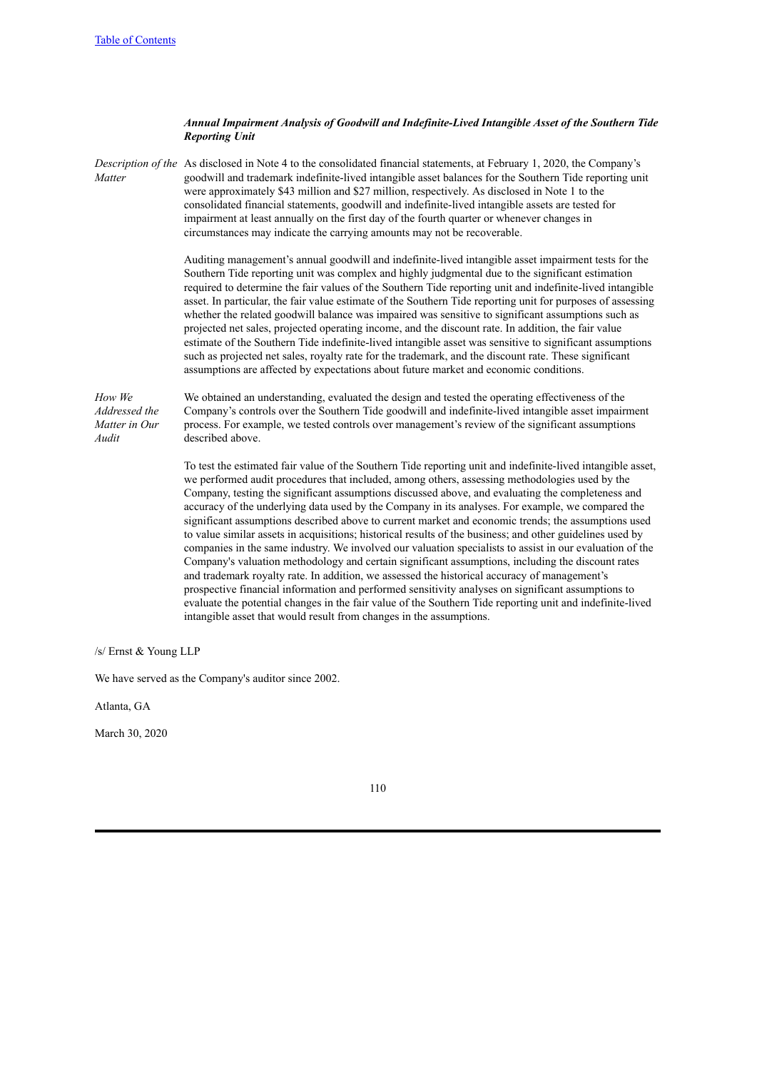### *Annual Impairment Analysis of Goodwill and Indefinite-Lived Intangible Asset of the Southern Tide Reporting Unit*

*Description of the* As disclosed in Note 4 to the consolidated financial statements, at February 1, 2020, the Company's *Matter* goodwill and trademark indefinite-lived intangible asset balances for the Southern Tide reporting unit were approximately \$43 million and \$27 million, respectively. As disclosed in Note 1 to the consolidated financial statements, goodwill and indefinite-lived intangible assets are tested for impairment at least annually on the first day of the fourth quarter or whenever changes in circumstances may indicate the carrying amounts may not be recoverable.

> Auditing management's annual goodwill and indefinite-lived intangible asset impairment tests for the Southern Tide reporting unit was complex and highly judgmental due to the significant estimation required to determine the fair values of the Southern Tide reporting unit and indefinite-lived intangible asset. In particular, the fair value estimate of the Southern Tide reporting unit for purposes of assessing whether the related goodwill balance was impaired was sensitive to significant assumptions such as projected net sales, projected operating income, and the discount rate. In addition, the fair value estimate of the Southern Tide indefinite-lived intangible asset was sensitive to significant assumptions such as projected net sales, royalty rate for the trademark, and the discount rate. These significant assumptions are affected by expectations about future market and economic conditions.

*How We Addressed the Matter in Our Audit* We obtained an understanding, evaluated the design and tested the operating effectiveness of the Company's controls over the Southern Tide goodwill and indefinite-lived intangible asset impairment process. For example, we tested controls over management's review of the significant assumptions described above.

> To test the estimated fair value of the Southern Tide reporting unit and indefinite-lived intangible asset, we performed audit procedures that included, among others, assessing methodologies used by the Company, testing the significant assumptions discussed above, and evaluating the completeness and accuracy of the underlying data used by the Company in its analyses. For example, we compared the significant assumptions described above to current market and economic trends; the assumptions used to value similar assets in acquisitions; historical results of the business; and other guidelines used by companies in the same industry. We involved our valuation specialists to assist in our evaluation of the Company's valuation methodology and certain significant assumptions, including the discount rates and trademark royalty rate. In addition, we assessed the historical accuracy of management's prospective financial information and performed sensitivity analyses on significant assumptions to evaluate the potential changes in the fair value of the Southern Tide reporting unit and indefinite-lived intangible asset that would result from changes in the assumptions.

/s/ Ernst & Young LLP

We have served as the Company's auditor since 2002.

Atlanta, GA

March 30, 2020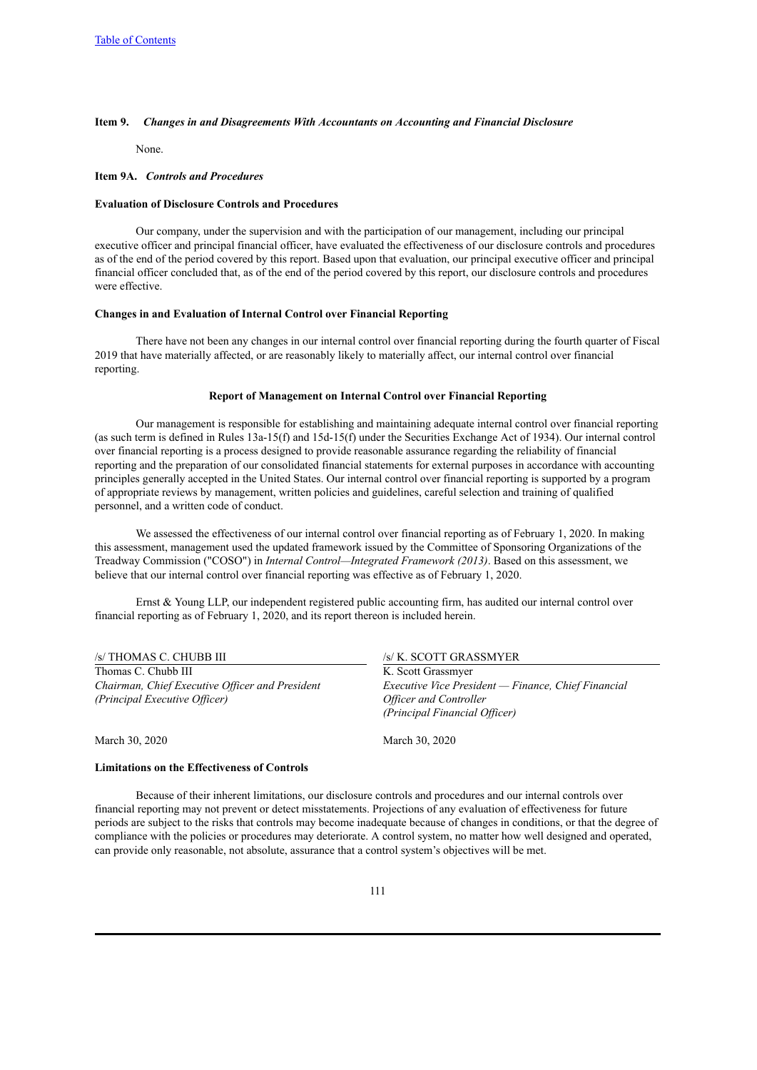#### **Item 9.** *Changes in and Disagreements With Accountants on Accounting and Financial Disclosure*

None.

### **Item 9A.** *Controls and Procedures*

### **Evaluation of Disclosure Controls and Procedures**

Our company, under the supervision and with the participation of our management, including our principal executive officer and principal financial officer, have evaluated the effectiveness of our disclosure controls and procedures as of the end of the period covered by this report. Based upon that evaluation, our principal executive officer and principal financial officer concluded that, as of the end of the period covered by this report, our disclosure controls and procedures were effective.

#### **Changes in and Evaluation of Internal Control over Financial Reporting**

There have not been any changes in our internal control over financial reporting during the fourth quarter of Fiscal 2019 that have materially affected, or are reasonably likely to materially affect, our internal control over financial reporting.

### **Report of Management on Internal Control over Financial Reporting**

Our management is responsible for establishing and maintaining adequate internal control over financial reporting (as such term is defined in Rules 13a-15(f) and 15d-15(f) under the Securities Exchange Act of 1934). Our internal control over financial reporting is a process designed to provide reasonable assurance regarding the reliability of financial reporting and the preparation of our consolidated financial statements for external purposes in accordance with accounting principles generally accepted in the United States. Our internal control over financial reporting is supported by a program of appropriate reviews by management, written policies and guidelines, careful selection and training of qualified personnel, and a written code of conduct.

We assessed the effectiveness of our internal control over financial reporting as of February 1, 2020. In making this assessment, management used the updated framework issued by the Committee of Sponsoring Organizations of the Treadway Commission ("COSO") in *Internal Control—Integrated Framework (2013)*. Based on this assessment, we believe that our internal control over financial reporting was effective as of February 1, 2020.

Ernst & Young LLP, our independent registered public accounting firm, has audited our internal control over financial reporting as of February 1, 2020, and its report thereon is included herein.

| /s/ THOMAS C. CHUBB III                         | /s/ K. SCOTT GRASSMYER                              |
|-------------------------------------------------|-----------------------------------------------------|
| Thomas C. Chubb III                             | K. Scott Grassmyer                                  |
| Chairman, Chief Executive Officer and President | Executive Vice President — Finance, Chief Financial |
| (Principal Executive Officer)                   | Officer and Controller                              |
|                                                 | (Principal Financial Officer)                       |
|                                                 |                                                     |

March 30, 2020 March 30, 2020

### **Limitations on the Effectiveness of Controls**

Because of their inherent limitations, our disclosure controls and procedures and our internal controls over financial reporting may not prevent or detect misstatements. Projections of any evaluation of effectiveness for future periods are subject to the risks that controls may become inadequate because of changes in conditions, or that the degree of compliance with the policies or procedures may deteriorate. A control system, no matter how well designed and operated, can provide only reasonable, not absolute, assurance that a control system's objectives will be met.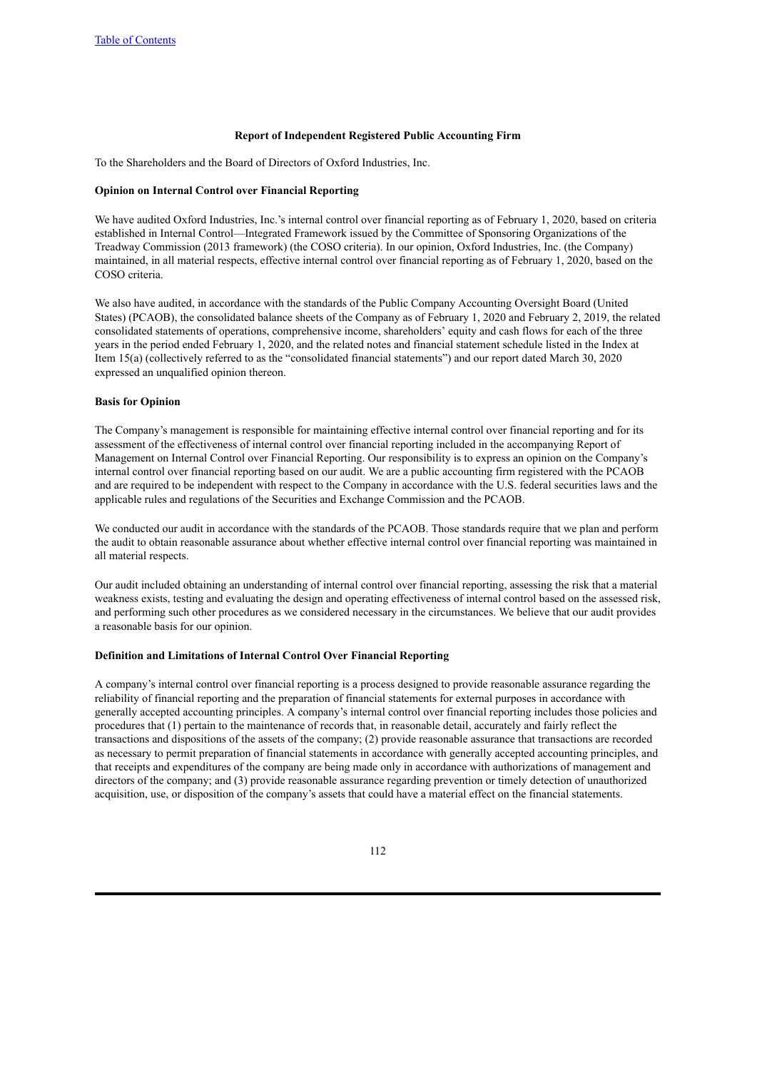### **Report of Independent Registered Public Accounting Firm**

To the Shareholders and the Board of Directors of Oxford Industries, Inc.

### **Opinion on Internal Control over Financial Reporting**

We have audited Oxford Industries, Inc.'s internal control over financial reporting as of February 1, 2020, based on criteria established in Internal Control—Integrated Framework issued by the Committee of Sponsoring Organizations of the Treadway Commission (2013 framework) (the COSO criteria). In our opinion, Oxford Industries, Inc. (the Company) maintained, in all material respects, effective internal control over financial reporting as of February 1, 2020, based on the COSO criteria.

We also have audited, in accordance with the standards of the Public Company Accounting Oversight Board (United States) (PCAOB), the consolidated balance sheets of the Company as of February 1, 2020 and February 2, 2019, the related consolidated statements of operations, comprehensive income, shareholders' equity and cash flows for each of the three years in the period ended February 1, 2020, and the related notes and financial statement schedule listed in the Index at Item 15(a) (collectively referred to as the "consolidated financial statements") and our report dated March 30, 2020 expressed an unqualified opinion thereon.

#### **Basis for Opinion**

The Company's management is responsible for maintaining effective internal control over financial reporting and for its assessment of the effectiveness of internal control over financial reporting included in the accompanying Report of Management on Internal Control over Financial Reporting. Our responsibility is to express an opinion on the Company's internal control over financial reporting based on our audit. We are a public accounting firm registered with the PCAOB and are required to be independent with respect to the Company in accordance with the U.S. federal securities laws and the applicable rules and regulations of the Securities and Exchange Commission and the PCAOB.

We conducted our audit in accordance with the standards of the PCAOB. Those standards require that we plan and perform the audit to obtain reasonable assurance about whether effective internal control over financial reporting was maintained in all material respects.

Our audit included obtaining an understanding of internal control over financial reporting, assessing the risk that a material weakness exists, testing and evaluating the design and operating effectiveness of internal control based on the assessed risk, and performing such other procedures as we considered necessary in the circumstances. We believe that our audit provides a reasonable basis for our opinion.

#### **Definition and Limitations of Internal Control Over Financial Reporting**

A company's internal control over financial reporting is a process designed to provide reasonable assurance regarding the reliability of financial reporting and the preparation of financial statements for external purposes in accordance with generally accepted accounting principles. A company's internal control over financial reporting includes those policies and procedures that (1) pertain to the maintenance of records that, in reasonable detail, accurately and fairly reflect the transactions and dispositions of the assets of the company; (2) provide reasonable assurance that transactions are recorded as necessary to permit preparation of financial statements in accordance with generally accepted accounting principles, and that receipts and expenditures of the company are being made only in accordance with authorizations of management and directors of the company; and (3) provide reasonable assurance regarding prevention or timely detection of unauthorized acquisition, use, or disposition of the company's assets that could have a material effect on the financial statements.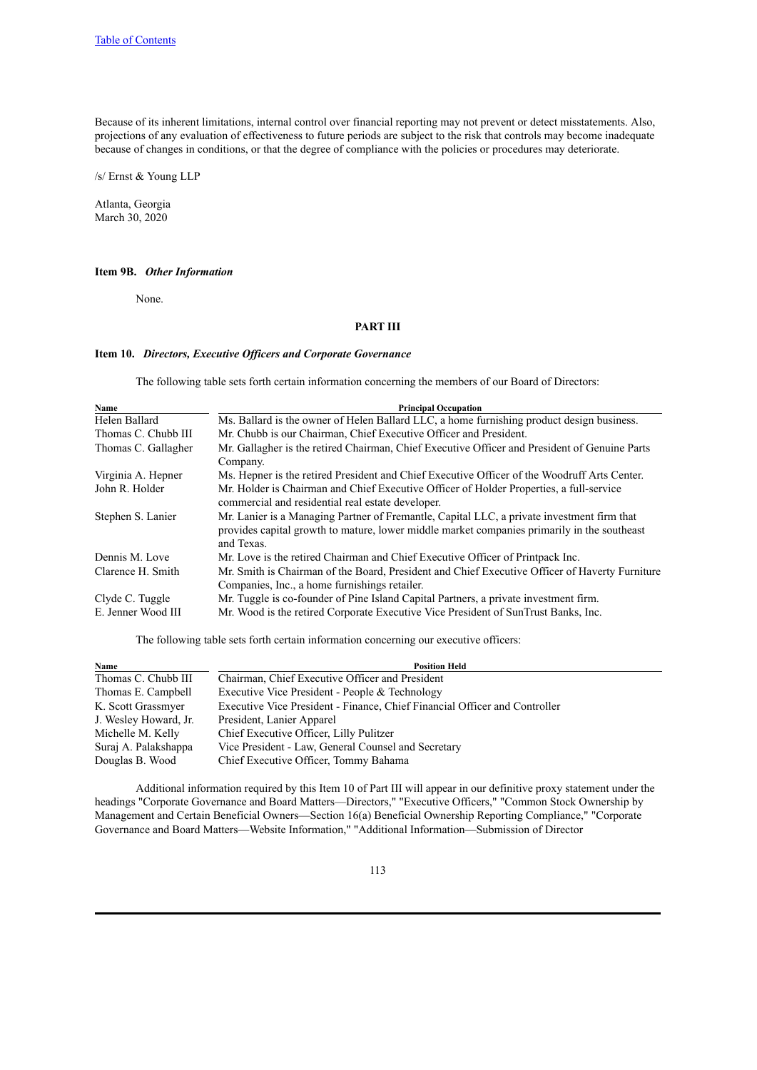Because of its inherent limitations, internal control over financial reporting may not prevent or detect misstatements. Also, projections of any evaluation of effectiveness to future periods are subject to the risk that controls may become inadequate because of changes in conditions, or that the degree of compliance with the policies or procedures may deteriorate.

/s/ Ernst & Young LLP

Atlanta, Georgia March 30, 2020

## **Item 9B.** *Other Information*

None.

# **PART III**

# **Item 10.** *Directors, Executive Of icers and Corporate Governance*

The following table sets forth certain information concerning the members of our Board of Directors:

| Name                | <b>Principal Occupation</b>                                                                                                                                                                             |
|---------------------|---------------------------------------------------------------------------------------------------------------------------------------------------------------------------------------------------------|
| Helen Ballard       | Ms. Ballard is the owner of Helen Ballard LLC, a home furnishing product design business.                                                                                                               |
| Thomas C. Chubb III | Mr. Chubb is our Chairman, Chief Executive Officer and President.                                                                                                                                       |
| Thomas C. Gallagher | Mr. Gallagher is the retired Chairman, Chief Executive Officer and President of Genuine Parts                                                                                                           |
|                     | Company.                                                                                                                                                                                                |
| Virginia A. Hepner  | Ms. Hepner is the retired President and Chief Executive Officer of the Woodruff Arts Center.                                                                                                            |
| John R. Holder      | Mr. Holder is Chairman and Chief Executive Officer of Holder Properties, a full-service<br>commercial and residential real estate developer.                                                            |
| Stephen S. Lanier   | Mr. Lanier is a Managing Partner of Fremantle, Capital LLC, a private investment firm that<br>provides capital growth to mature, lower middle market companies primarily in the southeast<br>and Texas. |
| Dennis M. Love      | Mr. Love is the retired Chairman and Chief Executive Officer of Printpack Inc.                                                                                                                          |
| Clarence H. Smith   | Mr. Smith is Chairman of the Board, President and Chief Executive Officer of Haverty Furniture                                                                                                          |
|                     | Companies, Inc., a home furnishings retailer.                                                                                                                                                           |
| Clyde C. Tuggle     | Mr. Tuggle is co-founder of Pine Island Capital Partners, a private investment firm.                                                                                                                    |
| E. Jenner Wood III  | Mr. Wood is the retired Corporate Executive Vice President of SunTrust Banks, Inc.                                                                                                                      |

The following table sets forth certain information concerning our executive officers:

| Name                  | <b>Position Held</b>                                                       |
|-----------------------|----------------------------------------------------------------------------|
| Thomas C. Chubb III   | Chairman, Chief Executive Officer and President                            |
| Thomas E. Campbell    | Executive Vice President - People & Technology                             |
| K. Scott Grassmyer    | Executive Vice President - Finance, Chief Financial Officer and Controller |
| J. Wesley Howard, Jr. | President, Lanier Apparel                                                  |
| Michelle M. Kelly     | Chief Executive Officer, Lilly Pulitzer                                    |
| Suraj A. Palakshappa  | Vice President - Law, General Counsel and Secretary                        |
| Douglas B. Wood       | Chief Executive Officer, Tommy Bahama                                      |
|                       |                                                                            |

Additional information required by this Item 10 of Part III will appear in our definitive proxy statement under the headings "Corporate Governance and Board Matters—Directors," "Executive Officers," "Common Stock Ownership by Management and Certain Beneficial Owners—Section 16(a) Beneficial Ownership Reporting Compliance," "Corporate Governance and Board Matters—Website Information," "Additional Information—Submission of Director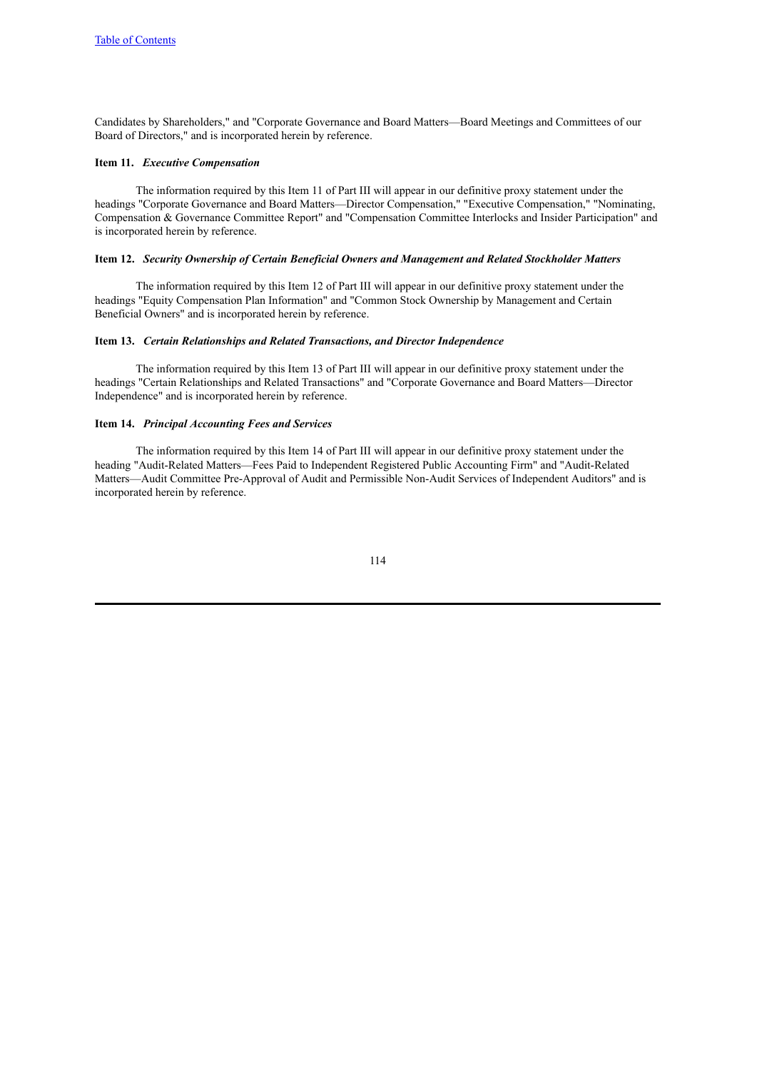Candidates by Shareholders," and "Corporate Governance and Board Matters—Board Meetings and Committees of our Board of Directors," and is incorporated herein by reference.

### **Item 11.** *Executive Compensation*

The information required by this Item 11 of Part III will appear in our definitive proxy statement under the headings "Corporate Governance and Board Matters—Director Compensation," "Executive Compensation," "Nominating, Compensation & Governance Committee Report" and "Compensation Committee Interlocks and Insider Participation" and is incorporated herein by reference.

### **Item 12.** *Security Ownership of Certain Beneficial Owners and Management and Related Stockholder Matters*

The information required by this Item 12 of Part III will appear in our definitive proxy statement under the headings "Equity Compensation Plan Information" and "Common Stock Ownership by Management and Certain Beneficial Owners" and is incorporated herein by reference.

#### **Item 13.** *Certain Relationships and Related Transactions, and Director Independence*

The information required by this Item 13 of Part III will appear in our definitive proxy statement under the headings "Certain Relationships and Related Transactions" and "Corporate Governance and Board Matters—Director Independence" and is incorporated herein by reference.

### **Item 14.** *Principal Accounting Fees and Services*

The information required by this Item 14 of Part III will appear in our definitive proxy statement under the heading "Audit-Related Matters—Fees Paid to Independent Registered Public Accounting Firm" and "Audit-Related Matters—Audit Committee Pre-Approval of Audit and Permissible Non-Audit Services of Independent Auditors" and is incorporated herein by reference.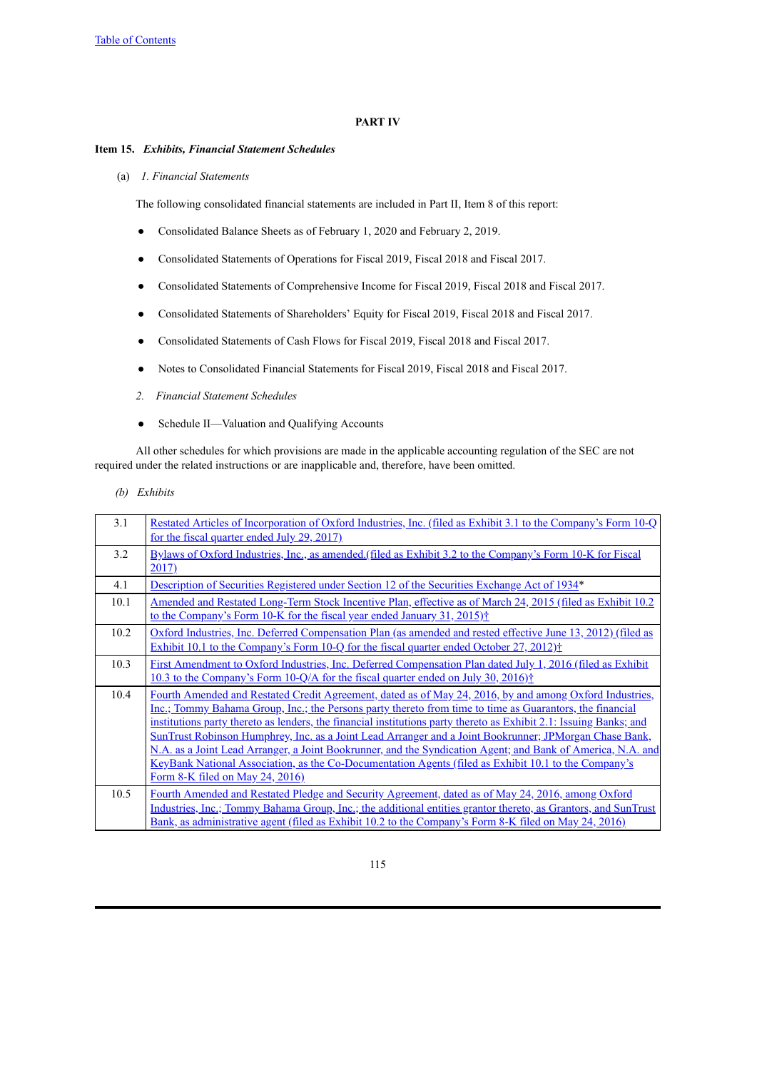# **PART IV**

### **Item 15.** *Exhibits, Financial Statement Schedules*

(a) *1. Financial Statements*

The following consolidated financial statements are included in Part II, Item 8 of this report:

- Consolidated Balance Sheets as of February 1, 2020 and February 2, 2019.
- Consolidated Statements of Operations for Fiscal 2019, Fiscal 2018 and Fiscal 2017.
- Consolidated Statements of Comprehensive Income for Fiscal 2019, Fiscal 2018 and Fiscal 2017.
- Consolidated Statements of Shareholders' Equity for Fiscal 2019, Fiscal 2018 and Fiscal 2017.
- Consolidated Statements of Cash Flows for Fiscal 2019, Fiscal 2018 and Fiscal 2017.
- Notes to Consolidated Financial Statements for Fiscal 2019, Fiscal 2018 and Fiscal 2017.
- *2. Financial Statement Schedules*
- Schedule II—Valuation and Qualifying Accounts

All other schedules for which provisions are made in the applicable accounting regulation of the SEC are not required under the related instructions or are inapplicable and, therefore, have been omitted.

*(b) Exhibits*

| 3.1  | Restated Articles of Incorporation of Oxford Industries, Inc. (filed as Exhibit 3.1 to the Company's Form 10-Q<br>for the fiscal quarter ended July 29, 2017)                                                                                                                                                                                                                                                                                                                                                                                                                                                                                                                                                 |
|------|---------------------------------------------------------------------------------------------------------------------------------------------------------------------------------------------------------------------------------------------------------------------------------------------------------------------------------------------------------------------------------------------------------------------------------------------------------------------------------------------------------------------------------------------------------------------------------------------------------------------------------------------------------------------------------------------------------------|
| 3.2  | Bylaws of Oxford Industries, Inc., as amended (filed as Exhibit 3.2 to the Company's Form 10-K for Fiscal<br>2017)                                                                                                                                                                                                                                                                                                                                                                                                                                                                                                                                                                                            |
| 4.1  | Description of Securities Registered under Section 12 of the Securities Exchange Act of 1934*                                                                                                                                                                                                                                                                                                                                                                                                                                                                                                                                                                                                                 |
| 10.1 | Amended and Restated Long-Term Stock Incentive Plan, effective as of March 24, 2015 (filed as Exhibit 10.2)<br>to the Company's Form 10-K for the fiscal year ended January 31, 2015) <sup>†</sup>                                                                                                                                                                                                                                                                                                                                                                                                                                                                                                            |
| 10.2 | Oxford Industries, Inc. Deferred Compensation Plan (as amended and rested effective June 13, 2012) (filed as<br>Exhibit 10.1 to the Company's Form 10-Q for the fiscal quarter ended October 27, 2012) <sup>†</sup>                                                                                                                                                                                                                                                                                                                                                                                                                                                                                           |
| 10.3 | First Amendment to Oxford Industries, Inc. Deferred Compensation Plan dated July 1, 2016 (filed as Exhibit<br>10.3 to the Company's Form 10-Q/A for the fiscal quarter ended on July 30, 2016) <sup>†</sup>                                                                                                                                                                                                                                                                                                                                                                                                                                                                                                   |
| 10.4 | Fourth Amended and Restated Credit Agreement, dated as of May 24, 2016, by and among Oxford Industries,<br>Inc.; Tommy Bahama Group, Inc.; the Persons party thereto from time to time as Guarantors, the financial<br>institutions party thereto as lenders, the financial institutions party thereto as Exhibit 2.1: Issuing Banks; and<br>SunTrust Robinson Humphrey, Inc. as a Joint Lead Arranger and a Joint Bookrunner; JPMorgan Chase Bank,<br>N.A. as a Joint Lead Arranger, a Joint Bookrunner, and the Syndication Agent; and Bank of America, N.A. and<br>KeyBank National Association, as the Co-Documentation Agents (filed as Exhibit 10.1 to the Company's<br>Form 8-K filed on May 24, 2016) |
| 10.5 | Fourth Amended and Restated Pledge and Security Agreement, dated as of May 24, 2016, among Oxford<br>Industries, Inc.; Tommy Bahama Group, Inc.; the additional entities grantor thereto, as Grantors, and SunTrust<br>Bank, as administrative agent (filed as Exhibit 10.2 to the Company's Form 8-K filed on May 24, 2016)                                                                                                                                                                                                                                                                                                                                                                                  |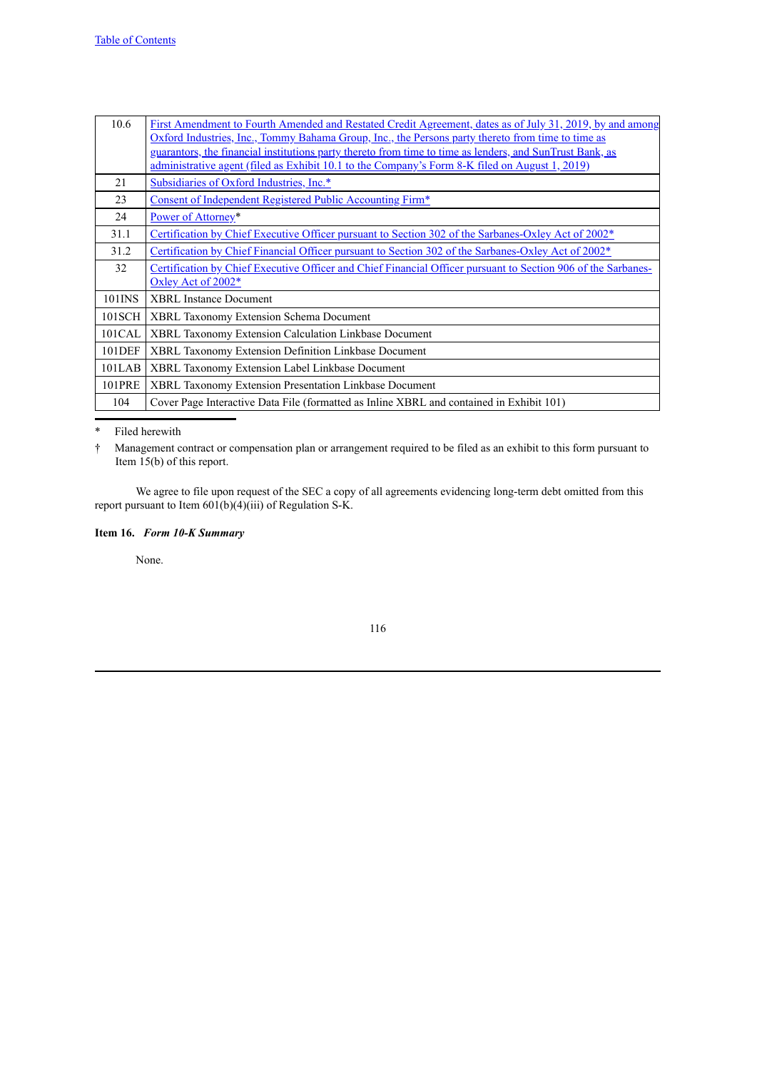| 10.6   | <u>First Amendment to Fourth Amended and Restated Credit Agreement, dates as of July 31, 2019, by and among</u><br>Oxford Industries, Inc., Tommy Bahama Group, Inc., the Persons party thereto from time to time as<br>guarantors, the financial institutions party thereto from time to time as lenders, and SunTrust Bank, as<br>administrative agent (filed as Exhibit 10.1 to the Company's Form 8-K filed on August 1, 2019) |
|--------|------------------------------------------------------------------------------------------------------------------------------------------------------------------------------------------------------------------------------------------------------------------------------------------------------------------------------------------------------------------------------------------------------------------------------------|
| 21     | Subsidiaries of Oxford Industries, Inc.*                                                                                                                                                                                                                                                                                                                                                                                           |
| 23     | Consent of Independent Registered Public Accounting Firm*                                                                                                                                                                                                                                                                                                                                                                          |
| 24     | Power of Attorney*                                                                                                                                                                                                                                                                                                                                                                                                                 |
| 31.1   | Certification by Chief Executive Officer pursuant to Section 302 of the Sarbanes-Oxley Act of 2002*                                                                                                                                                                                                                                                                                                                                |
| 31.2   | Certification by Chief Financial Officer pursuant to Section 302 of the Sarbanes-Oxley Act of 2002*                                                                                                                                                                                                                                                                                                                                |
| 32     | Certification by Chief Executive Officer and Chief Financial Officer pursuant to Section 906 of the Sarbanes-<br>Oxley Act of 2002*                                                                                                                                                                                                                                                                                                |
| 101INS | <b>XBRL Instance Document</b>                                                                                                                                                                                                                                                                                                                                                                                                      |
| 101SCH | <b>XBRL Taxonomy Extension Schema Document</b>                                                                                                                                                                                                                                                                                                                                                                                     |
| 101CAL | XBRL Taxonomy Extension Calculation Linkbase Document                                                                                                                                                                                                                                                                                                                                                                              |
| 101DEF | XBRL Taxonomy Extension Definition Linkbase Document                                                                                                                                                                                                                                                                                                                                                                               |
| 101LAB | XBRL Taxonomy Extension Label Linkbase Document                                                                                                                                                                                                                                                                                                                                                                                    |
| 101PRE | <b>XBRL Taxonomy Extension Presentation Linkbase Document</b>                                                                                                                                                                                                                                                                                                                                                                      |
| 104    | Cover Page Interactive Data File (formatted as Inline XBRL and contained in Exhibit 101)                                                                                                                                                                                                                                                                                                                                           |

\* Filed herewith

† Management contract or compensation plan or arrangement required to be filed as an exhibit to this form pursuant to Item 15(b) of this report.

We agree to file upon request of the SEC a copy of all agreements evidencing long-term debt omitted from this report pursuant to Item 601(b)(4)(iii) of Regulation S-K.

# **Item 16.** *Form 10-K Summary*

None.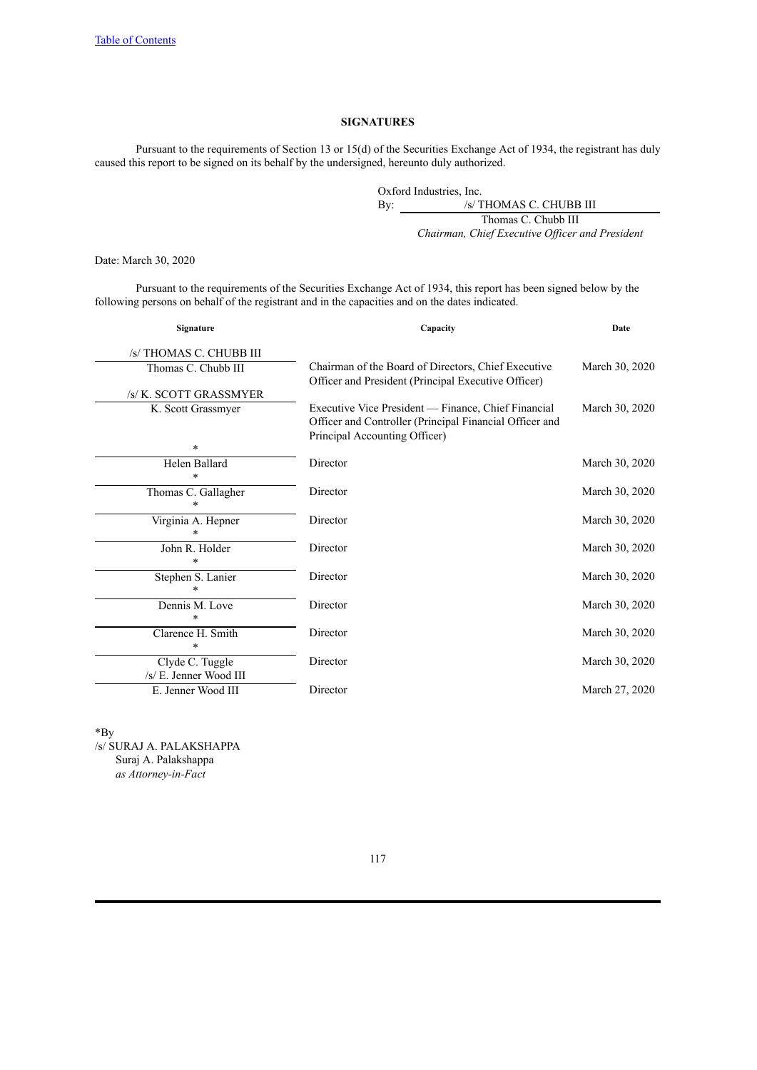# **SIGNATURES**

Pursuant to the requirements of Section 13 or 15(d) of the Securities Exchange Act of 1934, the registrant has duly caused this report to be signed on its behalf by the undersigned, hereunto duly authorized.

> Oxford Industries, Inc.<br>By:  $\frac{S}{T}$ By: /s/ THOMAS C. CHUBB III Thomas C. Chubb III *Chairman, Chief Executive Of icer and President*

Date: March 30, 2020

Pursuant to the requirements of the Securities Exchange Act of 1934, this report has been signed below by the following persons on behalf of the registrant and in the capacities and on the dates indicated.

| Signature                                 | Capacity                                                                                                                                        | Date           |
|-------------------------------------------|-------------------------------------------------------------------------------------------------------------------------------------------------|----------------|
| /s/ THOMAS C. CHUBB III                   |                                                                                                                                                 |                |
| Thomas C. Chubb III                       | Chairman of the Board of Directors, Chief Executive<br>Officer and President (Principal Executive Officer)                                      | March 30, 2020 |
| /s/ K. SCOTT GRASSMYER                    |                                                                                                                                                 |                |
| K. Scott Grassmyer                        | Executive Vice President — Finance, Chief Financial<br>Officer and Controller (Principal Financial Officer and<br>Principal Accounting Officer) | March 30, 2020 |
| $\ast$                                    |                                                                                                                                                 |                |
| Helen Ballard<br>$\ast$                   | Director                                                                                                                                        | March 30, 2020 |
| Thomas C. Gallagher                       | Director                                                                                                                                        | March 30, 2020 |
| Virginia A. Hepner                        | Director                                                                                                                                        | March 30, 2020 |
| John R. Holder<br>$\ast$                  | Director                                                                                                                                        | March 30, 2020 |
| Stephen S. Lanier<br>*                    | Director                                                                                                                                        | March 30, 2020 |
| Dennis M. Love<br>$\ast$                  | Director                                                                                                                                        | March 30, 2020 |
| Clarence H. Smith<br>$\ast$               | Director                                                                                                                                        | March 30, 2020 |
| Clyde C. Tuggle<br>/s/ E. Jenner Wood III | Director                                                                                                                                        | March 30, 2020 |
| E. Jenner Wood III                        | Director                                                                                                                                        | March 27, 2020 |

\*By /s/ SURAJ A. PALAKSHAPPA Suraj A. Palakshappa

*as Attorney-in-Fact*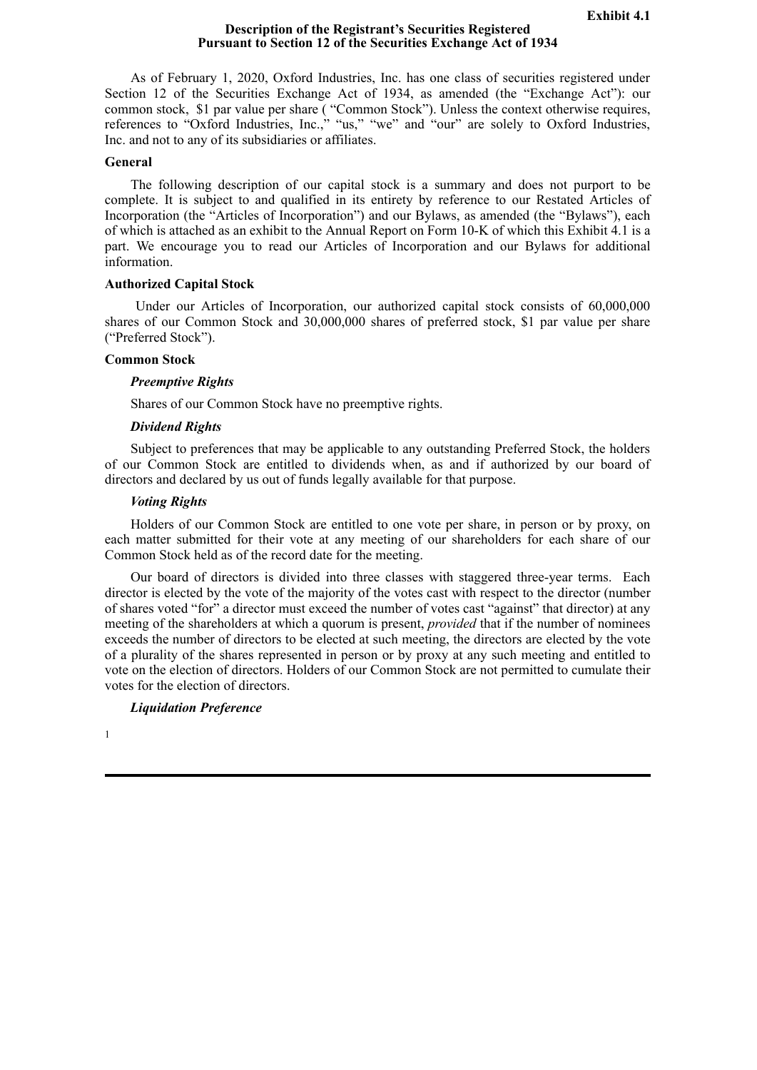## **Description of the Registrant's Securities Registered Pursuant to Section 12 of the Securities Exchange Act of 1934**

<span id="page-117-0"></span>As of February 1, 2020, Oxford Industries, Inc. has one class of securities registered under Section 12 of the Securities Exchange Act of 1934, as amended (the "Exchange Act"): our common stock, \$1 par value per share ( "Common Stock"). Unless the context otherwise requires, references to "Oxford Industries, Inc.," "us," "we" and "our" are solely to Oxford Industries, Inc. and not to any of its subsidiaries or affiliates.

# **General**

The following description of our capital stock is a summary and does not purport to be complete. It is subject to and qualified in its entirety by reference to our Restated Articles of Incorporation (the "Articles of Incorporation") and our Bylaws, as amended (the "Bylaws"), each of which is attached as an exhibit to the Annual Report on Form 10-K of which this Exhibit 4.1 is a part. We encourage you to read our Articles of Incorporation and our Bylaws for additional information.

# **Authorized Capital Stock**

Under our Articles of Incorporation, our authorized capital stock consists of 60,000,000 shares of our Common Stock and 30,000,000 shares of preferred stock, \$1 par value per share ("Preferred Stock").

# **Common Stock**

# *Preemptive Rights*

Shares of our Common Stock have no preemptive rights.

# *Dividend Rights*

Subject to preferences that may be applicable to any outstanding Preferred Stock, the holders of our Common Stock are entitled to dividends when, as and if authorized by our board of directors and declared by us out of funds legally available for that purpose.

## *Voting Rights*

Holders of our Common Stock are entitled to one vote per share, in person or by proxy, on each matter submitted for their vote at any meeting of our shareholders for each share of our Common Stock held as of the record date for the meeting.

Our board of directors is divided into three classes with staggered three-year terms. Each director is elected by the vote of the majority of the votes cast with respect to the director (number of shares voted "for" a director must exceed the number of votes cast "against" that director) at any meeting of the shareholders at which a quorum is present, *provided* that if the number of nominees exceeds the number of directors to be elected at such meeting, the directors are elected by the vote of a plurality of the shares represented in person or by proxy at any such meeting and entitled to vote on the election of directors. Holders of our Common Stock are not permitted to cumulate their votes for the election of directors.

# *Liquidation Preference*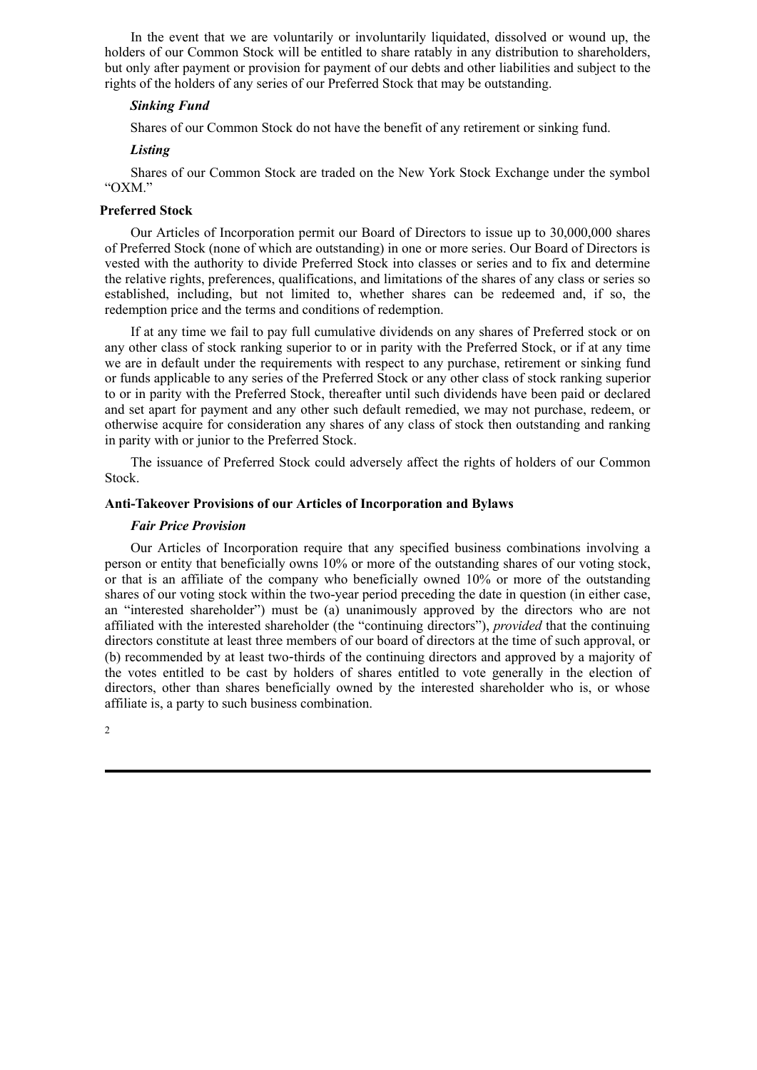In the event that we are voluntarily or involuntarily liquidated, dissolved or wound up, the holders of our Common Stock will be entitled to share ratably in any distribution to shareholders, but only after payment or provision for payment of our debts and other liabilities and subject to the rights of the holders of any series of our Preferred Stock that may be outstanding.

# *Sinking Fund*

Shares of our Common Stock do not have the benefit of any retirement or sinking fund.

# *Listing*

Shares of our Common Stock are traded on the New York Stock Exchange under the symbol "OXM."

# **Preferred Stock**

Our Articles of Incorporation permit our Board of Directors to issue up to 30,000,000 shares of Preferred Stock (none of which are outstanding) in one or more series. Our Board of Directors is vested with the authority to divide Preferred Stock into classes or series and to fix and determine the relative rights, preferences, qualifications, and limitations of the shares of any class or series so established, including, but not limited to, whether shares can be redeemed and, if so, the redemption price and the terms and conditions of redemption.

If at any time we fail to pay full cumulative dividends on any shares of Preferred stock or on any other class of stock ranking superior to or in parity with the Preferred Stock, or if at any time we are in default under the requirements with respect to any purchase, retirement or sinking fund or funds applicable to any series of the Preferred Stock or any other class of stock ranking superior to or in parity with the Preferred Stock, thereafter until such dividends have been paid or declared and set apart for payment and any other such default remedied, we may not purchase, redeem, or otherwise acquire for consideration any shares of any class of stock then outstanding and ranking in parity with or junior to the Preferred Stock.

The issuance of Preferred Stock could adversely affect the rights of holders of our Common Stock.

# **Anti-Takeover Provisions of our Articles of Incorporation and Bylaws**

### *Fair Price Provision*

Our Articles of Incorporation require that any specified business combinations involving a person or entity that beneficially owns 10% or more of the outstanding shares of our voting stock, or that is an affiliate of the company who beneficially owned 10% or more of the outstanding shares of our voting stock within the two-year period preceding the date in question (in either case, an "interested shareholder") must be (a) unanimously approved by the directors who are not affiliated with the interested shareholder (the "continuing directors"), *provided* that the continuing directors constitute at least three members of our board of directors at the time of such approval, or (b) recommended by at least two-thirds of the continuing directors and approved by a majority of the votes entitled to be cast by holders of shares entitled to vote generally in the election of directors, other than shares beneficially owned by the interested shareholder who is, or whose affiliate is, a party to such business combination.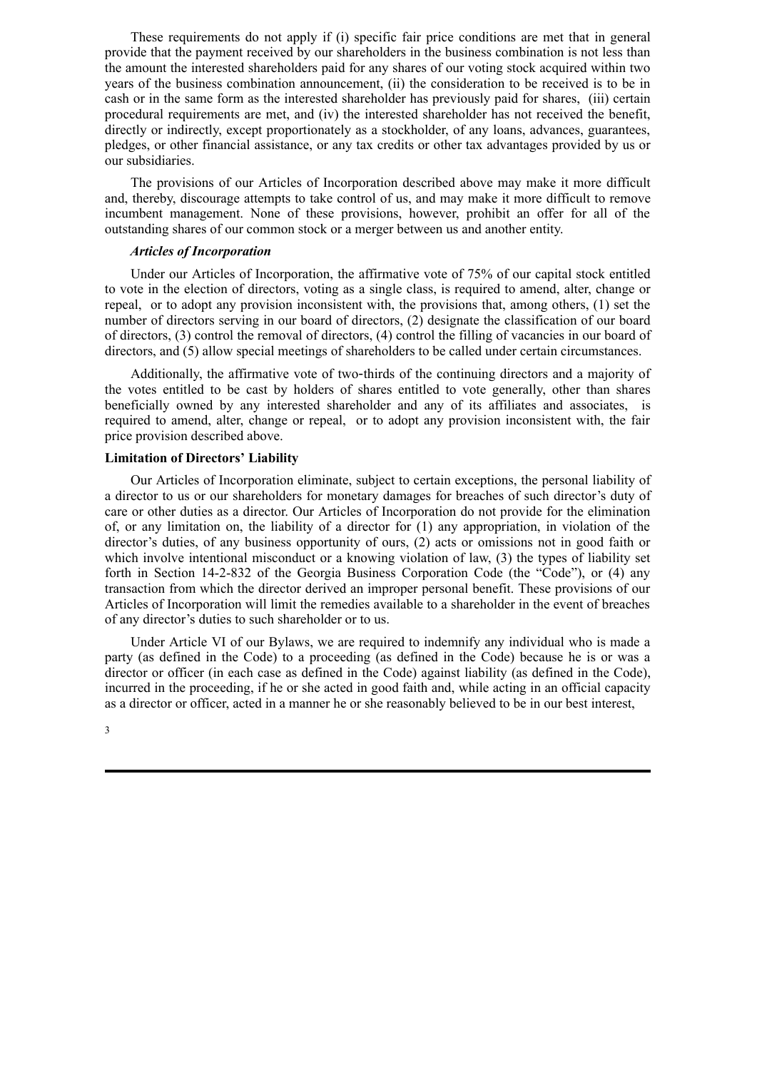These requirements do not apply if (i) specific fair price conditions are met that in general provide that the payment received by our shareholders in the business combination is not less than the amount the interested shareholders paid for any shares of our voting stock acquired within two years of the business combination announcement, (ii) the consideration to be received is to be in cash or in the same form as the interested shareholder has previously paid for shares, (iii) certain procedural requirements are met, and (iv) the interested shareholder has not received the benefit, directly or indirectly, except proportionately as a stockholder, of any loans, advances, guarantees, pledges, or other financial assistance, or any tax credits or other tax advantages provided by us or our subsidiaries.

The provisions of our Articles of Incorporation described above may make it more difficult and, thereby, discourage attempts to take control of us, and may make it more difficult to remove incumbent management. None of these provisions, however, prohibit an offer for all of the outstanding shares of our common stock or a merger between us and another entity.

## *Articles of Incorporation*

Under our Articles of Incorporation, the affirmative vote of 75% of our capital stock entitled to vote in the election of directors, voting as a single class, is required to amend, alter, change or repeal, or to adopt any provision inconsistent with, the provisions that, among others, (1) set the number of directors serving in our board of directors, (2) designate the classification of our board of directors, (3) control the removal of directors, (4) control the filling of vacancies in our board of directors, and (5) allow special meetings of shareholders to be called under certain circumstances.

Additionally, the affirmative vote of two-thirds of the continuing directors and a majority of the votes entitled to be cast by holders of shares entitled to vote generally, other than shares beneficially owned by any interested shareholder and any of its affiliates and associates, is required to amend, alter, change or repeal, or to adopt any provision inconsistent with, the fair price provision described above.

### **Limitation of Directors' Liability**

Our Articles of Incorporation eliminate, subject to certain exceptions, the personal liability of a director to us or our shareholders for monetary damages for breaches of such director's duty of care or other duties as a director. Our Articles of Incorporation do not provide for the elimination of, or any limitation on, the liability of a director for (1) any appropriation, in violation of the director's duties, of any business opportunity of ours, (2) acts or omissions not in good faith or which involve intentional misconduct or a knowing violation of law, (3) the types of liability set forth in Section 14-2-832 of the Georgia Business Corporation Code (the "Code"), or (4) any transaction from which the director derived an improper personal benefit. These provisions of our Articles of Incorporation will limit the remedies available to a shareholder in the event of breaches of any director's duties to such shareholder or to us.

Under Article VI of our Bylaws, we are required to indemnify any individual who is made a party (as defined in the Code) to a proceeding (as defined in the Code) because he is or was a director or officer (in each case as defined in the Code) against liability (as defined in the Code), incurred in the proceeding, if he or she acted in good faith and, while acting in an official capacity as a director or officer, acted in a manner he or she reasonably believed to be in our best interest,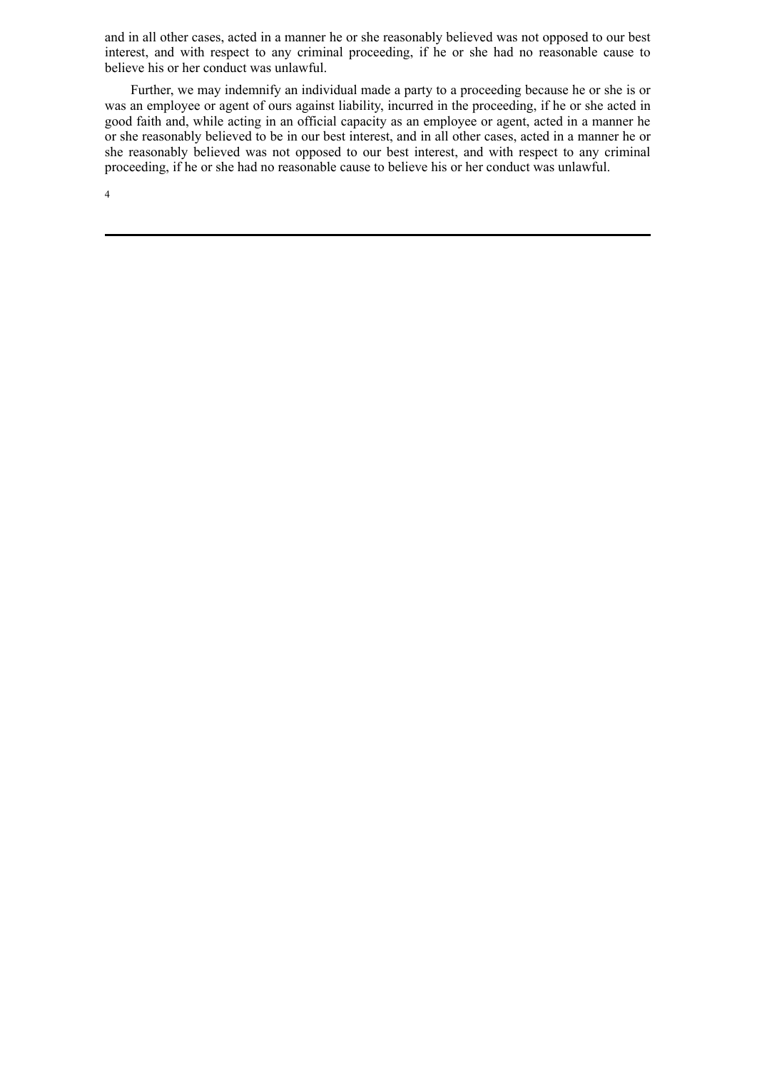and in all other cases, acted in a manner he or she reasonably believed was not opposed to our best interest, and with respect to any criminal proceeding, if he or she had no reasonable cause to believe his or her conduct was unlawful.

Further, we may indemnify an individual made a party to a proceeding because he or she is or was an employee or agent of ours against liability, incurred in the proceeding, if he or she acted in good faith and, while acting in an official capacity as an employee or agent, acted in a manner he or she reasonably believed to be in our best interest, and in all other cases, acted in a manner he or she reasonably believed was not opposed to our best interest, and with respect to any criminal proceeding, if he or she had no reasonable cause to believe his or her conduct was unlawful.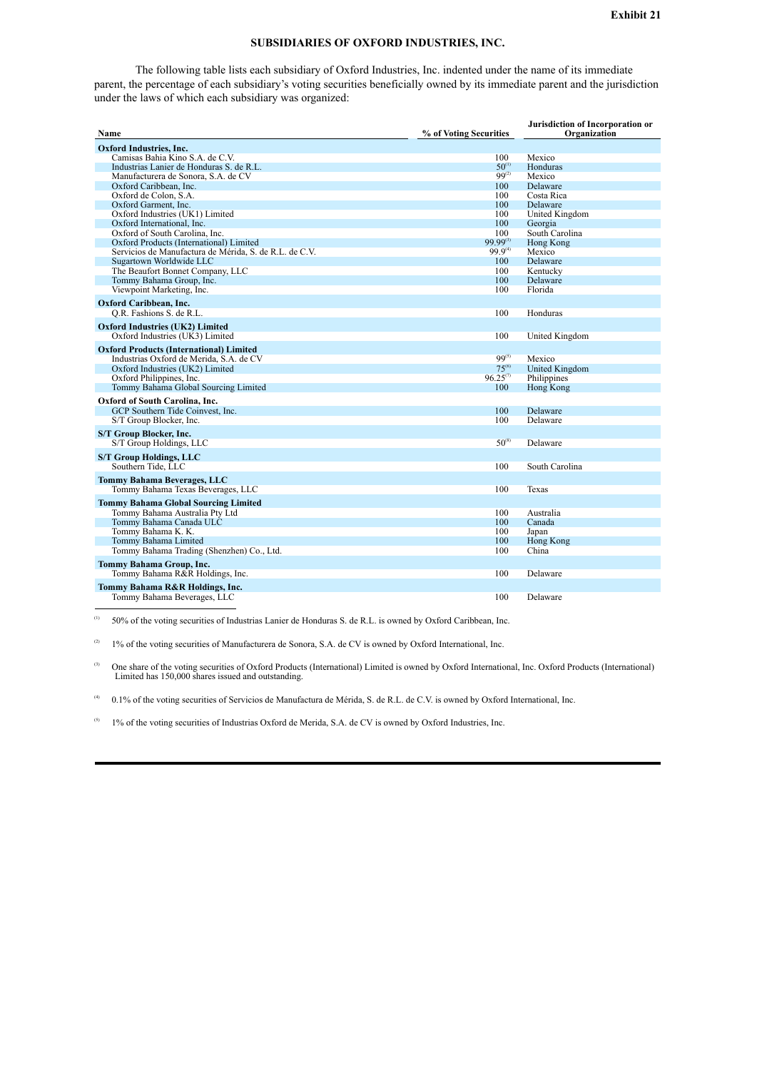# **SUBSIDIARIES OF OXFORD INDUSTRIES, INC.**

<span id="page-121-0"></span>The following table lists each subsidiary of Oxford Industries, Inc. indented under the name of its immediate parent, the percentage of each subsidiary's voting securities beneficially owned by its immediate parent and the jurisdiction under the laws of which each subsidiary was organized:

| Name                                                                                      | % of Voting Securities | Jurisdiction of Incorporation or<br>Organization |
|-------------------------------------------------------------------------------------------|------------------------|--------------------------------------------------|
| <b>Oxford Industries, Inc.</b>                                                            |                        |                                                  |
| Camisas Bahia Kino S.A. de C.V.                                                           | 100                    | Mexico                                           |
| Industrias Lanier de Honduras S. de R.L.                                                  | $50^{(1)}$             | Honduras                                         |
| Manufacturera de Sonora, S.A. de CV                                                       | $99^{(2)}$             | Mexico                                           |
| Oxford Caribbean, Inc.                                                                    | 100                    | Delaware                                         |
| Oxford de Colon, S.A.                                                                     | 100                    | Costa Rica                                       |
| Oxford Garment, Inc.                                                                      | 100                    | Delaware                                         |
| Oxford Industries (UK1) Limited                                                           | 100                    | United Kingdom                                   |
| Oxford International, Inc.                                                                | 100                    | Georgia                                          |
| Oxford of South Carolina. Inc.                                                            | 100                    | South Carolina                                   |
| Oxford Products (International) Limited                                                   | $99.99^{(3)}$          | Hong Kong                                        |
| Servicios de Manufactura de Mérida, S. de R.L. de C.V.                                    | 99.9 <sup>(4)</sup>    | Mexico                                           |
| Sugartown Worldwide LLC                                                                   | 100                    | Delaware                                         |
| The Beaufort Bonnet Company, LLC                                                          | 100                    | Kentucky                                         |
| Tommy Bahama Group, Inc.                                                                  | 100                    | Delaware                                         |
| Viewpoint Marketing, Inc.                                                                 | 100                    | Florida                                          |
| Oxford Caribbean, Inc.                                                                    |                        |                                                  |
| O.R. Fashions S. de R.L.                                                                  | 100                    | Honduras                                         |
| <b>Oxford Industries (UK2) Limited</b>                                                    |                        |                                                  |
| Oxford Industries (UK3) Limited                                                           | 100                    | United Kingdom                                   |
| <b>Oxford Products (International) Limited</b><br>Industrias Oxford de Merida, S.A. de CV | $99^{(5)}$             | Mexico                                           |
| Oxford Industries (UK2) Limited                                                           | $75^{(6)}$             | United Kingdom                                   |
| Oxford Philippines, Inc.                                                                  | $96.25^{(7)}$          | Philippines                                      |
| Tommy Bahama Global Sourcing Limited                                                      | 100                    | Hong Kong                                        |
| Oxford of South Carolina, Inc.                                                            |                        |                                                  |
| GCP Southern Tide Coinvest, Inc.                                                          | 100                    | Delaware                                         |
| S/T Group Blocker, Inc.                                                                   | 100                    | Delaware                                         |
| S/T Group Blocker, Inc.                                                                   |                        |                                                  |
| S/T Group Holdings, LLC                                                                   | $50^{(8)}$             | Delaware                                         |
| <b>S/T Group Holdings, LLC</b>                                                            |                        |                                                  |
| Southern Tide, LLC                                                                        | 100                    | South Carolina                                   |
| <b>Tommy Bahama Beverages, LLC</b>                                                        |                        |                                                  |
| Tommy Bahama Texas Beverages, LLC                                                         | 100                    | Texas                                            |
| <b>Tommy Bahama Global Sourcing Limited</b>                                               |                        |                                                  |
| Tommy Bahama Australia Pty Ltd                                                            | 100                    | Australia                                        |
| Tommy Bahama Canada ULC                                                                   | 100                    | Canada                                           |
| Tommy Bahama K. K.                                                                        | 100                    | Japan                                            |
| Tommy Bahama Limited                                                                      | 100                    | Hong Kong                                        |
| Tommy Bahama Trading (Shenzhen) Co., Ltd.                                                 | 100                    | China                                            |
| Tommy Bahama Group, Inc.                                                                  |                        |                                                  |
| Tommy Bahama R&R Holdings, Inc.                                                           | 100                    | Delaware                                         |
| Tommy Bahama R&R Holdings, Inc.                                                           |                        |                                                  |
| Tommy Bahama Beverages, LLC                                                               | 100                    | Delaware                                         |

50% of the voting securities of Industrias Lanier de Honduras S. de R.L. is owned by Oxford Caribbean, Inc. (1)

1% of the voting securities of Manufacturera de Sonora, S.A. de CV is owned by Oxford International, Inc.  $\left( 2\right)$ 

One share of the voting securities of Oxford Products (International) Limited is owned by Oxford International, Inc. Oxford Products (International) Limited has 150,000 shares issued and outstanding. (3)

0.1% of the voting securities of Servicios de Manufactura de Mérida, S. de R.L. de C.V. is owned by Oxford International, Inc. (4)

1% of the voting securities of Industrias Oxford de Merida, S.A. de CV is owned by Oxford Industries, Inc. (5)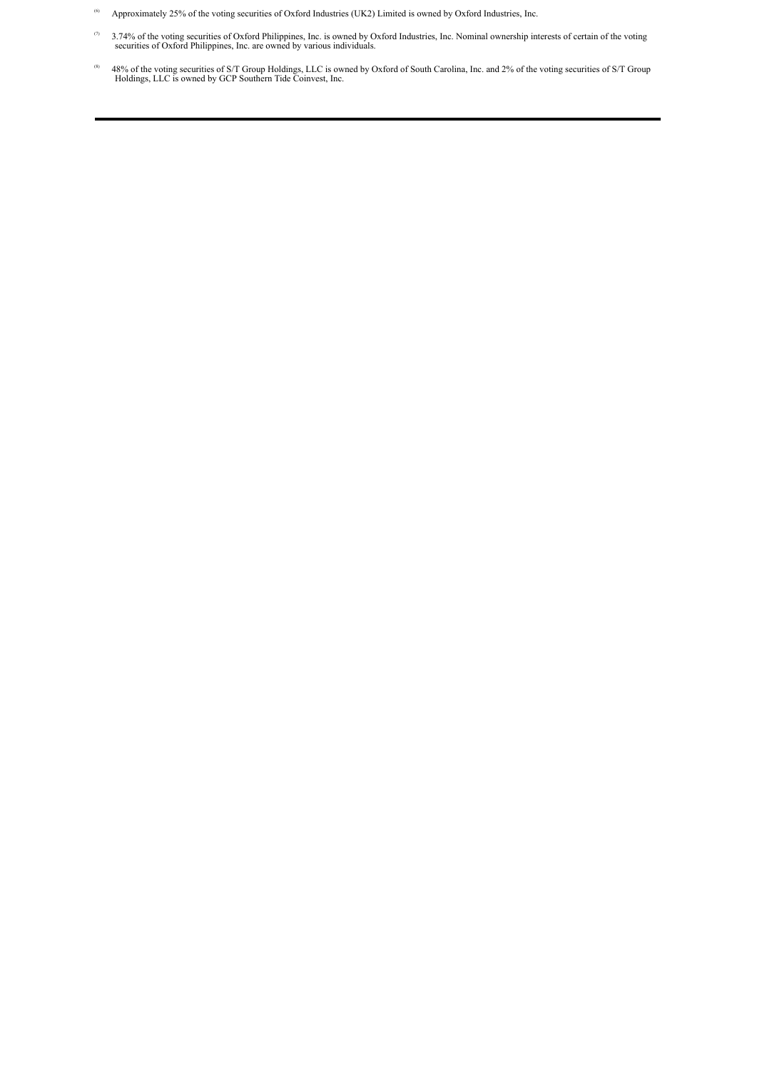- Approximately 25% of the voting securities of Oxford Industries (UK2) Limited is owned by Oxford Industries, Inc. (6)
- 3.74% of the voting securities of Oxford Philippines, Inc. is owned by Oxford Industries, Inc. Nominal ownership interests of certain of the voting securities of Oxford Philippines, Inc. are owned by various individuals.  $(7)$
- 48% of the voting securities of S/T Group Holdings, LLC is owned by Oxford of South Carolina, Inc. and 2% of the voting securities of S/T Group Holdings, LLC is owned by GCP Southern Tide Coinvest, Inc. (8)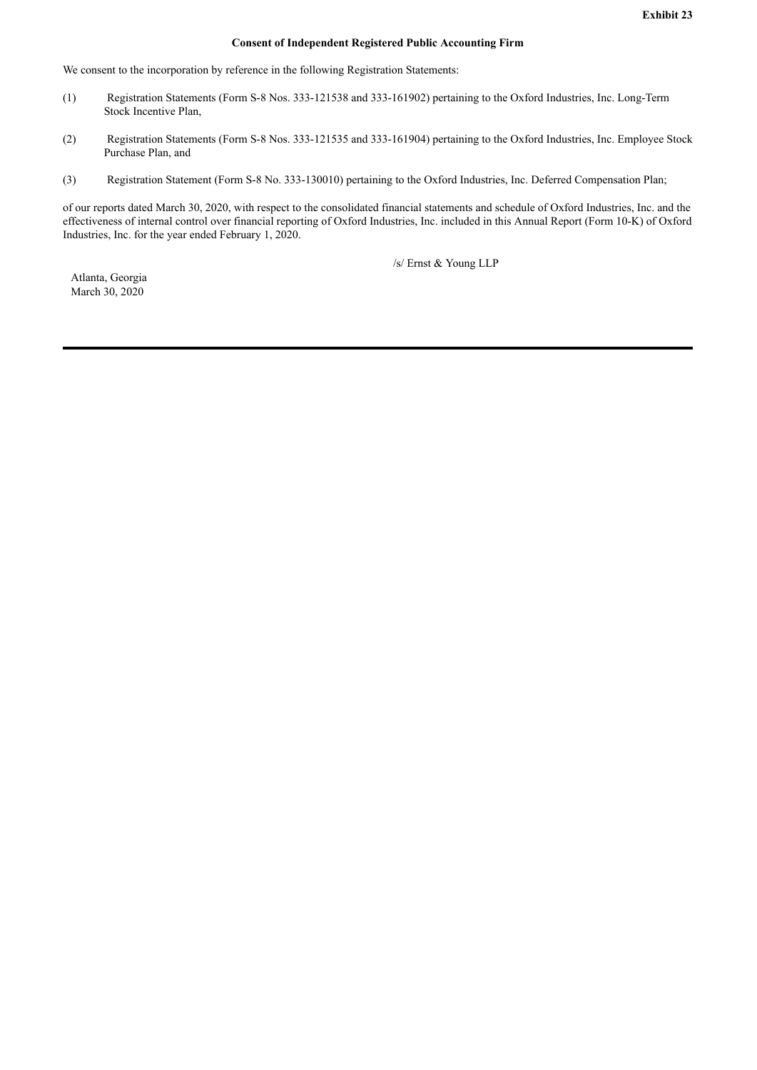### **Consent of Independent Registered Public Accounting Firm**

<span id="page-123-0"></span>We consent to the incorporation by reference in the following Registration Statements:

- (1) Registration Statements (Form S-8 Nos. 333-121538 and 333-161902) pertaining to the Oxford Industries, Inc. Long-Term Stock Incentive Plan,
- (2) Registration Statements (Form S-8 Nos. 333-121535 and 333-161904) pertaining to the Oxford Industries, Inc. Employee Stock Purchase Plan, and
- (3) Registration Statement (Form S-8 No. 333-130010) pertaining to the Oxford Industries, Inc. Deferred Compensation Plan;

of our reports dated March 30, 2020, with respect to the consolidated financial statements and schedule of Oxford Industries, Inc. and the effectiveness of internal control over financial reporting of Oxford Industries, Inc. included in this Annual Report (Form 10-K) of Oxford Industries, Inc. for the year ended February 1, 2020.

/s/ Ernst & Young LLP

Atlanta, Georgia March 30, 2020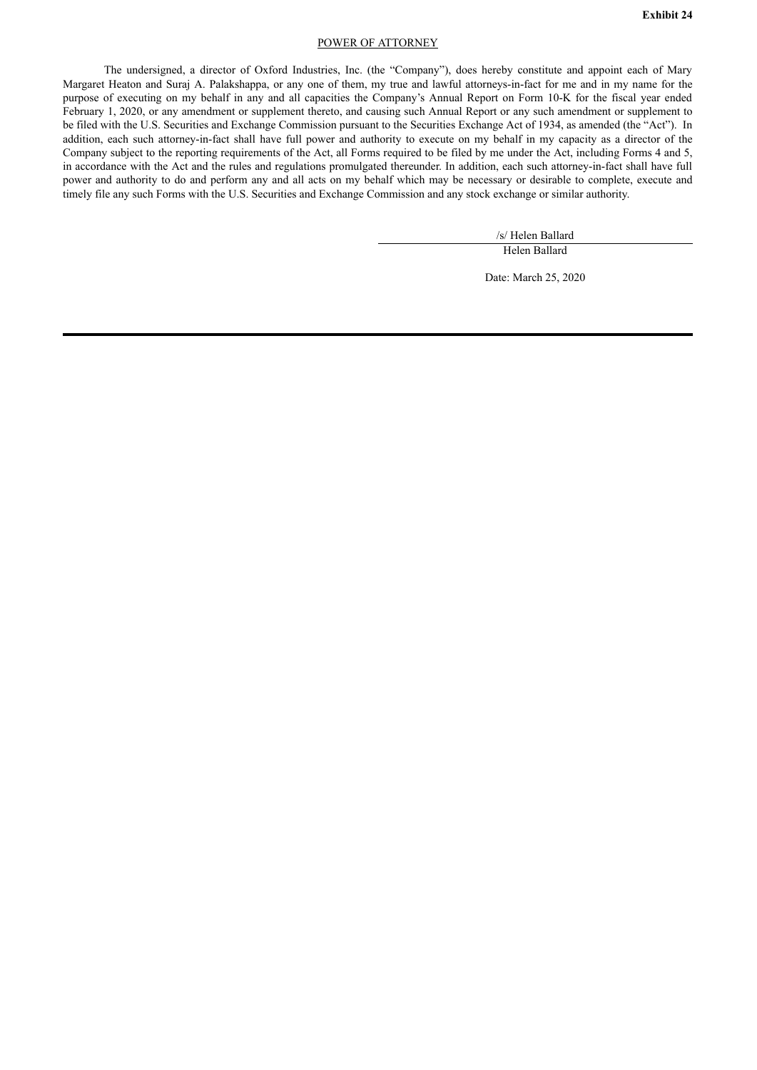<span id="page-124-0"></span>The undersigned, a director of Oxford Industries, Inc. (the "Company"), does hereby constitute and appoint each of Mary Margaret Heaton and Suraj A. Palakshappa, or any one of them, my true and lawful attorneys-in-fact for me and in my name for the purpose of executing on my behalf in any and all capacities the Company's Annual Report on Form 10-K for the fiscal year ended February 1, 2020, or any amendment or supplement thereto, and causing such Annual Report or any such amendment or supplement to be filed with the U.S. Securities and Exchange Commission pursuant to the Securities Exchange Act of 1934, as amended (the "Act"). In addition, each such attorney-in-fact shall have full power and authority to execute on my behalf in my capacity as a director of the Company subject to the reporting requirements of the Act, all Forms required to be filed by me under the Act, including Forms 4 and 5, in accordance with the Act and the rules and regulations promulgated thereunder. In addition, each such attorney-in-fact shall have full power and authority to do and perform any and all acts on my behalf which may be necessary or desirable to complete, execute and timely file any such Forms with the U.S. Securities and Exchange Commission and any stock exchange or similar authority.

> /s/ Helen Ballard Helen Ballard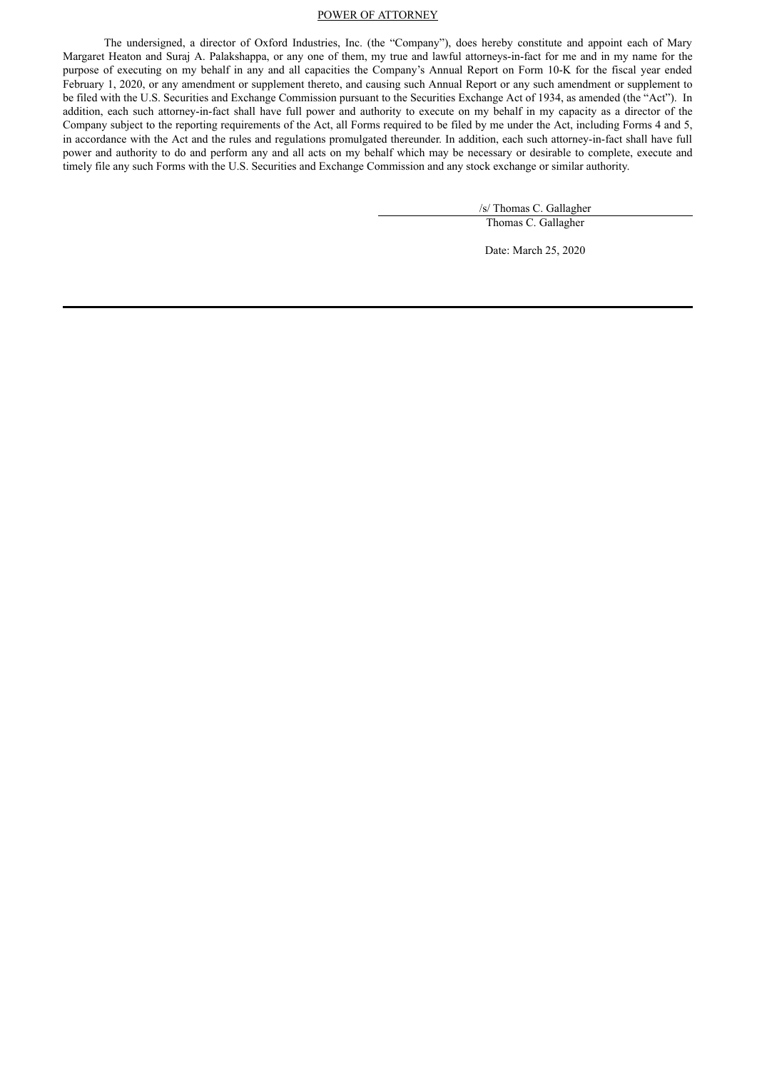The undersigned, a director of Oxford Industries, Inc. (the "Company"), does hereby constitute and appoint each of Mary Margaret Heaton and Suraj A. Palakshappa, or any one of them, my true and lawful attorneys-in-fact for me and in my name for the purpose of executing on my behalf in any and all capacities the Company's Annual Report on Form 10-K for the fiscal year ended February 1, 2020, or any amendment or supplement thereto, and causing such Annual Report or any such amendment or supplement to be filed with the U.S. Securities and Exchange Commission pursuant to the Securities Exchange Act of 1934, as amended (the "Act"). In addition, each such attorney-in-fact shall have full power and authority to execute on my behalf in my capacity as a director of the Company subject to the reporting requirements of the Act, all Forms required to be filed by me under the Act, including Forms 4 and 5, in accordance with the Act and the rules and regulations promulgated thereunder. In addition, each such attorney-in-fact shall have full power and authority to do and perform any and all acts on my behalf which may be necessary or desirable to complete, execute and timely file any such Forms with the U.S. Securities and Exchange Commission and any stock exchange or similar authority.

> /s/ Thomas C. Gallagher Thomas C. Gallagher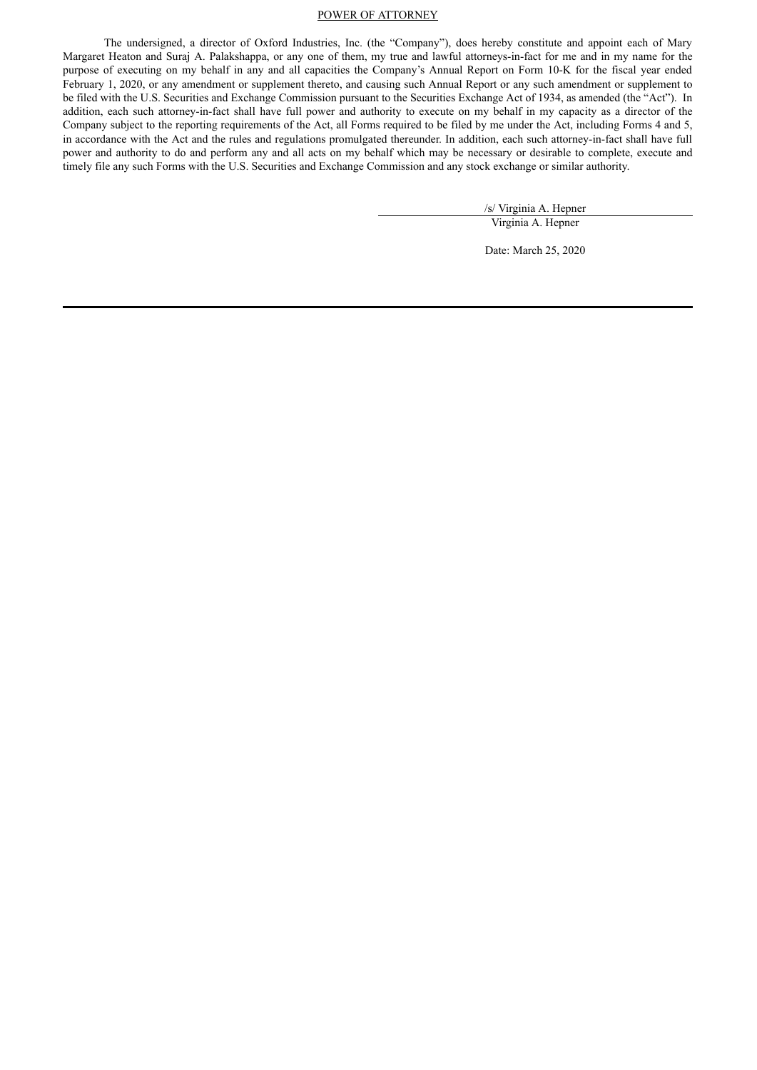The undersigned, a director of Oxford Industries, Inc. (the "Company"), does hereby constitute and appoint each of Mary Margaret Heaton and Suraj A. Palakshappa, or any one of them, my true and lawful attorneys-in-fact for me and in my name for the purpose of executing on my behalf in any and all capacities the Company's Annual Report on Form 10-K for the fiscal year ended February 1, 2020, or any amendment or supplement thereto, and causing such Annual Report or any such amendment or supplement to be filed with the U.S. Securities and Exchange Commission pursuant to the Securities Exchange Act of 1934, as amended (the "Act"). In addition, each such attorney-in-fact shall have full power and authority to execute on my behalf in my capacity as a director of the Company subject to the reporting requirements of the Act, all Forms required to be filed by me under the Act, including Forms 4 and 5, in accordance with the Act and the rules and regulations promulgated thereunder. In addition, each such attorney-in-fact shall have full power and authority to do and perform any and all acts on my behalf which may be necessary or desirable to complete, execute and timely file any such Forms with the U.S. Securities and Exchange Commission and any stock exchange or similar authority.

> /s/ Virginia A. Hepner Virginia A. Hepner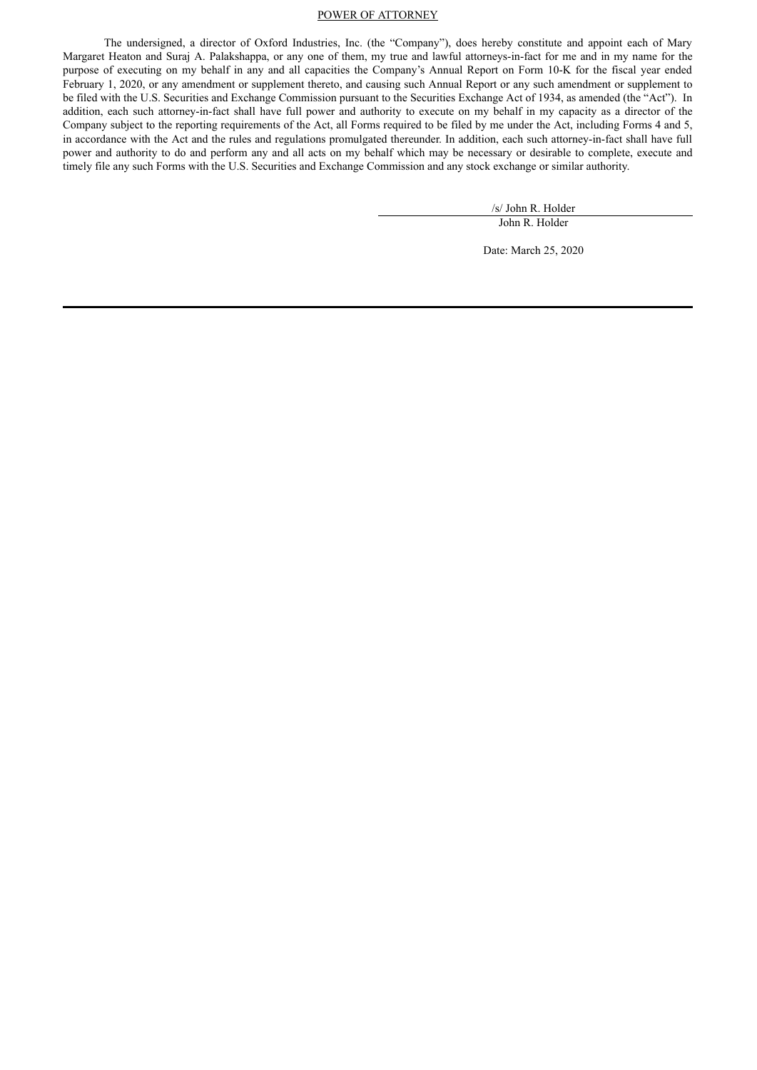The undersigned, a director of Oxford Industries, Inc. (the "Company"), does hereby constitute and appoint each of Mary Margaret Heaton and Suraj A. Palakshappa, or any one of them, my true and lawful attorneys-in-fact for me and in my name for the purpose of executing on my behalf in any and all capacities the Company's Annual Report on Form 10-K for the fiscal year ended February 1, 2020, or any amendment or supplement thereto, and causing such Annual Report or any such amendment or supplement to be filed with the U.S. Securities and Exchange Commission pursuant to the Securities Exchange Act of 1934, as amended (the "Act"). In addition, each such attorney-in-fact shall have full power and authority to execute on my behalf in my capacity as a director of the Company subject to the reporting requirements of the Act, all Forms required to be filed by me under the Act, including Forms 4 and 5, in accordance with the Act and the rules and regulations promulgated thereunder. In addition, each such attorney-in-fact shall have full power and authority to do and perform any and all acts on my behalf which may be necessary or desirable to complete, execute and timely file any such Forms with the U.S. Securities and Exchange Commission and any stock exchange or similar authority.

> /s/ John R. Holder John R. Holder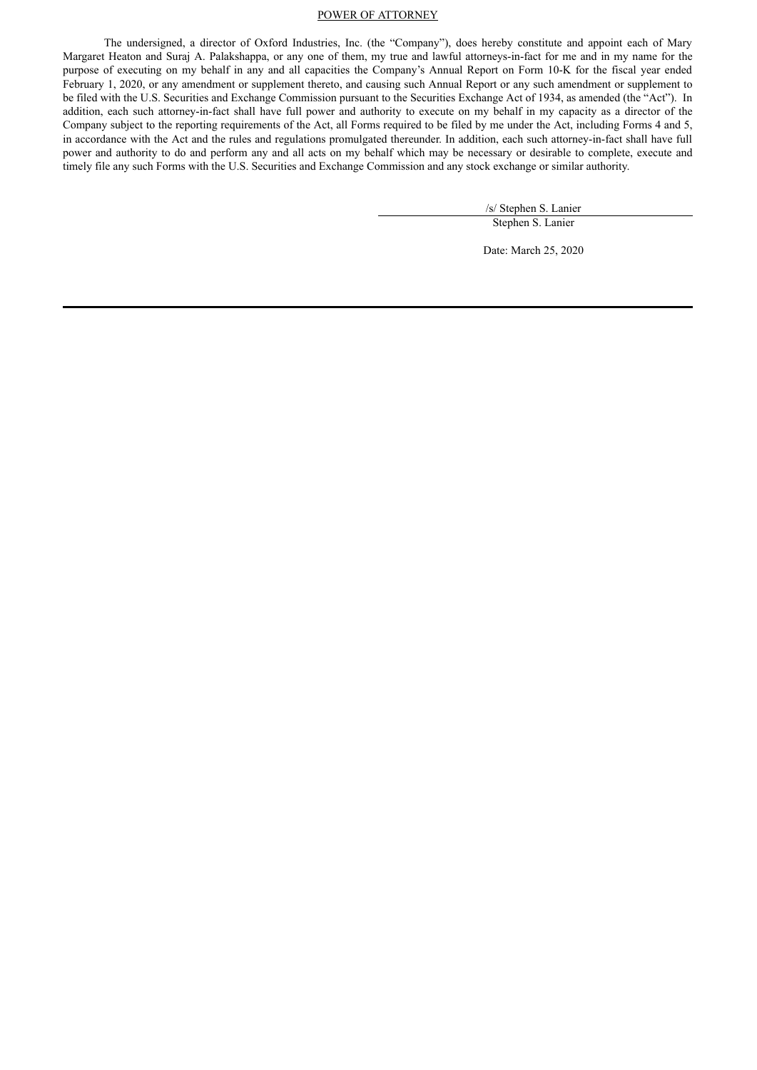The undersigned, a director of Oxford Industries, Inc. (the "Company"), does hereby constitute and appoint each of Mary Margaret Heaton and Suraj A. Palakshappa, or any one of them, my true and lawful attorneys-in-fact for me and in my name for the purpose of executing on my behalf in any and all capacities the Company's Annual Report on Form 10-K for the fiscal year ended February 1, 2020, or any amendment or supplement thereto, and causing such Annual Report or any such amendment or supplement to be filed with the U.S. Securities and Exchange Commission pursuant to the Securities Exchange Act of 1934, as amended (the "Act"). In addition, each such attorney-in-fact shall have full power and authority to execute on my behalf in my capacity as a director of the Company subject to the reporting requirements of the Act, all Forms required to be filed by me under the Act, including Forms 4 and 5, in accordance with the Act and the rules and regulations promulgated thereunder. In addition, each such attorney-in-fact shall have full power and authority to do and perform any and all acts on my behalf which may be necessary or desirable to complete, execute and timely file any such Forms with the U.S. Securities and Exchange Commission and any stock exchange or similar authority.

> /s/ Stephen S. Lanier Stephen S. Lanier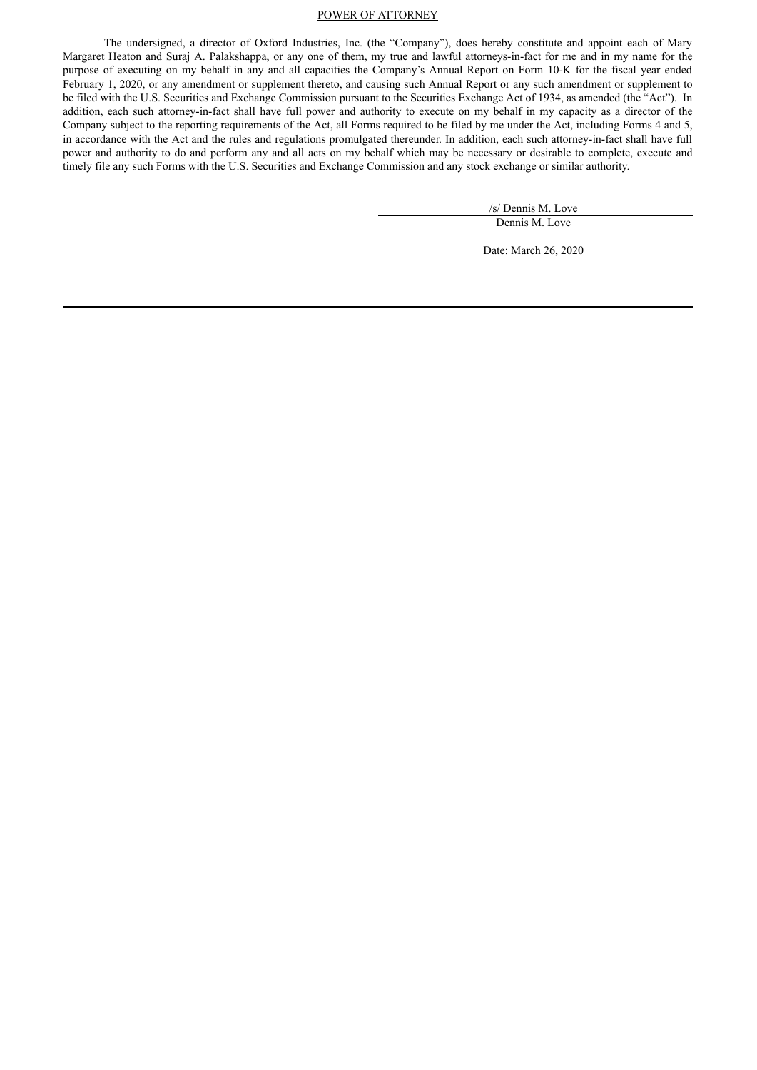The undersigned, a director of Oxford Industries, Inc. (the "Company"), does hereby constitute and appoint each of Mary Margaret Heaton and Suraj A. Palakshappa, or any one of them, my true and lawful attorneys-in-fact for me and in my name for the purpose of executing on my behalf in any and all capacities the Company's Annual Report on Form 10-K for the fiscal year ended February 1, 2020, or any amendment or supplement thereto, and causing such Annual Report or any such amendment or supplement to be filed with the U.S. Securities and Exchange Commission pursuant to the Securities Exchange Act of 1934, as amended (the "Act"). In addition, each such attorney-in-fact shall have full power and authority to execute on my behalf in my capacity as a director of the Company subject to the reporting requirements of the Act, all Forms required to be filed by me under the Act, including Forms 4 and 5, in accordance with the Act and the rules and regulations promulgated thereunder. In addition, each such attorney-in-fact shall have full power and authority to do and perform any and all acts on my behalf which may be necessary or desirable to complete, execute and timely file any such Forms with the U.S. Securities and Exchange Commission and any stock exchange or similar authority.

> /s/ Dennis M. Love Dennis M. Love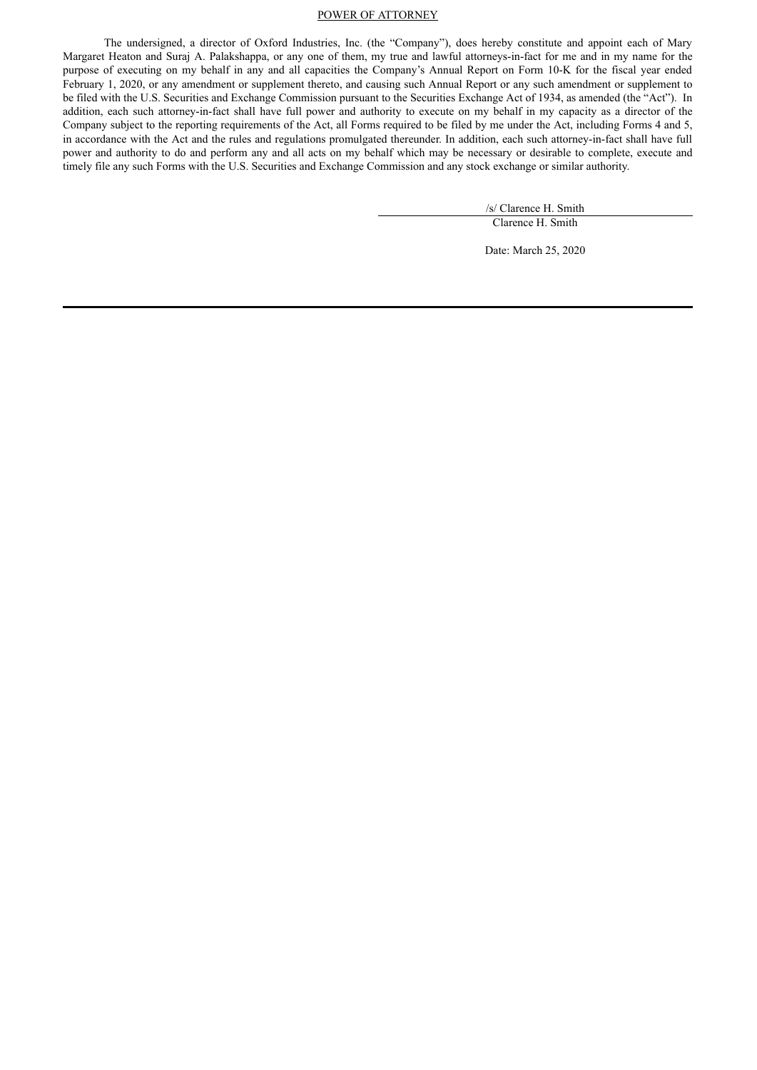The undersigned, a director of Oxford Industries, Inc. (the "Company"), does hereby constitute and appoint each of Mary Margaret Heaton and Suraj A. Palakshappa, or any one of them, my true and lawful attorneys-in-fact for me and in my name for the purpose of executing on my behalf in any and all capacities the Company's Annual Report on Form 10-K for the fiscal year ended February 1, 2020, or any amendment or supplement thereto, and causing such Annual Report or any such amendment or supplement to be filed with the U.S. Securities and Exchange Commission pursuant to the Securities Exchange Act of 1934, as amended (the "Act"). In addition, each such attorney-in-fact shall have full power and authority to execute on my behalf in my capacity as a director of the Company subject to the reporting requirements of the Act, all Forms required to be filed by me under the Act, including Forms 4 and 5, in accordance with the Act and the rules and regulations promulgated thereunder. In addition, each such attorney-in-fact shall have full power and authority to do and perform any and all acts on my behalf which may be necessary or desirable to complete, execute and timely file any such Forms with the U.S. Securities and Exchange Commission and any stock exchange or similar authority.

> /s/ Clarence H. Smith Clarence H. Smith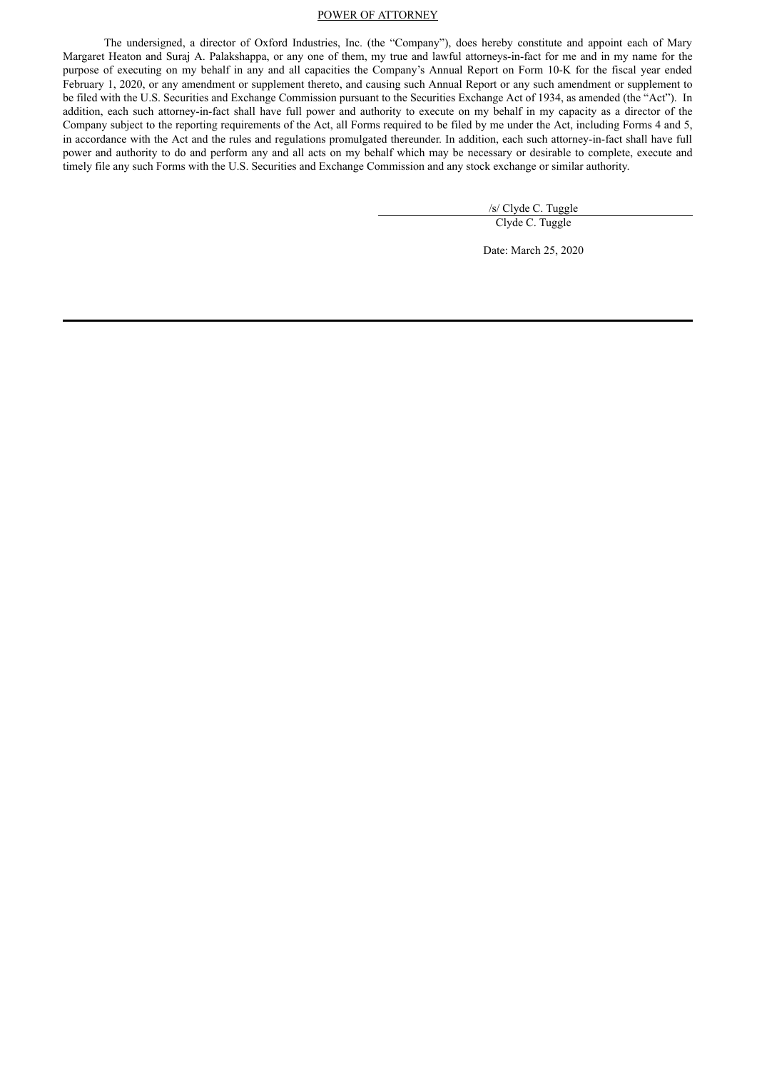The undersigned, a director of Oxford Industries, Inc. (the "Company"), does hereby constitute and appoint each of Mary Margaret Heaton and Suraj A. Palakshappa, or any one of them, my true and lawful attorneys-in-fact for me and in my name for the purpose of executing on my behalf in any and all capacities the Company's Annual Report on Form 10-K for the fiscal year ended February 1, 2020, or any amendment or supplement thereto, and causing such Annual Report or any such amendment or supplement to be filed with the U.S. Securities and Exchange Commission pursuant to the Securities Exchange Act of 1934, as amended (the "Act"). In addition, each such attorney-in-fact shall have full power and authority to execute on my behalf in my capacity as a director of the Company subject to the reporting requirements of the Act, all Forms required to be filed by me under the Act, including Forms 4 and 5, in accordance with the Act and the rules and regulations promulgated thereunder. In addition, each such attorney-in-fact shall have full power and authority to do and perform any and all acts on my behalf which may be necessary or desirable to complete, execute and timely file any such Forms with the U.S. Securities and Exchange Commission and any stock exchange or similar authority.

> /s/ Clyde C. Tuggle Clyde C. Tuggle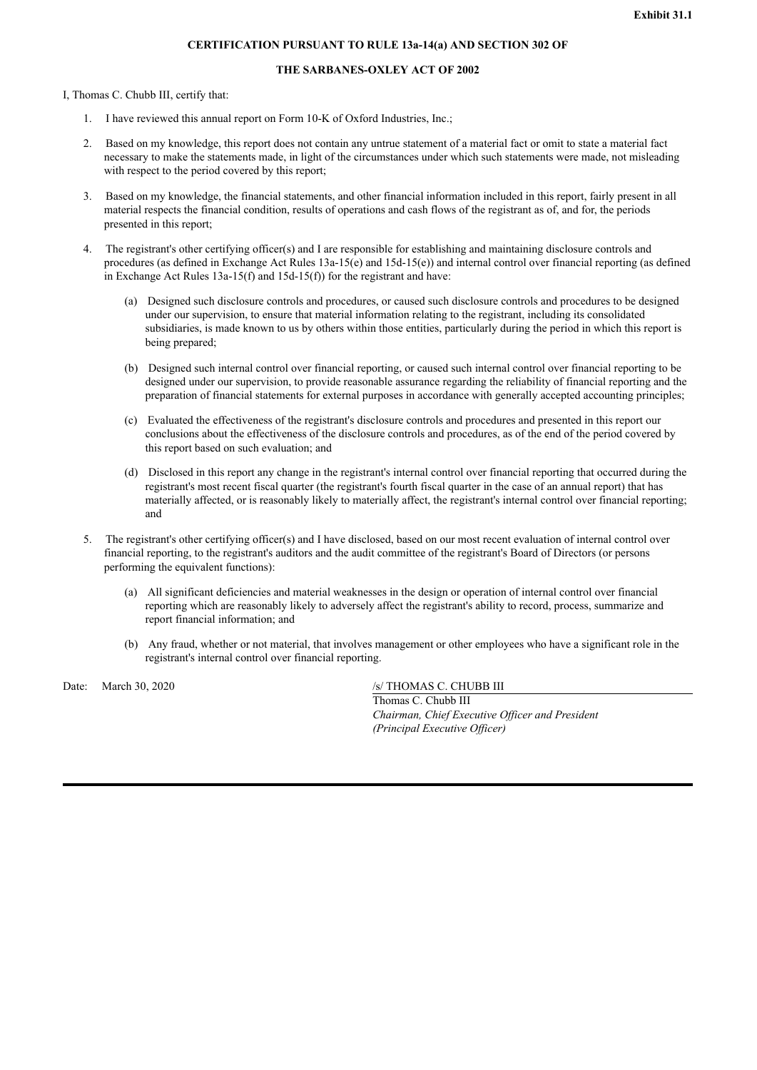## **CERTIFICATION PURSUANT TO RULE 13a-14(a) AND SECTION 302 OF**

### **THE SARBANES-OXLEY ACT OF 2002**

<span id="page-132-0"></span>I, Thomas C. Chubb III, certify that:

- 1. I have reviewed this annual report on Form 10-K of Oxford Industries, Inc.;
- 2. Based on my knowledge, this report does not contain any untrue statement of a material fact or omit to state a material fact necessary to make the statements made, in light of the circumstances under which such statements were made, not misleading with respect to the period covered by this report;
- 3. Based on my knowledge, the financial statements, and other financial information included in this report, fairly present in all material respects the financial condition, results of operations and cash flows of the registrant as of, and for, the periods presented in this report;
- 4. The registrant's other certifying officer(s) and I are responsible for establishing and maintaining disclosure controls and procedures (as defined in Exchange Act Rules 13a-15(e) and 15d-15(e)) and internal control over financial reporting (as defined in Exchange Act Rules 13a-15(f) and 15d-15(f)) for the registrant and have:
	- (a) Designed such disclosure controls and procedures, or caused such disclosure controls and procedures to be designed under our supervision, to ensure that material information relating to the registrant, including its consolidated subsidiaries, is made known to us by others within those entities, particularly during the period in which this report is being prepared;
	- (b) Designed such internal control over financial reporting, or caused such internal control over financial reporting to be designed under our supervision, to provide reasonable assurance regarding the reliability of financial reporting and the preparation of financial statements for external purposes in accordance with generally accepted accounting principles;
	- (c) Evaluated the effectiveness of the registrant's disclosure controls and procedures and presented in this report our conclusions about the effectiveness of the disclosure controls and procedures, as of the end of the period covered by this report based on such evaluation; and
	- (d) Disclosed in this report any change in the registrant's internal control over financial reporting that occurred during the registrant's most recent fiscal quarter (the registrant's fourth fiscal quarter in the case of an annual report) that has materially affected, or is reasonably likely to materially affect, the registrant's internal control over financial reporting; and
- 5. The registrant's other certifying officer(s) and I have disclosed, based on our most recent evaluation of internal control over financial reporting, to the registrant's auditors and the audit committee of the registrant's Board of Directors (or persons performing the equivalent functions):
	- (a) All significant deficiencies and material weaknesses in the design or operation of internal control over financial reporting which are reasonably likely to adversely affect the registrant's ability to record, process, summarize and report financial information; and
	- (b) Any fraud, whether or not material, that involves management or other employees who have a significant role in the registrant's internal control over financial reporting.

Date: March 30, 2020 /s/ THOMAS C. CHUBB III

Thomas C. Chubb III *Chairman, Chief Executive Of icer and President (Principal Executive Of icer)*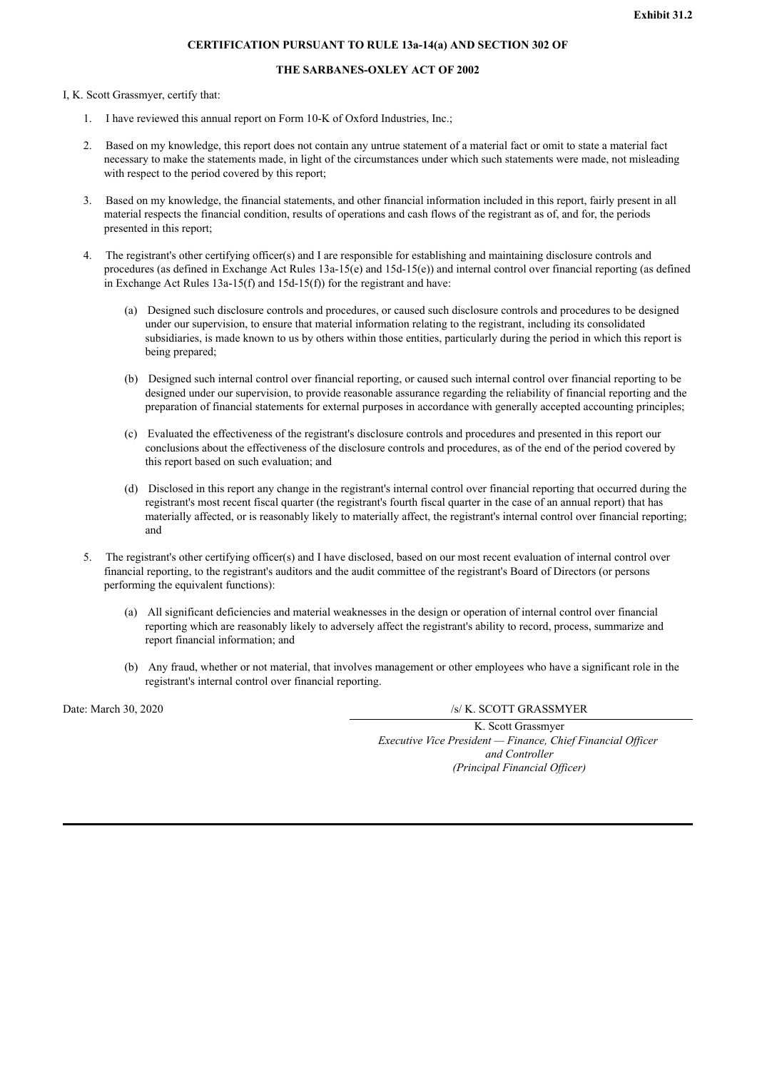## **CERTIFICATION PURSUANT TO RULE 13a-14(a) AND SECTION 302 OF**

### **THE SARBANES-OXLEY ACT OF 2002**

<span id="page-133-0"></span>I, K. Scott Grassmyer, certify that:

- 1. I have reviewed this annual report on Form 10-K of Oxford Industries, Inc.;
- 2. Based on my knowledge, this report does not contain any untrue statement of a material fact or omit to state a material fact necessary to make the statements made, in light of the circumstances under which such statements were made, not misleading with respect to the period covered by this report;
- 3. Based on my knowledge, the financial statements, and other financial information included in this report, fairly present in all material respects the financial condition, results of operations and cash flows of the registrant as of, and for, the periods presented in this report;
- 4. The registrant's other certifying officer(s) and I are responsible for establishing and maintaining disclosure controls and procedures (as defined in Exchange Act Rules 13a-15(e) and 15d-15(e)) and internal control over financial reporting (as defined in Exchange Act Rules 13a-15(f) and 15d-15(f)) for the registrant and have:
	- (a) Designed such disclosure controls and procedures, or caused such disclosure controls and procedures to be designed under our supervision, to ensure that material information relating to the registrant, including its consolidated subsidiaries, is made known to us by others within those entities, particularly during the period in which this report is being prepared;
	- (b) Designed such internal control over financial reporting, or caused such internal control over financial reporting to be designed under our supervision, to provide reasonable assurance regarding the reliability of financial reporting and the preparation of financial statements for external purposes in accordance with generally accepted accounting principles;
	- (c) Evaluated the effectiveness of the registrant's disclosure controls and procedures and presented in this report our conclusions about the effectiveness of the disclosure controls and procedures, as of the end of the period covered by this report based on such evaluation; and
	- (d) Disclosed in this report any change in the registrant's internal control over financial reporting that occurred during the registrant's most recent fiscal quarter (the registrant's fourth fiscal quarter in the case of an annual report) that has materially affected, or is reasonably likely to materially affect, the registrant's internal control over financial reporting; and
- 5. The registrant's other certifying officer(s) and I have disclosed, based on our most recent evaluation of internal control over financial reporting, to the registrant's auditors and the audit committee of the registrant's Board of Directors (or persons performing the equivalent functions):
	- (a) All significant deficiencies and material weaknesses in the design or operation of internal control over financial reporting which are reasonably likely to adversely affect the registrant's ability to record, process, summarize and report financial information; and
	- (b) Any fraud, whether or not material, that involves management or other employees who have a significant role in the registrant's internal control over financial reporting.

# Date: March 30, 2020 /s/ K. SCOTT GRASSMYER

K. Scott Grassmyer *Executive Vice President — Finance, Chief Financial Of icer and Controller (Principal Financial Of icer)*